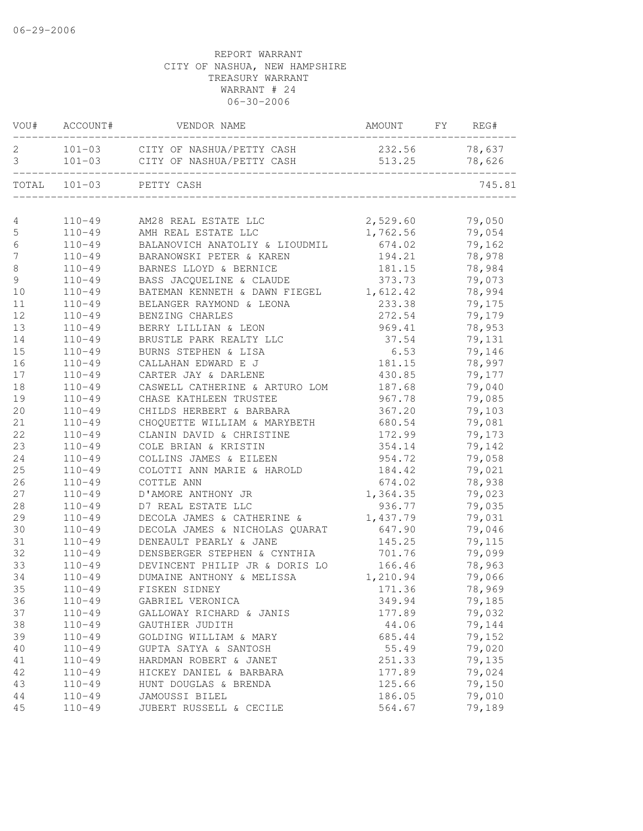|               | VOU# ACCOUNT# | VENDOR NAME                            | AMOUNT FY     | REG#   |
|---------------|---------------|----------------------------------------|---------------|--------|
|               |               | 2 101-03 CITY OF NASHUA/PETTY CASH     | 232.56 78,637 |        |
| 3             |               | 101-03 CITY OF NASHUA/PETTY CASH       | 513.25        | 78,626 |
|               |               | TOTAL 101-03 PETTY CASH                |               | 745.81 |
|               |               |                                        |               |        |
| 4             |               | 110-49 AM28 REAL ESTATE LLC            | 2,529.60      | 79,050 |
| $\mathsf S$   |               | 110-49 AMH REAL ESTATE LLC             | 1,762.56      | 79,054 |
| 6             | $110 - 49$    | BALANOVICH ANATOLIY & LIOUDMIL         | 674.02        | 79,162 |
| 7             | $110 - 49$    | BARANOWSKI PETER & KAREN               | 194.21        | 78,978 |
| $\,8\,$       | $110 - 49$    | BARNES LLOYD & BERNICE                 | 181.15        | 78,984 |
| $\mathcal{G}$ | $110 - 49$    | BASS JACQUELINE & CLAUDE               | 373.73        | 79,073 |
| 10            | $110 - 49$    | BATEMAN KENNETH & DAWN FIEGEL 1,612.42 |               | 78,994 |
| 11            | $110 - 49$    | BELANGER RAYMOND & LEONA               | 233.38        | 79,175 |
| 12            | $110 - 49$    | BENZING CHARLES                        | 272.54        | 79,179 |
| 13            | $110 - 49$    | BERRY LILLIAN & LEON                   | 969.41        | 78,953 |
| 14            | $110 - 49$    | BRUSTLE PARK REALTY LLC                | 37.54         | 79,131 |
| 15            | $110 - 49$    | BURNS STEPHEN & LISA                   | 6.53          | 79,146 |
| 16            | $110 - 49$    | CALLAHAN EDWARD E J                    | 181.15        | 78,997 |
| 17            | $110 - 49$    | CARTER JAY & DARLENE                   | 430.85        | 79,177 |
| 18            | $110 - 49$    | CASWELL CATHERINE & ARTURO LOM         | 187.68        | 79,040 |
| 19            | $110 - 49$    | CHASE KATHLEEN TRUSTEE                 | 967.78        | 79,085 |
| 20            | $110 - 49$    | CHILDS HERBERT & BARBARA               | 367.20        | 79,103 |
| 21            | $110 - 49$    | CHOQUETTE WILLIAM & MARYBETH           | 680.54        | 79,081 |
| 22            | $110 - 49$    | CLANIN DAVID & CHRISTINE               | 172.99        | 79,173 |
| 23            | $110 - 49$    | COLE BRIAN & KRISTIN                   | 354.14        | 79,142 |
| 24            | $110 - 49$    | COLLINS JAMES & EILEEN                 | 954.72        | 79,058 |
| 25            | $110 - 49$    | COLOTTI ANN MARIE & HAROLD             | 184.42        | 79,021 |
| 26            | $110 - 49$    | COTTLE ANN                             | 674.02        | 78,938 |
| 27            | $110 - 49$    | D'AMORE ANTHONY JR                     | 1,364.35      | 79,023 |
| 28            | $110 - 49$    | D7 REAL ESTATE LLC                     | 936.77        | 79,035 |
| 29            | $110 - 49$    | DECOLA JAMES & CATHERINE &             | 1,437.79      | 79,031 |
| 30            | $110 - 49$    | DECOLA JAMES & NICHOLAS QUARAT         | 647.90        | 79,046 |
| 31            | $110 - 49$    | DENEAULT PEARLY & JANE                 | 145.25        | 79,115 |
| 32            | $110 - 49$    | DENSBERGER STEPHEN & CYNTHIA           | 701.76        | 79,099 |
| 33            | $110 - 49$    | DEVINCENT PHILIP JR & DORIS LO         | 166.46        | 78,963 |
| 34            | $110 - 49$    | DUMAINE ANTHONY & MELISSA              | 1,210.94      | 79,066 |
| 35            | $110 - 49$    | FISKEN SIDNEY                          | 171.36        | 78,969 |
| 36            | $110 - 49$    | GABRIEL VERONICA                       | 349.94        | 79,185 |
| 37            | $110 - 49$    | GALLOWAY RICHARD & JANIS               | 177.89        | 79,032 |
| 38            | $110 - 49$    | GAUTHIER JUDITH                        | 44.06         | 79,144 |
| 39            | $110 - 49$    | GOLDING WILLIAM & MARY                 | 685.44        | 79,152 |
| 40            | $110 - 49$    | GUPTA SATYA & SANTOSH                  | 55.49         | 79,020 |
| 41            | $110 - 49$    | HARDMAN ROBERT & JANET                 | 251.33        | 79,135 |
| 42            | $110 - 49$    | HICKEY DANIEL & BARBARA                | 177.89        | 79,024 |
| 43            | $110 - 49$    | HUNT DOUGLAS & BRENDA                  | 125.66        | 79,150 |
| 44            | $110 - 49$    | JAMOUSSI BILEL                         | 186.05        | 79,010 |
| 45            | $110 - 49$    | JUBERT RUSSELL & CECILE                | 564.67        | 79,189 |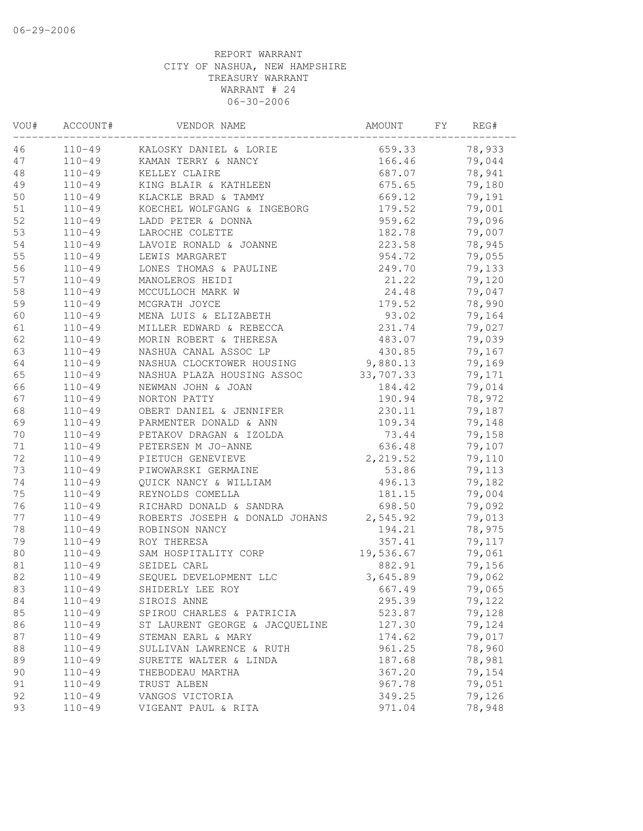| VOU# | ACCOUNT#   | VENDOR NAME                             | AMOUNT    | FΥ | REG#   |
|------|------------|-----------------------------------------|-----------|----|--------|
| 46   |            | 110-49 KALOSKY DANIEL & LORIE           | 659.33    |    | 78,933 |
| 47   |            | 110-49 KAMAN TERRY & NANCY              | 166.46    |    | 79,044 |
| 48   | $110 - 49$ | KELLEY CLAIRE                           | 687.07    |    | 78,941 |
| 49   | $110 - 49$ | KING BLAIR & KATHLEEN                   | 675.65    |    | 79,180 |
| 50   | $110 - 49$ | KLACKLE BRAD & TAMMY                    | 669.12    |    | 79,191 |
| 51   | $110 - 49$ | KOECHEL WOLFGANG & INGEBORG             | 179.52    |    | 79,001 |
| 52   | $110 - 49$ | LADD PETER & DONNA                      | 959.62    |    | 79,096 |
| 53   | $110 - 49$ | LAROCHE COLETTE                         | 182.78    |    | 79,007 |
| 54   | $110 - 49$ | LAVOIE RONALD & JOANNE                  | 223.58    |    | 78,945 |
| 55   | $110 - 49$ | LEWIS MARGARET                          | 954.72    |    | 79,055 |
| 56   | $110 - 49$ | LONES THOMAS & PAULINE                  | 249.70    |    | 79,133 |
| 57   | $110 - 49$ | MANOLEROS HEIDI                         | 21.22     |    | 79,120 |
| 58   | $110 - 49$ | MCCULLOCH MARK W                        | 24.48     |    | 79,047 |
| 59   | $110 - 49$ | MCGRATH JOYCE                           | 179.52    |    | 78,990 |
| 60   | $110 - 49$ | MENA LUIS & ELIZABETH                   | 93.02     |    | 79,164 |
| 61   | $110 - 49$ | MILLER EDWARD & REBECCA                 | 231.74    |    | 79,027 |
| 62   | $110 - 49$ | MORIN ROBERT & THERESA                  | 483.07    |    | 79,039 |
| 63   | $110 - 49$ | NASHUA CANAL ASSOC LP                   | 430.85    |    | 79,167 |
| 64   | $110 - 49$ | NASHUA CLOCKTOWER HOUSING               | 9,880.13  |    | 79,169 |
| 65   | $110 - 49$ | NASHUA PLAZA HOUSING ASSOC 33,707.33    |           |    | 79,171 |
| 66   | $110 - 49$ | NEWMAN JOHN & JOAN                      | 184.42    |    | 79,014 |
| 67   | $110 - 49$ | NORTON PATTY                            | 190.94    |    | 78,972 |
| 68   | $110 - 49$ | OBERT DANIEL & JENNIFER                 | 230.11    |    | 79,187 |
| 69   | $110 - 49$ | PARMENTER DONALD & ANN                  | 109.34    |    | 79,148 |
| 70   | $110 - 49$ | PETAKOV DRAGAN & IZOLDA                 | 73.44     |    | 79,158 |
| 71   | $110 - 49$ | PETERSEN M JO-ANNE                      | 636.48    |    | 79,107 |
| 72   | $110 - 49$ | PIETUCH GENEVIEVE                       | 2,219.52  |    | 79,110 |
| 73   | $110 - 49$ | PIWOWARSKI GERMAINE                     | 53.86     |    | 79,113 |
| 74   | $110 - 49$ | QUICK NANCY & WILLIAM                   | 496.13    |    | 79,182 |
| 75   | $110 - 49$ | REYNOLDS COMELLA                        | 181.15    |    | 79,004 |
| 76   | $110 - 49$ | RICHARD DONALD & SANDRA                 | 698.50    |    | 79,092 |
| 77   | $110 - 49$ | ROBERTS JOSEPH & DONALD JOHANS 2,545.92 |           |    | 79,013 |
| 78   | $110 - 49$ | ROBINSON NANCY                          | 194.21    |    | 78,975 |
| 79   | $110 - 49$ | ROY THERESA                             | 357.41    |    | 79,117 |
| 80   | $110 - 49$ | SAM HOSPITALITY CORP                    | 19,536.67 |    | 79,061 |
| 81   | $110 - 49$ | SEIDEL CARL                             | 882.91    |    | 79,156 |
| 82   | $110 - 49$ | SEQUEL DEVELOPMENT LLC                  | 3,645.89  |    | 79,062 |
| 83   | $110 - 49$ | SHIDERLY LEE ROY                        | 667.49    |    | 79,065 |
| 84   | $110 - 49$ | SIROIS ANNE                             | 295.39    |    | 79,122 |
| 85   | $110 - 49$ | SPIROU CHARLES & PATRICIA               | 523.87    |    | 79,128 |
| 86   | $110 - 49$ | ST LAURENT GEORGE & JACQUELINE          | 127.30    |    | 79,124 |
| 87   | $110 - 49$ | STEMAN EARL & MARY                      | 174.62    |    | 79,017 |
| 88   | $110 - 49$ | SULLIVAN LAWRENCE & RUTH                | 961.25    |    | 78,960 |
| 89   | $110 - 49$ | SURETTE WALTER & LINDA                  | 187.68    |    | 78,981 |
| 90   | $110 - 49$ | THEBODEAU MARTHA                        | 367.20    |    | 79,154 |
| 91   | $110 - 49$ | TRUST ALBEN                             | 967.78    |    | 79,051 |
| 92   | $110 - 49$ | VANGOS VICTORIA                         | 349.25    |    | 79,126 |
| 93   | $110 - 49$ | VIGEANT PAUL & RITA                     | 971.04    |    | 78,948 |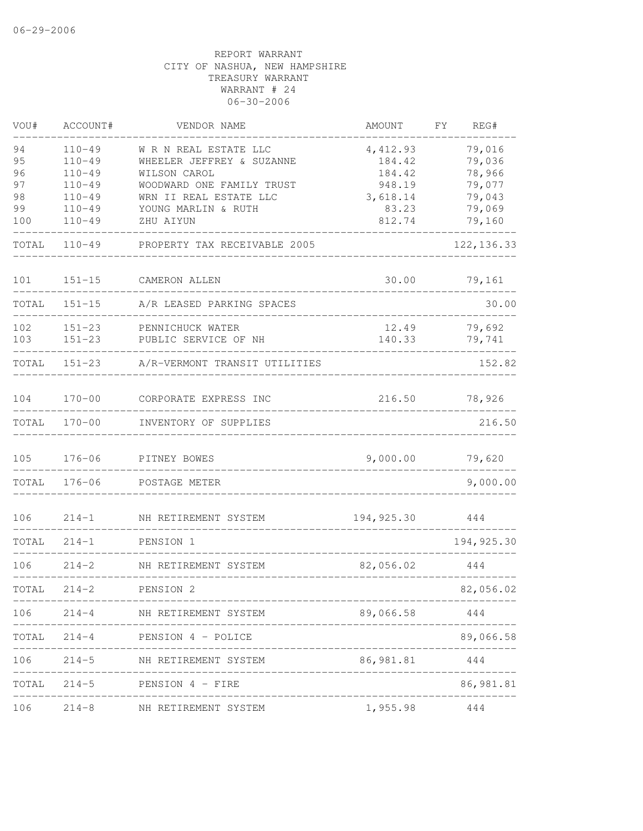| VOU#                 | ACCOUNT#                                             | VENDOR NAME                                                                                     | <b>AMOUNT</b>                          | FY. | REG#                                 |
|----------------------|------------------------------------------------------|-------------------------------------------------------------------------------------------------|----------------------------------------|-----|--------------------------------------|
| 94<br>95<br>96<br>97 | $110 - 49$<br>$110 - 49$<br>$110 - 49$<br>$110 - 49$ | W R N REAL ESTATE LLC<br>WHEELER JEFFREY & SUZANNE<br>WILSON CAROL<br>WOODWARD ONE FAMILY TRUST | 4,412.93<br>184.42<br>184.42<br>948.19 |     | 79,016<br>79,036<br>78,966<br>79,077 |
| 98                   | $110 - 49$                                           | WRN II REAL ESTATE LLC                                                                          | 3,618.14                               |     | 79,043                               |
| 99<br>100            | $110 - 49$<br>$110 - 49$                             | YOUNG MARLIN & RUTH<br>ZHU AIYUN                                                                | 83.23<br>812.74                        |     | 79,069<br>79,160                     |
| TOTAL                | $110 - 49$                                           | PROPERTY TAX RECEIVABLE 2005                                                                    |                                        |     | 122, 136.33                          |
| 101                  | $151 - 15$                                           | CAMERON ALLEN                                                                                   | 30.00                                  |     | 79,161                               |
| TOTAL                | $151 - 15$                                           | A/R LEASED PARKING SPACES                                                                       |                                        |     | 30.00                                |
| 102                  | $151 - 23$                                           | PENNICHUCK WATER                                                                                | 12.49                                  |     | 79,692                               |
| 103                  | $151 - 23$                                           | PUBLIC SERVICE OF NH                                                                            | 140.33                                 |     | 79,741                               |
| TOTAL                | $151 - 23$                                           | A/R-VERMONT TRANSIT UTILITIES                                                                   |                                        |     | 152.82                               |
| 104                  | $170 - 00$                                           | CORPORATE EXPRESS INC                                                                           | 216.50                                 |     | 78,926                               |
| TOTAL                | $170 - 00$                                           | INVENTORY OF SUPPLIES                                                                           |                                        |     | 216.50                               |
| 105                  | $176 - 06$                                           | PITNEY BOWES                                                                                    | 9,000.00                               |     | 79,620                               |
| TOTAL                | $176 - 06$                                           | POSTAGE METER                                                                                   |                                        |     | 9,000.00                             |
| 106                  | $214 - 1$                                            | NH RETIREMENT SYSTEM                                                                            | 194, 925.30                            |     | 444                                  |
| TOTAL                | $214 - 1$                                            | PENSION 1                                                                                       |                                        |     | 194, 925.30                          |
| 106                  | $214 - 2$                                            | NH RETIREMENT SYSTEM                                                                            | 82,056.02                              |     | 444                                  |
| TOTAL                | $214 - 2$                                            | PENSION 2                                                                                       |                                        |     | 82,056.02                            |
|                      |                                                      | 106 214-4 NH RETIREMENT SYSTEM                                                                  | 89,066.58 444                          |     |                                      |
|                      |                                                      | TOTAL 214-4 PENSION 4 - POLICE                                                                  |                                        |     | 89,066.58                            |
| 106                  |                                                      | 214-5 NH RETIREMENT SYSTEM                                                                      | 86,981.81                              |     | 444                                  |
|                      |                                                      | TOTAL 214-5 PENSION 4 - FIRE                                                                    |                                        |     | 86,981.81                            |
| 106                  |                                                      | 214-8 NH RETIREMENT SYSTEM                                                                      | 1,955.98                               |     | 444                                  |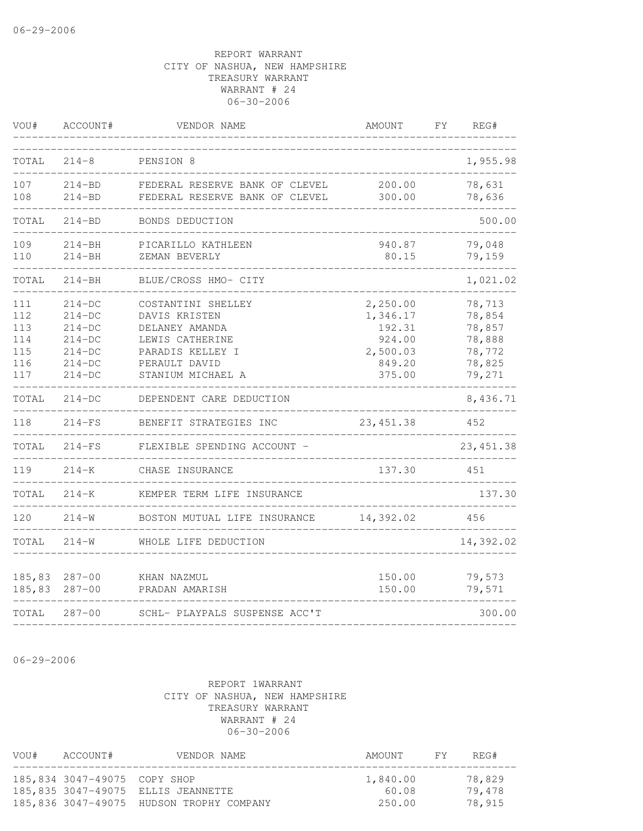| VOU#                                          | ACCOUNT#                                                                         | VENDOR NAME                                                                                                                        | <b>AMOUNT</b>                                                            | FY | REG#                                                               |
|-----------------------------------------------|----------------------------------------------------------------------------------|------------------------------------------------------------------------------------------------------------------------------------|--------------------------------------------------------------------------|----|--------------------------------------------------------------------|
| TOTAL                                         | $214 - 8$                                                                        | PENSION 8                                                                                                                          |                                                                          |    | 1,955.98                                                           |
| 107<br>108                                    | 214-BD<br>$214 - BD$                                                             | FEDERAL RESERVE BANK OF CLEVEL<br>FEDERAL RESERVE BANK OF CLEVEL                                                                   | 200.00<br>300.00                                                         |    | 78,631<br>78,636                                                   |
| TOTAL                                         | $214 - BD$                                                                       | BONDS DEDUCTION                                                                                                                    |                                                                          |    | 500.00                                                             |
| 109<br>110                                    | $214 - BH$<br>$214 - BH$                                                         | PICARILLO KATHLEEN<br>ZEMAN BEVERLY                                                                                                | 940.87<br>80.15                                                          |    | 79,048<br>79,159                                                   |
| TOTAL                                         | 214-BH                                                                           | BLUE/CROSS HMO- CITY                                                                                                               |                                                                          |    | 1,021.02                                                           |
| 111<br>112<br>113<br>114<br>115<br>116<br>117 | $214 - DC$<br>$214-DC$<br>$214-DC$<br>$214-DC$<br>214-DC<br>$214-DC$<br>$214-DC$ | COSTANTINI SHELLEY<br>DAVIS KRISTEN<br>DELANEY AMANDA<br>LEWIS CATHERINE<br>PARADIS KELLEY I<br>PERAULT DAVID<br>STANIUM MICHAEL A | 2,250.00<br>1,346.17<br>192.31<br>924.00<br>2,500.03<br>849.20<br>375.00 |    | 78,713<br>78,854<br>78,857<br>78,888<br>78,772<br>78,825<br>79,271 |
| TOTAL                                         | $214-DC$                                                                         | DEPENDENT CARE DEDUCTION                                                                                                           |                                                                          |    | 8,436.71                                                           |
| 118                                           | $214-FS$                                                                         | BENEFIT STRATEGIES INC                                                                                                             | 23, 451.38                                                               |    | 452                                                                |
| TOTAL                                         | $214-FS$                                                                         | FLEXIBLE SPENDING ACCOUNT -                                                                                                        |                                                                          |    | 23, 451.38                                                         |
| 119                                           | $214 - K$                                                                        | CHASE INSURANCE                                                                                                                    | 137.30                                                                   |    | 451                                                                |
| TOTAL                                         | $214 - K$                                                                        | KEMPER TERM LIFE INSURANCE                                                                                                         |                                                                          |    | 137.30                                                             |
| 120                                           | $214 - W$                                                                        | BOSTON MUTUAL LIFE INSURANCE                                                                                                       | 14,392.02                                                                |    | 456                                                                |
| TOTAL                                         | $214 - W$                                                                        | WHOLE LIFE DEDUCTION                                                                                                               |                                                                          |    | 14,392.02                                                          |
| 185,83<br>185,83                              | $287 - 00$<br>$287 - 00$                                                         | KHAN NAZMUL<br>PRADAN AMARISH                                                                                                      | 150.00<br>150.00                                                         |    | 79,573<br>79,571                                                   |
| TOTAL                                         | $287 - 00$                                                                       | SCHL- PLAYPALS SUSPENSE ACC'T                                                                                                      |                                                                          |    | 300.00                                                             |

06-29-2006

### REPORT 1WARRANT CITY OF NASHUA, NEW HAMPSHIRE TREASURY WARRANT WARRANT # 24 06-30-2006

--------------------------------------------------------------------------------

| VOU# | ACCOUNT#                     | VENDOR NAME                              | AMOUNT   | FY | REG#   |
|------|------------------------------|------------------------------------------|----------|----|--------|
|      | 185,834 3047-49075 COPY SHOP |                                          | 1,840.00 |    | 78,829 |
|      |                              | 185,835 3047-49075 ELLIS JEANNETTE       | 60.08    |    | 79,478 |
|      |                              | 185,836 3047-49075 HUDSON TROPHY COMPANY | 250.00   |    | 78,915 |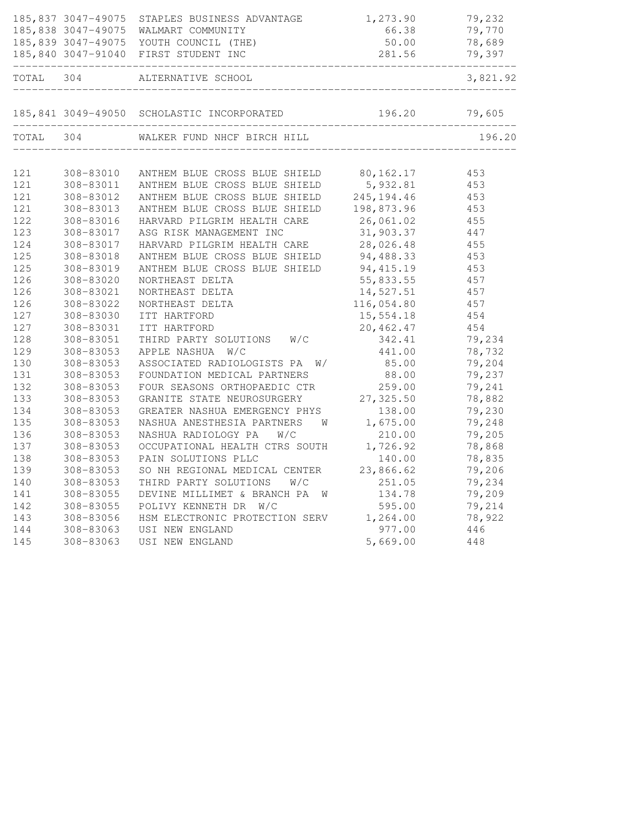|       |           | 185,837 3047-49075 STAPLES BUSINESS ADVANTAGE<br>185,838 3047-49075 WALMART COMMUNITY<br>185,839 3047-49075 YOUTH COUNCIL (THE)<br>185,840 3047-91040 FIRST STUDENT INC | 1,273.90<br>66.38<br>50.00<br>281.56 | 79,232<br>79,770<br>78,689<br>79,397 |
|-------|-----------|-------------------------------------------------------------------------------------------------------------------------------------------------------------------------|--------------------------------------|--------------------------------------|
| TOTAL | 304       | ALTERNATIVE SCHOOL                                                                                                                                                      | _________________________            | 3,821.92                             |
|       |           |                                                                                                                                                                         |                                      |                                      |
|       |           | 185,841 3049-49050 SCHOLASTIC INCORPORATED 196.20 79,605                                                                                                                |                                      |                                      |
| TOTAL | 304       | WALKER FUND NHCF BIRCH HILL                                                                                                                                             |                                      | 196.20                               |
| 121   | 308-83010 | ANTHEM BLUE CROSS BLUE SHIELD 80,162.17                                                                                                                                 |                                      | 453                                  |
| 121   | 308-83011 | ANTHEM BLUE CROSS BLUE SHIELD                                                                                                                                           | 5,932.81                             | 453                                  |
| 121   | 308-83012 | ANTHEM BLUE CROSS BLUE SHIELD 245, 194.46                                                                                                                               |                                      | 453                                  |
| 121   | 308-83013 | ANTHEM BLUE CROSS BLUE SHIELD                                                                                                                                           | 198,873.96                           | 453                                  |
| 122   | 308-83016 | HARVARD PILGRIM HEALTH CARE                                                                                                                                             | 26,061.02                            | 455                                  |
| 123   | 308-83017 | ASG RISK MANAGEMENT INC                                                                                                                                                 | 31,903.37                            | 447                                  |
| 124   | 308-83017 | HARVARD PILGRIM HEALTH CARE                                                                                                                                             | 28,026.48                            | 455                                  |
| 125   | 308-83018 | ANTHEM BLUE CROSS BLUE SHIELD 94,488.33                                                                                                                                 |                                      | 453                                  |
| 125   | 308-83019 | ANTHEM BLUE CROSS BLUE SHIELD                                                                                                                                           | 94,415.19                            | 453                                  |
| 126   | 308-83020 | NORTHEAST DELTA                                                                                                                                                         | 55,833.55                            | 457                                  |
| 126   | 308-83021 | NORTHEAST DELTA                                                                                                                                                         | 14,527.51                            | 457                                  |
| 126   | 308-83022 | NORTHEAST DELTA                                                                                                                                                         | 116,054.80                           | 457                                  |
| 127   | 308-83030 | ITT HARTFORD                                                                                                                                                            | 15,554.18                            | 454                                  |
| 127   | 308-83031 | ITT HARTFORD                                                                                                                                                            | 20,462.47                            | 454                                  |
| 128   | 308-83051 | W/C<br>THIRD PARTY SOLUTIONS                                                                                                                                            | 342.41                               | 79,234                               |
| 129   | 308-83053 | APPLE NASHUA W/C                                                                                                                                                        | 441.00                               | 78,732                               |
| 130   | 308-83053 | ASSOCIATED RADIOLOGISTS PA<br>W/                                                                                                                                        | 85.00                                | 79,204                               |
| 131   | 308-83053 | FOUNDATION MEDICAL PARTNERS                                                                                                                                             | 88.00                                | 79,237                               |
| 132   | 308-83053 | FOUR SEASONS ORTHOPAEDIC CTR                                                                                                                                            | 259.00                               | 79,241                               |
| 133   | 308-83053 | GRANITE STATE NEUROSURGERY                                                                                                                                              | 27,325.50                            | 78,882                               |
| 134   | 308-83053 | GREATER NASHUA EMERGENCY PHYS                                                                                                                                           | 138.00                               | 79,230                               |
| 135   | 308-83053 | NASHUA ANESTHESIA PARTNERS<br>W                                                                                                                                         | 1,675.00                             | 79,248                               |
| 136   | 308-83053 | NASHUA RADIOLOGY PA<br>W/C                                                                                                                                              | 210.00                               | 79,205                               |
| 137   | 308-83053 | OCCUPATIONAL HEALTH CTRS SOUTH                                                                                                                                          | 1,726.92                             | 78,868                               |
| 138   | 308-83053 | PAIN SOLUTIONS PLLC                                                                                                                                                     | 140.00                               | 78,835                               |
| 139   | 308-83053 | SO NH REGIONAL MEDICAL CENTER                                                                                                                                           | 23,866.62                            | 79,206                               |
| 140   | 308-83053 | THIRD PARTY SOLUTIONS<br>W/C                                                                                                                                            | 251.05                               | 79,234                               |
| 141   | 308-83055 | DEVINE MILLIMET & BRANCH PA<br><b>M</b>                                                                                                                                 | 134.78                               | 79,209                               |
| 142   | 308-83055 | POLIVY KENNETH DR W/C                                                                                                                                                   | 595.00                               | 79,214                               |
| 143   | 308-83056 | HSM ELECTRONIC PROTECTION SERV 1,264.00                                                                                                                                 |                                      | 78,922                               |
| 144   | 308-83063 | USI NEW ENGLAND                                                                                                                                                         | 977.00                               | 446                                  |
| 145   | 308-83063 | USI NEW ENGLAND                                                                                                                                                         | 5,669.00                             | 448                                  |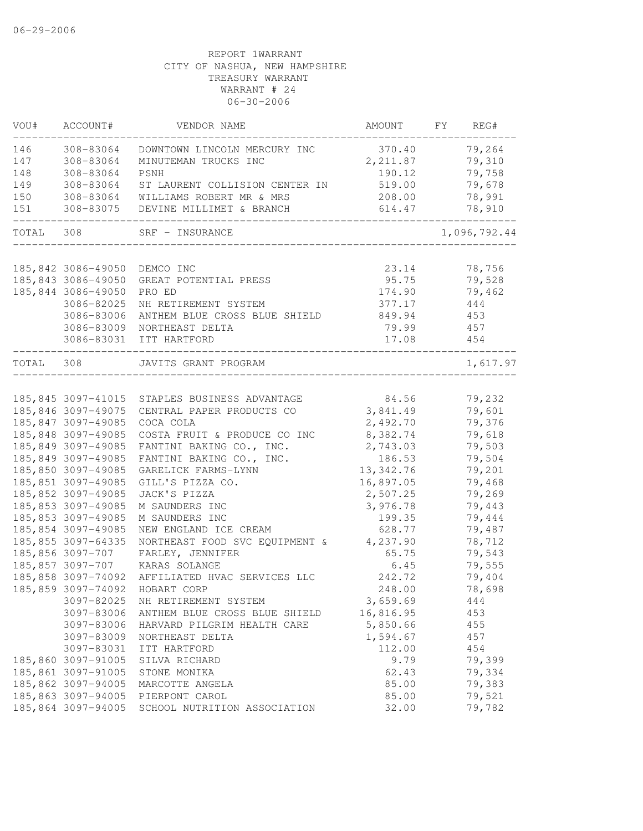| VOU#  | ACCOUNT#           | VENDOR NAME                    | AMOUNT     | FY | REG#         |
|-------|--------------------|--------------------------------|------------|----|--------------|
| 146   | 308-83064          | DOWNTOWN LINCOLN MERCURY INC   | 370.40     |    | 79,264       |
| 147   | 308-83064          | MINUTEMAN TRUCKS INC           | 2, 211.87  |    | 79,310       |
| 148   | 308-83064          | PSNH                           | 190.12     |    | 79,758       |
| 149   | 308-83064          | ST LAURENT COLLISION CENTER IN | 519.00     |    | 79,678       |
| 150   | 308-83064          | WILLIAMS ROBERT MR & MRS       | 208.00     |    | 78,991       |
| 151   | 308-83075          | DEVINE MILLIMET & BRANCH       | 614.47     |    | 78,910       |
| TOTAL | 308                | SRF - INSURANCE                |            |    | 1,096,792.44 |
|       |                    |                                |            |    |              |
|       | 185,842 3086-49050 | DEMCO INC                      | 23.14      |    | 78,756       |
|       | 185,843 3086-49050 | GREAT POTENTIAL PRESS          | 95.75      |    | 79,528       |
|       | 185,844 3086-49050 | PRO ED                         | 174.90     |    | 79,462       |
|       | 3086-82025         | NH RETIREMENT SYSTEM           | 377.17     |    | 444          |
|       | 3086-83006         | ANTHEM BLUE CROSS BLUE SHIELD  | 849.94     |    | 453          |
|       | 3086-83009         | NORTHEAST DELTA                | 79.99      |    | 457          |
|       | 3086-83031         | ITT HARTFORD                   | 17.08      |    | 454          |
| TOTAL | 308                | JAVITS GRANT PROGRAM           |            |    | 1,617.97     |
|       | 185,845 3097-41015 | STAPLES BUSINESS ADVANTAGE     | 84.56      |    | 79,232       |
|       | 185,846 3097-49075 | CENTRAL PAPER PRODUCTS CO      | 3,841.49   |    | 79,601       |
|       | 185,847 3097-49085 | COCA COLA                      | 2,492.70   |    | 79,376       |
|       | 185,848 3097-49085 | COSTA FRUIT & PRODUCE CO INC   | 8,382.74   |    | 79,618       |
|       | 185,849 3097-49085 | FANTINI BAKING CO., INC.       | 2,743.03   |    | 79,503       |
|       | 185,849 3097-49085 | FANTINI BAKING CO., INC.       | 186.53     |    | 79,504       |
|       | 185,850 3097-49085 | GARELICK FARMS-LYNN            | 13, 342.76 |    | 79,201       |
|       | 185,851 3097-49085 | GILL'S PIZZA CO.               | 16,897.05  |    | 79,468       |
|       | 185,852 3097-49085 | JACK'S PIZZA                   | 2,507.25   |    | 79,269       |
|       | 185,853 3097-49085 | M SAUNDERS INC                 | 3,976.78   |    | 79,443       |
|       | 185,853 3097-49085 | M SAUNDERS INC                 | 199.35     |    | 79,444       |
|       | 185,854 3097-49085 | NEW ENGLAND ICE CREAM          | 628.77     |    | 79,487       |
|       | 185,855 3097-64335 | NORTHEAST FOOD SVC EQUIPMENT & | 4,237.90   |    | 78,712       |
|       | 185,856 3097-707   | FARLEY, JENNIFER               | 65.75      |    | 79,543       |
|       | 185,857 3097-707   | KARAS SOLANGE                  | 6.45       |    | 79,555       |
|       | 185,858 3097-74092 | AFFILIATED HVAC SERVICES LLC   | 242.72     |    | 79,404       |
|       | 185,859 3097-74092 | HOBART CORP                    | 248.00     |    | 78,698       |
|       | 3097-82025         | NH RETIREMENT SYSTEM           | 3,659.69   |    | 444          |
|       | 3097-83006         | ANTHEM BLUE CROSS BLUE SHIELD  | 16,816.95  |    | 453          |
|       | 3097-83006         | HARVARD PILGRIM HEALTH CARE    | 5,850.66   |    | 455          |
|       | 3097-83009         | NORTHEAST DELTA                | 1,594.67   |    | 457          |
|       | 3097-83031         | ITT HARTFORD                   | 112.00     |    | 454          |
|       | 185,860 3097-91005 | SILVA RICHARD                  | 9.79       |    | 79,399       |
|       | 185,861 3097-91005 | STONE MONIKA                   | 62.43      |    | 79,334       |
|       | 185,862 3097-94005 | MARCOTTE ANGELA                | 85.00      |    | 79,383       |
|       | 185,863 3097-94005 | PIERPONT CAROL                 | 85.00      |    | 79,521       |
|       | 185,864 3097-94005 | SCHOOL NUTRITION ASSOCIATION   | 32.00      |    | 79,782       |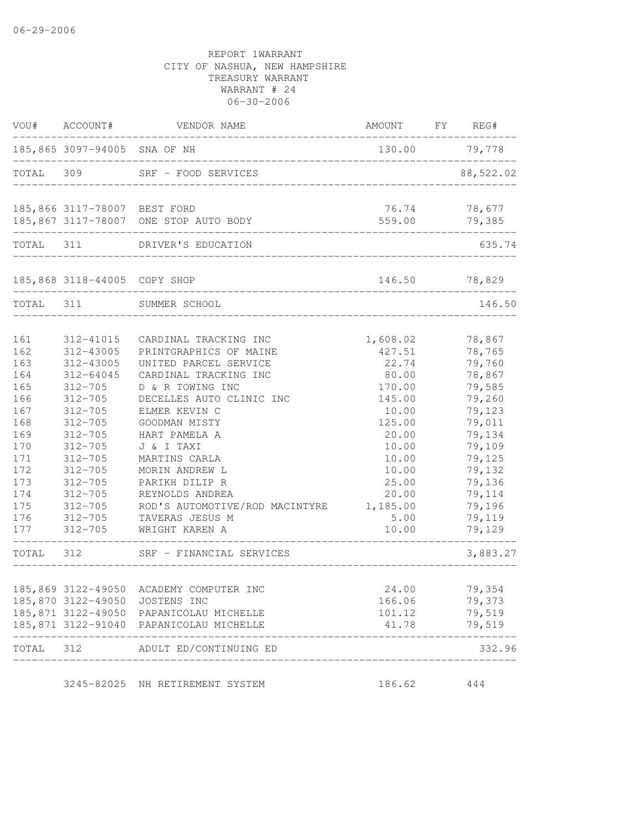| VOU#      | ACCOUNT#                     | VENDOR NAME                                 | AMOUNT                            | FY | REG#             |
|-----------|------------------------------|---------------------------------------------|-----------------------------------|----|------------------|
|           | 185,865 3097-94005 SNA OF NH |                                             | 130.00                            |    | 79,778           |
| TOTAL     | 309                          | SRF - FOOD SERVICES                         |                                   |    | 88,522.02        |
|           | 185,866 3117-78007 BEST FORD | 185,867 3117-78007 ONE STOP AUTO BODY       | 76.74<br>559.00                   |    | 78,677<br>79,385 |
|           |                              |                                             | _________________________         |    |                  |
| TOTAL 311 |                              | DRIVER'S EDUCATION                          |                                   |    | 635.74           |
|           | 185,868 3118-44005           | COPY SHOP<br>______________________________ | 146.50                            |    | 78,829           |
| TOTAL     | 311                          | SUMMER SCHOOL                               |                                   |    | 146.50           |
| 161       | 312-41015                    | CARDINAL TRACKING INC                       | 1,608.02                          |    | 78,867           |
| 162       | 312-43005                    | PRINTGRAPHICS OF MAINE                      | 427.51                            |    | 78,765           |
| 163       | 312-43005                    | UNITED PARCEL SERVICE                       | 22.74                             |    | 79,760           |
| 164       | $312 - 64045$                | CARDINAL TRACKING INC                       | 80.00                             |    | 78,867           |
| 165       | $312 - 705$                  | D & R TOWING INC                            | 170.00                            |    | 79,585           |
| 166       | $312 - 705$                  | DECELLES AUTO CLINIC INC                    | 145.00                            |    | 79,260           |
| 167       | $312 - 705$                  | ELMER KEVIN C                               | 10.00                             |    | 79,123           |
| 168       | $312 - 705$                  | GOODMAN MISTY                               | 125.00                            |    | 79,011           |
| 169       | $312 - 705$                  | HART PAMELA A                               | 20.00                             |    | 79,134           |
| 170       | $312 - 705$                  | J & I TAXI                                  | 10.00                             |    | 79,109           |
| 171       | $312 - 705$                  | MARTINS CARLA                               | 10.00                             |    | 79,125           |
| 172       | $312 - 705$                  | MORIN ANDREW L                              | 10.00                             |    | 79,132           |
| 173       | $312 - 705$                  | PARIKH DILIP R                              | 25.00                             |    | 79,136           |
| 174       | $312 - 705$                  | REYNOLDS ANDREA                             | 20.00                             |    | 79,114           |
| 175       | $312 - 705$                  | ROD'S AUTOMOTIVE/ROD MACINTYRE              | 1,185.00                          |    | 79,196           |
| 176       | $312 - 705$                  | TAVERAS JESUS M                             | 5.00                              |    | 79,119           |
| 177       | $312 - 705$                  | WRIGHT KAREN A                              | 10.00                             |    | 79,129           |
| TOTAL     | 312                          | SRF - FINANCIAL SERVICES                    |                                   |    | 3,883.27         |
|           | 185,869 3122-49050           | ACADEMY COMPUTER INC                        | 24.00                             |    | 79,354           |
|           |                              | 185,870 3122-49050 JOSTENS INC              | 166.06                            |    | 79,373           |
|           |                              | 185,871 3122-49050 PAPANICOLAU MICHELLE     | 101.12                            |    | 79,519           |
|           |                              | 185,871 3122-91040 PAPANICOLAU MICHELLE     | 41.78                             |    | 79,519           |
| TOTAL 312 |                              | ADULT ED/CONTINUING ED                      | _________________________________ |    | 332.96           |
|           |                              | 3245-82025 NH RETIREMENT SYSTEM             | 186.62                            |    | 444              |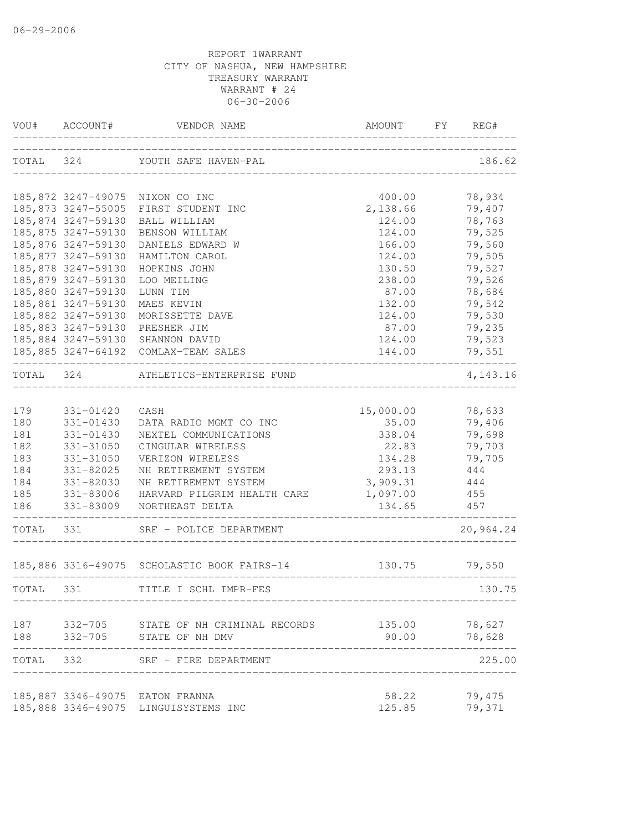|           | VOU# ACCOUNT#                 | VENDOR NAME                                 | AMOUNT       | FY REG#   |
|-----------|-------------------------------|---------------------------------------------|--------------|-----------|
| TOTAL 324 |                               | YOUTH SAFE HAVEN-PAL                        |              | 186.62    |
|           |                               | 185,872 3247-49075 NIXON CO INC             | 400.00       | 78,934    |
|           |                               | 185,873 3247-55005 FIRST STUDENT INC        | 2,138.66     | 79,407    |
|           | 185,874 3247-59130            | BALL WILLIAM                                | 124.00       | 78,763    |
|           | 185,875 3247-59130            | BENSON WILLIAM                              | 124.00       | 79,525    |
|           | 185,876 3247-59130            | DANIELS EDWARD W                            | 166.00       | 79,560    |
|           | 185,877 3247-59130            | HAMILTON CAROL                              | 124.00       | 79,505    |
|           | 185,878 3247-59130            | HOPKINS JOHN                                | 130.50       | 79,527    |
|           | 185,879 3247-59130            | LOO MEILING                                 | 238.00       | 79,526    |
|           | 185,880 3247-59130            | LUNN TIM                                    | 87.00        | 78,684    |
|           | 185,881 3247-59130            | MAES KEVIN                                  | 132.00       | 79,542    |
|           | 185,882 3247-59130            | MORISSETTE DAVE                             | 124.00       | 79,530    |
|           | 185,883 3247-59130            | PRESHER JIM                                 | 87.00        | 79,235    |
|           |                               | 185,884 3247-59130 SHANNON DAVID            | 124.00       | 79,523    |
|           | ----------------------------- | 185,885 3247-64192 COMLAX-TEAM SALES        | 144.00       | 79,551    |
| TOTAL 324 |                               | ATHLETICS-ENTERPRISE FUND                   |              | 4,143.16  |
| 179       | 331-01420                     | CASH                                        | 15,000.00    | 78,633    |
| 180       | 331-01430                     | DATA RADIO MGMT CO INC                      | 35.00        | 79,406    |
| 181       | 331-01430                     | NEXTEL COMMUNICATIONS                       | 338.04       | 79,698    |
| 182       | 331-31050                     | CINGULAR WIRELESS                           | 22.83        | 79,703    |
| 183       | 331-31050                     | VERIZON WIRELESS                            | 134.28       | 79,705    |
| 184       | 331-82025                     | NH RETIREMENT SYSTEM                        | 293.13       | 444       |
| 184       | 331-82030                     | NH RETIREMENT SYSTEM                        | 3,909.31 444 |           |
| 185       | 331-83006                     | HARVARD PILGRIM HEALTH CARE 1,097.00        |              | 455       |
| 186       |                               | 331-83009 NORTHEAST DELTA                   | 134.65       | 457       |
| TOTAL 331 |                               | SRF - POLICE DEPARTMENT                     |              | 20,964.24 |
|           |                               | 185,886 3316-49075 SCHOLASTIC BOOK FAIRS-14 | 130.75       | 79,550    |
| TOTAL 331 |                               | TITLE I SCHL IMPR-FES                       |              | 130.75    |
|           |                               | 187 332-705 STATE OF NH CRIMINAL RECORDS    | 135.00       | 78,627    |
| 188       |                               | 332-705 STATE OF NH DMV                     | 90.00        | 78,628    |
| TOTAL 332 |                               | SRF - FIRE DEPARTMENT                       |              | 225.00    |
|           |                               | 185,887 3346-49075 EATON FRANNA             | 58.22        | 79,475    |
|           |                               | 185,888 3346-49075 LINGUISYSTEMS INC        | 125.85       | 79,371    |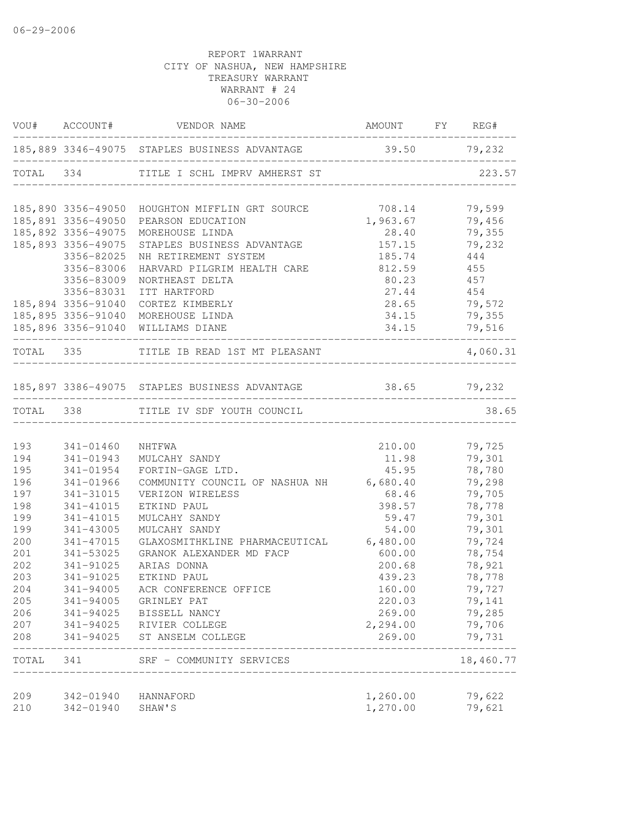|            |                                  | VOU# ACCOUNT# VENDOR NAME                                  | AMOUNT FY REG#                |                  |
|------------|----------------------------------|------------------------------------------------------------|-------------------------------|------------------|
|            |                                  | 185,889 3346-49075 STAPLES BUSINESS ADVANTAGE 39.50 79,232 |                               |                  |
|            |                                  | TOTAL 334 TITLE I SCHL IMPRV AMHERST ST                    |                               | 223.57           |
|            |                                  | 185,890 3356-49050 HOUGHTON MIFFLIN GRT SOURCE             |                               | 79,599           |
|            |                                  | 185,891 3356-49050 PEARSON EDUCATION                       | $708.14$<br>1,963.67<br>28.40 | 79,456           |
|            | 185,892 3356-49075               | MOREHOUSE LINDA                                            |                               | 79,355           |
|            | 185,893 3356-49075               | STAPLES BUSINESS ADVANTAGE                                 | 157.15                        | 79,232           |
|            | 3356-82025                       | NH RETIREMENT SYSTEM                                       | 185.74                        | 444              |
|            | 3356-83006                       | HARVARD PILGRIM HEALTH CARE                                | 812.59                        | 455              |
|            | 3356-83009                       | NORTHEAST DELTA                                            | 80.23                         | 457              |
|            | 3356-83031                       | ITT HARTFORD                                               | 27.44                         | 454              |
|            | 185,894 3356-91040               | CORTEZ KIMBERLY                                            | 28.65                         | 79,572           |
|            |                                  | 185,895 3356-91040 MOREHOUSE LINDA                         | 34.15                         | 79,355           |
|            | -------------------------------- | 185,896 3356-91040 WILLIAMS DIANE                          |                               | $34.15$ $79,516$ |
|            |                                  | TOTAL 335 TITLE IB READ 1ST MT PLEASANT                    |                               | 4,060.31         |
|            |                                  | 185,897 3386-49075 STAPLES BUSINESS ADVANTAGE 38.65 79,232 |                               |                  |
|            |                                  | TOTAL 338 TITLE IV SDF YOUTH COUNCIL                       |                               | 38.65            |
|            |                                  |                                                            |                               |                  |
| 193        | 341-01460                        | NHTFWA                                                     | 210.00                        | 79,725           |
| 194        | 341-01943                        | MULCAHY SANDY                                              | 11.98                         | 79,301           |
| 195        | 341-01954                        | FORTIN-GAGE LTD.                                           | 45.95                         | 78,780           |
| 196        | 341-01966                        | COMMUNITY COUNCIL OF NASHUA NH 6,680.40                    |                               | 79,298           |
| 197        | 341-31015                        | VERIZON WIRELESS                                           | 68.46                         | 79,705           |
| 198        | 341-41015                        | ETKIND PAUL                                                | 398.57                        | 78,778           |
| 199<br>199 | 341-41015                        | MULCAHY SANDY<br>MULCAHY SANDY                             | 59.47                         | 79,301           |
| 200        | 341-43005<br>341-47015           | GLAXOSMITHKLINE PHARMACEUTICAL 6,480.00                    | 54.00                         | 79,301<br>79,724 |
| 201        | 341-53025                        | GRANOK ALEXANDER MD FACP                                   | 600.00                        | 78,754           |
| 202        | 341-91025                        | ARIAS DONNA                                                | 200.68                        | 78,921           |
| 203        | 341-91025                        | ETKIND PAUL                                                | 439.23                        | 78,778           |
| 204        | 341-94005                        | ACR CONFERENCE OFFICE                                      | 160.00                        | 79,727           |
| 205        | 341-94005                        | GRINLEY PAT                                                | 220.03                        | 79,141           |
| 206        | 341-94025                        | BISSELL NANCY                                              | 269.00                        | 79,285           |
| 207        | 341-94025                        | RIVIER COLLEGE                                             | 2,294.00                      | 79,706           |
| 208        | 341-94025                        | ST ANSELM COLLEGE                                          | 269.00                        | 79,731           |
| TOTAL      | 341                              | SRF - COMMUNITY SERVICES                                   |                               | 18,460.77        |
|            |                                  |                                                            |                               |                  |
| 209<br>210 | 342-01940<br>342-01940           | HANNAFORD<br>SHAW'S                                        | 1,260.00<br>1,270.00          | 79,622<br>79,621 |
|            |                                  |                                                            |                               |                  |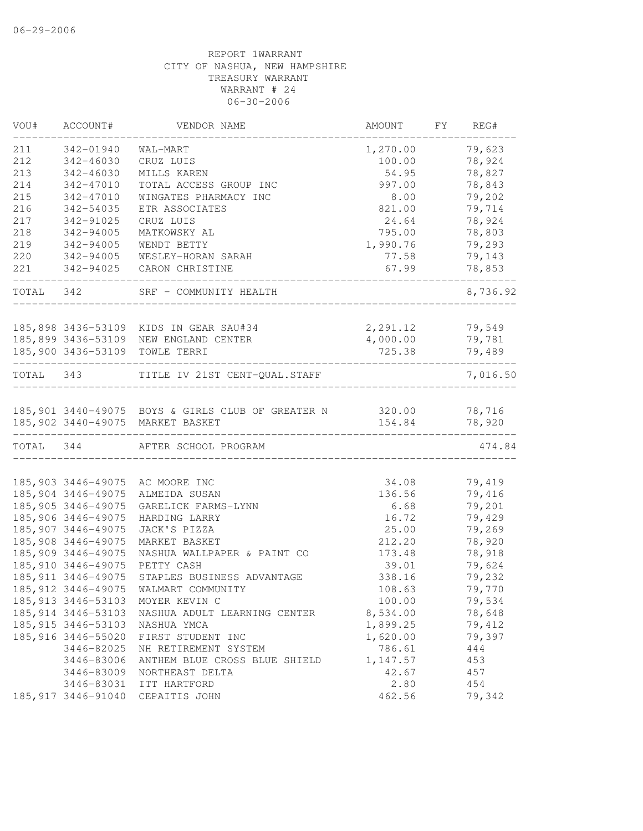| VOU#      | ACCOUNT#            | VENDOR NAME                                              | AMOUNT                     | FY | REG#     |
|-----------|---------------------|----------------------------------------------------------|----------------------------|----|----------|
| 211       | 342-01940           | WAL-MART                                                 | 1,270.00                   |    | 79,623   |
| 212       | 342-46030           | CRUZ LUIS                                                | 100.00                     |    | 78,924   |
| 213       | 342-46030           | MILLS KAREN                                              | 54.95                      |    | 78,827   |
| 214       | 342-47010           | TOTAL ACCESS GROUP INC                                   | 997.00                     |    | 78,843   |
| 215       | 342-47010           | WINGATES PHARMACY INC                                    | 8.00                       |    | 79,202   |
| 216       | 342-54035           | ETR ASSOCIATES                                           | 821.00                     |    | 79,714   |
| 217       | 342-91025           | CRUZ LUIS                                                | 24.64                      |    | 78,924   |
| 218       | 342-94005           | MATKOWSKY AL                                             | 795.00                     |    | 78,803   |
| 219       | 342-94005           | WENDT BETTY                                              | 1,990.76                   |    | 79,293   |
| 220       | 342-94005           | WESLEY-HORAN SARAH                                       | 77.58                      |    | 79,143   |
| 221       | 342-94025           | CARON CHRISTINE                                          | 67.99                      |    | 78,853   |
| TOTAL 342 |                     | SRF - COMMUNITY HEALTH                                   |                            |    | 8,736.92 |
|           |                     | 185,898 3436-53109 KIDS IN GEAR SAU#34                   | 2,291.12                   |    | 79,549   |
|           |                     | 185,899 3436-53109 NEW ENGLAND CENTER                    | 4,000.00                   |    | 79,781   |
|           |                     | 185,900 3436-53109 TOWLE TERRI                           | 725.38                     |    | 79,489   |
| TOTAL 343 |                     | TITLE IV 21ST CENT-QUAL.STAFF                            |                            |    | 7,016.50 |
|           |                     |                                                          |                            |    |          |
|           |                     | 185,901 3440-49075 BOYS & GIRLS CLUB OF GREATER N 320.00 |                            |    | 78,716   |
|           |                     | 185,902 3440-49075 MARKET BASKET                         | 154.84<br>________________ |    | 78,920   |
| TOTAL 344 |                     | AFTER SCHOOL PROGRAM                                     |                            |    | 474.84   |
|           |                     |                                                          |                            |    |          |
|           | 185,903 3446-49075  | AC MOORE INC                                             | 34.08                      |    | 79,419   |
|           | 185,904 3446-49075  | ALMEIDA SUSAN                                            | 136.56                     |    | 79,416   |
|           | 185,905 3446-49075  | GARELICK FARMS-LYNN                                      | 6.68                       |    | 79,201   |
|           | 185,906 3446-49075  | HARDING LARRY                                            | 16.72                      |    | 79,429   |
|           | 185,907 3446-49075  | JACK'S PIZZA                                             | 25.00                      |    | 79,269   |
|           | 185,908 3446-49075  | MARKET BASKET                                            | 212.20                     |    | 78,920   |
|           | 185,909 3446-49075  | NASHUA WALLPAPER & PAINT CO                              | 173.48                     |    | 78,918   |
|           | 185, 910 3446-49075 | PETTY CASH                                               | 39.01                      |    | 79,624   |
|           | 185, 911 3446-49075 | STAPLES BUSINESS ADVANTAGE                               | 338.16                     |    | 79,232   |
|           | 185, 912 3446-49075 | WALMART COMMUNITY                                        | 108.63                     |    | 79,770   |
|           | 185, 913 3446-53103 | MOYER KEVIN C                                            | 100.00                     |    | 79,534   |
|           | 185, 914 3446-53103 | NASHUA ADULT LEARNING CENTER                             | 8,534.00                   |    | 78,648   |
|           | 185, 915 3446-53103 | NASHUA YMCA                                              | 1,899.25                   |    | 79,412   |
|           | 185, 916 3446-55020 | FIRST STUDENT INC                                        | 1,620.00                   |    | 79,397   |
|           | 3446-82025          | NH RETIREMENT SYSTEM                                     | 786.61                     |    | 444      |
|           | 3446-83006          | ANTHEM BLUE CROSS BLUE SHIELD                            | 1,147.57                   |    | 453      |
|           | 3446-83009          | NORTHEAST DELTA                                          | 42.67                      |    | 457      |
|           | 3446-83031          | ITT HARTFORD                                             | 2.80                       |    | 454      |
|           | 185, 917 3446-91040 | CEPAITIS JOHN                                            | 462.56                     |    | 79,342   |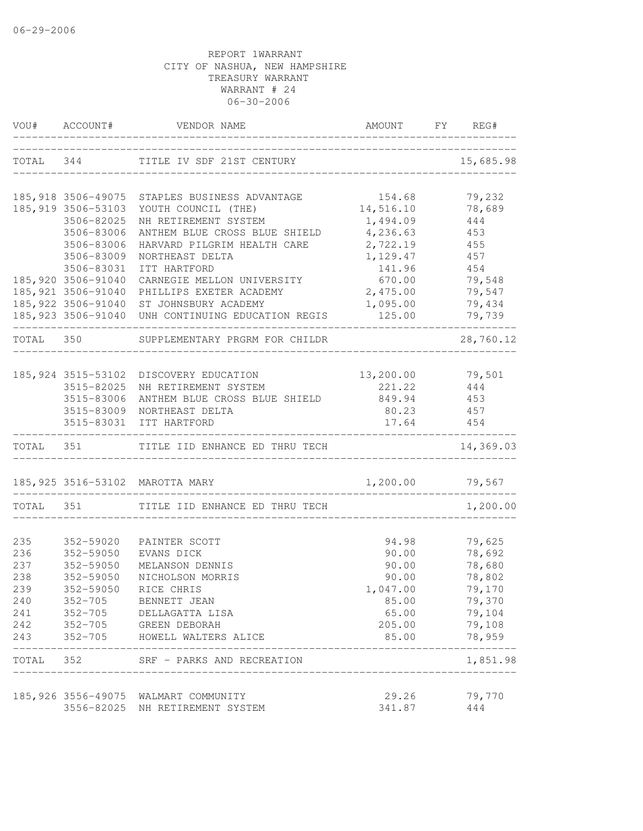|           |                     | VOU# ACCOUNT# VENDOR NAME                         | AMOUNT                             | FY REG#           |
|-----------|---------------------|---------------------------------------------------|------------------------------------|-------------------|
| TOTAL 344 |                     | TITLE IV SDF 21ST CENTURY                         | _________________________________  | 15,685.98         |
|           |                     | 185,918 3506-49075 STAPLES BUSINESS ADVANTAGE     | 154.68                             | 79,232            |
|           | 185,919 3506-53103  | YOUTH COUNCIL (THE)                               | 14,516.10                          | 78,689            |
|           | 3506-82025          | NH RETIREMENT SYSTEM                              | 1,494.09                           | 444               |
|           | 3506-83006          | ANTHEM BLUE CROSS BLUE SHIELD                     | 4,236.63                           | 453               |
|           | 3506-83006          | HARVARD PILGRIM HEALTH CARE                       | 2,722.19                           | 455               |
|           | 3506-83009          | NORTHEAST DELTA                                   | 1,129.47                           | 457               |
|           | 3506-83031          | ITT HARTFORD                                      | 141.96                             | 454               |
|           | 185,920 3506-91040  | CARNEGIE MELLON UNIVERSITY                        | 670.00                             | 79,548            |
|           | 185,921 3506-91040  | PHILLIPS EXETER ACADEMY                           | 2,475.00                           | 79,547            |
|           | 185,922 3506-91040  | ST JOHNSBURY ACADEMY                              | 1,095.00                           | 79,434            |
|           |                     | 185,923 3506-91040 UNH CONTINUING EDUCATION REGIS | 125.00                             | 79,739            |
| TOTAL 350 |                     | SUPPLEMENTARY PRGRM FOR CHILDR                    |                                    | 28,760.12         |
|           | 185, 924 3515-53102 | DISCOVERY EDUCATION                               | 13,200.00 79,501                   |                   |
|           | 3515-82025          | NH RETIREMENT SYSTEM                              | 221.22                             | 444               |
|           | 3515-83006          | ANTHEM BLUE CROSS BLUE SHIELD                     | 849.94                             | 453               |
|           | 3515-83009          | NORTHEAST DELTA                                   | 80.23                              | 457               |
|           | 3515-83031          | ITT HARTFORD                                      | 17.64                              | 454               |
|           |                     | TOTAL 351 TITLE IID ENHANCE ED THRU TECH          |                                    | 14,369.03         |
|           |                     | 185,925 3516-53102 MAROTTA MARY                   | 1,200.00 79,567                    |                   |
| TOTAL 351 |                     | TITLE IID ENHANCE ED THRU TECH                    |                                    | 1,200.00          |
|           |                     |                                                   |                                    |                   |
| 235       | 352-59020           | PAINTER SCOTT                                     | 94.98                              | 79,625            |
| 236       | 352-59050           | EVANS DICK                                        | 90.00                              | 78,692            |
| 237       | 352-59050           | MELANSON DENNIS                                   | 90.00                              | 78,680            |
| 238       | 352-59050           | NICHOLSON MORRIS                                  | 90.00                              | 78,802            |
| 239       | 352-59050           | RICE CHRIS                                        | 1,047.00                           | 79,170            |
| 240       |                     | 352-705 BENNETT JEAN                              | 85.00                              | 79,370            |
| 241       |                     | 352-705 DELLAGATTA LISA                           | 65.00                              | 79,104            |
| 242       |                     | 352-705 GREEN DEBORAH                             | 205.00                             | 79,108            |
| 243       | $352 - 705$         | HOWELL WALTERS ALICE                              | 85.00                              | 78,959<br>------- |
| TOTAL 352 |                     | SRF - PARKS AND RECREATION                        | __________________________________ | 1,851.98          |
|           |                     | 185,926 3556-49075 WALMART COMMUNITY              | 29.26                              | 79,770            |
|           |                     | 3556-82025 NH RETIREMENT SYSTEM                   | 341.87                             | 444               |
|           |                     |                                                   |                                    |                   |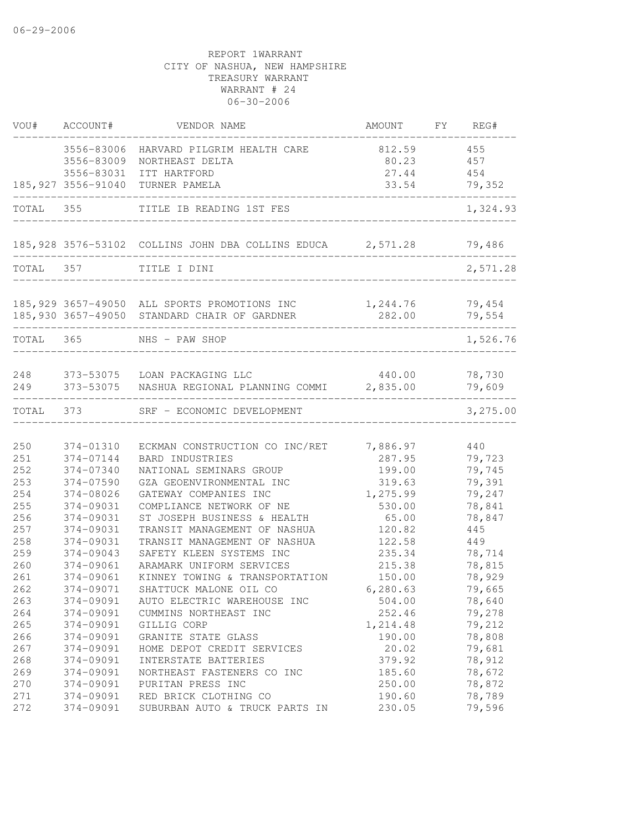|            | VOU# ACCOUNT#          | VENDOR NAME                                                | AMOUNT FY REG#     |                  |
|------------|------------------------|------------------------------------------------------------|--------------------|------------------|
|            | 3556-83006             | HARVARD PILGRIM HEALTH CARE                                | 812.59             | 455              |
|            | 3556-83009             | NORTHEAST DELTA                                            | 80.23              | 457              |
|            | 3556-83031             | ITT HARTFORD                                               | 27.44              | 454              |
|            | 185,927 3556-91040     | TURNER PAMELA                                              | 33.54              | 79,352           |
| TOTAL 355  |                        | TITLE IB READING 1ST FES                                   |                    | 1,324.93         |
|            |                        | 185,928 3576-53102 COLLINS JOHN DBA COLLINS EDUCA 2,571.28 |                    | 79,486           |
| TOTAL 357  |                        | TITLE I DINI                                               |                    | 2,571.28         |
|            |                        | 185,929 3657-49050 ALL SPORTS PROMOTIONS INC               | 1,244.76           | 79,454           |
|            |                        | 185,930 3657-49050 STANDARD CHAIR OF GARDNER               | 282.00             | 79,554           |
| TOTAL 365  |                        | NHS - PAW SHOP                                             |                    | 1,526.76         |
| 248        |                        | 373-53075 LOAN PACKAGING LLC                               | 440.00             | 78,730           |
| 249        |                        | 373-53075 NASHUA REGIONAL PLANNING COMMI 2,835.00          |                    | 79,609           |
| TOTAL 373  | -------------------    | SRF - ECONOMIC DEVELOPMENT                                 |                    | 3,275.00         |
|            |                        |                                                            |                    |                  |
| 250        | 374-01310              | ECKMAN CONSTRUCTION CO INC/RET                             | 7,886.97           | 440              |
| 251        | 374-07144              | BARD INDUSTRIES                                            | 287.95             | 79,723           |
| 252        | 374-07340              | NATIONAL SEMINARS GROUP                                    | 199.00             | 79,745           |
| 253<br>254 | 374-07590<br>374-08026 | GZA GEOENVIRONMENTAL INC<br>GATEWAY COMPANIES INC          | 319.63<br>1,275.99 | 79,391<br>79,247 |
| 255        | 374-09031              | COMPLIANCE NETWORK OF NE                                   | 530.00             | 78,841           |
| 256        | 374-09031              | ST JOSEPH BUSINESS & HEALTH                                | 65.00              | 78,847           |
| 257        | 374-09031              | TRANSIT MANAGEMENT OF NASHUA                               | 120.82             | 445              |
| 258        | 374-09031              | TRANSIT MANAGEMENT OF NASHUA                               | 122.58             | 449              |
| 259        | 374-09043              | SAFETY KLEEN SYSTEMS INC                                   | 235.34             | 78,714           |
| 260        | 374-09061              | ARAMARK UNIFORM SERVICES                                   | 215.38             | 78,815           |
| 261        | 374-09061              | KINNEY TOWING & TRANSPORTATION                             | 150.00             | 78,929           |
| 262        | 374-09071              | SHATTUCK MALONE OIL CO                                     | 6, 280.63          | 79,665           |
| 263        | 374-09091              | AUTO ELECTRIC WAREHOUSE INC                                | 504.00             | 78,640           |
| 264        | 374-09091              | CUMMINS NORTHEAST INC                                      | 252.46             | 79,278           |
| 265        | 374-09091              | GILLIG CORP                                                | 1,214.48           | 79,212           |
| 266        | 374-09091              | GRANITE STATE GLASS                                        | 190.00             | 78,808           |
| 267        | 374-09091              | HOME DEPOT CREDIT SERVICES                                 | 20.02              | 79,681           |
| 268        | 374-09091              | INTERSTATE BATTERIES                                       | 379.92             | 78,912           |
| 269        | 374-09091              | NORTHEAST FASTENERS CO INC                                 | 185.60             | 78,672           |
| 270        | 374-09091              | PURITAN PRESS INC                                          | 250.00             | 78,872           |
| 271        | 374-09091              | RED BRICK CLOTHING CO                                      | 190.60             | 78,789           |
| 272        | 374-09091              | SUBURBAN AUTO & TRUCK PARTS IN                             | 230.05             | 79,596           |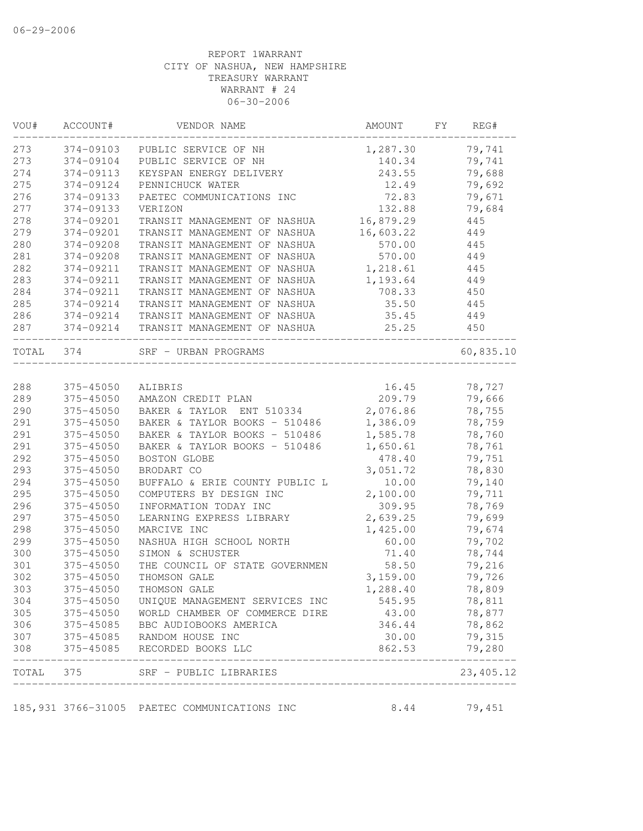| VOU#  | ACCOUNT#  | VENDOR NAME                                  | AMOUNT    | FY | REG#                  |
|-------|-----------|----------------------------------------------|-----------|----|-----------------------|
| 273   | 374-09103 | PUBLIC SERVICE OF NH                         | 1,287.30  |    | 79,741                |
| 273   | 374-09104 | PUBLIC SERVICE OF NH                         | 140.34    |    | 79,741                |
| 274   | 374-09113 | KEYSPAN ENERGY DELIVERY                      | 243.55    |    | 79,688                |
| 275   | 374-09124 | PENNICHUCK WATER                             | 12.49     |    | 79,692                |
| 276   | 374-09133 | PAETEC COMMUNICATIONS INC                    | 72.83     |    | 79,671                |
| 277   | 374-09133 | VERIZON                                      | 132.88    |    | 79,684                |
| 278   | 374-09201 | TRANSIT MANAGEMENT OF NASHUA                 | 16,879.29 |    | 445                   |
| 279   | 374-09201 | TRANSIT MANAGEMENT OF NASHUA                 | 16,603.22 |    | 449                   |
| 280   | 374-09208 | TRANSIT MANAGEMENT OF NASHUA                 | 570.00    |    | 445                   |
| 281   | 374-09208 | TRANSIT MANAGEMENT OF NASHUA                 | 570.00    |    | 449                   |
| 282   | 374-09211 | TRANSIT MANAGEMENT OF NASHUA                 | 1,218.61  |    | 445                   |
| 283   | 374-09211 | TRANSIT MANAGEMENT OF NASHUA                 | 1,193.64  |    | 449                   |
| 284   | 374-09211 | TRANSIT MANAGEMENT OF NASHUA                 | 708.33    |    | 450                   |
| 285   | 374-09214 | TRANSIT MANAGEMENT OF NASHUA                 | 35.50     |    | 445                   |
| 286   | 374-09214 | TRANSIT MANAGEMENT OF NASHUA                 | 35.45     |    | 449                   |
| 287   | 374-09214 | TRANSIT MANAGEMENT OF NASHUA                 | 25.25     |    | 450                   |
| TOTAL | 374       | SRF - URBAN PROGRAMS                         |           |    | 60,835.10             |
|       |           |                                              |           |    |                       |
| 288   | 375-45050 | ALIBRIS                                      | 16.45     |    | 78,727                |
| 289   | 375-45050 | AMAZON CREDIT PLAN                           | 209.79    |    | 79,666                |
| 290   | 375-45050 | BAKER & TAYLOR ENT 510334                    | 2,076.86  |    | 78,755                |
| 291   | 375-45050 | BAKER & TAYLOR BOOKS - 510486                | 1,386.09  |    | 78,759                |
| 291   | 375-45050 | BAKER & TAYLOR BOOKS - 510486                | 1,585.78  |    | 78,760                |
| 291   | 375-45050 | BAKER & TAYLOR BOOKS - 510486                | 1,650.61  |    | 78,761                |
| 292   | 375-45050 | BOSTON GLOBE                                 | 478.40    |    | 79,751                |
| 293   | 375-45050 | BRODART CO                                   | 3,051.72  |    | 78,830                |
| 294   | 375-45050 | BUFFALO & ERIE COUNTY PUBLIC L               | 10.00     |    | 79,140                |
| 295   | 375-45050 | COMPUTERS BY DESIGN INC                      | 2,100.00  |    | 79,711                |
| 296   | 375-45050 | INFORMATION TODAY INC                        | 309.95    |    | 78,769                |
| 297   | 375-45050 | LEARNING EXPRESS LIBRARY                     | 2,639.25  |    | 79,699                |
| 298   | 375-45050 | MARCIVE INC                                  | 1,425.00  |    | 79,674                |
| 299   | 375-45050 | NASHUA HIGH SCHOOL NORTH                     | 60.00     |    | 79,702                |
| 300   | 375-45050 | SIMON & SCHUSTER                             | 71.40     |    | 78,744                |
| 301   | 375-45050 | THE COUNCIL OF STATE GOVERNMEN               | 58.50     |    | 79,216                |
| 302   | 375-45050 | THOMSON GALE                                 | 3,159.00  |    | 79,726                |
| 303   | 375-45050 | THOMSON GALE                                 | 1,288.40  |    | 78,809                |
| 304   | 375-45050 | UNIQUE MANAGEMENT SERVICES INC               | 545.95    |    | 78,811                |
| 305   | 375-45050 | WORLD CHAMBER OF COMMERCE DIRE               | 43.00     |    | 78,877                |
| 306   | 375-45085 | BBC AUDIOBOOKS AMERICA                       | 346.44    |    | 78,862                |
| 307   | 375-45085 | RANDOM HOUSE INC                             | 30.00     |    | 79,315                |
| 308   | 375-45085 | RECORDED BOOKS LLC                           | 862.53    |    | 79,280                |
|       |           | TOTAL 375 SRF - PUBLIC LIBRARIES             |           |    | _______<br>23, 405.12 |
|       |           | 185,931 3766-31005 PAETEC COMMUNICATIONS INC | 8.44      |    | 79,451                |
|       |           |                                              |           |    |                       |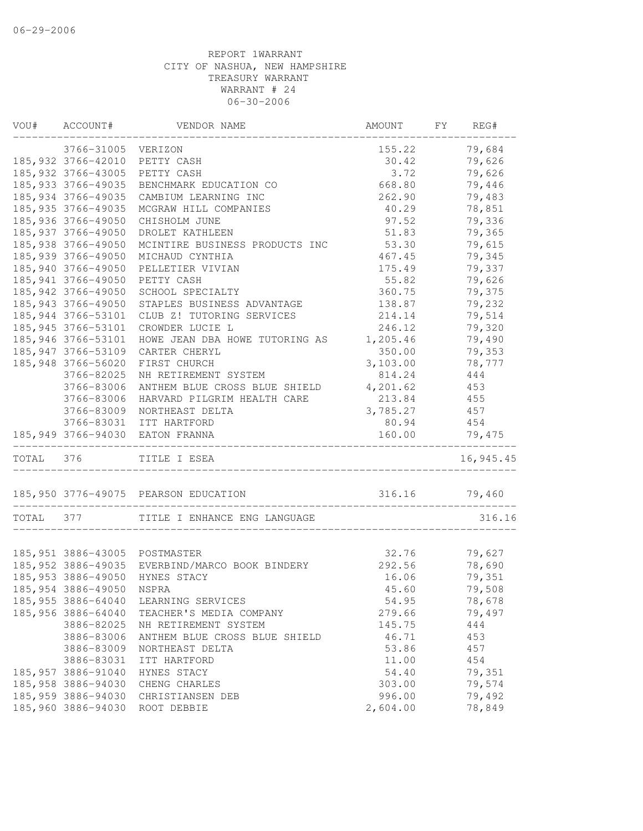| VOU#      | ACCOUNT#            | VENDOR NAME                                    | AMOUNT        | FY | REG#      |
|-----------|---------------------|------------------------------------------------|---------------|----|-----------|
|           | 3766-31005 VERIZON  |                                                | 155.22        |    | 79,684    |
|           | 185, 932 3766-42010 | PETTY CASH                                     | 30.42         |    | 79,626    |
|           | 185, 932 3766-43005 | PETTY CASH                                     | 3.72          |    | 79,626    |
|           | 185, 933 3766-49035 | BENCHMARK EDUCATION CO                         | 668.80        |    | 79,446    |
|           | 185, 934 3766-49035 | CAMBIUM LEARNING INC                           | 262.90        |    | 79,483    |
|           | 185, 935 3766-49035 | MCGRAW HILL COMPANIES                          | 40.29         |    | 78,851    |
|           | 185,936 3766-49050  | CHISHOLM JUNE                                  | 97.52         |    | 79,336    |
|           | 185, 937 3766-49050 | DROLET KATHLEEN                                | 51.83         |    | 79,365    |
|           | 185,938 3766-49050  | MCINTIRE BUSINESS PRODUCTS INC                 | 53.30         |    | 79,615    |
|           | 185,939 3766-49050  | MICHAUD CYNTHIA                                | 467.45        |    | 79,345    |
|           | 185,940 3766-49050  | PELLETIER VIVIAN                               | 175.49        |    | 79,337    |
|           | 185, 941 3766-49050 | PETTY CASH                                     | 55.82         |    | 79,626    |
|           | 185, 942 3766-49050 | SCHOOL SPECIALTY                               | 360.75        |    | 79,375    |
|           | 185, 943 3766-49050 | STAPLES BUSINESS ADVANTAGE                     | 138.87        |    | 79,232    |
|           | 185, 944 3766-53101 | CLUB Z! TUTORING SERVICES                      | 214.14        |    | 79,514    |
|           | 185, 945 3766-53101 | CROWDER LUCIE L                                | 246.12        |    | 79,320    |
|           | 185,946 3766-53101  | HOWE JEAN DBA HOWE TUTORING AS                 | 1,205.46      |    | 79,490    |
|           | 185, 947 3766-53109 | CARTER CHERYL                                  | 350.00        |    | 79,353    |
|           | 185,948 3766-56020  | FIRST CHURCH                                   | 3,103.00      |    | 78,777    |
|           | 3766-82025          | NH RETIREMENT SYSTEM                           | 814.24        |    | 444       |
|           | 3766-83006          | ANTHEM BLUE CROSS BLUE SHIELD                  | 4,201.62      |    | 453       |
|           | 3766-83006          | HARVARD PILGRIM HEALTH CARE                    | 213.84        |    | 455       |
|           | 3766-83009          | NORTHEAST DELTA                                | 3,785.27      |    | 457       |
|           | 3766-83031          | ITT HARTFORD                                   | 80.94         |    | 454       |
|           | 185,949 3766-94030  | EATON FRANNA                                   | 160.00        |    | 79,475    |
| TOTAL 376 |                     | TITLE I ESEA                                   |               |    | 16,945.45 |
|           |                     | 185,950 3776-49075 PEARSON EDUCATION           | 316.16 79,460 |    |           |
| TOTAL     | 377                 | TITLE I ENHANCE ENG LANGUAGE                   |               |    | 316.16    |
|           |                     |                                                |               |    |           |
|           |                     | 185,951 3886-43005 POSTMASTER                  | 32.76         |    | 79,627    |
|           |                     | 185,952 3886-49035 EVERBIND/MARCO BOOK BINDERY | 292.56        |    | 78,690    |
|           | 185,953 3886-49050  | HYNES STACY                                    | 16.06         |    | 79,351    |
|           | 185,954 3886-49050  | NSPRA                                          | 45.60         |    | 79,508    |
|           | 185,955 3886-64040  | LEARNING SERVICES                              | 54.95         |    | 78,678    |
|           | 185,956 3886-64040  | TEACHER'S MEDIA COMPANY                        | 279.66        |    | 79,497    |
|           | 3886-82025          | NH RETIREMENT SYSTEM                           | 145.75        |    | 444       |
|           | 3886-83006          | ANTHEM BLUE CROSS BLUE SHIELD                  | 46.71         |    | 453       |
|           | 3886-83009          | NORTHEAST DELTA                                | 53.86         |    | 457       |
|           | 3886-83031          | ITT HARTFORD                                   | 11.00         |    | 454       |
|           | 185, 957 3886-91040 | HYNES STACY                                    | 54.40         |    | 79,351    |
|           | 185,958 3886-94030  | CHENG CHARLES                                  | 303.00        |    | 79,574    |
|           | 185,959 3886-94030  | CHRISTIANSEN DEB                               | 996.00        |    | 79,492    |
|           | 185,960 3886-94030  | ROOT DEBBIE                                    | 2,604.00      |    | 78,849    |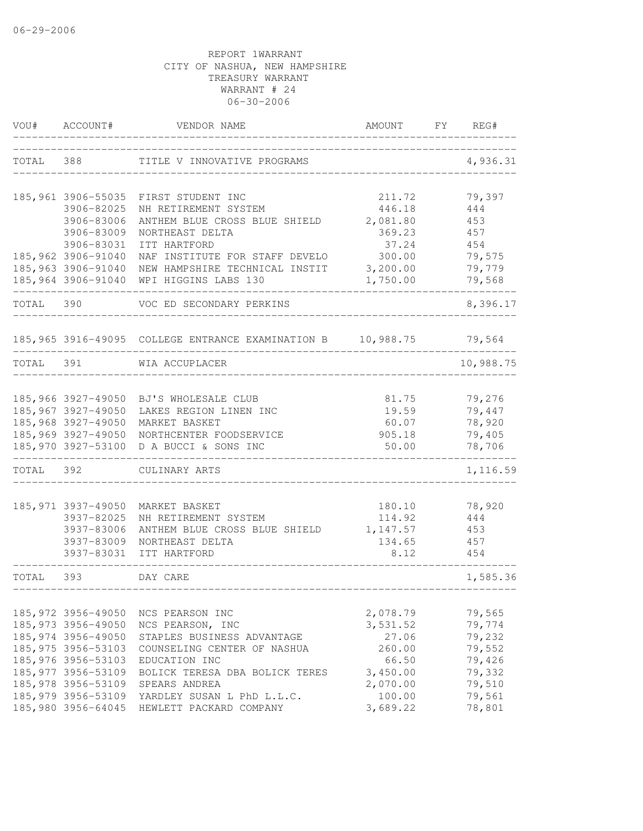| VOU#      | ACCOUNT#            | VENDOR NAME                                                        | AMOUNT               | FY | REG#             |
|-----------|---------------------|--------------------------------------------------------------------|----------------------|----|------------------|
| TOTAL     | 388                 | TITLE V INNOVATIVE PROGRAMS                                        |                      |    | 4,936.31         |
|           | 185,961 3906-55035  | FIRST STUDENT INC                                                  | 211.72               |    | 79,397           |
|           | 3906-82025          | NH RETIREMENT SYSTEM                                               | 446.18               |    | 444              |
|           | 3906-83006          | ANTHEM BLUE CROSS BLUE SHIELD                                      | 2,081.80             |    | 453              |
|           | 3906-83009          | NORTHEAST DELTA                                                    | 369.23               |    | 457              |
|           | 3906-83031          | ITT HARTFORD                                                       | 37.24                |    | 454              |
|           | 185,962 3906-91040  | NAF INSTITUTE FOR STAFF DEVELO                                     | 300.00               |    | 79,575           |
|           | 185,963 3906-91040  | NEW HAMPSHIRE TECHNICAL INSTIT                                     | 3,200.00             |    | 79,779           |
|           | 185,964 3906-91040  | WPI HIGGINS LABS 130                                               | 1,750.00             |    | 79,568           |
| TOTAL 390 |                     | VOC ED SECONDARY PERKINS                                           |                      |    | 8,396.17         |
|           |                     | 185,965 3916-49095  COLLEGE ENTRANCE EXAMINATION B    10,988.75    |                      |    | 79,564           |
| TOTAL 391 |                     | WIA ACCUPLACER                                                     |                      |    | 10,988.75        |
|           |                     |                                                                    |                      |    |                  |
|           |                     | 185,966 3927-49050 BJ'S WHOLESALE CLUB                             | 81.75                |    | 79,276           |
|           | 185,967 3927-49050  | LAKES REGION LINEN INC                                             | 19.59                |    | 79,447           |
|           | 185,968 3927-49050  | MARKET BASKET                                                      | 60.07                |    | 78,920           |
|           | 185,970 3927-53100  | 185,969 3927-49050 NORTHCENTER FOODSERVICE<br>D A BUCCI & SONS INC | 905.18<br>50.00      |    | 79,405<br>78,706 |
| TOTAL 392 |                     | CULINARY ARTS                                                      |                      |    | 1,116.59         |
|           |                     |                                                                    |                      |    |                  |
|           | 185, 971 3937-49050 | MARKET BASKET                                                      | 180.10               |    | 78,920           |
|           | 3937-82025          | NH RETIREMENT SYSTEM                                               | 114.92               |    | 444              |
|           | 3937-83006          | ANTHEM BLUE CROSS BLUE SHIELD                                      | 1,147.57             |    | 453              |
|           | 3937-83009          | NORTHEAST DELTA                                                    | 134.65               |    | 457              |
|           | 3937-83031          | ITT HARTFORD                                                       | 8.12                 |    | 454              |
| TOTAL 393 |                     | DAY CARE                                                           |                      |    | 1,585.36         |
|           | 185, 972 3956-49050 |                                                                    |                      |    |                  |
|           | 185, 973 3956-49050 | NCS PEARSON INC<br>NCS PEARSON, INC                                | 2,078.79<br>3,531.52 |    | 79,565<br>79,774 |
|           | 185, 974 3956-49050 | STAPLES BUSINESS ADVANTAGE                                         | 27.06                |    | 79,232           |
|           | 185, 975 3956-53103 | COUNSELING CENTER OF NASHUA                                        | 260.00               |    | 79,552           |
|           | 185,976 3956-53103  | EDUCATION INC                                                      | 66.50                |    | 79,426           |
|           | 185, 977 3956-53109 | BOLICK TERESA DBA BOLICK TERES                                     | 3,450.00             |    | 79,332           |
|           | 185,978 3956-53109  | SPEARS ANDREA                                                      | 2,070.00             |    | 79,510           |
|           | 185, 979 3956-53109 | YARDLEY SUSAN L PhD L.L.C.                                         | 100.00               |    | 79,561           |
|           | 185,980 3956-64045  | HEWLETT PACKARD COMPANY                                            | 3,689.22             |    | 78,801           |
|           |                     |                                                                    |                      |    |                  |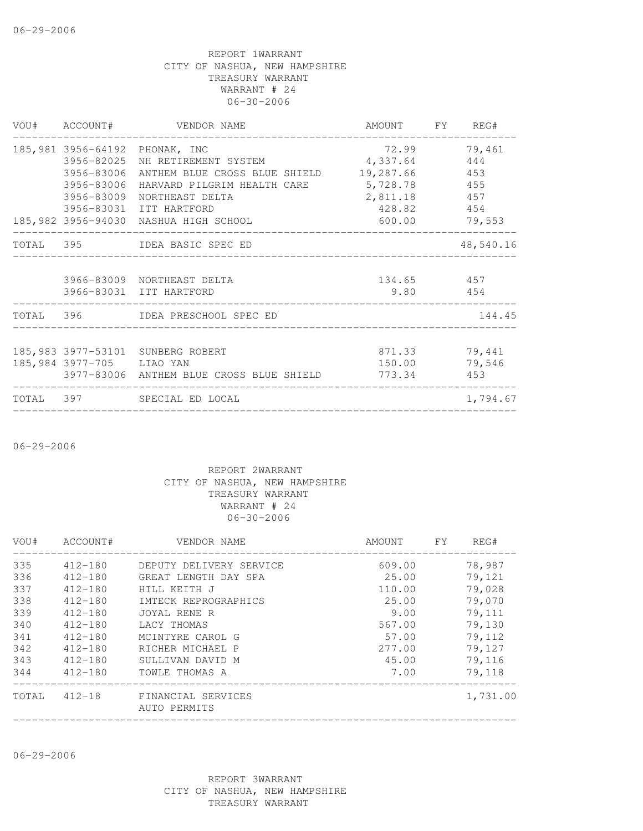|                           | VOU# ACCOUNT# VENDOR NAME                              | AMOUNT FY REG# |           |
|---------------------------|--------------------------------------------------------|----------------|-----------|
|                           | 185,981 3956-64192 PHONAK, INC                         | 72.99          | 79,461    |
|                           | 3956-82025 NH RETIREMENT SYSTEM 4,337.64               |                | 444       |
|                           | 3956-83006 ANTHEM BLUE CROSS BLUE SHIELD 19,287.66 453 |                |           |
| 3956-83006                | HARVARD PILGRIM HEALTH CARE                            | 5,728.78 455   |           |
| 3956-83009                | NORTHEAST DELTA                                        | 2,811.18 457   |           |
|                           | 3956-83031 ITT HARTFORD                                | 428.82 454     |           |
|                           | 185,982 3956-94030 NASHUA HIGH SCHOOL                  | 600.00 79,553  |           |
|                           | TOTAL 395 IDEA BASIC SPEC ED                           |                | 48,540.16 |
|                           | 3966-83009 NORTHEAST DELTA                             | 134.65 457     |           |
|                           | 3966-83031 ITT HARTFORD                                | 9.80 454       |           |
|                           | TOTAL 396 IDEA PRESCHOOL SPEC ED                       |                | 144.45    |
|                           | 185,983 3977-53101 SUNBERG ROBERT                      | 871.33         | 79,441    |
| 185,984 3977-705 LIAO YAN |                                                        | 150.00         | 79,546    |
|                           | 3977-83006 ANTHEM BLUE CROSS BLUE SHIELD 773.34 453    |                |           |
|                           |                                                        |                |           |
|                           | TOTAL 397 SPECIAL ED LOCAL                             |                | 1,794.67  |

06-29-2006

#### REPORT 2WARRANT CITY OF NASHUA, NEW HAMPSHIRE TREASURY WARRANT WARRANT # 24 06-30-2006

| VOU#  | ACCOUNT#    | VENDOR NAME                        | AMOUNT | FY | REG#     |
|-------|-------------|------------------------------------|--------|----|----------|
| 335   | 412-180     | DEPUTY DELIVERY SERVICE            | 609.00 |    | 78,987   |
| 336   | $412 - 180$ | GREAT LENGTH DAY SPA               | 25.00  |    | 79,121   |
| 337   | $412 - 180$ | HILL KEITH J                       | 110.00 |    | 79,028   |
| 338   | $412 - 180$ | IMTECK REPROGRAPHICS               | 25.00  |    | 79,070   |
| 339   | $412 - 180$ | JOYAL RENE R                       | 9.00   |    | 79,111   |
| 340   | $412 - 180$ | LACY THOMAS                        | 567.00 |    | 79,130   |
| 341   | $412 - 180$ | MCINTYRE CAROL G                   | 57.00  |    | 79,112   |
| 342   | $412 - 180$ | RICHER MICHAEL P                   | 277.00 |    | 79,127   |
| 343   | $412 - 180$ | SULLIVAN DAVID M                   | 45.00  |    | 79,116   |
| 344   | $412 - 180$ | TOWLE THOMAS A                     | 7.00   |    | 79,118   |
| TOTAL | $412 - 18$  | FINANCIAL SERVICES<br>AUTO PERMITS |        |    | 1,731.00 |
|       |             |                                    |        |    |          |

06-29-2006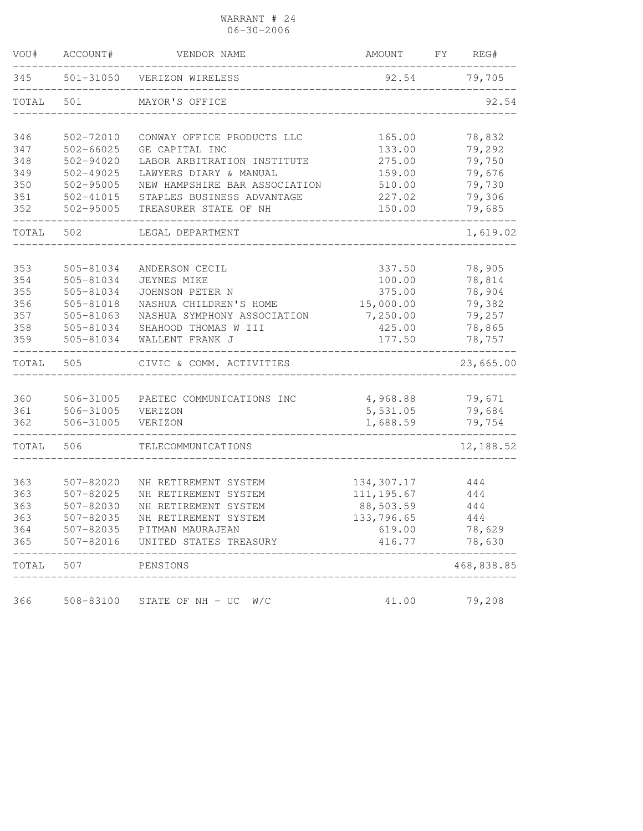WARRANT # 24 06-30-2006

| VOU#  | ACCOUNT#      | VENDOR NAME                    | AMOUNT      | FY | REG#       |
|-------|---------------|--------------------------------|-------------|----|------------|
| 345   | 501-31050     | VERIZON WIRELESS               | 92.54       |    | 79,705     |
| TOTAL | 501           | MAYOR'S OFFICE                 |             |    | 92.54      |
| 346   | 502-72010     | CONWAY OFFICE PRODUCTS LLC     | 165.00      |    | 78,832     |
| 347   | $502 - 66025$ | GE CAPITAL INC                 | 133.00      |    | 79,292     |
| 348   | $502 - 94020$ | LABOR ARBITRATION INSTITUTE    | 275.00      |    | 79,750     |
| 349   | $502 - 49025$ | LAWYERS DIARY & MANUAL         | 159.00      |    | 79,676     |
| 350   | 502-95005     | NEW HAMPSHIRE BAR ASSOCIATION  | 510.00      |    | 79,730     |
| 351   | $502 - 41015$ | STAPLES BUSINESS ADVANTAGE     | 227.02      |    | 79,306     |
| 352   | 502-95005     | TREASURER STATE OF NH          | 150.00      |    | 79,685     |
| TOTAL | 502           | LEGAL DEPARTMENT               |             |    | 1,619.02   |
|       |               |                                |             |    |            |
| 353   | 505-81034     | ANDERSON CECIL                 | 337.50      |    | 78,905     |
| 354   | 505-81034     | <b>JEYNES MIKE</b>             | 100.00      |    | 78,814     |
| 355   | 505-81034     | JOHNSON PETER N                | 375.00      |    | 78,904     |
| 356   | 505-81018     | NASHUA CHILDREN'S HOME         | 15,000.00   |    | 79,382     |
| 357   | 505-81063     | NASHUA SYMPHONY ASSOCIATION    | 7,250.00    |    | 79,257     |
| 358   | 505-81034     | SHAHOOD THOMAS W III           | 425.00      |    | 78,865     |
| 359   | 505-81034     | WALLENT FRANK J                | 177.50      |    | 78,757     |
| TOTAL | 505           | CIVIC & COMM. ACTIVITIES       |             |    | 23,665.00  |
| 360   | 506-31005     | PAETEC COMMUNICATIONS INC      | 4,968.88    |    | 79,671     |
| 361   | 506-31005     | VERIZON                        | 5,531.05    |    | 79,684     |
| 362   | 506-31005     | VERIZON                        | 1,688.59    |    | 79,754     |
| TOTAL | 506           | TELECOMMUNICATIONS             |             |    | 12,188.52  |
|       |               |                                |             |    |            |
| 363   | 507-82020     | NH RETIREMENT SYSTEM           | 134,307.17  |    | 444        |
| 363   | 507-82025     | NH RETIREMENT SYSTEM           | 111, 195.67 |    | 444        |
| 363   | 507-82030     | NH RETIREMENT SYSTEM           | 88,503.59   |    | 444        |
| 363   | 507-82035     | NH RETIREMENT SYSTEM           | 133,796.65  |    | 444        |
| 364   | 507-82035     | PITMAN MAURAJEAN               | 619.00      |    | 78,629     |
| 365   | 507-82016     | UNITED STATES TREASURY         | 416.77      |    | 78,630     |
| TOTAL | 507           | PENSIONS                       |             |    | 468,838.85 |
| 366   |               | 508-83100 STATE OF NH - UC W/C | 41.00       |    | 79,208     |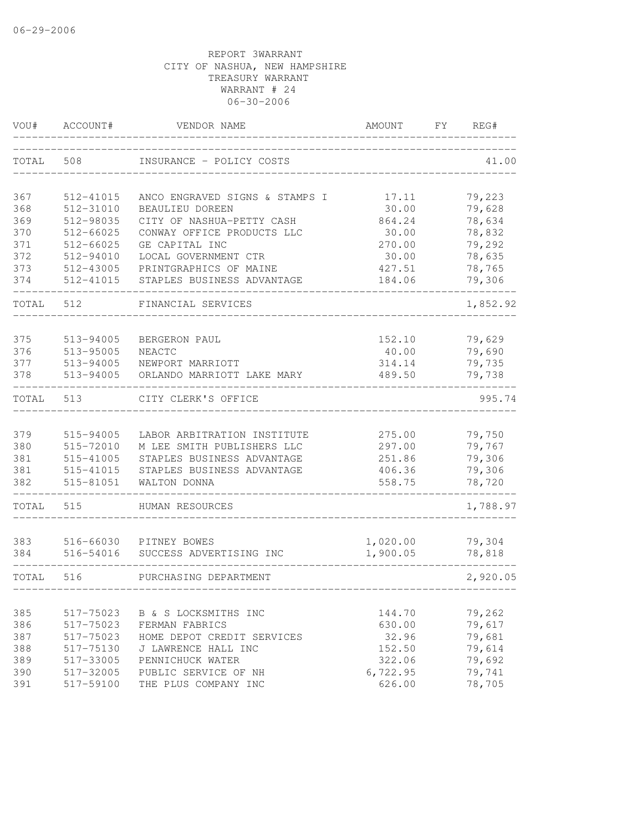| VOU#       | ACCOUNT#               | VENDOR NAME                                               | AMOUNT           | FY. | REG#             |
|------------|------------------------|-----------------------------------------------------------|------------------|-----|------------------|
| TOTAL      | 508                    | INSURANCE - POLICY COSTS                                  |                  |     | 41.00            |
| 367        | 512-41015              | ANCO ENGRAVED SIGNS & STAMPS I                            | 17.11            |     | 79,223           |
| 368        | 512-31010              | BEAULIEU DOREEN                                           | 30.00            |     | 79,628           |
| 369        | 512-98035              | CITY OF NASHUA-PETTY CASH                                 | 864.24           |     | 78,634           |
| 370        | 512-66025              | CONWAY OFFICE PRODUCTS LLC                                | 30.00            |     | 78,832           |
| 371        | 512-66025              | GE CAPITAL INC                                            | 270.00           |     | 79,292           |
| 372        | 512-94010              | LOCAL GOVERNMENT CTR                                      | 30.00            |     | 78,635           |
| 373        | 512-43005              | PRINTGRAPHICS OF MAINE                                    | 427.51           |     | 78,765           |
| 374        | 512-41015              | STAPLES BUSINESS ADVANTAGE                                | 184.06           |     | 79,306           |
| TOTAL      | 512                    | FINANCIAL SERVICES                                        |                  |     | 1,852.92         |
| 375        | 513-94005              | BERGERON PAUL                                             | 152.10           |     | 79,629           |
| 376        | 513-95005              | <b>NEACTC</b>                                             | 40.00            |     | 79,690           |
| 377        | 513-94005              | NEWPORT MARRIOTT                                          | 314.14           |     | 79,735           |
| 378        | 513-94005              | ORLANDO MARRIOTT LAKE MARY                                | 489.50           |     | 79,738           |
| TOTAL      | 513                    | CITY CLERK'S OFFICE                                       |                  |     | 995.74           |
|            |                        |                                                           |                  |     |                  |
| 379<br>380 | 515-94005<br>515-72010 | LABOR ARBITRATION INSTITUTE<br>M LEE SMITH PUBLISHERS LLC | 275.00<br>297.00 |     | 79,750<br>79,767 |
| 381        | 515-41005              | STAPLES BUSINESS ADVANTAGE                                | 251.86           |     | 79,306           |
| 381        | 515-41015              | STAPLES BUSINESS ADVANTAGE                                | 406.36           |     | 79,306           |
| 382        | 515-81051              | WALTON DONNA                                              | 558.75           |     | 78,720           |
| TOTAL      | 515                    | HUMAN RESOURCES                                           |                  |     | 1,788.97         |
| 383        | 516-66030              | PITNEY BOWES                                              | 1,020.00         |     | 79,304           |
| 384        | 516-54016              | SUCCESS ADVERTISING INC                                   | 1,900.05         |     | 78,818           |
| TOTAL      | 516                    | PURCHASING DEPARTMENT                                     |                  |     | 2,920.05         |
|            |                        |                                                           |                  |     |                  |
| 385        | 517-75023              | B & S LOCKSMITHS INC                                      | 144.70           |     | 79,262           |
| 386        | 517-75023              | FERMAN FABRICS                                            | 630.00           |     | 79,617           |
| 387<br>388 | 517-75023<br>517-75130 | HOME DEPOT CREDIT SERVICES<br>J LAWRENCE HALL INC         | 32.96<br>152.50  |     | 79,681<br>79,614 |
| 389        | 517-33005              | PENNICHUCK WATER                                          | 322.06           |     | 79,692           |
| 390        | 517-32005              | PUBLIC SERVICE OF NH                                      | 6,722.95         |     | 79,741           |
| 391        | 517-59100              | THE PLUS COMPANY INC                                      | 626.00           |     | 78,705           |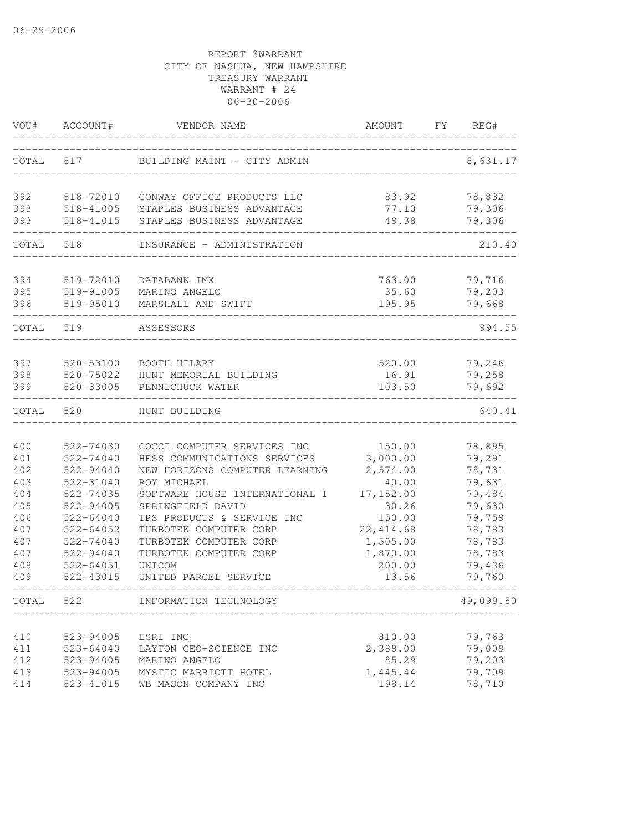| VOU#  | ACCOUNT#      | VENDOR NAME                    | AMOUNT     | FY | REG#      |
|-------|---------------|--------------------------------|------------|----|-----------|
| TOTAL | 517           | BUILDING MAINT - CITY ADMIN    |            |    | 8,631.17  |
| 392   | 518-72010     | CONWAY OFFICE PRODUCTS LLC     | 83.92      |    | 78,832    |
| 393   | 518-41005     | STAPLES BUSINESS ADVANTAGE     | 77.10      |    | 79,306    |
| 393   | 518-41015     | STAPLES BUSINESS ADVANTAGE     | 49.38      |    | 79,306    |
| TOTAL | 518           | INSURANCE - ADMINISTRATION     |            |    | 210.40    |
| 394   | 519-72010     | DATABANK IMX                   | 763.00     |    | 79,716    |
| 395   | 519-91005     | MARINO ANGELO                  | 35.60      |    | 79,203    |
| 396   | 519-95010     | MARSHALL AND SWIFT             | 195.95     |    | 79,668    |
| TOTAL | 519           | ASSESSORS                      |            |    | 994.55    |
| 397   | 520-53100     | BOOTH HILARY                   | 520.00     |    | 79,246    |
| 398   | 520-75022     | HUNT MEMORIAL BUILDING         | 16.91      |    | 79,258    |
| 399   | 520-33005     | PENNICHUCK WATER               | 103.50     |    | 79,692    |
| TOTAL | 520           | HUNT BUILDING                  |            |    | 640.41    |
| 400   | 522-74030     | COCCI COMPUTER SERVICES INC    | 150.00     |    | 78,895    |
| 401   | 522-74040     | HESS COMMUNICATIONS SERVICES   | 3,000.00   |    | 79,291    |
| 402   | $522 - 94040$ | NEW HORIZONS COMPUTER LEARNING | 2,574.00   |    | 78,731    |
| 403   | 522-31040     | ROY MICHAEL                    | 40.00      |    | 79,631    |
| 404   | 522-74035     | SOFTWARE HOUSE INTERNATIONAL I | 17, 152.00 |    | 79,484    |
| 405   | 522-94005     | SPRINGFIELD DAVID              | 30.26      |    | 79,630    |
| 406   | $522 - 64040$ | TPS PRODUCTS & SERVICE INC     | 150.00     |    | 79,759    |
| 407   | $522 - 64052$ | TURBOTEK COMPUTER CORP         | 22, 414.68 |    | 78,783    |
| 407   | 522-74040     | TURBOTEK COMPUTER CORP         | 1,505.00   |    | 78,783    |
| 407   | $522 - 94040$ | TURBOTEK COMPUTER CORP         | 1,870.00   |    | 78,783    |
| 408   | $522 - 64051$ | UNICOM                         | 200.00     |    | 79,436    |
| 409   | 522-43015     | UNITED PARCEL SERVICE          | 13.56      |    | 79,760    |
| TOTAL | 522           | INFORMATION TECHNOLOGY         |            |    | 49,099.50 |
| 410   | 523-94005     | ESRI INC                       | 810.00     |    | 79,763    |
| 411   | $523 - 64040$ | LAYTON GEO-SCIENCE INC         | 2,388.00   |    | 79,009    |
| 412   | 523-94005     | MARINO ANGELO                  | 85.29      |    | 79,203    |
| 413   | 523-94005     | MYSTIC MARRIOTT HOTEL          | 1,445.44   |    | 79,709    |
| 414   | 523-41015     | WB MASON COMPANY INC           | 198.14     |    | 78,710    |
|       |               |                                |            |    |           |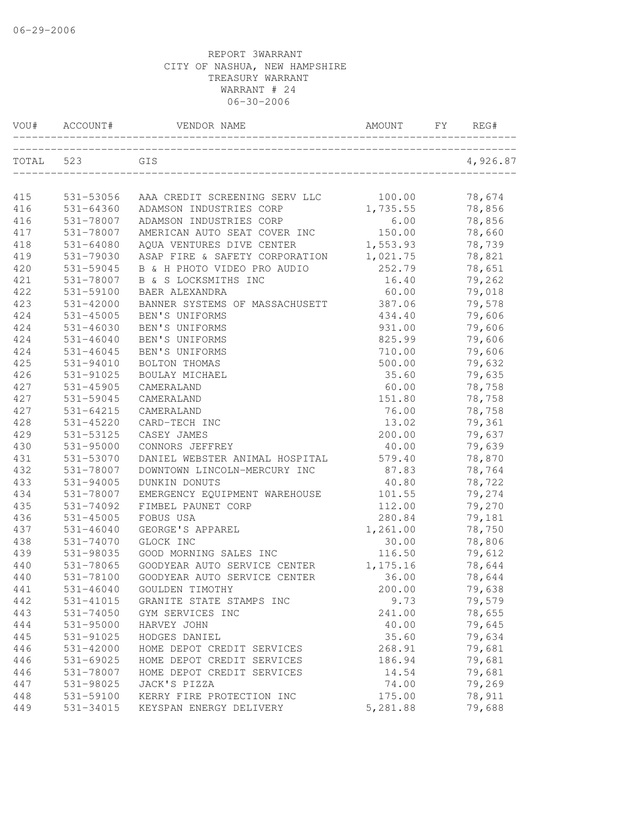| VOU#  | ACCOUNT#      | VENDOR NAME                    | AMOUNT    | FY. | REG#     |
|-------|---------------|--------------------------------|-----------|-----|----------|
| TOTAL | 523           | GIS                            |           |     | 4,926.87 |
| 415   | 531-53056     | AAA CREDIT SCREENING SERV LLC  | 100.00    |     | 78,674   |
| 416   | 531-64360     | ADAMSON INDUSTRIES CORP        | 1,735.55  |     | 78,856   |
| 416   | 531-78007     | ADAMSON INDUSTRIES CORP        | 6.00      |     | 78,856   |
| 417   | 531-78007     | AMERICAN AUTO SEAT COVER INC   | 150.00    |     | 78,660   |
| 418   | 531-64080     | AQUA VENTURES DIVE CENTER      | 1,553.93  |     | 78,739   |
| 419   | 531-79030     | ASAP FIRE & SAFETY CORPORATION | 1,021.75  |     | 78,821   |
| 420   | 531-59045     | B & H PHOTO VIDEO PRO AUDIO    | 252.79    |     | 78,651   |
| 421   | 531-78007     | B & S LOCKSMITHS INC           | 16.40     |     | 79,262   |
| 422   | 531-59100     | BAER ALEXANDRA                 | 60.00     |     | 79,018   |
| 423   | 531-42000     | BANNER SYSTEMS OF MASSACHUSETT | 387.06    |     | 79,578   |
| 424   | 531-45005     | BEN'S UNIFORMS                 | 434.40    |     | 79,606   |
| 424   | 531-46030     | BEN'S UNIFORMS                 | 931.00    |     | 79,606   |
| 424   | 531-46040     | BEN'S UNIFORMS                 | 825.99    |     | 79,606   |
| 424   | 531-46045     | BEN'S UNIFORMS                 | 710.00    |     | 79,606   |
| 425   | 531-94010     | BOLTON THOMAS                  | 500.00    |     | 79,632   |
| 426   | 531-91025     | BOULAY MICHAEL                 | 35.60     |     | 79,635   |
| 427   | 531-45905     | CAMERALAND                     | 60.00     |     | 78,758   |
| 427   | 531-59045     | CAMERALAND                     | 151.80    |     | 78,758   |
| 427   | 531-64215     | CAMERALAND                     | 76.00     |     | 78,758   |
| 428   | 531-45220     | CARD-TECH INC                  | 13.02     |     | 79,361   |
| 429   | 531-53125     | CASEY JAMES                    | 200.00    |     | 79,637   |
| 430   | 531-95000     | CONNORS JEFFREY                | 40.00     |     | 79,639   |
| 431   | 531-53070     | DANIEL WEBSTER ANIMAL HOSPITAL | 579.40    |     | 78,870   |
| 432   | 531-78007     | DOWNTOWN LINCOLN-MERCURY INC   | 87.83     |     | 78,764   |
| 433   | 531-94005     | DUNKIN DONUTS                  | 40.80     |     | 78,722   |
| 434   | 531-78007     | EMERGENCY EQUIPMENT WAREHOUSE  | 101.55    |     | 79,274   |
| 435   | 531-74092     | FIMBEL PAUNET CORP             | 112.00    |     | 79,270   |
| 436   | 531-45005     | FOBUS USA                      | 280.84    |     | 79,181   |
| 437   | $531 - 46040$ | GEORGE'S APPAREL               | 1,261.00  |     | 78,750   |
| 438   | 531-74070     | GLOCK INC                      | 30.00     |     | 78,806   |
| 439   | 531-98035     | GOOD MORNING SALES INC         | 116.50    |     | 79,612   |
| 440   | 531-78065     | GOODYEAR AUTO SERVICE CENTER   | 1, 175.16 |     | 78,644   |
| 440   | 531-78100     | GOODYEAR AUTO SERVICE CENTER   | 36.00     |     | 78,644   |
| 441   | $531 - 46040$ | GOULDEN TIMOTHY                | 200.00    |     | 79,638   |
| 442   | 531-41015     | GRANITE STATE STAMPS INC       | 9.73      |     | 79,579   |
| 443   | 531-74050     | GYM SERVICES INC               | 241.00    |     | 78,655   |
| 444   | 531-95000     | HARVEY JOHN                    | 40.00     |     | 79,645   |
| 445   | 531-91025     | HODGES DANIEL                  | 35.60     |     | 79,634   |
| 446   | 531-42000     | HOME DEPOT CREDIT SERVICES     | 268.91    |     | 79,681   |
| 446   | 531-69025     | HOME DEPOT CREDIT SERVICES     | 186.94    |     | 79,681   |
| 446   | 531-78007     | HOME DEPOT CREDIT SERVICES     | 14.54     |     | 79,681   |
| 447   | 531-98025     | JACK'S PIZZA                   | 74.00     |     | 79,269   |
| 448   | 531-59100     | KERRY FIRE PROTECTION INC      | 175.00    |     | 78,911   |
| 449   | 531-34015     | KEYSPAN ENERGY DELIVERY        | 5,281.88  |     | 79,688   |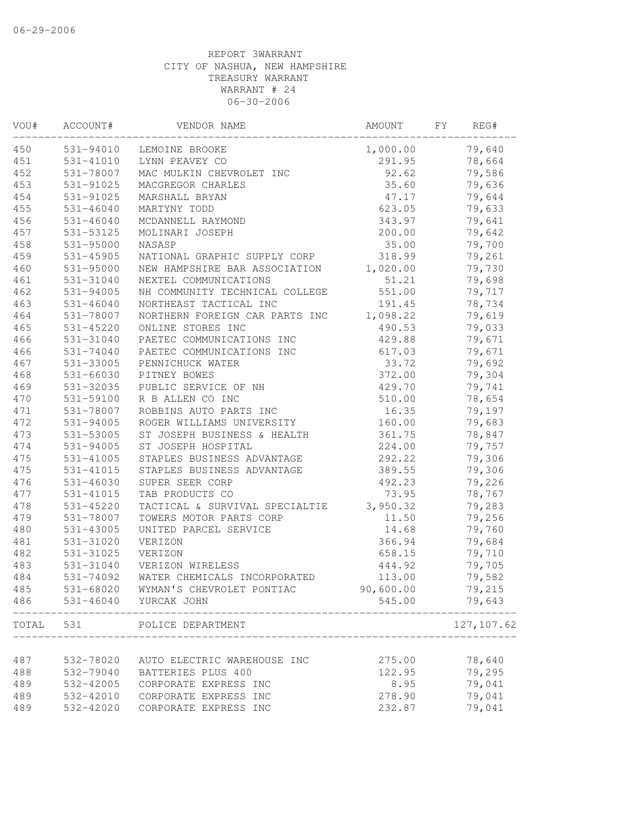| VOU#  | ACCOUNT#      | VENDOR NAME                    | AMOUNT    | FΥ | REG#        |
|-------|---------------|--------------------------------|-----------|----|-------------|
| 450   | 531-94010     | LEMOINE BROOKE                 | 1,000.00  |    | 79,640      |
| 451   | 531-41010     | LYNN PEAVEY CO                 | 291.95    |    | 78,664      |
| 452   | 531-78007     | MAC MULKIN CHEVROLET INC       | 92.62     |    | 79,586      |
| 453   | 531-91025     | MACGREGOR CHARLES              | 35.60     |    | 79,636      |
| 454   | 531-91025     | MARSHALL BRYAN                 | 47.17     |    | 79,644      |
| 455   | $531 - 46040$ | MARTYNY TODD                   | 623.05    |    | 79,633      |
| 456   | $531 - 46040$ | MCDANNELL RAYMOND              | 343.97    |    | 79,641      |
| 457   | 531-53125     | MOLINARI JOSEPH                | 200.00    |    | 79,642      |
| 458   | $531 - 95000$ | NASASP                         | 35.00     |    | 79,700      |
| 459   | $531 - 45905$ | NATIONAL GRAPHIC SUPPLY CORP   | 318.99    |    | 79,261      |
| 460   | 531-95000     | NEW HAMPSHIRE BAR ASSOCIATION  | 1,020.00  |    | 79,730      |
| 461   | 531-31040     | NEXTEL COMMUNICATIONS          | 51.21     |    | 79,698      |
| 462   | 531-94005     | NH COMMUNITY TECHNICAL COLLEGE | 551.00    |    | 79,717      |
| 463   | $531 - 46040$ | NORTHEAST TACTICAL INC         | 191.45    |    | 78,734      |
| 464   | 531-78007     | NORTHERN FOREIGN CAR PARTS INC | 1,098.22  |    | 79,619      |
| 465   | $531 - 45220$ | ONLINE STORES INC              | 490.53    |    | 79,033      |
| 466   | 531-31040     | PAETEC COMMUNICATIONS INC      | 429.88    |    | 79,671      |
| 466   | $531 - 74040$ | PAETEC COMMUNICATIONS INC      | 617.03    |    | 79,671      |
| 467   | 531-33005     | PENNICHUCK WATER               | 33.72     |    | 79,692      |
| 468   | 531-66030     | PITNEY BOWES                   | 372.00    |    | 79,304      |
| 469   | 531-32035     | PUBLIC SERVICE OF NH           | 429.70    |    | 79,741      |
| 470   | 531-59100     | R B ALLEN CO INC               | 510.00    |    | 78,654      |
| 471   | 531-78007     | ROBBINS AUTO PARTS INC         | 16.35     |    | 79,197      |
| 472   | 531-94005     | ROGER WILLIAMS UNIVERSITY      | 160.00    |    | 79,683      |
| 473   | 531-53005     | ST JOSEPH BUSINESS & HEALTH    | 361.75    |    | 78,847      |
| 474   | 531-94005     | ST JOSEPH HOSPITAL             | 224.00    |    | 79,757      |
| 475   | 531-41005     | STAPLES BUSINESS ADVANTAGE     | 292.22    |    | 79,306      |
| 475   | 531-41015     | STAPLES BUSINESS ADVANTAGE     | 389.55    |    | 79,306      |
| 476   | $531 - 46030$ | SUPER SEER CORP                | 492.23    |    | 79,226      |
| 477   | 531-41015     | TAB PRODUCTS CO                | 73.95     |    | 78,767      |
| 478   | $531 - 45220$ | TACTICAL & SURVIVAL SPECIALTIE | 3,950.32  |    | 79,283      |
| 479   | 531-78007     | TOWERS MOTOR PARTS CORP        | 11.50     |    | 79,256      |
| 480   | 531-43005     | UNITED PARCEL SERVICE          | 14.68     |    | 79,760      |
| 481   | 531-31020     | VERIZON                        | 366.94    |    | 79,684      |
| 482   | 531-31025     | VERIZON                        | 658.15    |    | 79,710      |
| 483   | 531-31040     | VERIZON WIRELESS               | 444.92    |    | 79,705      |
| 484   | 531-74092     | WATER CHEMICALS INCORPORATED   | 113.00    |    | 79,582      |
| 485   | 531-68020     | WYMAN'S CHEVROLET PONTIAC      | 90,600.00 |    | 79,215      |
| 486   |               | 531-46040 YURCAK JOHN          | 545.00    |    | 79,643      |
| TOTAL | 531           | POLICE DEPARTMENT              |           |    | 127, 107.62 |
|       |               |                                |           |    |             |
| 487   | 532-78020     | AUTO ELECTRIC WAREHOUSE INC    | 275.00    |    | 78,640      |
| 488   | 532-79040     | BATTERIES PLUS 400             | 122.95    |    | 79,295      |
| 489   | 532-42005     | CORPORATE EXPRESS INC          | 8.95      |    | 79,041      |
| 489   | 532-42010     | CORPORATE EXPRESS INC          | 278.90    |    | 79,041      |
| 489   | 532-42020     | CORPORATE EXPRESS INC          | 232.87    |    | 79,041      |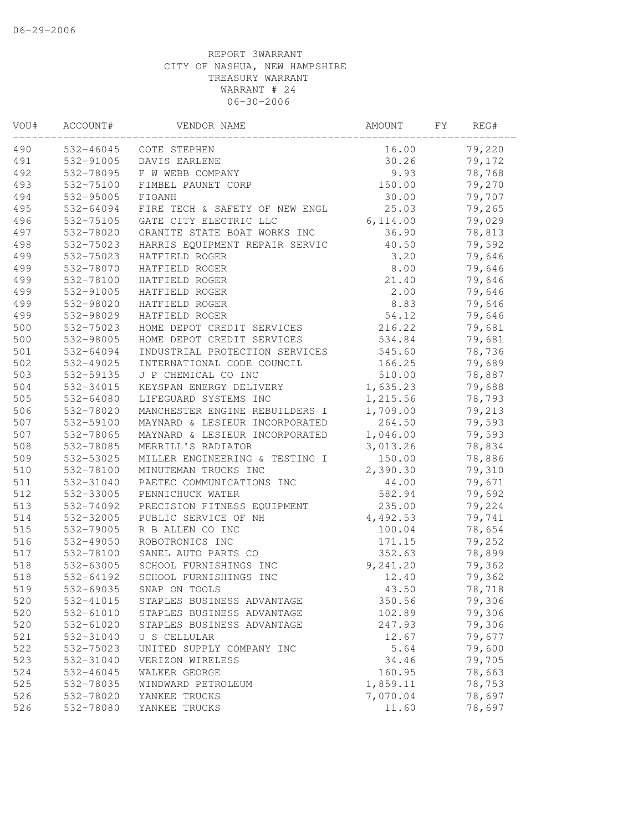| VOU# | ACCOUNT#  | VENDOR NAME                    | AMOUNT   | FΥ | REG#   |
|------|-----------|--------------------------------|----------|----|--------|
| 490  | 532-46045 | COTE STEPHEN                   | 16.00    |    | 79,220 |
| 491  | 532-91005 | DAVIS EARLENE                  | 30.26    |    | 79,172 |
| 492  | 532-78095 | F W WEBB COMPANY               | 9.93     |    | 78,768 |
| 493  | 532-75100 | FIMBEL PAUNET CORP             | 150.00   |    | 79,270 |
| 494  | 532-95005 | FIOANH                         | 30.00    |    | 79,707 |
| 495  | 532-64094 | FIRE TECH & SAFETY OF NEW ENGL | 25.03    |    | 79,265 |
| 496  | 532-75105 | GATE CITY ELECTRIC LLC         | 6,114.00 |    | 79,029 |
| 497  | 532-78020 | GRANITE STATE BOAT WORKS INC   | 36.90    |    | 78,813 |
| 498  | 532-75023 | HARRIS EQUIPMENT REPAIR SERVIC | 40.50    |    | 79,592 |
| 499  | 532-75023 | HATFIELD ROGER                 | 3.20     |    | 79,646 |
| 499  | 532-78070 | HATFIELD ROGER                 | 8.00     |    | 79,646 |
| 499  | 532-78100 | HATFIELD ROGER                 | 21.40    |    | 79,646 |
| 499  | 532-91005 | HATFIELD ROGER                 | 2.00     |    | 79,646 |
| 499  | 532-98020 | HATFIELD ROGER                 | 8.83     |    | 79,646 |
| 499  | 532-98029 | HATFIELD ROGER                 | 54.12    |    | 79,646 |
| 500  | 532-75023 | HOME DEPOT CREDIT SERVICES     | 216.22   |    | 79,681 |
| 500  | 532-98005 | HOME DEPOT CREDIT SERVICES     | 534.84   |    | 79,681 |
| 501  | 532-64094 | INDUSTRIAL PROTECTION SERVICES | 545.60   |    | 78,736 |
| 502  | 532-49025 | INTERNATIONAL CODE COUNCIL     | 166.25   |    | 79,689 |
| 503  | 532-59135 | J P CHEMICAL CO INC            | 510.00   |    | 78,887 |
| 504  | 532-34015 | KEYSPAN ENERGY DELIVERY        | 1,635.23 |    | 79,688 |
| 505  | 532-64080 | LIFEGUARD SYSTEMS INC          | 1,215.56 |    | 78,793 |
| 506  | 532-78020 | MANCHESTER ENGINE REBUILDERS I | 1,709.00 |    | 79,213 |
| 507  | 532-59100 | MAYNARD & LESIEUR INCORPORATED | 264.50   |    | 79,593 |
| 507  | 532-78065 | MAYNARD & LESIEUR INCORPORATED | 1,046.00 |    | 79,593 |
| 508  | 532-78085 | MERRILL'S RADIATOR             | 3,013.26 |    | 78,834 |
| 509  | 532-53025 | MILLER ENGINEERING & TESTING I | 150.00   |    | 78,886 |
| 510  | 532-78100 | MINUTEMAN TRUCKS INC           | 2,390.30 |    | 79,310 |
| 511  | 532-31040 | PAETEC COMMUNICATIONS INC      | 44.00    |    | 79,671 |
| 512  | 532-33005 | PENNICHUCK WATER               | 582.94   |    | 79,692 |
| 513  | 532-74092 | PRECISION FITNESS EQUIPMENT    | 235.00   |    | 79,224 |
| 514  | 532-32005 | PUBLIC SERVICE OF NH           | 4,492.53 |    | 79,741 |
| 515  | 532-79005 | R B ALLEN CO INC               | 100.04   |    | 78,654 |
| 516  | 532-49050 | ROBOTRONICS INC                | 171.15   |    | 79,252 |
| 517  | 532-78100 | SANEL AUTO PARTS CO            | 352.63   |    | 78,899 |
| 518  | 532-63005 | SCHOOL FURNISHINGS INC         | 9,241.20 |    | 79,362 |
| 518  | 532-64192 | SCHOOL FURNISHINGS INC         | 12.40    |    | 79,362 |
| 519  | 532-69035 | SNAP ON TOOLS                  | 43.50    |    | 78,718 |
| 520  | 532-41015 | STAPLES BUSINESS ADVANTAGE     | 350.56   |    | 79,306 |
| 520  | 532-61010 | STAPLES BUSINESS ADVANTAGE     | 102.89   |    | 79,306 |
| 520  | 532-61020 | STAPLES BUSINESS ADVANTAGE     | 247.93   |    | 79,306 |
| 521  | 532-31040 | U S CELLULAR                   | 12.67    |    | 79,677 |
| 522  | 532-75023 | UNITED SUPPLY COMPANY INC      | 5.64     |    | 79,600 |
| 523  | 532-31040 | VERIZON WIRELESS               | 34.46    |    | 79,705 |
| 524  | 532-46045 | WALKER GEORGE                  | 160.95   |    | 78,663 |
| 525  | 532-78035 | WINDWARD PETROLEUM             | 1,859.11 |    | 78,753 |
| 526  | 532-78020 | YANKEE TRUCKS                  | 7,070.04 |    | 78,697 |
| 526  | 532-78080 | YANKEE TRUCKS                  | 11.60    |    | 78,697 |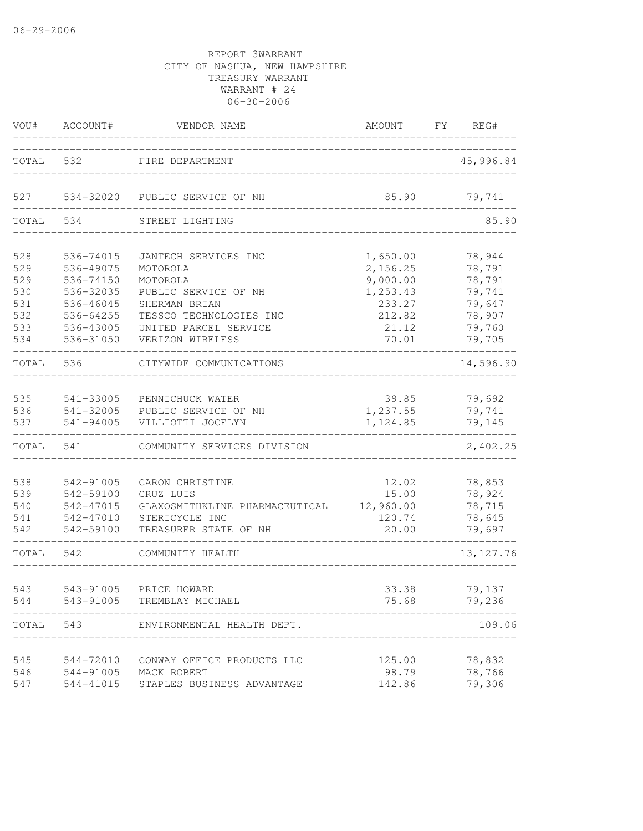| VOU#  | ACCOUNT#  | VENDOR NAME                    | AMOUNT    | FY<br>REG#       |
|-------|-----------|--------------------------------|-----------|------------------|
| TOTAL | 532       | FIRE DEPARTMENT                |           | 45,996.84        |
| 527   | 534-32020 | PUBLIC SERVICE OF NH           | 85.90     | 79,741           |
| TOTAL | 534       | STREET LIGHTING                |           | 85.90            |
| 528   | 536-74015 | JANTECH SERVICES INC           | 1,650.00  | 78,944           |
| 529   | 536-49075 | MOTOROLA                       | 2,156.25  | 78,791           |
| 529   | 536-74150 | MOTOROLA                       | 9,000.00  | 78,791           |
| 530   | 536-32035 | PUBLIC SERVICE OF NH           | 1,253.43  | 79,741           |
| 531   | 536-46045 | SHERMAN BRIAN                  | 233.27    | 79,647           |
| 532   | 536-64255 | TESSCO TECHNOLOGIES INC        | 212.82    | 78,907           |
| 533   | 536-43005 | UNITED PARCEL SERVICE          | 21.12     | 79,760           |
| 534   | 536-31050 | VERIZON WIRELESS               | 70.01     | 79,705           |
| TOTAL | 536       | CITYWIDE COMMUNICATIONS        |           | 14,596.90        |
| 535   | 541-33005 | PENNICHUCK WATER               | 39.85     | 79,692           |
| 536   | 541-32005 | PUBLIC SERVICE OF NH           | 1,237.55  | 79,741           |
| 537   | 541-94005 | VILLIOTTI JOCELYN              | 1,124.85  | 79,145           |
| TOTAL | 541       | COMMUNITY SERVICES DIVISION    |           | 2,402.25         |
|       |           |                                |           |                  |
| 538   | 542-91005 | CARON CHRISTINE                | 12.02     | 78,853           |
| 539   | 542-59100 | CRUZ LUIS                      | 15.00     | 78,924           |
| 540   | 542-47015 | GLAXOSMITHKLINE PHARMACEUTICAL | 12,960.00 | 78,715           |
| 541   | 542-47010 | STERICYCLE INC                 | 120.74    | 78,645           |
| 542   | 542-59100 | TREASURER STATE OF NH          | 20.00     | 79,697           |
| TOTAL | 542       | COMMUNITY HEALTH               |           | 13, 127.76       |
| 543   | 543-91005 | PRICE HOWARD                   | 33.38     | 79,137           |
| 544   | 543-91005 | TREMBLAY MICHAEL               | 75.68     | 79,236           |
| TOTAL | 543       | ENVIRONMENTAL HEALTH DEPT.     |           | 109.06           |
|       |           |                                |           |                  |
| 545   | 544-72010 | CONWAY OFFICE PRODUCTS LLC     | 125.00    | 78,832<br>78,766 |
| 546   | 544-91005 | MACK ROBERT                    | 98.79     |                  |
| 547   | 544-41015 | STAPLES BUSINESS ADVANTAGE     | 142.86    | 79,306           |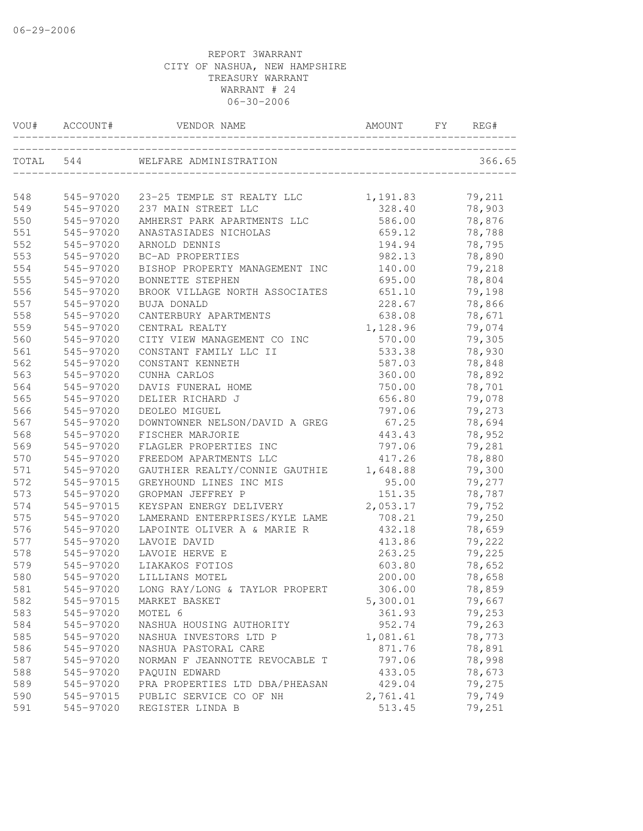| VOU#      | ACCOUNT#  | VENDOR NAME                          | AMOUNT   | FY. | REG#   |
|-----------|-----------|--------------------------------------|----------|-----|--------|
| TOTAL 544 |           | WELFARE ADMINISTRATION               |          |     | 366.65 |
| 548       |           | 545-97020 23-25 TEMPLE ST REALTY LLC | 1,191.83 |     | 79,211 |
| 549       | 545-97020 | 237 MAIN STREET LLC                  | 328.40   |     | 78,903 |
| 550       | 545-97020 | AMHERST PARK APARTMENTS LLC          | 586.00   |     | 78,876 |
| 551       | 545-97020 | ANASTASIADES NICHOLAS                | 659.12   |     | 78,788 |
| 552       | 545-97020 | ARNOLD DENNIS                        | 194.94   |     | 78,795 |
| 553       | 545-97020 | BC-AD PROPERTIES                     | 982.13   |     | 78,890 |
| 554       | 545-97020 | BISHOP PROPERTY MANAGEMENT INC       | 140.00   |     | 79,218 |
| 555       | 545-97020 | BONNETTE STEPHEN                     | 695.00   |     | 78,804 |
| 556       | 545-97020 | BROOK VILLAGE NORTH ASSOCIATES       | 651.10   |     | 79,198 |
| 557       | 545-97020 | <b>BUJA DONALD</b>                   | 228.67   |     | 78,866 |
| 558       | 545-97020 | CANTERBURY APARTMENTS                | 638.08   |     | 78,671 |
| 559       | 545-97020 | CENTRAL REALTY                       | 1,128.96 |     | 79,074 |
| 560       | 545-97020 | CITY VIEW MANAGEMENT CO INC          | 570.00   |     | 79,305 |
| 561       | 545-97020 | CONSTANT FAMILY LLC II               | 533.38   |     | 78,930 |
| 562       | 545-97020 | CONSTANT KENNETH                     | 587.03   |     | 78,848 |
| 563       | 545-97020 | CUNHA CARLOS                         | 360.00   |     | 78,892 |
| 564       | 545-97020 | DAVIS FUNERAL HOME                   | 750.00   |     | 78,701 |
| 565       | 545-97020 | DELIER RICHARD J                     | 656.80   |     | 79,078 |
| 566       | 545-97020 | DEOLEO MIGUEL                        | 797.06   |     | 79,273 |
| 567       | 545-97020 | DOWNTOWNER NELSON/DAVID A GREG       | 67.25    |     | 78,694 |
| 568       | 545-97020 | FISCHER MARJORIE                     | 443.43   |     | 78,952 |
| 569       | 545-97020 | FLAGLER PROPERTIES INC               | 797.06   |     | 79,281 |
| 570       | 545-97020 | FREEDOM APARTMENTS LLC               | 417.26   |     | 78,880 |
| 571       | 545-97020 | GAUTHIER REALTY/CONNIE GAUTHIE       | 1,648.88 |     | 79,300 |
| 572       | 545-97015 | GREYHOUND LINES INC MIS              | 95.00    |     | 79,277 |
| 573       | 545-97020 | GROPMAN JEFFREY P                    | 151.35   |     | 78,787 |
| 574       | 545-97015 | KEYSPAN ENERGY DELIVERY              | 2,053.17 |     | 79,752 |
| 575       | 545-97020 | LAMERAND ENTERPRISES/KYLE LAME       | 708.21   |     | 79,250 |
| 576       | 545-97020 | LAPOINTE OLIVER A & MARIE R          | 432.18   |     | 78,659 |
| 577       | 545-97020 | LAVOIE DAVID                         | 413.86   |     | 79,222 |
| 578       | 545-97020 | LAVOIE HERVE E                       | 263.25   |     | 79,225 |
| 579       | 545-97020 | LIAKAKOS FOTIOS                      | 603.80   |     | 78,652 |
| 580       | 545-97020 | LILLIANS MOTEL                       | 200.00   |     | 78,658 |
| 581       | 545-97020 | LONG RAY/LONG & TAYLOR PROPERT       | 306.00   |     | 78,859 |
| 582       | 545-97015 | MARKET BASKET                        | 5,300.01 |     | 79,667 |
| 583       | 545-97020 | MOTEL 6                              | 361.93   |     | 79,253 |
| 584       | 545-97020 | NASHUA HOUSING AUTHORITY             | 952.74   |     | 79,263 |
| 585       | 545-97020 | NASHUA INVESTORS LTD P               | 1,081.61 |     | 78,773 |
| 586       | 545-97020 | NASHUA PASTORAL CARE                 | 871.76   |     | 78,891 |
| 587       | 545-97020 | NORMAN F JEANNOTTE REVOCABLE T       | 797.06   |     | 78,998 |
| 588       | 545-97020 | PAQUIN EDWARD                        | 433.05   |     | 78,673 |
| 589       | 545-97020 | PRA PROPERTIES LTD DBA/PHEASAN       | 429.04   |     | 79,275 |
| 590       | 545-97015 | PUBLIC SERVICE CO OF NH              | 2,761.41 |     | 79,749 |
| 591       | 545-97020 | REGISTER LINDA B                     | 513.45   |     | 79,251 |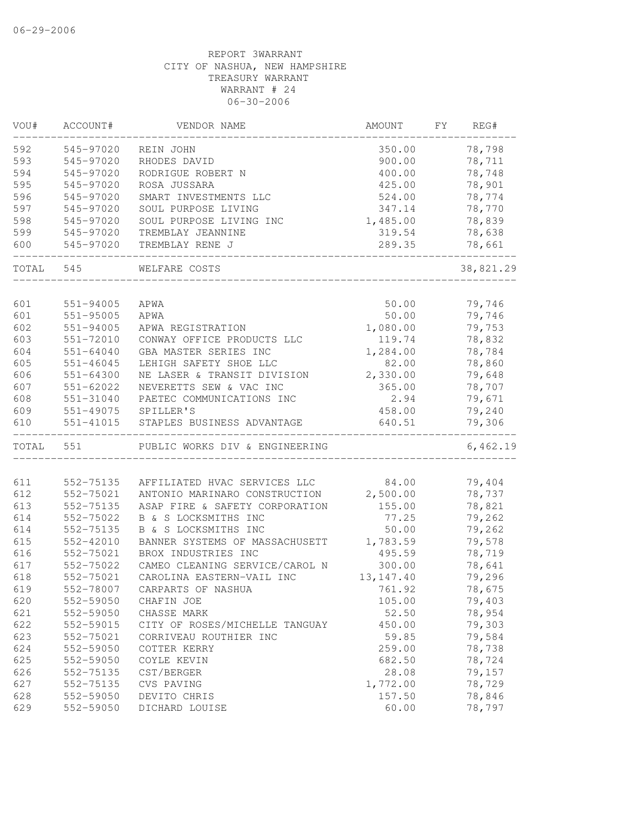| VOU#  | ACCOUNT#               | VENDOR NAME                                            | AMOUNT      | FΥ | REG#      |
|-------|------------------------|--------------------------------------------------------|-------------|----|-----------|
| 592   | 545-97020              | REIN JOHN                                              | 350.00      |    | 78,798    |
| 593   | 545-97020              | RHODES DAVID                                           | 900.00      |    | 78,711    |
| 594   | 545-97020              | RODRIGUE ROBERT N                                      | 400.00      |    | 78,748    |
| 595   | 545-97020              | ROSA JUSSARA                                           | 425.00      |    | 78,901    |
| 596   | 545-97020              | SMART INVESTMENTS LLC                                  | 524.00      |    | 78,774    |
| 597   | 545-97020              | SOUL PURPOSE LIVING                                    | 347.14      |    | 78,770    |
| 598   | 545-97020              | SOUL PURPOSE LIVING INC                                | 1,485.00    |    | 78,839    |
| 599   | 545-97020              | TREMBLAY JEANNINE                                      | 319.54      |    | 78,638    |
| 600   | 545-97020              | TREMBLAY RENE J                                        | 289.35      |    | 78,661    |
| TOTAL | 545                    | WELFARE COSTS                                          |             |    | 38,821.29 |
| 601   | $551 - 94005$          | APWA                                                   | 50.00       |    | 79,746    |
| 601   | $551 - 95005$          | APWA                                                   | 50.00       |    | 79,746    |
| 602   | $551 - 94005$          | APWA REGISTRATION                                      | 1,080.00    |    | 79,753    |
| 603   | 551-72010              | CONWAY OFFICE PRODUCTS LLC                             | 119.74      |    | 78,832    |
| 604   | 551-64040              | GBA MASTER SERIES INC                                  | 1,284.00    |    | 78,784    |
| 605   | $551 - 46045$          | LEHIGH SAFETY SHOE LLC                                 | 82.00       |    | 78,860    |
| 606   | $551 - 64300$          | NE LASER & TRANSIT DIVISION                            | 2,330.00    |    | 79,648    |
| 607   |                        | NEVERETTS SEW & VAC INC                                |             |    | 78,707    |
| 608   | 551-62022              |                                                        | 365.00      |    |           |
|       | 551-31040<br>551-49075 | PAETEC COMMUNICATIONS INC                              | 2.94        |    | 79,671    |
| 609   |                        | SPILLER'S                                              | 458.00      |    | 79,240    |
| 610   | 551-41015              | STAPLES BUSINESS ADVANTAGE                             | 640.51      |    | 79,306    |
| TOTAL | 551                    | PUBLIC WORKS DIV & ENGINEERING                         |             |    | 6,462.19  |
| 611   | 552-75135              | AFFILIATED HVAC SERVICES LLC                           | 84.00       |    | 79,404    |
| 612   | 552-75021              | ANTONIO MARINARO CONSTRUCTION                          | 2,500.00    |    | 78,737    |
| 613   | 552-75135              | ASAP FIRE & SAFETY CORPORATION                         | 155.00      |    | 78,821    |
|       |                        | B & S LOCKSMITHS INC                                   | 77.25       |    | 79,262    |
| 614   | 552-75022<br>552-75135 |                                                        | 50.00       |    |           |
| 614   | 552-42010              | B & S LOCKSMITHS INC<br>BANNER SYSTEMS OF MASSACHUSETT |             |    | 79,262    |
| 615   |                        |                                                        | 1,783.59    |    | 79,578    |
| 616   | 552-75021              | BROX INDUSTRIES INC                                    | 495.59      |    | 78,719    |
| 617   | 552-75022              | CAMEO CLEANING SERVICE/CAROL N                         | 300.00      |    | 78,641    |
| 618   | 552-75021              | CAROLINA EASTERN-VAIL INC                              | 13, 147. 40 |    | 79,296    |
| 619   | 552-78007              | CARPARTS OF NASHUA                                     | 761.92      |    | 78,675    |
| 620   | 552-59050              | CHAFIN JOE                                             | 105.00      |    | 79,403    |
| 621   | 552-59050              | CHASSE MARK                                            | 52.50       |    | 78,954    |
| 622   | 552-59015              | CITY OF ROSES/MICHELLE TANGUAY                         | 450.00      |    | 79,303    |
| 623   | 552-75021              | CORRIVEAU ROUTHIER INC                                 | 59.85       |    | 79,584    |
| 624   | 552-59050              | COTTER KERRY                                           | 259.00      |    | 78,738    |
| 625   | 552-59050              | COYLE KEVIN                                            | 682.50      |    | 78,724    |
| 626   | 552-75135              | CST/BERGER                                             | 28.08       |    | 79,157    |
| 627   | 552-75135              | CVS PAVING                                             | 1,772.00    |    | 78,729    |
| 628   | 552-59050              | DEVITO CHRIS                                           | 157.50      |    | 78,846    |
| 629   | 552-59050              | DICHARD LOUISE                                         | 60.00       |    | 78,797    |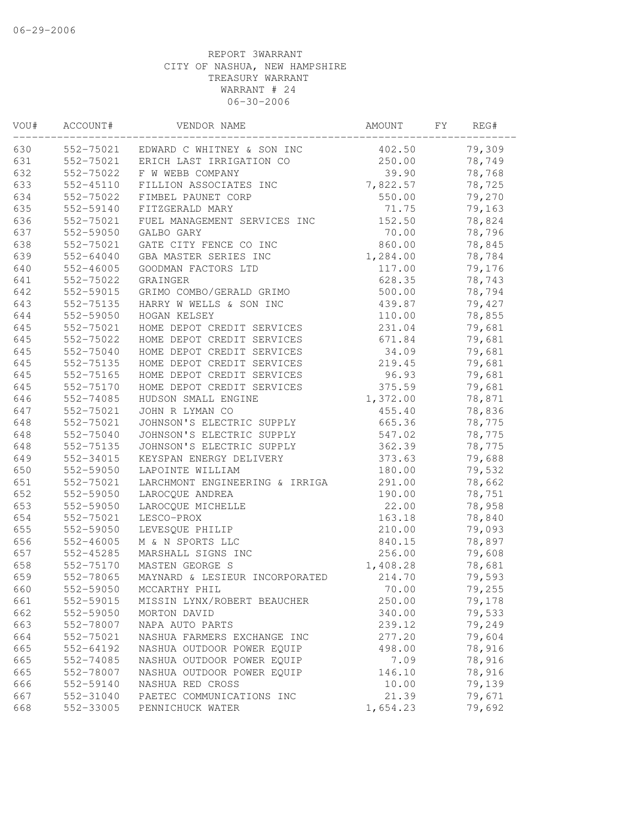| VOU# | ACCOUNT#      | VENDOR NAME                          | AMOUNT   | FY | REG#   |
|------|---------------|--------------------------------------|----------|----|--------|
| 630  |               | 552-75021 EDWARD C WHITNEY & SON INC | 402.50   |    | 79,309 |
| 631  |               | 552-75021 ERICH LAST IRRIGATION CO   | 250.00   |    | 78,749 |
| 632  | 552-75022     | F W WEBB COMPANY                     | 39.90    |    | 78,768 |
| 633  | 552-45110     | FILLION ASSOCIATES INC               | 7,822.57 |    | 78,725 |
| 634  | 552-75022     | FIMBEL PAUNET CORP                   | 550.00   |    | 79,270 |
| 635  | 552-59140     | FITZGERALD MARY                      | 71.75    |    | 79,163 |
| 636  | 552-75021     | FUEL MANAGEMENT SERVICES INC         | 152.50   |    | 78,824 |
| 637  | 552-59050     | GALBO GARY                           | 70.00    |    | 78,796 |
| 638  | 552-75021     | GATE CITY FENCE CO INC               | 860.00   |    | 78,845 |
| 639  | 552-64040     | GBA MASTER SERIES INC                | 1,284.00 |    | 78,784 |
| 640  | $552 - 46005$ | GOODMAN FACTORS LTD                  | 117.00   |    | 79,176 |
| 641  | 552-75022     | GRAINGER                             | 628.35   |    | 78,743 |
| 642  | 552-59015     | GRIMO COMBO/GERALD GRIMO             | 500.00   |    | 78,794 |
| 643  | 552-75135     | HARRY W WELLS & SON INC              | 439.87   |    | 79,427 |
| 644  | 552-59050     | HOGAN KELSEY                         | 110.00   |    | 78,855 |
| 645  | 552-75021     | HOME DEPOT CREDIT SERVICES           | 231.04   |    | 79,681 |
| 645  | 552-75022     | HOME DEPOT CREDIT SERVICES           | 671.84   |    | 79,681 |
| 645  | 552-75040     | HOME DEPOT CREDIT SERVICES           | 34.09    |    | 79,681 |
| 645  | 552-75135     | HOME DEPOT CREDIT SERVICES           | 219.45   |    | 79,681 |
| 645  | 552-75165     | HOME DEPOT CREDIT SERVICES           | 96.93    |    | 79,681 |
| 645  | 552-75170     | HOME DEPOT CREDIT SERVICES           | 375.59   |    | 79,681 |
| 646  | 552-74085     | HUDSON SMALL ENGINE                  | 1,372.00 |    | 78,871 |
| 647  | 552-75021     | JOHN R LYMAN CO                      | 455.40   |    | 78,836 |
| 648  | 552-75021     | JOHNSON'S ELECTRIC SUPPLY            | 665.36   |    | 78,775 |
| 648  | $552 - 75040$ | JOHNSON'S ELECTRIC SUPPLY            | 547.02   |    | 78,775 |
| 648  | 552-75135     | JOHNSON'S ELECTRIC SUPPLY            | 362.39   |    | 78,775 |
| 649  | 552-34015     | KEYSPAN ENERGY DELIVERY              | 373.63   |    | 79,688 |
| 650  | 552-59050     | LAPOINTE WILLIAM                     | 180.00   |    | 79,532 |
| 651  | 552-75021     | LARCHMONT ENGINEERING & IRRIGA       | 291.00   |    | 78,662 |
| 652  | 552-59050     | LAROCQUE ANDREA                      | 190.00   |    | 78,751 |
| 653  | 552-59050     | LAROCQUE MICHELLE                    | 22.00    |    | 78,958 |
| 654  | 552-75021     | LESCO-PROX                           | 163.18   |    | 78,840 |
| 655  | 552-59050     | LEVESQUE PHILIP                      | 210.00   |    | 79,093 |
| 656  | $552 - 46005$ | M & N SPORTS LLC                     | 840.15   |    | 78,897 |
| 657  | 552-45285     | MARSHALL SIGNS INC                   | 256.00   |    | 79,608 |
| 658  | 552-75170     | MASTEN GEORGE S                      | 1,408.28 |    | 78,681 |
| 659  | 552-78065     | MAYNARD & LESIEUR INCORPORATED       | 214.70   |    | 79,593 |
| 660  | 552-59050     | MCCARTHY PHIL                        | 70.00    |    | 79,255 |
| 661  | 552-59015     | MISSIN LYNX/ROBERT BEAUCHER          | 250.00   |    | 79,178 |
| 662  | 552-59050     | MORTON DAVID                         | 340.00   |    | 79,533 |
| 663  | 552-78007     | NAPA AUTO PARTS                      | 239.12   |    | 79,249 |
| 664  | 552-75021     | NASHUA FARMERS EXCHANGE INC          | 277.20   |    | 79,604 |
| 665  | 552-64192     | NASHUA OUTDOOR POWER EQUIP           | 498.00   |    | 78,916 |
| 665  | 552-74085     | NASHUA OUTDOOR POWER EQUIP           | 7.09     |    | 78,916 |
| 665  | 552-78007     | NASHUA OUTDOOR POWER EQUIP           | 146.10   |    | 78,916 |
| 666  | 552-59140     | NASHUA RED CROSS                     | 10.00    |    | 79,139 |
| 667  | 552-31040     | PAETEC COMMUNICATIONS INC            | 21.39    |    | 79,671 |
| 668  | 552-33005     | PENNICHUCK WATER                     | 1,654.23 |    | 79,692 |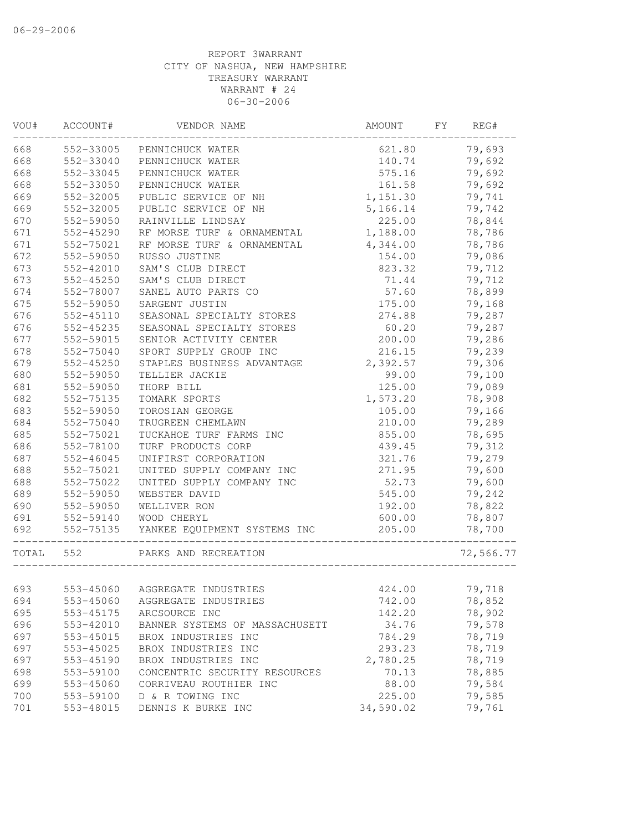| VOU#  | ACCOUNT#  | VENDOR NAME                    | AMOUNT    | FY<br>REG# |
|-------|-----------|--------------------------------|-----------|------------|
| 668   | 552-33005 | PENNICHUCK WATER               | 621.80    | 79,693     |
| 668   | 552-33040 | PENNICHUCK WATER               | 140.74    | 79,692     |
| 668   | 552-33045 | PENNICHUCK WATER               | 575.16    | 79,692     |
| 668   | 552-33050 | PENNICHUCK WATER               | 161.58    | 79,692     |
| 669   | 552-32005 | PUBLIC SERVICE OF NH           | 1,151.30  | 79,741     |
| 669   | 552-32005 | PUBLIC SERVICE OF NH           | 5,166.14  | 79,742     |
| 670   | 552-59050 | RAINVILLE LINDSAY              | 225.00    | 78,844     |
| 671   | 552-45290 | RF MORSE TURF & ORNAMENTAL     | 1,188.00  | 78,786     |
| 671   | 552-75021 | RF MORSE TURF & ORNAMENTAL     | 4,344.00  | 78,786     |
| 672   | 552-59050 | RUSSO JUSTINE                  | 154.00    | 79,086     |
| 673   | 552-42010 | SAM'S CLUB DIRECT              | 823.32    | 79,712     |
| 673   | 552-45250 | SAM'S CLUB DIRECT              | 71.44     | 79,712     |
| 674   | 552-78007 | SANEL AUTO PARTS CO            | 57.60     | 78,899     |
| 675   | 552-59050 | SARGENT JUSTIN                 | 175.00    | 79,168     |
| 676   | 552-45110 | SEASONAL SPECIALTY STORES      | 274.88    | 79,287     |
| 676   | 552-45235 | SEASONAL SPECIALTY STORES      | 60.20     | 79,287     |
| 677   | 552-59015 | SENIOR ACTIVITY CENTER         | 200.00    | 79,286     |
| 678   | 552-75040 | SPORT SUPPLY GROUP INC         | 216.15    | 79,239     |
| 679   | 552-45250 | STAPLES BUSINESS ADVANTAGE     | 2,392.57  | 79,306     |
| 680   | 552-59050 | TELLIER JACKIE                 | 99.00     | 79,100     |
| 681   | 552-59050 | THORP BILL                     | 125.00    | 79,089     |
| 682   | 552-75135 | TOMARK SPORTS                  | 1,573.20  | 78,908     |
| 683   | 552-59050 | TOROSIAN GEORGE                | 105.00    | 79,166     |
| 684   | 552-75040 | TRUGREEN CHEMLAWN              | 210.00    | 79,289     |
| 685   | 552-75021 | TUCKAHOE TURF FARMS INC        | 855.00    | 78,695     |
| 686   | 552-78100 | TURF PRODUCTS CORP             | 439.45    | 79,312     |
| 687   | 552-46045 | UNIFIRST CORPORATION           | 321.76    | 79,279     |
| 688   | 552-75021 | UNITED SUPPLY COMPANY INC      | 271.95    | 79,600     |
| 688   | 552-75022 | UNITED SUPPLY COMPANY INC      | 52.73     | 79,600     |
| 689   | 552-59050 | WEBSTER DAVID                  | 545.00    | 79,242     |
| 690   | 552-59050 | WELLIVER RON                   | 192.00    | 78,822     |
| 691   | 552-59140 | WOOD CHERYL                    | 600.00    | 78,807     |
| 692   | 552-75135 | YANKEE EQUIPMENT SYSTEMS INC   | 205.00    | 78,700     |
| TOTAL | 552       | PARKS AND RECREATION           |           | 72,566.77  |
|       |           |                                |           |            |
| 693   | 553-45060 | AGGREGATE INDUSTRIES           | 424.00    | 79,718     |
| 694   | 553-45060 | AGGREGATE INDUSTRIES           | 742.00    | 78,852     |
| 695   | 553-45175 | ARCSOURCE INC                  | 142.20    | 78,902     |
| 696   | 553-42010 | BANNER SYSTEMS OF MASSACHUSETT | 34.76     | 79,578     |
| 697   | 553-45015 | BROX INDUSTRIES INC            | 784.29    | 78,719     |
| 697   | 553-45025 | BROX INDUSTRIES INC            | 293.23    | 78,719     |
| 697   | 553-45190 | BROX INDUSTRIES INC            | 2,780.25  | 78,719     |
| 698   | 553-59100 | CONCENTRIC SECURITY RESOURCES  | 70.13     | 78,885     |
| 699   | 553-45060 | CORRIVEAU ROUTHIER INC         | 88.00     | 79,584     |
| 700   | 553-59100 | D & R TOWING INC               | 225.00    | 79,585     |
| 701   | 553-48015 | DENNIS K BURKE INC             | 34,590.02 | 79,761     |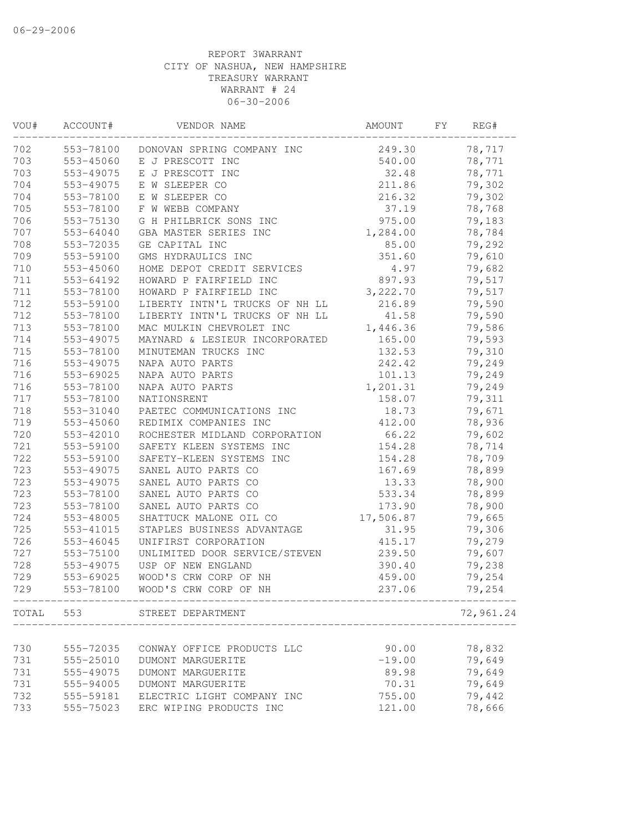| VOU# | ACCOUNT#  | VENDOR NAME                    | AMOUNT    | FY | REG#      |
|------|-----------|--------------------------------|-----------|----|-----------|
| 702  | 553-78100 | DONOVAN SPRING COMPANY INC     | 249.30    |    | 78,717    |
| 703  | 553-45060 | E J PRESCOTT INC               | 540.00    |    | 78,771    |
| 703  | 553-49075 | E J PRESCOTT INC               | 32.48     |    | 78,771    |
| 704  | 553-49075 | E W SLEEPER CO                 | 211.86    |    | 79,302    |
| 704  | 553-78100 | E W SLEEPER CO                 | 216.32    |    | 79,302    |
| 705  | 553-78100 | F W WEBB COMPANY               | 37.19     |    | 78,768    |
| 706  | 553-75130 | G H PHILBRICK SONS INC         | 975.00    |    | 79,183    |
| 707  | 553-64040 | GBA MASTER SERIES INC          | 1,284.00  |    | 78,784    |
| 708  | 553-72035 | GE CAPITAL INC                 | 85.00     |    | 79,292    |
| 709  | 553-59100 | GMS HYDRAULICS INC             | 351.60    |    | 79,610    |
| 710  | 553-45060 | HOME DEPOT CREDIT SERVICES     | 4.97      |    | 79,682    |
| 711  | 553-64192 | HOWARD P FAIRFIELD INC         | 897.93    |    | 79,517    |
| 711  | 553-78100 | HOWARD P FAIRFIELD INC         | 3,222.70  |    | 79,517    |
| 712  | 553-59100 | LIBERTY INTN'L TRUCKS OF NH LL | 216.89    |    | 79,590    |
| 712  | 553-78100 | LIBERTY INTN'L TRUCKS OF NH LL | 41.58     |    | 79,590    |
| 713  | 553-78100 | MAC MULKIN CHEVROLET INC       | 1,446.36  |    | 79,586    |
| 714  | 553-49075 | MAYNARD & LESIEUR INCORPORATED | 165.00    |    | 79,593    |
| 715  | 553-78100 | MINUTEMAN TRUCKS INC           | 132.53    |    | 79,310    |
| 716  | 553-49075 | NAPA AUTO PARTS                | 242.42    |    | 79,249    |
| 716  | 553-69025 | NAPA AUTO PARTS                | 101.13    |    | 79,249    |
| 716  | 553-78100 | NAPA AUTO PARTS                | 1,201.31  |    | 79,249    |
| 717  | 553-78100 | NATIONSRENT                    | 158.07    |    | 79,311    |
| 718  | 553-31040 | PAETEC COMMUNICATIONS INC      | 18.73     |    | 79,671    |
| 719  | 553-45060 | REDIMIX COMPANIES INC          | 412.00    |    | 78,936    |
| 720  | 553-42010 | ROCHESTER MIDLAND CORPORATION  | 66.22     |    | 79,602    |
| 721  | 553-59100 | SAFETY KLEEN SYSTEMS INC       | 154.28    |    | 78,714    |
| 722  | 553-59100 | SAFETY-KLEEN SYSTEMS INC       | 154.28    |    | 78,709    |
| 723  | 553-49075 | SANEL AUTO PARTS CO            | 167.69    |    | 78,899    |
| 723  | 553-49075 | SANEL AUTO PARTS CO            | 13.33     |    | 78,900    |
| 723  | 553-78100 | SANEL AUTO PARTS CO            | 533.34    |    | 78,899    |
| 723  | 553-78100 | SANEL AUTO PARTS CO            | 173.90    |    | 78,900    |
| 724  | 553-48005 | SHATTUCK MALONE OIL CO         | 17,506.87 |    | 79,665    |
| 725  | 553-41015 | STAPLES BUSINESS ADVANTAGE     | 31.95     |    | 79,306    |
| 726  | 553-46045 | UNIFIRST CORPORATION           | 415.17    |    | 79,279    |
| 727  | 553-75100 | UNLIMITED DOOR SERVICE/STEVEN  | 239.50    |    | 79,607    |
| 728  | 553-49075 | USP OF NEW ENGLAND             | 390.40    |    | 79,238    |
| 729  | 553-69025 | WOOD'S CRW CORP OF NH          | 459.00    |    | 79,254    |
| 729  | 553-78100 | WOOD'S CRW CORP OF NH          | 237.06    |    | 79,254    |
|      |           | TOTAL 553 STREET DEPARTMENT    |           |    | 72,961.24 |
|      |           |                                |           |    |           |
| 730  | 555-72035 | CONWAY OFFICE PRODUCTS LLC     | 90.00     |    | 78,832    |
| 731  | 555-25010 | DUMONT MARGUERITE              | $-19.00$  |    | 79,649    |
| 731  | 555-49075 | DUMONT MARGUERITE              | 89.98     |    | 79,649    |
| 731  | 555-94005 | DUMONT MARGUERITE              | 70.31     |    | 79,649    |
| 732  | 555-59181 | ELECTRIC LIGHT COMPANY INC     | 755.00    |    | 79,442    |
| 733  | 555-75023 | ERC WIPING PRODUCTS INC        | 121.00    |    | 78,666    |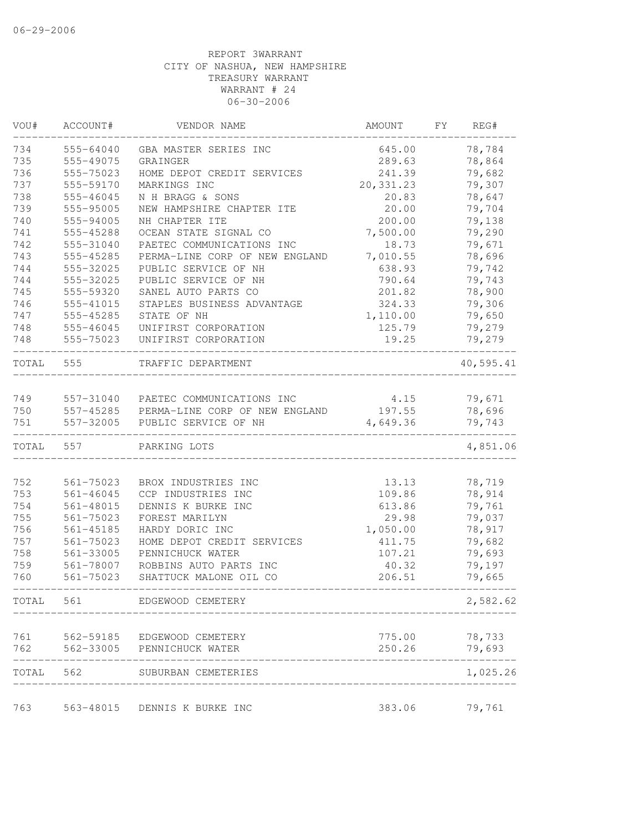| WOU#  | ACCOUNT#      | VENDOR NAME                              | AMOUNT     | FY | REG#      |
|-------|---------------|------------------------------------------|------------|----|-----------|
| 734   | 555-64040     | GBA MASTER SERIES INC                    | 645.00     |    | 78,784    |
| 735   | 555-49075     | GRAINGER                                 | 289.63     |    | 78,864    |
| 736   | 555-75023     | HOME DEPOT CREDIT SERVICES               | 241.39     |    | 79,682    |
| 737   | 555-59170     | MARKINGS INC                             | 20, 331.23 |    | 79,307    |
| 738   | 555-46045     | N H BRAGG & SONS                         | 20.83      |    | 78,647    |
| 739   | 555-95005     | NEW HAMPSHIRE CHAPTER ITE                | 20.00      |    | 79,704    |
| 740   | 555-94005     | NH CHAPTER ITE                           | 200.00     |    | 79,138    |
| 741   | 555-45288     | OCEAN STATE SIGNAL CO                    | 7,500.00   |    | 79,290    |
| 742   | 555-31040     | PAETEC COMMUNICATIONS INC                | 18.73      |    | 79,671    |
| 743   | 555-45285     | PERMA-LINE CORP OF NEW ENGLAND           | 7,010.55   |    | 78,696    |
| 744   | 555-32025     | PUBLIC SERVICE OF NH                     | 638.93     |    | 79,742    |
| 744   | 555-32025     | PUBLIC SERVICE OF NH                     | 790.64     |    | 79,743    |
| 745   | 555-59320     | SANEL AUTO PARTS CO                      | 201.82     |    | 78,900    |
| 746   | 555-41015     | STAPLES BUSINESS ADVANTAGE               | 324.33     |    | 79,306    |
| 747   | 555-45285     | STATE OF NH                              | 1,110.00   |    | 79,650    |
| 748   | 555-46045     | UNIFIRST CORPORATION                     | 125.79     |    | 79,279    |
| 748   | 555-75023     | UNIFIRST CORPORATION                     | 19.25      |    | 79,279    |
| TOTAL | 555           | TRAFFIC DEPARTMENT                       |            |    | 40,595.41 |
| 749   |               | 557-31040 PAETEC COMMUNICATIONS INC      | 4.15       |    | 79,671    |
| 750   |               | 557-45285 PERMA-LINE CORP OF NEW ENGLAND | 197.55     |    | 78,696    |
| 751   | 557-32005     | PUBLIC SERVICE OF NH                     | 4,649.36   |    | 79,743    |
| TOTAL | 557           | PARKING LOTS                             |            |    | 4,851.06  |
|       |               |                                          |            |    |           |
| 752   | 561-75023     | BROX INDUSTRIES INC                      | 13.13      |    | 78,719    |
| 753   | $561 - 46045$ | CCP INDUSTRIES INC                       | 109.86     |    | 78,914    |
| 754   | 561-48015     | DENNIS K BURKE INC                       | 613.86     |    | 79,761    |
| 755   | 561-75023     | FOREST MARILYN                           | 29.98      |    | 79,037    |
| 756   | $561 - 45185$ | HARDY DORIC INC                          | 1,050.00   |    | 78,917    |
| 757   | 561-75023     | HOME DEPOT CREDIT SERVICES               | 411.75     |    | 79,682    |
| 758   | 561-33005     | PENNICHUCK WATER                         | 107.21     |    | 79,693    |
| 759   | 561-78007     | ROBBINS AUTO PARTS INC                   | 40.32      |    | 79,197    |
| 760   | 561-75023     | SHATTUCK MALONE OIL CO                   | 206.51     |    | 79,665    |
| TOTAL | 561           | EDGEWOOD CEMETERY                        |            |    | 2,582.62  |
| 761   |               | 562-59185 EDGEWOOD CEMETERY              | 775.00     |    | 78,733    |
| 762   | 562-33005     | PENNICHUCK WATER                         | 250.26     |    | 79,693    |
| TOTAL |               | 562 SUBURBAN CEMETERIES                  |            |    | 1,025.26  |
|       |               |                                          |            |    |           |
| 763   |               | 563-48015 DENNIS K BURKE INC             | 383.06     |    | 79,761    |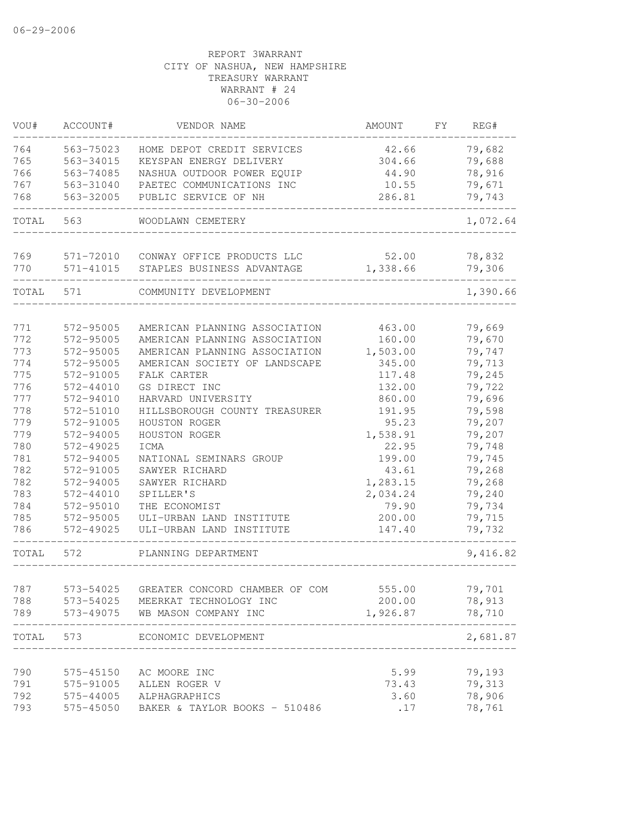| VOU#  | ACCOUNT#      | VENDOR NAME                          | AMOUNT   | FY | REG#     |
|-------|---------------|--------------------------------------|----------|----|----------|
| 764   | 563-75023     | HOME DEPOT CREDIT SERVICES           | 42.66    |    | 79,682   |
| 765   | 563-34015     | KEYSPAN ENERGY DELIVERY              | 304.66   |    | 79,688   |
| 766   | 563-74085     | NASHUA OUTDOOR POWER EQUIP           | 44.90    |    | 78,916   |
| 767   | 563-31040     | PAETEC COMMUNICATIONS INC            | 10.55    |    | 79,671   |
| 768   | 563-32005     | PUBLIC SERVICE OF NH                 | 286.81   |    | 79,743   |
| TOTAL | 563           | WOODLAWN CEMETERY                    |          |    | 1,072.64 |
| 769   |               | 571-72010 CONWAY OFFICE PRODUCTS LLC | 52.00    |    | 78,832   |
| 770   | 571-41015     | STAPLES BUSINESS ADVANTAGE           | 1,338.66 |    | 79,306   |
| TOTAL | 571           | COMMUNITY DEVELOPMENT                |          |    | 1,390.66 |
| 771   | 572-95005     | AMERICAN PLANNING ASSOCIATION        | 463.00   |    | 79,669   |
| 772   | 572-95005     | AMERICAN PLANNING ASSOCIATION        | 160.00   |    | 79,670   |
| 773   | 572-95005     | AMERICAN PLANNING ASSOCIATION        | 1,503.00 |    | 79,747   |
| 774   | 572-95005     | AMERICAN SOCIETY OF LANDSCAPE        | 345.00   |    | 79,713   |
| 775   | 572-91005     | FALK CARTER                          | 117.48   |    | 79,245   |
| 776   | $572 - 44010$ | GS DIRECT INC                        | 132.00   |    | 79,722   |
| 777   | 572-94010     | HARVARD UNIVERSITY                   | 860.00   |    | 79,696   |
| 778   | 572-51010     | HILLSBOROUGH COUNTY TREASURER        | 191.95   |    | 79,598   |
| 779   | 572-91005     | HOUSTON ROGER                        | 95.23    |    | 79,207   |
| 779   | 572-94005     | HOUSTON ROGER                        | 1,538.91 |    | 79,207   |
| 780   | 572-49025     | ICMA                                 | 22.95    |    | 79,748   |
| 781   | 572-94005     | NATIONAL SEMINARS GROUP              | 199.00   |    | 79,745   |
| 782   | 572-91005     | SAWYER RICHARD                       | 43.61    |    | 79,268   |
| 782   | 572-94005     | SAWYER RICHARD                       | 1,283.15 |    | 79,268   |
| 783   | 572-44010     | SPILLER'S                            | 2,034.24 |    | 79,240   |
| 784   | 572-95010     | THE ECONOMIST                        | 79.90    |    | 79,734   |
| 785   | 572-95005     | ULI-URBAN LAND INSTITUTE             | 200.00   |    | 79,715   |
| 786   | 572-49025     | ULI-URBAN LAND INSTITUTE             | 147.40   |    | 79,732   |
| TOTAL | 572           | PLANNING DEPARTMENT                  |          |    | 9,416.82 |
| 787   | 573-54025     | GREATER CONCORD CHAMBER OF COM       | 555.00   |    | 79,701   |
| 788   |               | 573-54025 MEERKAT TECHNOLOGY INC     | 200.00   |    | 78,913   |
| 789   | 573-49075     | WB MASON COMPANY INC                 | 1,926.87 |    | 78,710   |
| TOTAL | 573           | ECONOMIC DEVELOPMENT                 |          |    | 2,681.87 |
|       |               |                                      |          |    |          |
| 790   | 575-45150     | AC MOORE INC                         | 5.99     |    | 79,193   |
| 791   | 575-91005     | ALLEN ROGER V                        | 73.43    |    | 79,313   |
| 792   | 575-44005     | ALPHAGRAPHICS                        | 3.60     |    | 78,906   |
| 793   | 575-45050     | BAKER & TAYLOR BOOKS - 510486        | .17      |    | 78,761   |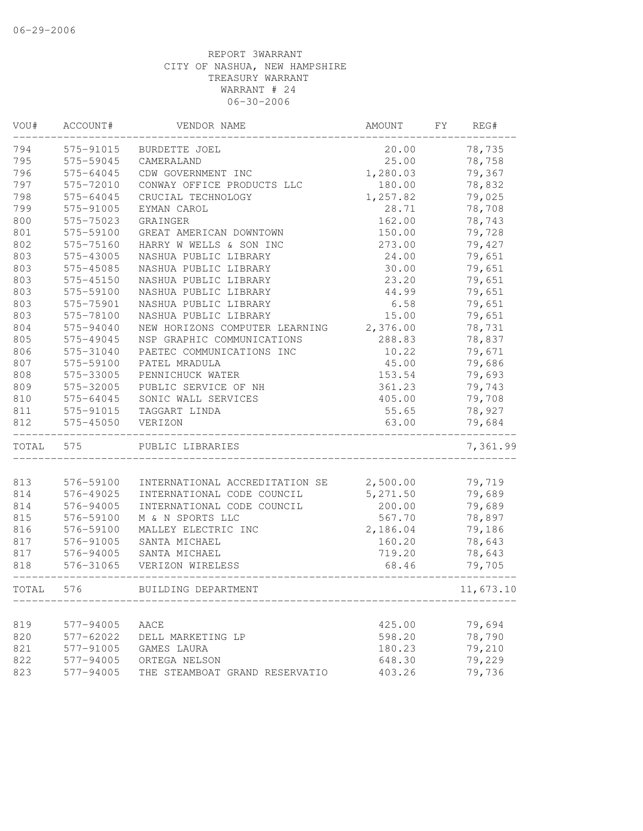| VOU#  | ACCOUNT#      | VENDOR NAME                    | AMOUNT   | FΥ | REG#      |
|-------|---------------|--------------------------------|----------|----|-----------|
| 794   | 575-91015     | <b>BURDETTE JOEL</b>           | 20.00    |    | 78,735    |
| 795   | 575-59045     | CAMERALAND                     | 25.00    |    | 78,758    |
| 796   | $575 - 64045$ | CDW GOVERNMENT INC             | 1,280.03 |    | 79,367    |
| 797   | 575-72010     | CONWAY OFFICE PRODUCTS LLC     | 180.00   |    | 78,832    |
| 798   | 575-64045     | CRUCIAL TECHNOLOGY             | 1,257.82 |    | 79,025    |
| 799   | 575-91005     | EYMAN CAROL                    | 28.71    |    | 78,708    |
| 800   | 575-75023     | GRAINGER                       | 162.00   |    | 78,743    |
| 801   | 575-59100     | GREAT AMERICAN DOWNTOWN        | 150.00   |    | 79,728    |
| 802   | 575-75160     | HARRY W WELLS & SON INC        | 273.00   |    | 79,427    |
| 803   | 575-43005     | NASHUA PUBLIC LIBRARY          | 24.00    |    | 79,651    |
| 803   | 575-45085     | NASHUA PUBLIC LIBRARY          | 30.00    |    | 79,651    |
| 803   | 575-45150     | NASHUA PUBLIC LIBRARY          | 23.20    |    | 79,651    |
| 803   | 575-59100     | NASHUA PUBLIC LIBRARY          | 44.99    |    | 79,651    |
| 803   | 575-75901     | NASHUA PUBLIC LIBRARY          | 6.58     |    | 79,651    |
| 803   | 575-78100     | NASHUA PUBLIC LIBRARY          | 15.00    |    | 79,651    |
| 804   | 575-94040     | NEW HORIZONS COMPUTER LEARNING | 2,376.00 |    | 78,731    |
| 805   | 575-49045     | NSP GRAPHIC COMMUNICATIONS     | 288.83   |    | 78,837    |
| 806   | 575-31040     | PAETEC COMMUNICATIONS INC      | 10.22    |    | 79,671    |
| 807   | 575-59100     | PATEL MRADULA                  | 45.00    |    | 79,686    |
| 808   | 575-33005     | PENNICHUCK WATER               | 153.54   |    | 79,693    |
| 809   | 575-32005     | PUBLIC SERVICE OF NH           | 361.23   |    | 79,743    |
| 810   | 575-64045     | SONIC WALL SERVICES            | 405.00   |    | 79,708    |
| 811   | 575-91015     | TAGGART LINDA                  | 55.65    |    | 78,927    |
| 812   | 575-45050     | VERIZON                        | 63.00    |    | 79,684    |
| TOTAL | 575           | PUBLIC LIBRARIES               |          |    | 7,361.99  |
|       |               |                                |          |    |           |
| 813   | 576-59100     | INTERNATIONAL ACCREDITATION SE | 2,500.00 |    | 79,719    |
| 814   | 576-49025     | INTERNATIONAL CODE COUNCIL     | 5,271.50 |    | 79,689    |
| 814   | 576-94005     | INTERNATIONAL CODE COUNCIL     | 200.00   |    | 79,689    |
| 815   | 576-59100     | M & N SPORTS LLC               | 567.70   |    | 78,897    |
| 816   | 576-59100     | MALLEY ELECTRIC INC            | 2,186.04 |    | 79,186    |
| 817   | 576-91005     | SANTA MICHAEL                  | 160.20   |    | 78,643    |
| 817   | 576-94005     | SANTA MICHAEL                  | 719.20   |    | 78,643    |
| 818   | 576-31065     | VERIZON WIRELESS               | 68.46    |    | 79,705    |
| TOTAL | 576           | BUILDING DEPARTMENT            |          |    | 11,673.10 |
| 819   | 577-94005     | AACE                           | 425.00   |    | 79,694    |
| 820   | 577-62022     | DELL MARKETING LP              | 598.20   |    | 78,790    |
| 821   | 577-91005     | GAMES LAURA                    | 180.23   |    | 79,210    |
| 822   |               | ORTEGA NELSON                  |          |    | 79,229    |
|       | 577-94005     |                                | 648.30   |    | 79,736    |
| 823   | 577-94005     | THE STEAMBOAT GRAND RESERVATIO | 403.26   |    |           |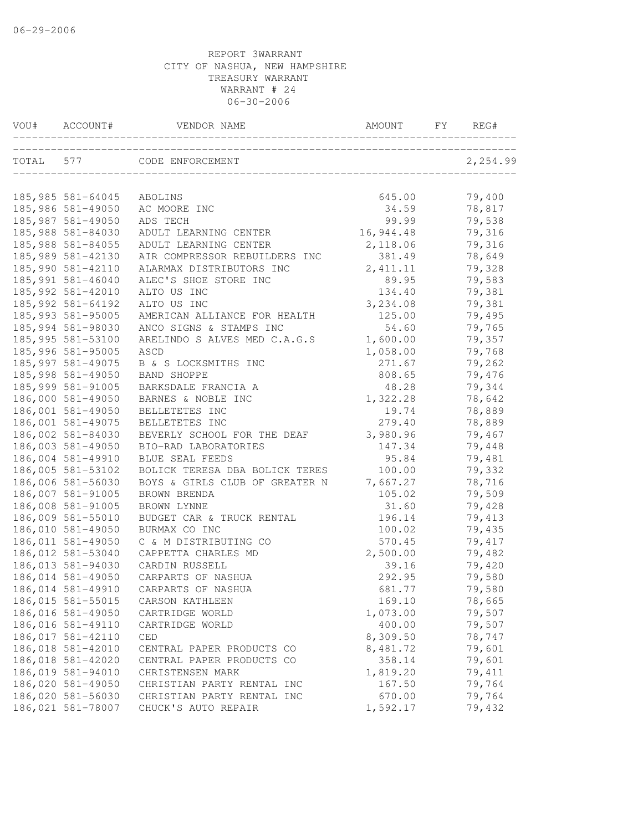| VOU#      | ACCOUNT#                               | VENDOR NAME                             | AMOUNT          | FY | REG#             |
|-----------|----------------------------------------|-----------------------------------------|-----------------|----|------------------|
| TOTAL 577 |                                        | CODE ENFORCEMENT                        |                 |    | 2,254.99         |
|           | 185,985 581-64045                      | ABOLINS                                 | 645.00          |    | 79,400           |
|           | 185,986 581-49050                      | AC MOORE INC                            | 34.59           |    | 78,817           |
|           | 185,987 581-49050                      | ADS TECH                                | 99.99           |    | 79,538           |
|           | 185,988 581-84030                      | ADULT LEARNING CENTER                   | 16,944.48       |    | 79,316           |
|           | 185,988 581-84055                      | ADULT LEARNING CENTER                   | 2,118.06        |    | 79,316           |
|           | 185,989 581-42130                      | AIR COMPRESSOR REBUILDERS INC           | 381.49          |    | 78,649           |
|           | 185,990 581-42110                      | ALARMAX DISTRIBUTORS INC                | 2, 411.11       |    | 79,328           |
|           | 185,991 581-46040                      | ALEC'S SHOE STORE INC                   | 89.95           |    | 79,583           |
|           | 185, 992 581-42010                     | ALTO US INC                             | 134.40          |    | 79,381           |
|           | 185, 992 581-64192                     | ALTO US INC                             | 3,234.08        |    | 79,381           |
|           | 185,993 581-95005                      | AMERICAN ALLIANCE FOR HEALTH            | 125.00          |    | 79,495           |
|           | 185,994 581-98030                      | ANCO SIGNS & STAMPS INC                 | 54.60           |    | 79,765           |
|           | 185,995 581-53100                      | ARELINDO S ALVES MED C.A.G.S            | 1,600.00        |    | 79,357           |
|           | 185,996 581-95005                      | ASCD                                    | 1,058.00        |    | 79,768           |
|           | 185, 997 581-49075                     | B & S LOCKSMITHS INC                    | 271.67          |    | 79,262           |
|           | 185,998 581-49050                      | BAND SHOPPE                             | 808.65          |    | 79,476           |
|           | 185,999 581-91005                      | BARKSDALE FRANCIA A                     | 48.28           |    | 79,344           |
|           | 186,000 581-49050                      | BARNES & NOBLE INC                      | 1,322.28        |    | 78,642           |
|           | 186,001 581-49050                      | BELLETETES INC                          | 19.74           |    | 78,889           |
|           | 186,001 581-49075                      | BELLETETES INC                          | 279.40          |    | 78,889           |
|           | 186,002 581-84030<br>186,003 581-49050 | BEVERLY SCHOOL FOR THE DEAF             | 3,980.96        |    | 79,467           |
|           | 186,004 581-49910                      | BIO-RAD LABORATORIES<br>BLUE SEAL FEEDS | 147.34<br>95.84 |    | 79,448<br>79,481 |
|           | 186,005 581-53102                      | BOLICK TERESA DBA BOLICK TERES          | 100.00          |    | 79,332           |
|           | 186,006 581-56030                      | BOYS & GIRLS CLUB OF GREATER N          | 7,667.27        |    | 78,716           |
|           | 186,007 581-91005                      | BROWN BRENDA                            | 105.02          |    | 79,509           |
|           | 186,008 581-91005                      | BROWN LYNNE                             | 31.60           |    | 79,428           |
|           | 186,009 581-55010                      | BUDGET CAR & TRUCK RENTAL               | 196.14          |    | 79,413           |
|           | 186,010 581-49050                      | BURMAX CO INC                           | 100.02          |    | 79,435           |
|           | 186,011 581-49050                      | C & M DISTRIBUTING CO                   | 570.45          |    | 79,417           |
|           | 186,012 581-53040                      | CAPPETTA CHARLES MD                     | 2,500.00        |    | 79,482           |
|           | 186,013 581-94030                      | CARDIN RUSSELL                          | 39.16           |    | 79,420           |
|           | 186,014 581-49050                      | CARPARTS OF NASHUA                      | 292.95          |    | 79,580           |
|           | 186,014 581-49910                      | CARPARTS OF NASHUA                      | 681.77          |    | 79,580           |
|           | 186,015 581-55015                      | CARSON KATHLEEN                         | 169.10          |    | 78,665           |
|           | 186,016 581-49050                      | CARTRIDGE WORLD                         | 1,073.00        |    | 79,507           |
|           | 186,016 581-49110                      | CARTRIDGE WORLD                         | 400.00          |    | 79,507           |
|           | 186,017 581-42110                      | CED                                     | 8,309.50        |    | 78,747           |
|           | 186,018 581-42010                      | CENTRAL PAPER PRODUCTS CO               | 8,481.72        |    | 79,601           |
|           | 186,018 581-42020                      | CENTRAL PAPER PRODUCTS CO               | 358.14          |    | 79,601           |
|           | 186,019 581-94010                      | CHRISTENSEN MARK                        | 1,819.20        |    | 79,411           |
|           | 186,020 581-49050                      | CHRISTIAN PARTY RENTAL INC              | 167.50          |    | 79,764           |
|           | 186,020 581-56030                      | CHRISTIAN PARTY RENTAL INC              | 670.00          |    | 79,764           |
|           | 186,021 581-78007                      | CHUCK'S AUTO REPAIR                     | 1,592.17        |    | 79,432           |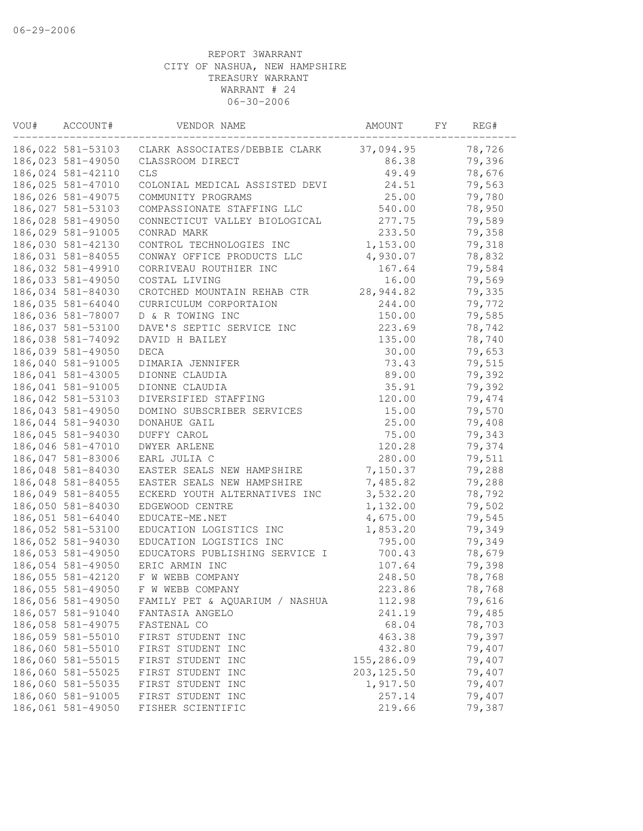| 186,022 581-53103<br>37,094.95<br>78,726<br>CLARK ASSOCIATES/DEBBIE CLARK<br>186,023 581-49050<br>CLASSROOM DIRECT<br>86.38<br>79,396<br>186,024 581-42110<br>49.49<br>78,676<br><b>CLS</b><br>186,025 581-47010<br>COLONIAL MEDICAL ASSISTED DEVI<br>24.51<br>79,563<br>186,026 581-49075<br>25.00<br>COMMUNITY PROGRAMS<br>79,780<br>186,027 581-53103<br>540.00<br>78,950<br>COMPASSIONATE STAFFING LLC<br>79,589<br>186,028 581-49050<br>277.75<br>CONNECTICUT VALLEY BIOLOGICAL<br>186,029 581-91005<br>233.50<br>79,358<br>CONRAD MARK<br>1,153.00<br>79,318<br>186,030 581-42130<br>CONTROL TECHNOLOGIES INC<br>186,031 581-84055<br>CONWAY OFFICE PRODUCTS LLC<br>4,930.07<br>78,832<br>186,032 581-49910<br>CORRIVEAU ROUTHIER INC<br>167.64<br>79,584<br>186,033 581-49050<br>16.00<br>79,569<br>COSTAL LIVING<br>186,034 581-84030<br>CROTCHED MOUNTAIN REHAB CTR<br>28, 944.82<br>79,335<br>244.00<br>186,035 581-64040<br>CURRICULUM CORPORTAION<br>79,772<br>186,036 581-78007<br>D & R TOWING INC<br>150.00<br>79,585<br>186,037 581-53100<br>DAVE'S SEPTIC SERVICE INC<br>223.69<br>78,742<br>78,740<br>186,038 581-74092<br>DAVID H BAILEY<br>135.00<br>186,039 581-49050<br>79,653<br><b>DECA</b><br>30.00<br>186,040 581-91005<br>73.43<br>79,515<br>DIMARIA JENNIFER<br>186,041 581-43005<br>89.00<br>79,392<br>DIONNE CLAUDIA<br>186,041 581-91005<br>35.91<br>79,392<br>DIONNE CLAUDIA<br>186,042 581-53103<br>DIVERSIFIED STAFFING<br>120.00<br>79,474<br>186,043 581-49050<br>79,570<br>DOMINO SUBSCRIBER SERVICES<br>15.00<br>186,044 581-94030<br>25.00<br>79,408<br>DONAHUE GAIL<br>186,045 581-94030<br>79,343<br>DUFFY CAROL<br>75.00<br>79,374<br>186,046 581-47010<br>DWYER ARLENE<br>120.28<br>79,511<br>186,047 581-83006<br>EARL JULIA C<br>280.00<br>186,048 581-84030<br>EASTER SEALS NEW HAMPSHIRE<br>7,150.37<br>79,288<br>186,048 581-84055<br>EASTER SEALS NEW HAMPSHIRE<br>7,485.82<br>79,288<br>186,049 581-84055<br>ECKERD YOUTH ALTERNATIVES INC<br>3,532.20<br>78,792<br>186,050 581-84030<br>79,502<br>EDGEWOOD CENTRE<br>1,132.00<br>186,051 581-64040<br>79,545<br>EDUCATE-ME.NET<br>4,675.00<br>186,052 581-53100<br>1,853.20<br>79,349<br>EDUCATION LOGISTICS INC<br>186,052 581-94030<br>795.00<br>79,349<br>EDUCATION LOGISTICS INC<br>186,053 581-49050<br>700.43<br>78,679<br>EDUCATORS PUBLISHING SERVICE I<br>186,054 581-49050<br>79,398<br>ERIC ARMIN INC<br>107.64<br>186,055 581-42120<br>F W WEBB COMPANY<br>248.50<br>78,768<br>186,055 581-49050<br>F W WEBB COMPANY<br>223.86<br>78,768<br>186,056 581-49050<br>FAMILY PET & AQUARIUM / NASHUA<br>112.98<br>79,616<br>186,057 581-91040<br>241.19<br>79,485<br>FANTASIA ANGELO<br>186,058 581-49075<br>68.04<br>78,703<br>FASTENAL CO<br>186,059 581-55010<br>463.38<br>79,397<br>FIRST STUDENT INC<br>186,060 581-55010<br>79,407<br>432.80<br>FIRST STUDENT INC<br>186,060 581-55015<br>79,407<br>155,286.09<br>FIRST STUDENT INC<br>186,060 581-55025<br>79,407<br>203, 125.50<br>FIRST STUDENT INC<br>186,060 581-55035<br>1,917.50<br>79,407<br>FIRST STUDENT INC<br>186,060 581-91005<br>257.14<br>79,407<br>FIRST STUDENT INC<br>186,061 581-49050<br>219.66<br>79,387<br>FISHER SCIENTIFIC | VOU# | ACCOUNT# | VENDOR NAME | AMOUNT | FΥ | REG# |
|--------------------------------------------------------------------------------------------------------------------------------------------------------------------------------------------------------------------------------------------------------------------------------------------------------------------------------------------------------------------------------------------------------------------------------------------------------------------------------------------------------------------------------------------------------------------------------------------------------------------------------------------------------------------------------------------------------------------------------------------------------------------------------------------------------------------------------------------------------------------------------------------------------------------------------------------------------------------------------------------------------------------------------------------------------------------------------------------------------------------------------------------------------------------------------------------------------------------------------------------------------------------------------------------------------------------------------------------------------------------------------------------------------------------------------------------------------------------------------------------------------------------------------------------------------------------------------------------------------------------------------------------------------------------------------------------------------------------------------------------------------------------------------------------------------------------------------------------------------------------------------------------------------------------------------------------------------------------------------------------------------------------------------------------------------------------------------------------------------------------------------------------------------------------------------------------------------------------------------------------------------------------------------------------------------------------------------------------------------------------------------------------------------------------------------------------------------------------------------------------------------------------------------------------------------------------------------------------------------------------------------------------------------------------------------------------------------------------------------------------------------------------------------------------------------------------------------------------------------------------------------------------------------------------------------------------------------------------------------------------------------------------------------------------------------------------------------------------------------------------------------------------------------------------------------------------------------------------|------|----------|-------------|--------|----|------|
|                                                                                                                                                                                                                                                                                                                                                                                                                                                                                                                                                                                                                                                                                                                                                                                                                                                                                                                                                                                                                                                                                                                                                                                                                                                                                                                                                                                                                                                                                                                                                                                                                                                                                                                                                                                                                                                                                                                                                                                                                                                                                                                                                                                                                                                                                                                                                                                                                                                                                                                                                                                                                                                                                                                                                                                                                                                                                                                                                                                                                                                                                                                                                                                                                    |      |          |             |        |    |      |
|                                                                                                                                                                                                                                                                                                                                                                                                                                                                                                                                                                                                                                                                                                                                                                                                                                                                                                                                                                                                                                                                                                                                                                                                                                                                                                                                                                                                                                                                                                                                                                                                                                                                                                                                                                                                                                                                                                                                                                                                                                                                                                                                                                                                                                                                                                                                                                                                                                                                                                                                                                                                                                                                                                                                                                                                                                                                                                                                                                                                                                                                                                                                                                                                                    |      |          |             |        |    |      |
|                                                                                                                                                                                                                                                                                                                                                                                                                                                                                                                                                                                                                                                                                                                                                                                                                                                                                                                                                                                                                                                                                                                                                                                                                                                                                                                                                                                                                                                                                                                                                                                                                                                                                                                                                                                                                                                                                                                                                                                                                                                                                                                                                                                                                                                                                                                                                                                                                                                                                                                                                                                                                                                                                                                                                                                                                                                                                                                                                                                                                                                                                                                                                                                                                    |      |          |             |        |    |      |
|                                                                                                                                                                                                                                                                                                                                                                                                                                                                                                                                                                                                                                                                                                                                                                                                                                                                                                                                                                                                                                                                                                                                                                                                                                                                                                                                                                                                                                                                                                                                                                                                                                                                                                                                                                                                                                                                                                                                                                                                                                                                                                                                                                                                                                                                                                                                                                                                                                                                                                                                                                                                                                                                                                                                                                                                                                                                                                                                                                                                                                                                                                                                                                                                                    |      |          |             |        |    |      |
|                                                                                                                                                                                                                                                                                                                                                                                                                                                                                                                                                                                                                                                                                                                                                                                                                                                                                                                                                                                                                                                                                                                                                                                                                                                                                                                                                                                                                                                                                                                                                                                                                                                                                                                                                                                                                                                                                                                                                                                                                                                                                                                                                                                                                                                                                                                                                                                                                                                                                                                                                                                                                                                                                                                                                                                                                                                                                                                                                                                                                                                                                                                                                                                                                    |      |          |             |        |    |      |
|                                                                                                                                                                                                                                                                                                                                                                                                                                                                                                                                                                                                                                                                                                                                                                                                                                                                                                                                                                                                                                                                                                                                                                                                                                                                                                                                                                                                                                                                                                                                                                                                                                                                                                                                                                                                                                                                                                                                                                                                                                                                                                                                                                                                                                                                                                                                                                                                                                                                                                                                                                                                                                                                                                                                                                                                                                                                                                                                                                                                                                                                                                                                                                                                                    |      |          |             |        |    |      |
|                                                                                                                                                                                                                                                                                                                                                                                                                                                                                                                                                                                                                                                                                                                                                                                                                                                                                                                                                                                                                                                                                                                                                                                                                                                                                                                                                                                                                                                                                                                                                                                                                                                                                                                                                                                                                                                                                                                                                                                                                                                                                                                                                                                                                                                                                                                                                                                                                                                                                                                                                                                                                                                                                                                                                                                                                                                                                                                                                                                                                                                                                                                                                                                                                    |      |          |             |        |    |      |
|                                                                                                                                                                                                                                                                                                                                                                                                                                                                                                                                                                                                                                                                                                                                                                                                                                                                                                                                                                                                                                                                                                                                                                                                                                                                                                                                                                                                                                                                                                                                                                                                                                                                                                                                                                                                                                                                                                                                                                                                                                                                                                                                                                                                                                                                                                                                                                                                                                                                                                                                                                                                                                                                                                                                                                                                                                                                                                                                                                                                                                                                                                                                                                                                                    |      |          |             |        |    |      |
|                                                                                                                                                                                                                                                                                                                                                                                                                                                                                                                                                                                                                                                                                                                                                                                                                                                                                                                                                                                                                                                                                                                                                                                                                                                                                                                                                                                                                                                                                                                                                                                                                                                                                                                                                                                                                                                                                                                                                                                                                                                                                                                                                                                                                                                                                                                                                                                                                                                                                                                                                                                                                                                                                                                                                                                                                                                                                                                                                                                                                                                                                                                                                                                                                    |      |          |             |        |    |      |
|                                                                                                                                                                                                                                                                                                                                                                                                                                                                                                                                                                                                                                                                                                                                                                                                                                                                                                                                                                                                                                                                                                                                                                                                                                                                                                                                                                                                                                                                                                                                                                                                                                                                                                                                                                                                                                                                                                                                                                                                                                                                                                                                                                                                                                                                                                                                                                                                                                                                                                                                                                                                                                                                                                                                                                                                                                                                                                                                                                                                                                                                                                                                                                                                                    |      |          |             |        |    |      |
|                                                                                                                                                                                                                                                                                                                                                                                                                                                                                                                                                                                                                                                                                                                                                                                                                                                                                                                                                                                                                                                                                                                                                                                                                                                                                                                                                                                                                                                                                                                                                                                                                                                                                                                                                                                                                                                                                                                                                                                                                                                                                                                                                                                                                                                                                                                                                                                                                                                                                                                                                                                                                                                                                                                                                                                                                                                                                                                                                                                                                                                                                                                                                                                                                    |      |          |             |        |    |      |
|                                                                                                                                                                                                                                                                                                                                                                                                                                                                                                                                                                                                                                                                                                                                                                                                                                                                                                                                                                                                                                                                                                                                                                                                                                                                                                                                                                                                                                                                                                                                                                                                                                                                                                                                                                                                                                                                                                                                                                                                                                                                                                                                                                                                                                                                                                                                                                                                                                                                                                                                                                                                                                                                                                                                                                                                                                                                                                                                                                                                                                                                                                                                                                                                                    |      |          |             |        |    |      |
|                                                                                                                                                                                                                                                                                                                                                                                                                                                                                                                                                                                                                                                                                                                                                                                                                                                                                                                                                                                                                                                                                                                                                                                                                                                                                                                                                                                                                                                                                                                                                                                                                                                                                                                                                                                                                                                                                                                                                                                                                                                                                                                                                                                                                                                                                                                                                                                                                                                                                                                                                                                                                                                                                                                                                                                                                                                                                                                                                                                                                                                                                                                                                                                                                    |      |          |             |        |    |      |
|                                                                                                                                                                                                                                                                                                                                                                                                                                                                                                                                                                                                                                                                                                                                                                                                                                                                                                                                                                                                                                                                                                                                                                                                                                                                                                                                                                                                                                                                                                                                                                                                                                                                                                                                                                                                                                                                                                                                                                                                                                                                                                                                                                                                                                                                                                                                                                                                                                                                                                                                                                                                                                                                                                                                                                                                                                                                                                                                                                                                                                                                                                                                                                                                                    |      |          |             |        |    |      |
|                                                                                                                                                                                                                                                                                                                                                                                                                                                                                                                                                                                                                                                                                                                                                                                                                                                                                                                                                                                                                                                                                                                                                                                                                                                                                                                                                                                                                                                                                                                                                                                                                                                                                                                                                                                                                                                                                                                                                                                                                                                                                                                                                                                                                                                                                                                                                                                                                                                                                                                                                                                                                                                                                                                                                                                                                                                                                                                                                                                                                                                                                                                                                                                                                    |      |          |             |        |    |      |
|                                                                                                                                                                                                                                                                                                                                                                                                                                                                                                                                                                                                                                                                                                                                                                                                                                                                                                                                                                                                                                                                                                                                                                                                                                                                                                                                                                                                                                                                                                                                                                                                                                                                                                                                                                                                                                                                                                                                                                                                                                                                                                                                                                                                                                                                                                                                                                                                                                                                                                                                                                                                                                                                                                                                                                                                                                                                                                                                                                                                                                                                                                                                                                                                                    |      |          |             |        |    |      |
|                                                                                                                                                                                                                                                                                                                                                                                                                                                                                                                                                                                                                                                                                                                                                                                                                                                                                                                                                                                                                                                                                                                                                                                                                                                                                                                                                                                                                                                                                                                                                                                                                                                                                                                                                                                                                                                                                                                                                                                                                                                                                                                                                                                                                                                                                                                                                                                                                                                                                                                                                                                                                                                                                                                                                                                                                                                                                                                                                                                                                                                                                                                                                                                                                    |      |          |             |        |    |      |
|                                                                                                                                                                                                                                                                                                                                                                                                                                                                                                                                                                                                                                                                                                                                                                                                                                                                                                                                                                                                                                                                                                                                                                                                                                                                                                                                                                                                                                                                                                                                                                                                                                                                                                                                                                                                                                                                                                                                                                                                                                                                                                                                                                                                                                                                                                                                                                                                                                                                                                                                                                                                                                                                                                                                                                                                                                                                                                                                                                                                                                                                                                                                                                                                                    |      |          |             |        |    |      |
|                                                                                                                                                                                                                                                                                                                                                                                                                                                                                                                                                                                                                                                                                                                                                                                                                                                                                                                                                                                                                                                                                                                                                                                                                                                                                                                                                                                                                                                                                                                                                                                                                                                                                                                                                                                                                                                                                                                                                                                                                                                                                                                                                                                                                                                                                                                                                                                                                                                                                                                                                                                                                                                                                                                                                                                                                                                                                                                                                                                                                                                                                                                                                                                                                    |      |          |             |        |    |      |
|                                                                                                                                                                                                                                                                                                                                                                                                                                                                                                                                                                                                                                                                                                                                                                                                                                                                                                                                                                                                                                                                                                                                                                                                                                                                                                                                                                                                                                                                                                                                                                                                                                                                                                                                                                                                                                                                                                                                                                                                                                                                                                                                                                                                                                                                                                                                                                                                                                                                                                                                                                                                                                                                                                                                                                                                                                                                                                                                                                                                                                                                                                                                                                                                                    |      |          |             |        |    |      |
|                                                                                                                                                                                                                                                                                                                                                                                                                                                                                                                                                                                                                                                                                                                                                                                                                                                                                                                                                                                                                                                                                                                                                                                                                                                                                                                                                                                                                                                                                                                                                                                                                                                                                                                                                                                                                                                                                                                                                                                                                                                                                                                                                                                                                                                                                                                                                                                                                                                                                                                                                                                                                                                                                                                                                                                                                                                                                                                                                                                                                                                                                                                                                                                                                    |      |          |             |        |    |      |
|                                                                                                                                                                                                                                                                                                                                                                                                                                                                                                                                                                                                                                                                                                                                                                                                                                                                                                                                                                                                                                                                                                                                                                                                                                                                                                                                                                                                                                                                                                                                                                                                                                                                                                                                                                                                                                                                                                                                                                                                                                                                                                                                                                                                                                                                                                                                                                                                                                                                                                                                                                                                                                                                                                                                                                                                                                                                                                                                                                                                                                                                                                                                                                                                                    |      |          |             |        |    |      |
|                                                                                                                                                                                                                                                                                                                                                                                                                                                                                                                                                                                                                                                                                                                                                                                                                                                                                                                                                                                                                                                                                                                                                                                                                                                                                                                                                                                                                                                                                                                                                                                                                                                                                                                                                                                                                                                                                                                                                                                                                                                                                                                                                                                                                                                                                                                                                                                                                                                                                                                                                                                                                                                                                                                                                                                                                                                                                                                                                                                                                                                                                                                                                                                                                    |      |          |             |        |    |      |
|                                                                                                                                                                                                                                                                                                                                                                                                                                                                                                                                                                                                                                                                                                                                                                                                                                                                                                                                                                                                                                                                                                                                                                                                                                                                                                                                                                                                                                                                                                                                                                                                                                                                                                                                                                                                                                                                                                                                                                                                                                                                                                                                                                                                                                                                                                                                                                                                                                                                                                                                                                                                                                                                                                                                                                                                                                                                                                                                                                                                                                                                                                                                                                                                                    |      |          |             |        |    |      |
|                                                                                                                                                                                                                                                                                                                                                                                                                                                                                                                                                                                                                                                                                                                                                                                                                                                                                                                                                                                                                                                                                                                                                                                                                                                                                                                                                                                                                                                                                                                                                                                                                                                                                                                                                                                                                                                                                                                                                                                                                                                                                                                                                                                                                                                                                                                                                                                                                                                                                                                                                                                                                                                                                                                                                                                                                                                                                                                                                                                                                                                                                                                                                                                                                    |      |          |             |        |    |      |
|                                                                                                                                                                                                                                                                                                                                                                                                                                                                                                                                                                                                                                                                                                                                                                                                                                                                                                                                                                                                                                                                                                                                                                                                                                                                                                                                                                                                                                                                                                                                                                                                                                                                                                                                                                                                                                                                                                                                                                                                                                                                                                                                                                                                                                                                                                                                                                                                                                                                                                                                                                                                                                                                                                                                                                                                                                                                                                                                                                                                                                                                                                                                                                                                                    |      |          |             |        |    |      |
|                                                                                                                                                                                                                                                                                                                                                                                                                                                                                                                                                                                                                                                                                                                                                                                                                                                                                                                                                                                                                                                                                                                                                                                                                                                                                                                                                                                                                                                                                                                                                                                                                                                                                                                                                                                                                                                                                                                                                                                                                                                                                                                                                                                                                                                                                                                                                                                                                                                                                                                                                                                                                                                                                                                                                                                                                                                                                                                                                                                                                                                                                                                                                                                                                    |      |          |             |        |    |      |
|                                                                                                                                                                                                                                                                                                                                                                                                                                                                                                                                                                                                                                                                                                                                                                                                                                                                                                                                                                                                                                                                                                                                                                                                                                                                                                                                                                                                                                                                                                                                                                                                                                                                                                                                                                                                                                                                                                                                                                                                                                                                                                                                                                                                                                                                                                                                                                                                                                                                                                                                                                                                                                                                                                                                                                                                                                                                                                                                                                                                                                                                                                                                                                                                                    |      |          |             |        |    |      |
|                                                                                                                                                                                                                                                                                                                                                                                                                                                                                                                                                                                                                                                                                                                                                                                                                                                                                                                                                                                                                                                                                                                                                                                                                                                                                                                                                                                                                                                                                                                                                                                                                                                                                                                                                                                                                                                                                                                                                                                                                                                                                                                                                                                                                                                                                                                                                                                                                                                                                                                                                                                                                                                                                                                                                                                                                                                                                                                                                                                                                                                                                                                                                                                                                    |      |          |             |        |    |      |
|                                                                                                                                                                                                                                                                                                                                                                                                                                                                                                                                                                                                                                                                                                                                                                                                                                                                                                                                                                                                                                                                                                                                                                                                                                                                                                                                                                                                                                                                                                                                                                                                                                                                                                                                                                                                                                                                                                                                                                                                                                                                                                                                                                                                                                                                                                                                                                                                                                                                                                                                                                                                                                                                                                                                                                                                                                                                                                                                                                                                                                                                                                                                                                                                                    |      |          |             |        |    |      |
|                                                                                                                                                                                                                                                                                                                                                                                                                                                                                                                                                                                                                                                                                                                                                                                                                                                                                                                                                                                                                                                                                                                                                                                                                                                                                                                                                                                                                                                                                                                                                                                                                                                                                                                                                                                                                                                                                                                                                                                                                                                                                                                                                                                                                                                                                                                                                                                                                                                                                                                                                                                                                                                                                                                                                                                                                                                                                                                                                                                                                                                                                                                                                                                                                    |      |          |             |        |    |      |
|                                                                                                                                                                                                                                                                                                                                                                                                                                                                                                                                                                                                                                                                                                                                                                                                                                                                                                                                                                                                                                                                                                                                                                                                                                                                                                                                                                                                                                                                                                                                                                                                                                                                                                                                                                                                                                                                                                                                                                                                                                                                                                                                                                                                                                                                                                                                                                                                                                                                                                                                                                                                                                                                                                                                                                                                                                                                                                                                                                                                                                                                                                                                                                                                                    |      |          |             |        |    |      |
|                                                                                                                                                                                                                                                                                                                                                                                                                                                                                                                                                                                                                                                                                                                                                                                                                                                                                                                                                                                                                                                                                                                                                                                                                                                                                                                                                                                                                                                                                                                                                                                                                                                                                                                                                                                                                                                                                                                                                                                                                                                                                                                                                                                                                                                                                                                                                                                                                                                                                                                                                                                                                                                                                                                                                                                                                                                                                                                                                                                                                                                                                                                                                                                                                    |      |          |             |        |    |      |
|                                                                                                                                                                                                                                                                                                                                                                                                                                                                                                                                                                                                                                                                                                                                                                                                                                                                                                                                                                                                                                                                                                                                                                                                                                                                                                                                                                                                                                                                                                                                                                                                                                                                                                                                                                                                                                                                                                                                                                                                                                                                                                                                                                                                                                                                                                                                                                                                                                                                                                                                                                                                                                                                                                                                                                                                                                                                                                                                                                                                                                                                                                                                                                                                                    |      |          |             |        |    |      |
|                                                                                                                                                                                                                                                                                                                                                                                                                                                                                                                                                                                                                                                                                                                                                                                                                                                                                                                                                                                                                                                                                                                                                                                                                                                                                                                                                                                                                                                                                                                                                                                                                                                                                                                                                                                                                                                                                                                                                                                                                                                                                                                                                                                                                                                                                                                                                                                                                                                                                                                                                                                                                                                                                                                                                                                                                                                                                                                                                                                                                                                                                                                                                                                                                    |      |          |             |        |    |      |
|                                                                                                                                                                                                                                                                                                                                                                                                                                                                                                                                                                                                                                                                                                                                                                                                                                                                                                                                                                                                                                                                                                                                                                                                                                                                                                                                                                                                                                                                                                                                                                                                                                                                                                                                                                                                                                                                                                                                                                                                                                                                                                                                                                                                                                                                                                                                                                                                                                                                                                                                                                                                                                                                                                                                                                                                                                                                                                                                                                                                                                                                                                                                                                                                                    |      |          |             |        |    |      |
|                                                                                                                                                                                                                                                                                                                                                                                                                                                                                                                                                                                                                                                                                                                                                                                                                                                                                                                                                                                                                                                                                                                                                                                                                                                                                                                                                                                                                                                                                                                                                                                                                                                                                                                                                                                                                                                                                                                                                                                                                                                                                                                                                                                                                                                                                                                                                                                                                                                                                                                                                                                                                                                                                                                                                                                                                                                                                                                                                                                                                                                                                                                                                                                                                    |      |          |             |        |    |      |
|                                                                                                                                                                                                                                                                                                                                                                                                                                                                                                                                                                                                                                                                                                                                                                                                                                                                                                                                                                                                                                                                                                                                                                                                                                                                                                                                                                                                                                                                                                                                                                                                                                                                                                                                                                                                                                                                                                                                                                                                                                                                                                                                                                                                                                                                                                                                                                                                                                                                                                                                                                                                                                                                                                                                                                                                                                                                                                                                                                                                                                                                                                                                                                                                                    |      |          |             |        |    |      |
|                                                                                                                                                                                                                                                                                                                                                                                                                                                                                                                                                                                                                                                                                                                                                                                                                                                                                                                                                                                                                                                                                                                                                                                                                                                                                                                                                                                                                                                                                                                                                                                                                                                                                                                                                                                                                                                                                                                                                                                                                                                                                                                                                                                                                                                                                                                                                                                                                                                                                                                                                                                                                                                                                                                                                                                                                                                                                                                                                                                                                                                                                                                                                                                                                    |      |          |             |        |    |      |
|                                                                                                                                                                                                                                                                                                                                                                                                                                                                                                                                                                                                                                                                                                                                                                                                                                                                                                                                                                                                                                                                                                                                                                                                                                                                                                                                                                                                                                                                                                                                                                                                                                                                                                                                                                                                                                                                                                                                                                                                                                                                                                                                                                                                                                                                                                                                                                                                                                                                                                                                                                                                                                                                                                                                                                                                                                                                                                                                                                                                                                                                                                                                                                                                                    |      |          |             |        |    |      |
|                                                                                                                                                                                                                                                                                                                                                                                                                                                                                                                                                                                                                                                                                                                                                                                                                                                                                                                                                                                                                                                                                                                                                                                                                                                                                                                                                                                                                                                                                                                                                                                                                                                                                                                                                                                                                                                                                                                                                                                                                                                                                                                                                                                                                                                                                                                                                                                                                                                                                                                                                                                                                                                                                                                                                                                                                                                                                                                                                                                                                                                                                                                                                                                                                    |      |          |             |        |    |      |
|                                                                                                                                                                                                                                                                                                                                                                                                                                                                                                                                                                                                                                                                                                                                                                                                                                                                                                                                                                                                                                                                                                                                                                                                                                                                                                                                                                                                                                                                                                                                                                                                                                                                                                                                                                                                                                                                                                                                                                                                                                                                                                                                                                                                                                                                                                                                                                                                                                                                                                                                                                                                                                                                                                                                                                                                                                                                                                                                                                                                                                                                                                                                                                                                                    |      |          |             |        |    |      |
|                                                                                                                                                                                                                                                                                                                                                                                                                                                                                                                                                                                                                                                                                                                                                                                                                                                                                                                                                                                                                                                                                                                                                                                                                                                                                                                                                                                                                                                                                                                                                                                                                                                                                                                                                                                                                                                                                                                                                                                                                                                                                                                                                                                                                                                                                                                                                                                                                                                                                                                                                                                                                                                                                                                                                                                                                                                                                                                                                                                                                                                                                                                                                                                                                    |      |          |             |        |    |      |
|                                                                                                                                                                                                                                                                                                                                                                                                                                                                                                                                                                                                                                                                                                                                                                                                                                                                                                                                                                                                                                                                                                                                                                                                                                                                                                                                                                                                                                                                                                                                                                                                                                                                                                                                                                                                                                                                                                                                                                                                                                                                                                                                                                                                                                                                                                                                                                                                                                                                                                                                                                                                                                                                                                                                                                                                                                                                                                                                                                                                                                                                                                                                                                                                                    |      |          |             |        |    |      |
|                                                                                                                                                                                                                                                                                                                                                                                                                                                                                                                                                                                                                                                                                                                                                                                                                                                                                                                                                                                                                                                                                                                                                                                                                                                                                                                                                                                                                                                                                                                                                                                                                                                                                                                                                                                                                                                                                                                                                                                                                                                                                                                                                                                                                                                                                                                                                                                                                                                                                                                                                                                                                                                                                                                                                                                                                                                                                                                                                                                                                                                                                                                                                                                                                    |      |          |             |        |    |      |
|                                                                                                                                                                                                                                                                                                                                                                                                                                                                                                                                                                                                                                                                                                                                                                                                                                                                                                                                                                                                                                                                                                                                                                                                                                                                                                                                                                                                                                                                                                                                                                                                                                                                                                                                                                                                                                                                                                                                                                                                                                                                                                                                                                                                                                                                                                                                                                                                                                                                                                                                                                                                                                                                                                                                                                                                                                                                                                                                                                                                                                                                                                                                                                                                                    |      |          |             |        |    |      |
|                                                                                                                                                                                                                                                                                                                                                                                                                                                                                                                                                                                                                                                                                                                                                                                                                                                                                                                                                                                                                                                                                                                                                                                                                                                                                                                                                                                                                                                                                                                                                                                                                                                                                                                                                                                                                                                                                                                                                                                                                                                                                                                                                                                                                                                                                                                                                                                                                                                                                                                                                                                                                                                                                                                                                                                                                                                                                                                                                                                                                                                                                                                                                                                                                    |      |          |             |        |    |      |
|                                                                                                                                                                                                                                                                                                                                                                                                                                                                                                                                                                                                                                                                                                                                                                                                                                                                                                                                                                                                                                                                                                                                                                                                                                                                                                                                                                                                                                                                                                                                                                                                                                                                                                                                                                                                                                                                                                                                                                                                                                                                                                                                                                                                                                                                                                                                                                                                                                                                                                                                                                                                                                                                                                                                                                                                                                                                                                                                                                                                                                                                                                                                                                                                                    |      |          |             |        |    |      |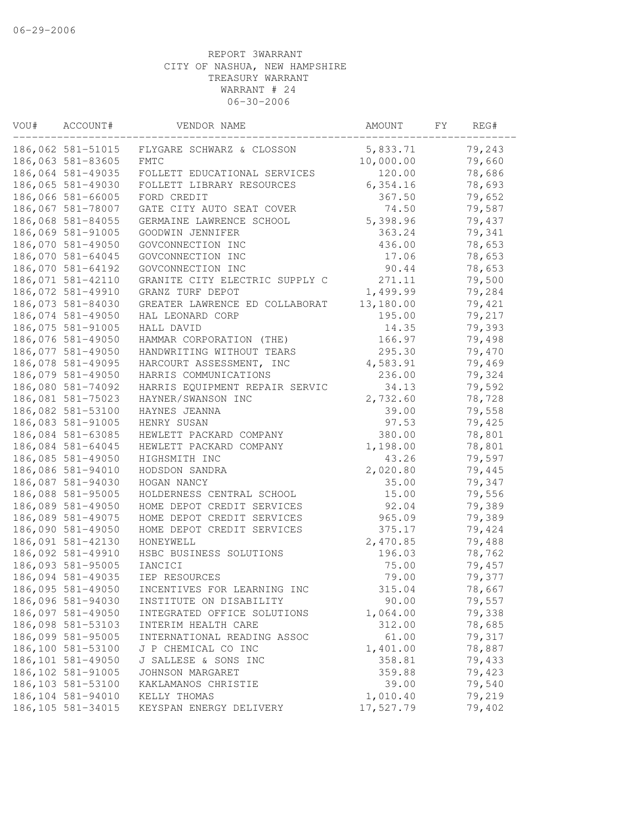| VOU# | ACCOUNT#           | VENDOR NAME                    | AMOUNT    | FΥ | REG#   |
|------|--------------------|--------------------------------|-----------|----|--------|
|      | 186,062 581-51015  | FLYGARE SCHWARZ & CLOSSON      | 5,833.71  |    | 79,243 |
|      | 186,063 581-83605  | <b>FMTC</b>                    | 10,000.00 |    | 79,660 |
|      | 186,064 581-49035  | FOLLETT EDUCATIONAL SERVICES   | 120.00    |    | 78,686 |
|      | 186,065 581-49030  | FOLLETT LIBRARY RESOURCES      | 6, 354.16 |    | 78,693 |
|      | 186,066 581-66005  | FORD CREDIT                    | 367.50    |    | 79,652 |
|      | 186,067 581-78007  | GATE CITY AUTO SEAT COVER      | 74.50     |    | 79,587 |
|      | 186,068 581-84055  | GERMAINE LAWRENCE SCHOOL       | 5,398.96  |    | 79,437 |
|      | 186,069 581-91005  | GOODWIN JENNIFER               | 363.24    |    | 79,341 |
|      | 186,070 581-49050  | GOVCONNECTION INC              | 436.00    |    | 78,653 |
|      | 186,070 581-64045  | GOVCONNECTION INC              | 17.06     |    | 78,653 |
|      | 186,070 581-64192  | GOVCONNECTION INC              | 90.44     |    | 78,653 |
|      | 186,071 581-42110  | GRANITE CITY ELECTRIC SUPPLY C | 271.11    |    | 79,500 |
|      | 186,072 581-49910  | GRANZ TURF DEPOT               | 1,499.99  |    | 79,284 |
|      | 186,073 581-84030  | GREATER LAWRENCE ED COLLABORAT | 13,180.00 |    | 79,421 |
|      | 186,074 581-49050  | HAL LEONARD CORP               | 195.00    |    | 79,217 |
|      | 186,075 581-91005  | HALL DAVID                     | 14.35     |    | 79,393 |
|      | 186,076 581-49050  | HAMMAR CORPORATION (THE)       | 166.97    |    | 79,498 |
|      | 186,077 581-49050  | HANDWRITING WITHOUT TEARS      | 295.30    |    | 79,470 |
|      | 186,078 581-49095  | HARCOURT ASSESSMENT, INC       | 4,583.91  |    | 79,469 |
|      | 186,079 581-49050  | HARRIS COMMUNICATIONS          | 236.00    |    | 79,324 |
|      | 186,080 581-74092  | HARRIS EQUIPMENT REPAIR SERVIC | 34.13     |    | 79,592 |
|      | 186,081 581-75023  | HAYNER/SWANSON INC             | 2,732.60  |    | 78,728 |
|      | 186,082 581-53100  | HAYNES JEANNA                  | 39.00     |    | 79,558 |
|      | 186,083 581-91005  | HENRY SUSAN                    | 97.53     |    | 79,425 |
|      | 186,084 581-63085  | HEWLETT PACKARD COMPANY        | 380.00    |    | 78,801 |
|      | 186,084 581-64045  | HEWLETT PACKARD COMPANY        | 1,198.00  |    | 78,801 |
|      | 186,085 581-49050  | HIGHSMITH INC                  | 43.26     |    | 79,597 |
|      | 186,086 581-94010  | HODSDON SANDRA                 | 2,020.80  |    | 79,445 |
|      | 186,087 581-94030  | HOGAN NANCY                    | 35.00     |    | 79,347 |
|      | 186,088 581-95005  | HOLDERNESS CENTRAL SCHOOL      | 15.00     |    | 79,556 |
|      | 186,089 581-49050  | HOME DEPOT CREDIT SERVICES     | 92.04     |    | 79,389 |
|      | 186,089 581-49075  | HOME DEPOT CREDIT SERVICES     | 965.09    |    | 79,389 |
|      | 186,090 581-49050  | HOME DEPOT CREDIT SERVICES     | 375.17    |    | 79,424 |
|      | 186,091 581-42130  | HONEYWELL                      | 2,470.85  |    | 79,488 |
|      | 186,092 581-49910  | HSBC BUSINESS SOLUTIONS        | 196.03    |    | 78,762 |
|      | 186,093 581-95005  | IANCICI                        | 75.00     |    | 79,457 |
|      | 186,094 581-49035  | IEP RESOURCES                  | 79.00     |    | 79,377 |
|      | 186,095 581-49050  | INCENTIVES FOR LEARNING INC    | 315.04    |    | 78,667 |
|      | 186,096 581-94030  | INSTITUTE ON DISABILITY        | 90.00     |    | 79,557 |
|      | 186,097 581-49050  | INTEGRATED OFFICE SOLUTIONS    | 1,064.00  |    | 79,338 |
|      | 186,098 581-53103  | INTERIM HEALTH CARE            | 312.00    |    | 78,685 |
|      | 186,099 581-95005  | INTERNATIONAL READING ASSOC    | 61.00     |    | 79,317 |
|      | 186,100 581-53100  | J P CHEMICAL CO INC            | 1,401.00  |    | 78,887 |
|      | 186,101 581-49050  | J SALLESE & SONS INC           | 358.81    |    | 79,433 |
|      | 186,102 581-91005  | JOHNSON MARGARET               | 359.88    |    | 79,423 |
|      | 186, 103 581-53100 | KAKLAMANOS CHRISTIE            | 39.00     |    | 79,540 |
|      | 186, 104 581-94010 | KELLY THOMAS                   | 1,010.40  |    | 79,219 |
|      | 186, 105 581-34015 | KEYSPAN ENERGY DELIVERY        | 17,527.79 |    | 79,402 |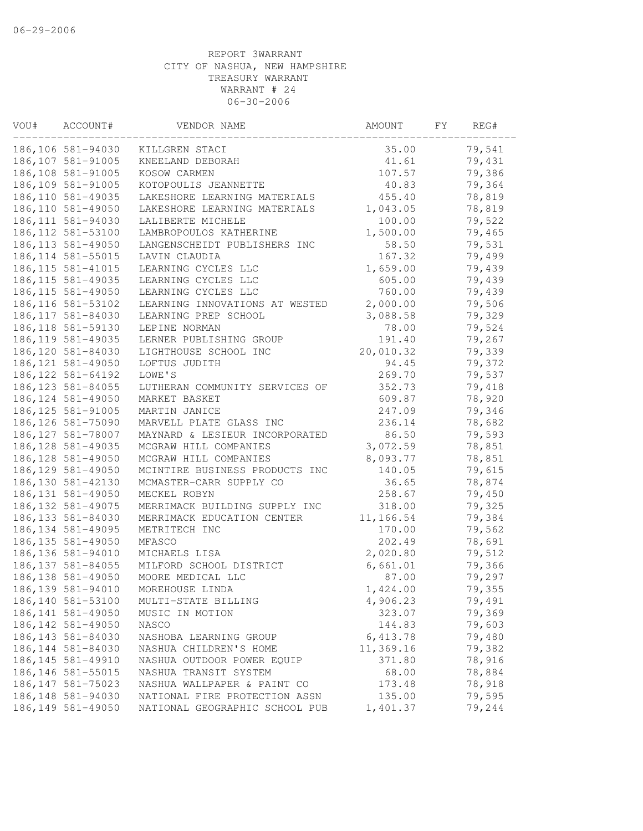| 186,106 581-94030<br>35.00<br>KILLGREN STACI<br>186, 107 581-91005<br>41.61<br>KNEELAND DEBORAH<br>186,108 581-91005<br>107.57<br>KOSOW CARMEN | 79,541<br>79,431<br>79,386<br>79,364<br>78,819<br>78,819 |
|------------------------------------------------------------------------------------------------------------------------------------------------|----------------------------------------------------------|
|                                                                                                                                                |                                                          |
|                                                                                                                                                |                                                          |
|                                                                                                                                                |                                                          |
| 186,109 581-91005<br>KOTOPOULIS JEANNETTE<br>40.83                                                                                             |                                                          |
| 186, 110 581-49035<br>LAKESHORE LEARNING MATERIALS<br>455.40                                                                                   |                                                          |
| 186, 110 581-49050<br>1,043.05<br>LAKESHORE LEARNING MATERIALS                                                                                 |                                                          |
| 186, 111 581-94030<br>100.00<br>LALIBERTE MICHELE                                                                                              | 79,522                                                   |
| 186, 112 581-53100<br>1,500.00<br>LAMBROPOULOS KATHERINE                                                                                       | 79,465                                                   |
| 186, 113 581-49050<br>LANGENSCHEIDT PUBLISHERS INC<br>58.50                                                                                    | 79,531                                                   |
| 186, 114 581-55015<br>LAVIN CLAUDIA<br>167.32                                                                                                  | 79,499                                                   |
| 186, 115 581-41015<br>LEARNING CYCLES LLC<br>1,659.00                                                                                          | 79,439                                                   |
| 186, 115 581-49035<br>605.00<br>LEARNING CYCLES LLC                                                                                            | 79,439                                                   |
| 760.00<br>186, 115 581-49050<br>LEARNING CYCLES LLC                                                                                            | 79,439                                                   |
| 2,000.00<br>186, 116 581-53102<br>LEARNING INNOVATIONS AT WESTED                                                                               | 79,506                                                   |
| 186, 117 581-84030<br>LEARNING PREP SCHOOL<br>3,088.58                                                                                         | 79,329                                                   |
| 186, 118 581-59130<br>78.00<br>LEPINE NORMAN                                                                                                   | 79,524                                                   |
| 186, 119 581-49035<br>LERNER PUBLISHING GROUP<br>191.40                                                                                        | 79,267                                                   |
| 186, 120 581-84030<br>LIGHTHOUSE SCHOOL INC<br>20,010.32                                                                                       | 79,339                                                   |
| 186, 121 581-49050<br>LOFTUS JUDITH<br>94.45                                                                                                   | 79,372                                                   |
| 186, 122 581-64192<br>269.70<br>LOWE'S                                                                                                         | 79,537                                                   |
| 352.73<br>186, 123 581-84055<br>LUTHERAN COMMUNITY SERVICES OF                                                                                 | 79,418                                                   |
| 186, 124 581-49050<br>609.87<br>MARKET BASKET                                                                                                  | 78,920                                                   |
| 247.09<br>186, 125 581-91005<br>MARTIN JANICE                                                                                                  | 79,346                                                   |
| 186, 126 581-75090<br>MARVELL PLATE GLASS INC<br>236.14                                                                                        | 78,682                                                   |
| 186, 127 581-78007<br>86.50<br>MAYNARD & LESIEUR INCORPORATED                                                                                  | 79,593                                                   |
| 186, 128 581-49035<br>3,072.59<br>MCGRAW HILL COMPANIES                                                                                        | 78,851                                                   |
| 8,093.77<br>186, 128 581-49050<br>MCGRAW HILL COMPANIES                                                                                        | 78,851                                                   |
| 186, 129 581-49050<br>MCINTIRE BUSINESS PRODUCTS INC<br>140.05                                                                                 | 79,615                                                   |
| 186, 130 581-42130<br>36.65<br>MCMASTER-CARR SUPPLY CO                                                                                         | 78,874                                                   |
| 186, 131 581-49050<br>MECKEL ROBYN<br>258.67                                                                                                   | 79,450                                                   |
| 186, 132 581-49075<br>MERRIMACK BUILDING SUPPLY INC<br>318.00                                                                                  | 79,325                                                   |
| 11,166.54<br>186, 133 581-84030<br>MERRIMACK EDUCATION CENTER                                                                                  | 79,384                                                   |
| 170.00<br>186, 134 581-49095<br>METRITECH INC                                                                                                  | 79,562                                                   |
| 186, 135 581-49050<br>202.49<br>MFASCO                                                                                                         | 78,691                                                   |
| 186, 136 581-94010<br>2,020.80<br>MICHAELS LISA                                                                                                | 79,512                                                   |
| 186, 137 581-84055<br>MILFORD SCHOOL DISTRICT<br>6,661.01                                                                                      | 79,366                                                   |
| 186, 138 581-49050<br>MOORE MEDICAL LLC<br>87.00                                                                                               | 79,297                                                   |
| 186, 139 581-94010<br>MOREHOUSE LINDA<br>1,424.00                                                                                              | 79,355                                                   |
| 186, 140 581-53100<br>4,906.23<br>MULTI-STATE BILLING                                                                                          | 79,491                                                   |
| 186, 141 581-49050<br>323.07<br>MUSIC IN MOTION                                                                                                | 79,369                                                   |
| 186, 142 581-49050<br>144.83<br>NASCO                                                                                                          | 79,603                                                   |
| 186, 143 581-84030<br>6, 413.78<br>NASHOBA LEARNING GROUP                                                                                      | 79,480                                                   |
| 11,369.16<br>186, 144 581-84030<br>NASHUA CHILDREN'S HOME                                                                                      | 79,382                                                   |
| 186, 145 581-49910<br>371.80<br>NASHUA OUTDOOR POWER EQUIP                                                                                     | 78,916                                                   |
| 186, 146 581-55015<br>68.00<br>NASHUA TRANSIT SYSTEM                                                                                           | 78,884                                                   |
| 186, 147 581-75023<br>NASHUA WALLPAPER & PAINT CO<br>173.48                                                                                    | 78,918                                                   |
| 186, 148 581-94030<br>135.00<br>NATIONAL FIRE PROTECTION ASSN                                                                                  | 79,595                                                   |
| 186, 149 581-49050<br>1,401.37<br>NATIONAL GEOGRAPHIC SCHOOL PUB                                                                               | 79,244                                                   |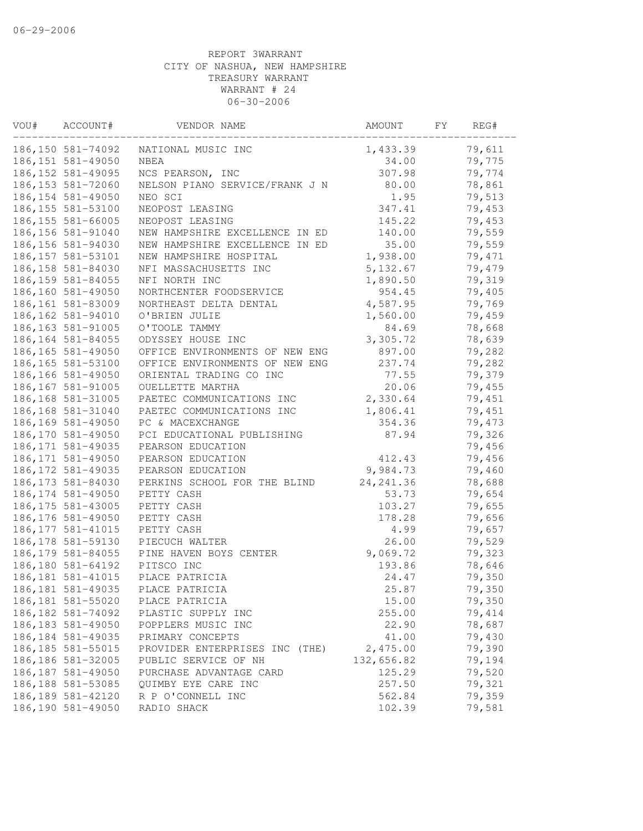| VOU# | ACCOUNT#           | VENDOR NAME                    | AMOUNT     | FY | REG#   |
|------|--------------------|--------------------------------|------------|----|--------|
|      | 186, 150 581-74092 | NATIONAL MUSIC INC             | 1,433.39   |    | 79,611 |
|      | 186, 151 581-49050 | <b>NBEA</b>                    | 34.00      |    | 79,775 |
|      | 186, 152 581-49095 | NCS PEARSON, INC               | 307.98     |    | 79,774 |
|      | 186, 153 581-72060 | NELSON PIANO SERVICE/FRANK J N | 80.00      |    | 78,861 |
|      | 186, 154 581-49050 | NEO SCI                        | 1.95       |    | 79,513 |
|      | 186, 155 581-53100 | NEOPOST LEASING                | 347.41     |    | 79,453 |
|      | 186, 155 581-66005 | NEOPOST LEASING                | 145.22     |    | 79,453 |
|      | 186, 156 581-91040 | NEW HAMPSHIRE EXCELLENCE IN ED | 140.00     |    | 79,559 |
|      | 186, 156 581-94030 | NEW HAMPSHIRE EXCELLENCE IN ED | 35.00      |    | 79,559 |
|      | 186, 157 581-53101 | NEW HAMPSHIRE HOSPITAL         | 1,938.00   |    | 79,471 |
|      | 186, 158 581-84030 | NFI MASSACHUSETTS INC          | 5, 132.67  |    | 79,479 |
|      | 186, 159 581-84055 | NFI NORTH INC                  | 1,890.50   |    | 79,319 |
|      | 186,160 581-49050  | NORTHCENTER FOODSERVICE        | 954.45     |    | 79,405 |
|      | 186, 161 581-83009 | NORTHEAST DELTA DENTAL         | 4,587.95   |    | 79,769 |
|      | 186, 162 581-94010 | O'BRIEN JULIE                  | 1,560.00   |    | 79,459 |
|      | 186, 163 581-91005 | O'TOOLE TAMMY                  | 84.69      |    | 78,668 |
|      | 186, 164 581-84055 | ODYSSEY HOUSE INC              | 3,305.72   |    | 78,639 |
|      | 186, 165 581-49050 | OFFICE ENVIRONMENTS OF NEW ENG | 897.00     |    | 79,282 |
|      | 186, 165 581-53100 | OFFICE ENVIRONMENTS OF NEW ENG | 237.74     |    | 79,282 |
|      | 186, 166 581-49050 | ORIENTAL TRADING CO INC        | 77.55      |    | 79,379 |
|      | 186, 167 581-91005 | OUELLETTE MARTHA               | 20.06      |    | 79,455 |
|      | 186, 168 581-31005 | PAETEC COMMUNICATIONS INC      | 2,330.64   |    | 79,451 |
|      | 186,168 581-31040  | PAETEC COMMUNICATIONS INC      | 1,806.41   |    | 79,451 |
|      | 186,169 581-49050  | PC & MACEXCHANGE               | 354.36     |    | 79,473 |
|      | 186, 170 581-49050 | PCI EDUCATIONAL PUBLISHING     | 87.94      |    | 79,326 |
|      | 186, 171 581-49035 | PEARSON EDUCATION              |            |    | 79,456 |
|      | 186, 171 581-49050 | PEARSON EDUCATION              | 412.43     |    | 79,456 |
|      | 186, 172 581-49035 | PEARSON EDUCATION              | 9,984.73   |    | 79,460 |
|      | 186, 173 581-84030 | PERKINS SCHOOL FOR THE BLIND   | 24, 241.36 |    | 78,688 |
|      | 186, 174 581-49050 | PETTY CASH                     | 53.73      |    | 79,654 |
|      | 186, 175 581-43005 | PETTY CASH                     | 103.27     |    | 79,655 |
|      | 186, 176 581-49050 | PETTY CASH                     | 178.28     |    | 79,656 |
|      | 186, 177 581-41015 | PETTY CASH                     | 4.99       |    | 79,657 |
|      | 186, 178 581-59130 | PIECUCH WALTER                 | 26.00      |    | 79,529 |
|      | 186, 179 581-84055 | PINE HAVEN BOYS CENTER         | 9,069.72   |    | 79,323 |
|      | 186,180 581-64192  | PITSCO INC                     | 193.86     |    | 78,646 |
|      | 186, 181 581-41015 | PLACE PATRICIA                 | 24.47      |    | 79,350 |
|      | 186, 181 581-49035 | PLACE PATRICIA                 | 25.87      |    | 79,350 |
|      | 186, 181 581-55020 | PLACE PATRICIA                 | 15.00      |    | 79,350 |
|      | 186, 182 581-74092 | PLASTIC SUPPLY INC             | 255.00     |    | 79,414 |
|      | 186, 183 581-49050 | POPPLERS MUSIC INC             | 22.90      |    | 78,687 |
|      | 186, 184 581-49035 | PRIMARY CONCEPTS               | 41.00      |    | 79,430 |
|      | 186, 185 581-55015 | PROVIDER ENTERPRISES INC (THE) | 2,475.00   |    | 79,390 |
|      | 186, 186 581-32005 | PUBLIC SERVICE OF NH           | 132,656.82 |    | 79,194 |
|      | 186, 187 581-49050 | PURCHASE ADVANTAGE CARD        | 125.29     |    | 79,520 |
|      | 186, 188 581-53085 | QUIMBY EYE CARE INC            | 257.50     |    | 79,321 |
|      | 186, 189 581-42120 | R P O'CONNELL INC              | 562.84     |    | 79,359 |
|      | 186,190 581-49050  | RADIO SHACK                    | 102.39     |    | 79,581 |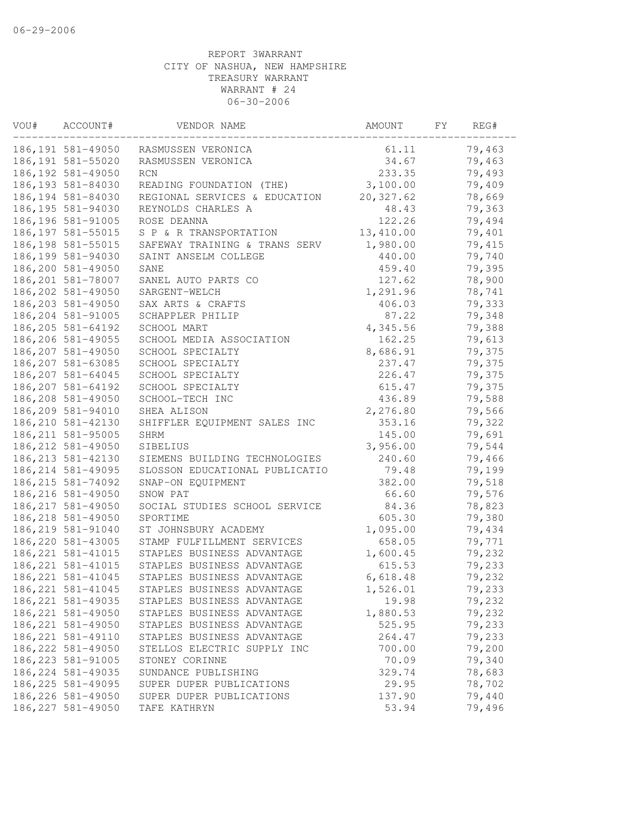| 186,191 581-49050<br>79,463<br>RASMUSSEN VERONICA<br>61.11<br>34.67<br>186, 191 581-55020<br>RASMUSSEN VERONICA<br>79,463<br>186, 192 581-49050<br>233.35<br>79,493<br><b>RCN</b><br>3,100.00<br>79,409<br>186, 193 581-84030<br>READING FOUNDATION (THE)<br>20, 327.62<br>78,669<br>186, 194 581-84030<br>REGIONAL SERVICES & EDUCATION<br>186, 195 581-94030<br>48.43<br>79,363<br>REYNOLDS CHARLES A<br>186, 196 581-91005<br>122.26<br>79,494<br>ROSE DEANNA<br>186, 197 581-55015<br>13,410.00<br>79,401<br>S P & R TRANSPORTATION<br>79,415<br>186, 198 581-55015<br>1,980.00<br>SAFEWAY TRAINING & TRANS SERV<br>186, 199 581-94030<br>79,740<br>SAINT ANSELM COLLEGE<br>440.00<br>186,200 581-49050<br>459.40<br>79,395<br>SANE<br>186,201 581-78007<br>SANEL AUTO PARTS CO<br>127.62<br>78,900<br>186,202 581-49050<br>1,291.96<br>78,741<br>SARGENT-WELCH<br>406.03<br>79,333<br>186,203 581-49050<br>SAX ARTS & CRAFTS<br>186,204 581-91005<br>SCHAPPLER PHILIP<br>87.22<br>79,348<br>186,205 581-64192<br>4,345.56<br>79,388<br>SCHOOL MART<br>186,206 581-49055<br>162.25<br>79,613<br>SCHOOL MEDIA ASSOCIATION<br>8,686.91<br>79,375<br>186,207 581-49050<br>SCHOOL SPECIALTY<br>186,207 581-63085<br>SCHOOL SPECIALTY<br>237.47<br>79,375<br>226.47<br>186, 207 581-64045<br>SCHOOL SPECIALTY<br>79,375<br>186, 207 581-64192<br>SCHOOL SPECIALTY<br>615.47<br>79,375<br>186,208 581-49050<br>SCHOOL-TECH INC<br>436.89<br>79,588<br>2,276.80<br>79,566<br>186,209 581-94010<br>SHEA ALISON<br>186, 210 581-42130<br>353.16<br>79,322<br>SHIFFLER EQUIPMENT SALES INC<br>186, 211 581-95005<br>79,691<br>145.00<br>SHRM<br>186, 212 581-49050<br>3,956.00<br>79,544<br>SIBELIUS<br>186, 213 581-42130<br>79,466<br>240.60<br>SIEMENS BUILDING TECHNOLOGIES<br>186, 214 581-49095<br>79,199<br>SLOSSON EDUCATIONAL PUBLICATIO<br>79.48<br>186, 215 581-74092<br>382.00<br>79,518<br>SNAP-ON EQUIPMENT<br>186, 216 581-49050<br>66.60<br>79,576<br>SNOW PAT<br>186, 217 581-49050<br>SOCIAL STUDIES SCHOOL SERVICE<br>84.36<br>78,823<br>605.30<br>79,380<br>186, 218 581-49050<br>SPORTIME<br>1,095.00<br>186, 219 581-91040<br>ST JOHNSBURY ACADEMY<br>79,434<br>186, 220 581-43005<br>658.05<br>79,771<br>STAMP FULFILLMENT SERVICES<br>186, 221 581-41015<br>79,232<br>STAPLES BUSINESS ADVANTAGE<br>1,600.45<br>186, 221 581-41015<br>STAPLES BUSINESS ADVANTAGE<br>79,233<br>615.53<br>186, 221 581-41045<br>STAPLES BUSINESS ADVANTAGE<br>79,232<br>6,618.48<br>186, 221 581-41045<br>STAPLES BUSINESS ADVANTAGE<br>1,526.01<br>79,233<br>186, 221 581-49035<br>79,232<br>19.98<br>STAPLES BUSINESS ADVANTAGE<br>186, 221 581-49050<br>1,880.53<br>79,232<br>STAPLES BUSINESS ADVANTAGE<br>186, 221 581-49050<br>79,233<br>525.95<br>STAPLES BUSINESS ADVANTAGE<br>186, 221 581-49110<br>STAPLES BUSINESS ADVANTAGE<br>264.47<br>79,233<br>186, 222 581-49050<br>79,200<br>STELLOS ELECTRIC SUPPLY INC<br>700.00<br>186, 223 581-91005<br>79,340<br>70.09<br>STONEY CORINNE<br>186, 224 581-49035<br>78,683<br>SUNDANCE PUBLISHING<br>329.74<br>186, 225 581-49095<br>29.95<br>78,702<br>SUPER DUPER PUBLICATIONS<br>186, 226 581-49050<br>137.90<br>79,440<br>SUPER DUPER PUBLICATIONS<br>186, 227 581-49050<br>53.94<br>79,496<br>TAFE KATHRYN | VOU# | ACCOUNT# | VENDOR NAME | AMOUNT | FΥ | REG# |
|----------------------------------------------------------------------------------------------------------------------------------------------------------------------------------------------------------------------------------------------------------------------------------------------------------------------------------------------------------------------------------------------------------------------------------------------------------------------------------------------------------------------------------------------------------------------------------------------------------------------------------------------------------------------------------------------------------------------------------------------------------------------------------------------------------------------------------------------------------------------------------------------------------------------------------------------------------------------------------------------------------------------------------------------------------------------------------------------------------------------------------------------------------------------------------------------------------------------------------------------------------------------------------------------------------------------------------------------------------------------------------------------------------------------------------------------------------------------------------------------------------------------------------------------------------------------------------------------------------------------------------------------------------------------------------------------------------------------------------------------------------------------------------------------------------------------------------------------------------------------------------------------------------------------------------------------------------------------------------------------------------------------------------------------------------------------------------------------------------------------------------------------------------------------------------------------------------------------------------------------------------------------------------------------------------------------------------------------------------------------------------------------------------------------------------------------------------------------------------------------------------------------------------------------------------------------------------------------------------------------------------------------------------------------------------------------------------------------------------------------------------------------------------------------------------------------------------------------------------------------------------------------------------------------------------------------------------------------------------------------------------------------------------------------------------------------------------------------------------------------------------------------------------------------------------------------------------------------------------------------------------------------|------|----------|-------------|--------|----|------|
|                                                                                                                                                                                                                                                                                                                                                                                                                                                                                                                                                                                                                                                                                                                                                                                                                                                                                                                                                                                                                                                                                                                                                                                                                                                                                                                                                                                                                                                                                                                                                                                                                                                                                                                                                                                                                                                                                                                                                                                                                                                                                                                                                                                                                                                                                                                                                                                                                                                                                                                                                                                                                                                                                                                                                                                                                                                                                                                                                                                                                                                                                                                                                                                                                                                                      |      |          |             |        |    |      |
|                                                                                                                                                                                                                                                                                                                                                                                                                                                                                                                                                                                                                                                                                                                                                                                                                                                                                                                                                                                                                                                                                                                                                                                                                                                                                                                                                                                                                                                                                                                                                                                                                                                                                                                                                                                                                                                                                                                                                                                                                                                                                                                                                                                                                                                                                                                                                                                                                                                                                                                                                                                                                                                                                                                                                                                                                                                                                                                                                                                                                                                                                                                                                                                                                                                                      |      |          |             |        |    |      |
|                                                                                                                                                                                                                                                                                                                                                                                                                                                                                                                                                                                                                                                                                                                                                                                                                                                                                                                                                                                                                                                                                                                                                                                                                                                                                                                                                                                                                                                                                                                                                                                                                                                                                                                                                                                                                                                                                                                                                                                                                                                                                                                                                                                                                                                                                                                                                                                                                                                                                                                                                                                                                                                                                                                                                                                                                                                                                                                                                                                                                                                                                                                                                                                                                                                                      |      |          |             |        |    |      |
|                                                                                                                                                                                                                                                                                                                                                                                                                                                                                                                                                                                                                                                                                                                                                                                                                                                                                                                                                                                                                                                                                                                                                                                                                                                                                                                                                                                                                                                                                                                                                                                                                                                                                                                                                                                                                                                                                                                                                                                                                                                                                                                                                                                                                                                                                                                                                                                                                                                                                                                                                                                                                                                                                                                                                                                                                                                                                                                                                                                                                                                                                                                                                                                                                                                                      |      |          |             |        |    |      |
|                                                                                                                                                                                                                                                                                                                                                                                                                                                                                                                                                                                                                                                                                                                                                                                                                                                                                                                                                                                                                                                                                                                                                                                                                                                                                                                                                                                                                                                                                                                                                                                                                                                                                                                                                                                                                                                                                                                                                                                                                                                                                                                                                                                                                                                                                                                                                                                                                                                                                                                                                                                                                                                                                                                                                                                                                                                                                                                                                                                                                                                                                                                                                                                                                                                                      |      |          |             |        |    |      |
|                                                                                                                                                                                                                                                                                                                                                                                                                                                                                                                                                                                                                                                                                                                                                                                                                                                                                                                                                                                                                                                                                                                                                                                                                                                                                                                                                                                                                                                                                                                                                                                                                                                                                                                                                                                                                                                                                                                                                                                                                                                                                                                                                                                                                                                                                                                                                                                                                                                                                                                                                                                                                                                                                                                                                                                                                                                                                                                                                                                                                                                                                                                                                                                                                                                                      |      |          |             |        |    |      |
|                                                                                                                                                                                                                                                                                                                                                                                                                                                                                                                                                                                                                                                                                                                                                                                                                                                                                                                                                                                                                                                                                                                                                                                                                                                                                                                                                                                                                                                                                                                                                                                                                                                                                                                                                                                                                                                                                                                                                                                                                                                                                                                                                                                                                                                                                                                                                                                                                                                                                                                                                                                                                                                                                                                                                                                                                                                                                                                                                                                                                                                                                                                                                                                                                                                                      |      |          |             |        |    |      |
|                                                                                                                                                                                                                                                                                                                                                                                                                                                                                                                                                                                                                                                                                                                                                                                                                                                                                                                                                                                                                                                                                                                                                                                                                                                                                                                                                                                                                                                                                                                                                                                                                                                                                                                                                                                                                                                                                                                                                                                                                                                                                                                                                                                                                                                                                                                                                                                                                                                                                                                                                                                                                                                                                                                                                                                                                                                                                                                                                                                                                                                                                                                                                                                                                                                                      |      |          |             |        |    |      |
|                                                                                                                                                                                                                                                                                                                                                                                                                                                                                                                                                                                                                                                                                                                                                                                                                                                                                                                                                                                                                                                                                                                                                                                                                                                                                                                                                                                                                                                                                                                                                                                                                                                                                                                                                                                                                                                                                                                                                                                                                                                                                                                                                                                                                                                                                                                                                                                                                                                                                                                                                                                                                                                                                                                                                                                                                                                                                                                                                                                                                                                                                                                                                                                                                                                                      |      |          |             |        |    |      |
|                                                                                                                                                                                                                                                                                                                                                                                                                                                                                                                                                                                                                                                                                                                                                                                                                                                                                                                                                                                                                                                                                                                                                                                                                                                                                                                                                                                                                                                                                                                                                                                                                                                                                                                                                                                                                                                                                                                                                                                                                                                                                                                                                                                                                                                                                                                                                                                                                                                                                                                                                                                                                                                                                                                                                                                                                                                                                                                                                                                                                                                                                                                                                                                                                                                                      |      |          |             |        |    |      |
|                                                                                                                                                                                                                                                                                                                                                                                                                                                                                                                                                                                                                                                                                                                                                                                                                                                                                                                                                                                                                                                                                                                                                                                                                                                                                                                                                                                                                                                                                                                                                                                                                                                                                                                                                                                                                                                                                                                                                                                                                                                                                                                                                                                                                                                                                                                                                                                                                                                                                                                                                                                                                                                                                                                                                                                                                                                                                                                                                                                                                                                                                                                                                                                                                                                                      |      |          |             |        |    |      |
|                                                                                                                                                                                                                                                                                                                                                                                                                                                                                                                                                                                                                                                                                                                                                                                                                                                                                                                                                                                                                                                                                                                                                                                                                                                                                                                                                                                                                                                                                                                                                                                                                                                                                                                                                                                                                                                                                                                                                                                                                                                                                                                                                                                                                                                                                                                                                                                                                                                                                                                                                                                                                                                                                                                                                                                                                                                                                                                                                                                                                                                                                                                                                                                                                                                                      |      |          |             |        |    |      |
|                                                                                                                                                                                                                                                                                                                                                                                                                                                                                                                                                                                                                                                                                                                                                                                                                                                                                                                                                                                                                                                                                                                                                                                                                                                                                                                                                                                                                                                                                                                                                                                                                                                                                                                                                                                                                                                                                                                                                                                                                                                                                                                                                                                                                                                                                                                                                                                                                                                                                                                                                                                                                                                                                                                                                                                                                                                                                                                                                                                                                                                                                                                                                                                                                                                                      |      |          |             |        |    |      |
|                                                                                                                                                                                                                                                                                                                                                                                                                                                                                                                                                                                                                                                                                                                                                                                                                                                                                                                                                                                                                                                                                                                                                                                                                                                                                                                                                                                                                                                                                                                                                                                                                                                                                                                                                                                                                                                                                                                                                                                                                                                                                                                                                                                                                                                                                                                                                                                                                                                                                                                                                                                                                                                                                                                                                                                                                                                                                                                                                                                                                                                                                                                                                                                                                                                                      |      |          |             |        |    |      |
|                                                                                                                                                                                                                                                                                                                                                                                                                                                                                                                                                                                                                                                                                                                                                                                                                                                                                                                                                                                                                                                                                                                                                                                                                                                                                                                                                                                                                                                                                                                                                                                                                                                                                                                                                                                                                                                                                                                                                                                                                                                                                                                                                                                                                                                                                                                                                                                                                                                                                                                                                                                                                                                                                                                                                                                                                                                                                                                                                                                                                                                                                                                                                                                                                                                                      |      |          |             |        |    |      |
|                                                                                                                                                                                                                                                                                                                                                                                                                                                                                                                                                                                                                                                                                                                                                                                                                                                                                                                                                                                                                                                                                                                                                                                                                                                                                                                                                                                                                                                                                                                                                                                                                                                                                                                                                                                                                                                                                                                                                                                                                                                                                                                                                                                                                                                                                                                                                                                                                                                                                                                                                                                                                                                                                                                                                                                                                                                                                                                                                                                                                                                                                                                                                                                                                                                                      |      |          |             |        |    |      |
|                                                                                                                                                                                                                                                                                                                                                                                                                                                                                                                                                                                                                                                                                                                                                                                                                                                                                                                                                                                                                                                                                                                                                                                                                                                                                                                                                                                                                                                                                                                                                                                                                                                                                                                                                                                                                                                                                                                                                                                                                                                                                                                                                                                                                                                                                                                                                                                                                                                                                                                                                                                                                                                                                                                                                                                                                                                                                                                                                                                                                                                                                                                                                                                                                                                                      |      |          |             |        |    |      |
|                                                                                                                                                                                                                                                                                                                                                                                                                                                                                                                                                                                                                                                                                                                                                                                                                                                                                                                                                                                                                                                                                                                                                                                                                                                                                                                                                                                                                                                                                                                                                                                                                                                                                                                                                                                                                                                                                                                                                                                                                                                                                                                                                                                                                                                                                                                                                                                                                                                                                                                                                                                                                                                                                                                                                                                                                                                                                                                                                                                                                                                                                                                                                                                                                                                                      |      |          |             |        |    |      |
|                                                                                                                                                                                                                                                                                                                                                                                                                                                                                                                                                                                                                                                                                                                                                                                                                                                                                                                                                                                                                                                                                                                                                                                                                                                                                                                                                                                                                                                                                                                                                                                                                                                                                                                                                                                                                                                                                                                                                                                                                                                                                                                                                                                                                                                                                                                                                                                                                                                                                                                                                                                                                                                                                                                                                                                                                                                                                                                                                                                                                                                                                                                                                                                                                                                                      |      |          |             |        |    |      |
|                                                                                                                                                                                                                                                                                                                                                                                                                                                                                                                                                                                                                                                                                                                                                                                                                                                                                                                                                                                                                                                                                                                                                                                                                                                                                                                                                                                                                                                                                                                                                                                                                                                                                                                                                                                                                                                                                                                                                                                                                                                                                                                                                                                                                                                                                                                                                                                                                                                                                                                                                                                                                                                                                                                                                                                                                                                                                                                                                                                                                                                                                                                                                                                                                                                                      |      |          |             |        |    |      |
|                                                                                                                                                                                                                                                                                                                                                                                                                                                                                                                                                                                                                                                                                                                                                                                                                                                                                                                                                                                                                                                                                                                                                                                                                                                                                                                                                                                                                                                                                                                                                                                                                                                                                                                                                                                                                                                                                                                                                                                                                                                                                                                                                                                                                                                                                                                                                                                                                                                                                                                                                                                                                                                                                                                                                                                                                                                                                                                                                                                                                                                                                                                                                                                                                                                                      |      |          |             |        |    |      |
|                                                                                                                                                                                                                                                                                                                                                                                                                                                                                                                                                                                                                                                                                                                                                                                                                                                                                                                                                                                                                                                                                                                                                                                                                                                                                                                                                                                                                                                                                                                                                                                                                                                                                                                                                                                                                                                                                                                                                                                                                                                                                                                                                                                                                                                                                                                                                                                                                                                                                                                                                                                                                                                                                                                                                                                                                                                                                                                                                                                                                                                                                                                                                                                                                                                                      |      |          |             |        |    |      |
|                                                                                                                                                                                                                                                                                                                                                                                                                                                                                                                                                                                                                                                                                                                                                                                                                                                                                                                                                                                                                                                                                                                                                                                                                                                                                                                                                                                                                                                                                                                                                                                                                                                                                                                                                                                                                                                                                                                                                                                                                                                                                                                                                                                                                                                                                                                                                                                                                                                                                                                                                                                                                                                                                                                                                                                                                                                                                                                                                                                                                                                                                                                                                                                                                                                                      |      |          |             |        |    |      |
|                                                                                                                                                                                                                                                                                                                                                                                                                                                                                                                                                                                                                                                                                                                                                                                                                                                                                                                                                                                                                                                                                                                                                                                                                                                                                                                                                                                                                                                                                                                                                                                                                                                                                                                                                                                                                                                                                                                                                                                                                                                                                                                                                                                                                                                                                                                                                                                                                                                                                                                                                                                                                                                                                                                                                                                                                                                                                                                                                                                                                                                                                                                                                                                                                                                                      |      |          |             |        |    |      |
|                                                                                                                                                                                                                                                                                                                                                                                                                                                                                                                                                                                                                                                                                                                                                                                                                                                                                                                                                                                                                                                                                                                                                                                                                                                                                                                                                                                                                                                                                                                                                                                                                                                                                                                                                                                                                                                                                                                                                                                                                                                                                                                                                                                                                                                                                                                                                                                                                                                                                                                                                                                                                                                                                                                                                                                                                                                                                                                                                                                                                                                                                                                                                                                                                                                                      |      |          |             |        |    |      |
|                                                                                                                                                                                                                                                                                                                                                                                                                                                                                                                                                                                                                                                                                                                                                                                                                                                                                                                                                                                                                                                                                                                                                                                                                                                                                                                                                                                                                                                                                                                                                                                                                                                                                                                                                                                                                                                                                                                                                                                                                                                                                                                                                                                                                                                                                                                                                                                                                                                                                                                                                                                                                                                                                                                                                                                                                                                                                                                                                                                                                                                                                                                                                                                                                                                                      |      |          |             |        |    |      |
|                                                                                                                                                                                                                                                                                                                                                                                                                                                                                                                                                                                                                                                                                                                                                                                                                                                                                                                                                                                                                                                                                                                                                                                                                                                                                                                                                                                                                                                                                                                                                                                                                                                                                                                                                                                                                                                                                                                                                                                                                                                                                                                                                                                                                                                                                                                                                                                                                                                                                                                                                                                                                                                                                                                                                                                                                                                                                                                                                                                                                                                                                                                                                                                                                                                                      |      |          |             |        |    |      |
|                                                                                                                                                                                                                                                                                                                                                                                                                                                                                                                                                                                                                                                                                                                                                                                                                                                                                                                                                                                                                                                                                                                                                                                                                                                                                                                                                                                                                                                                                                                                                                                                                                                                                                                                                                                                                                                                                                                                                                                                                                                                                                                                                                                                                                                                                                                                                                                                                                                                                                                                                                                                                                                                                                                                                                                                                                                                                                                                                                                                                                                                                                                                                                                                                                                                      |      |          |             |        |    |      |
|                                                                                                                                                                                                                                                                                                                                                                                                                                                                                                                                                                                                                                                                                                                                                                                                                                                                                                                                                                                                                                                                                                                                                                                                                                                                                                                                                                                                                                                                                                                                                                                                                                                                                                                                                                                                                                                                                                                                                                                                                                                                                                                                                                                                                                                                                                                                                                                                                                                                                                                                                                                                                                                                                                                                                                                                                                                                                                                                                                                                                                                                                                                                                                                                                                                                      |      |          |             |        |    |      |
|                                                                                                                                                                                                                                                                                                                                                                                                                                                                                                                                                                                                                                                                                                                                                                                                                                                                                                                                                                                                                                                                                                                                                                                                                                                                                                                                                                                                                                                                                                                                                                                                                                                                                                                                                                                                                                                                                                                                                                                                                                                                                                                                                                                                                                                                                                                                                                                                                                                                                                                                                                                                                                                                                                                                                                                                                                                                                                                                                                                                                                                                                                                                                                                                                                                                      |      |          |             |        |    |      |
|                                                                                                                                                                                                                                                                                                                                                                                                                                                                                                                                                                                                                                                                                                                                                                                                                                                                                                                                                                                                                                                                                                                                                                                                                                                                                                                                                                                                                                                                                                                                                                                                                                                                                                                                                                                                                                                                                                                                                                                                                                                                                                                                                                                                                                                                                                                                                                                                                                                                                                                                                                                                                                                                                                                                                                                                                                                                                                                                                                                                                                                                                                                                                                                                                                                                      |      |          |             |        |    |      |
|                                                                                                                                                                                                                                                                                                                                                                                                                                                                                                                                                                                                                                                                                                                                                                                                                                                                                                                                                                                                                                                                                                                                                                                                                                                                                                                                                                                                                                                                                                                                                                                                                                                                                                                                                                                                                                                                                                                                                                                                                                                                                                                                                                                                                                                                                                                                                                                                                                                                                                                                                                                                                                                                                                                                                                                                                                                                                                                                                                                                                                                                                                                                                                                                                                                                      |      |          |             |        |    |      |
|                                                                                                                                                                                                                                                                                                                                                                                                                                                                                                                                                                                                                                                                                                                                                                                                                                                                                                                                                                                                                                                                                                                                                                                                                                                                                                                                                                                                                                                                                                                                                                                                                                                                                                                                                                                                                                                                                                                                                                                                                                                                                                                                                                                                                                                                                                                                                                                                                                                                                                                                                                                                                                                                                                                                                                                                                                                                                                                                                                                                                                                                                                                                                                                                                                                                      |      |          |             |        |    |      |
|                                                                                                                                                                                                                                                                                                                                                                                                                                                                                                                                                                                                                                                                                                                                                                                                                                                                                                                                                                                                                                                                                                                                                                                                                                                                                                                                                                                                                                                                                                                                                                                                                                                                                                                                                                                                                                                                                                                                                                                                                                                                                                                                                                                                                                                                                                                                                                                                                                                                                                                                                                                                                                                                                                                                                                                                                                                                                                                                                                                                                                                                                                                                                                                                                                                                      |      |          |             |        |    |      |
|                                                                                                                                                                                                                                                                                                                                                                                                                                                                                                                                                                                                                                                                                                                                                                                                                                                                                                                                                                                                                                                                                                                                                                                                                                                                                                                                                                                                                                                                                                                                                                                                                                                                                                                                                                                                                                                                                                                                                                                                                                                                                                                                                                                                                                                                                                                                                                                                                                                                                                                                                                                                                                                                                                                                                                                                                                                                                                                                                                                                                                                                                                                                                                                                                                                                      |      |          |             |        |    |      |
|                                                                                                                                                                                                                                                                                                                                                                                                                                                                                                                                                                                                                                                                                                                                                                                                                                                                                                                                                                                                                                                                                                                                                                                                                                                                                                                                                                                                                                                                                                                                                                                                                                                                                                                                                                                                                                                                                                                                                                                                                                                                                                                                                                                                                                                                                                                                                                                                                                                                                                                                                                                                                                                                                                                                                                                                                                                                                                                                                                                                                                                                                                                                                                                                                                                                      |      |          |             |        |    |      |
|                                                                                                                                                                                                                                                                                                                                                                                                                                                                                                                                                                                                                                                                                                                                                                                                                                                                                                                                                                                                                                                                                                                                                                                                                                                                                                                                                                                                                                                                                                                                                                                                                                                                                                                                                                                                                                                                                                                                                                                                                                                                                                                                                                                                                                                                                                                                                                                                                                                                                                                                                                                                                                                                                                                                                                                                                                                                                                                                                                                                                                                                                                                                                                                                                                                                      |      |          |             |        |    |      |
|                                                                                                                                                                                                                                                                                                                                                                                                                                                                                                                                                                                                                                                                                                                                                                                                                                                                                                                                                                                                                                                                                                                                                                                                                                                                                                                                                                                                                                                                                                                                                                                                                                                                                                                                                                                                                                                                                                                                                                                                                                                                                                                                                                                                                                                                                                                                                                                                                                                                                                                                                                                                                                                                                                                                                                                                                                                                                                                                                                                                                                                                                                                                                                                                                                                                      |      |          |             |        |    |      |
|                                                                                                                                                                                                                                                                                                                                                                                                                                                                                                                                                                                                                                                                                                                                                                                                                                                                                                                                                                                                                                                                                                                                                                                                                                                                                                                                                                                                                                                                                                                                                                                                                                                                                                                                                                                                                                                                                                                                                                                                                                                                                                                                                                                                                                                                                                                                                                                                                                                                                                                                                                                                                                                                                                                                                                                                                                                                                                                                                                                                                                                                                                                                                                                                                                                                      |      |          |             |        |    |      |
|                                                                                                                                                                                                                                                                                                                                                                                                                                                                                                                                                                                                                                                                                                                                                                                                                                                                                                                                                                                                                                                                                                                                                                                                                                                                                                                                                                                                                                                                                                                                                                                                                                                                                                                                                                                                                                                                                                                                                                                                                                                                                                                                                                                                                                                                                                                                                                                                                                                                                                                                                                                                                                                                                                                                                                                                                                                                                                                                                                                                                                                                                                                                                                                                                                                                      |      |          |             |        |    |      |
|                                                                                                                                                                                                                                                                                                                                                                                                                                                                                                                                                                                                                                                                                                                                                                                                                                                                                                                                                                                                                                                                                                                                                                                                                                                                                                                                                                                                                                                                                                                                                                                                                                                                                                                                                                                                                                                                                                                                                                                                                                                                                                                                                                                                                                                                                                                                                                                                                                                                                                                                                                                                                                                                                                                                                                                                                                                                                                                                                                                                                                                                                                                                                                                                                                                                      |      |          |             |        |    |      |
|                                                                                                                                                                                                                                                                                                                                                                                                                                                                                                                                                                                                                                                                                                                                                                                                                                                                                                                                                                                                                                                                                                                                                                                                                                                                                                                                                                                                                                                                                                                                                                                                                                                                                                                                                                                                                                                                                                                                                                                                                                                                                                                                                                                                                                                                                                                                                                                                                                                                                                                                                                                                                                                                                                                                                                                                                                                                                                                                                                                                                                                                                                                                                                                                                                                                      |      |          |             |        |    |      |
|                                                                                                                                                                                                                                                                                                                                                                                                                                                                                                                                                                                                                                                                                                                                                                                                                                                                                                                                                                                                                                                                                                                                                                                                                                                                                                                                                                                                                                                                                                                                                                                                                                                                                                                                                                                                                                                                                                                                                                                                                                                                                                                                                                                                                                                                                                                                                                                                                                                                                                                                                                                                                                                                                                                                                                                                                                                                                                                                                                                                                                                                                                                                                                                                                                                                      |      |          |             |        |    |      |
|                                                                                                                                                                                                                                                                                                                                                                                                                                                                                                                                                                                                                                                                                                                                                                                                                                                                                                                                                                                                                                                                                                                                                                                                                                                                                                                                                                                                                                                                                                                                                                                                                                                                                                                                                                                                                                                                                                                                                                                                                                                                                                                                                                                                                                                                                                                                                                                                                                                                                                                                                                                                                                                                                                                                                                                                                                                                                                                                                                                                                                                                                                                                                                                                                                                                      |      |          |             |        |    |      |
|                                                                                                                                                                                                                                                                                                                                                                                                                                                                                                                                                                                                                                                                                                                                                                                                                                                                                                                                                                                                                                                                                                                                                                                                                                                                                                                                                                                                                                                                                                                                                                                                                                                                                                                                                                                                                                                                                                                                                                                                                                                                                                                                                                                                                                                                                                                                                                                                                                                                                                                                                                                                                                                                                                                                                                                                                                                                                                                                                                                                                                                                                                                                                                                                                                                                      |      |          |             |        |    |      |
|                                                                                                                                                                                                                                                                                                                                                                                                                                                                                                                                                                                                                                                                                                                                                                                                                                                                                                                                                                                                                                                                                                                                                                                                                                                                                                                                                                                                                                                                                                                                                                                                                                                                                                                                                                                                                                                                                                                                                                                                                                                                                                                                                                                                                                                                                                                                                                                                                                                                                                                                                                                                                                                                                                                                                                                                                                                                                                                                                                                                                                                                                                                                                                                                                                                                      |      |          |             |        |    |      |
|                                                                                                                                                                                                                                                                                                                                                                                                                                                                                                                                                                                                                                                                                                                                                                                                                                                                                                                                                                                                                                                                                                                                                                                                                                                                                                                                                                                                                                                                                                                                                                                                                                                                                                                                                                                                                                                                                                                                                                                                                                                                                                                                                                                                                                                                                                                                                                                                                                                                                                                                                                                                                                                                                                                                                                                                                                                                                                                                                                                                                                                                                                                                                                                                                                                                      |      |          |             |        |    |      |
|                                                                                                                                                                                                                                                                                                                                                                                                                                                                                                                                                                                                                                                                                                                                                                                                                                                                                                                                                                                                                                                                                                                                                                                                                                                                                                                                                                                                                                                                                                                                                                                                                                                                                                                                                                                                                                                                                                                                                                                                                                                                                                                                                                                                                                                                                                                                                                                                                                                                                                                                                                                                                                                                                                                                                                                                                                                                                                                                                                                                                                                                                                                                                                                                                                                                      |      |          |             |        |    |      |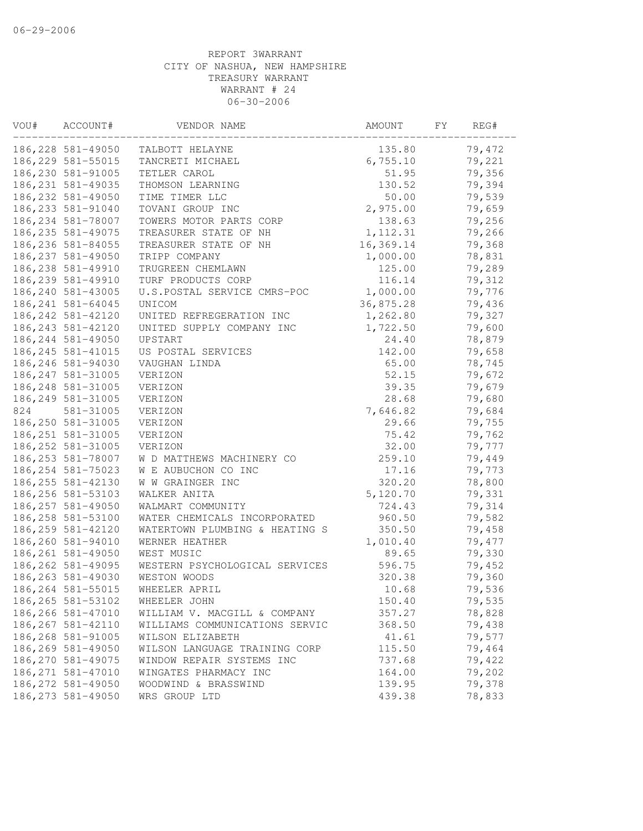| VOU# | ACCOUNT#           | VENDOR NAME                    | AMOUNT    | FY | REG#   |
|------|--------------------|--------------------------------|-----------|----|--------|
|      | 186,228 581-49050  | TALBOTT HELAYNE                | 135.80    |    | 79,472 |
|      | 186, 229 581-55015 | TANCRETI MICHAEL               | 6,755.10  |    | 79,221 |
|      | 186,230 581-91005  | TETLER CAROL                   | 51.95     |    | 79,356 |
|      | 186, 231 581-49035 | THOMSON LEARNING               | 130.52    |    | 79,394 |
|      | 186, 232 581-49050 | TIME TIMER LLC                 | 50.00     |    | 79,539 |
|      | 186, 233 581-91040 | TOVANI GROUP INC               | 2,975.00  |    | 79,659 |
|      | 186, 234 581-78007 | TOWERS MOTOR PARTS CORP        | 138.63    |    | 79,256 |
|      | 186, 235 581-49075 | TREASURER STATE OF NH          | 1, 112.31 |    | 79,266 |
|      | 186, 236 581-84055 | TREASURER STATE OF NH          | 16,369.14 |    | 79,368 |
|      | 186, 237 581-49050 | TRIPP COMPANY                  | 1,000.00  |    | 78,831 |
|      | 186,238 581-49910  | TRUGREEN CHEMLAWN              | 125.00    |    | 79,289 |
|      | 186, 239 581-49910 | TURF PRODUCTS CORP             | 116.14    |    | 79,312 |
|      | 186, 240 581-43005 | U.S.POSTAL SERVICE CMRS-POC    | 1,000.00  |    | 79,776 |
|      | 186, 241 581-64045 | UNICOM                         | 36,875.28 |    | 79,436 |
|      | 186, 242 581-42120 | UNITED REFREGERATION INC       | 1,262.80  |    | 79,327 |
|      | 186, 243 581-42120 | UNITED SUPPLY COMPANY INC      | 1,722.50  |    | 79,600 |
|      | 186, 244 581-49050 | UPSTART                        | 24.40     |    | 78,879 |
|      | 186, 245 581-41015 | US POSTAL SERVICES             | 142.00    |    | 79,658 |
|      | 186,246 581-94030  | VAUGHAN LINDA                  | 65.00     |    | 78,745 |
|      | 186, 247 581-31005 | VERIZON                        | 52.15     |    | 79,672 |
|      | 186, 248 581-31005 | VERIZON                        | 39.35     |    | 79,679 |
|      | 186, 249 581-31005 | VERIZON                        | 28.68     |    | 79,680 |
| 824  | 581-31005          | VERIZON                        | 7,646.82  |    | 79,684 |
|      | 186,250 581-31005  | VERIZON                        | 29.66     |    | 79,755 |
|      | 186, 251 581-31005 | VERIZON                        | 75.42     |    | 79,762 |
|      | 186, 252 581-31005 | VERIZON                        | 32.00     |    | 79,777 |
|      | 186, 253 581-78007 | W D MATTHEWS MACHINERY CO      | 259.10    |    | 79,449 |
|      | 186, 254 581-75023 | W E AUBUCHON CO INC            | 17.16     |    | 79,773 |
|      | 186, 255 581-42130 | W W GRAINGER INC               | 320.20    |    | 78,800 |
|      | 186, 256 581-53103 | WALKER ANITA                   | 5,120.70  |    | 79,331 |
|      | 186, 257 581-49050 | WALMART COMMUNITY              | 724.43    |    | 79,314 |
|      | 186, 258 581-53100 | WATER CHEMICALS INCORPORATED   | 960.50    |    | 79,582 |
|      | 186, 259 581-42120 | WATERTOWN PLUMBING & HEATING S | 350.50    |    | 79,458 |
|      | 186,260 581-94010  | WERNER HEATHER                 | 1,010.40  |    | 79,477 |
|      | 186, 261 581-49050 | WEST MUSIC                     | 89.65     |    | 79,330 |
|      | 186, 262 581-49095 | WESTERN PSYCHOLOGICAL SERVICES | 596.75    |    | 79,452 |
|      | 186, 263 581-49030 | WESTON WOODS                   | 320.38    |    | 79,360 |
|      | 186, 264 581-55015 | WHEELER APRIL                  | 10.68     |    | 79,536 |
|      | 186, 265 581-53102 | WHEELER JOHN                   | 150.40    |    | 79,535 |
|      | 186,266 581-47010  | WILLIAM V. MACGILL & COMPANY   | 357.27    |    | 78,828 |
|      | 186, 267 581-42110 | WILLIAMS COMMUNICATIONS SERVIC | 368.50    |    | 79,438 |
|      | 186,268 581-91005  | WILSON ELIZABETH               | 41.61     |    | 79,577 |
|      | 186,269 581-49050  | WILSON LANGUAGE TRAINING CORP  | 115.50    |    | 79,464 |
|      | 186,270 581-49075  | WINDOW REPAIR SYSTEMS INC      | 737.68    |    | 79,422 |
|      | 186, 271 581-47010 | WINGATES PHARMACY INC          | 164.00    |    | 79,202 |
|      | 186, 272 581-49050 | WOODWIND & BRASSWIND           | 139.95    |    | 79,378 |
|      | 186, 273 581-49050 | WRS GROUP LTD                  | 439.38    |    | 78,833 |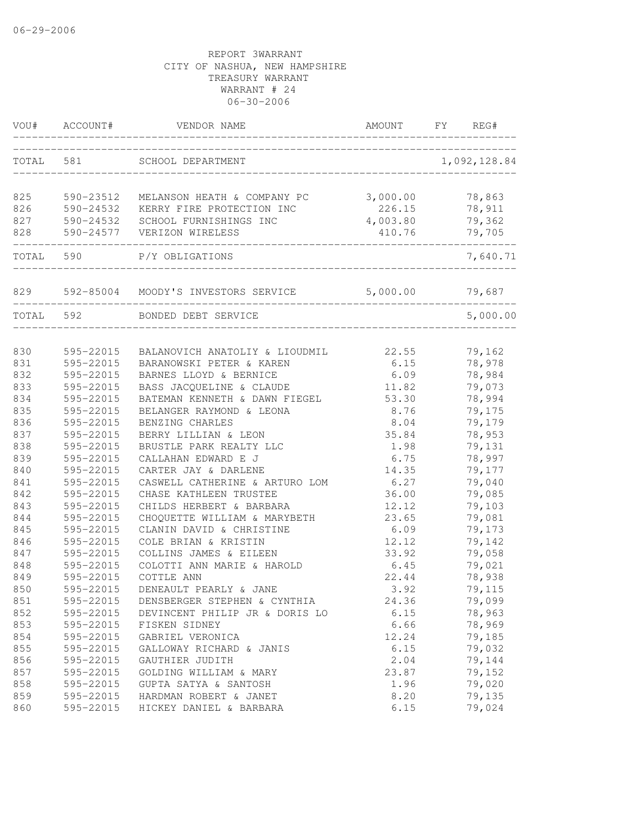| VOU#      | ACCOUNT#  | VENDOR NAME                             | AMOUNT   | FY<br>REG#   |
|-----------|-----------|-----------------------------------------|----------|--------------|
| TOTAL     | 581       | SCHOOL DEPARTMENT                       |          | 1,092,128.84 |
| 825       | 590-23512 | MELANSON HEATH & COMPANY PC             | 3,000.00 | 78,863       |
| 826       |           | 590-24532 KERRY FIRE PROTECTION INC     | 226.15   | 78,911       |
| 827       |           | 590-24532 SCHOOL FURNISHINGS INC        | 4,003.80 | 79,362       |
| 828       |           | 590-24577 VERIZON WIRELESS              | 410.76   | 79,705       |
| TOTAL     | 590       | P/Y OBLIGATIONS                         |          | 7,640.71     |
|           |           | 829 592-85004 MOODY'S INVESTORS SERVICE | 5,000.00 | 79,687       |
| TOTAL 592 |           | BONDED DEBT SERVICE                     |          | 5,000.00     |
|           |           |                                         |          |              |
| 830       | 595-22015 | BALANOVICH ANATOLIY & LIOUDMIL          | 22.55    | 79,162       |
| 831       | 595-22015 | BARANOWSKI PETER & KAREN                | 6.15     | 78,978       |
| 832       | 595-22015 | BARNES LLOYD & BERNICE                  | 6.09     | 78,984       |
| 833       | 595-22015 | BASS JACQUELINE & CLAUDE                | 11.82    | 79,073       |
| 834       | 595-22015 | BATEMAN KENNETH & DAWN FIEGEL           | 53.30    | 78,994       |
| 835       | 595-22015 | BELANGER RAYMOND & LEONA                | 8.76     | 79,175       |
| 836       | 595-22015 | BENZING CHARLES                         | 8.04     | 79,179       |
| 837       | 595-22015 | BERRY LILLIAN & LEON                    | 35.84    | 78,953       |
| 838       | 595-22015 | BRUSTLE PARK REALTY LLC                 | 1.98     | 79,131       |
| 839       | 595-22015 | CALLAHAN EDWARD E J                     | 6.75     | 78,997       |
| 840       | 595-22015 | CARTER JAY & DARLENE                    | 14.35    | 79,177       |
| 841       | 595-22015 | CASWELL CATHERINE & ARTURO LOM          | 6.27     | 79,040       |
| 842       | 595-22015 | CHASE KATHLEEN TRUSTEE                  | 36.00    | 79,085       |
| 843       | 595-22015 | CHILDS HERBERT & BARBARA                | 12.12    | 79,103       |
| 844       | 595-22015 | CHOQUETTE WILLIAM & MARYBETH            | 23.65    | 79,081       |
| 845       | 595-22015 | CLANIN DAVID & CHRISTINE                | 6.09     | 79,173       |
| 846       | 595-22015 | COLE BRIAN & KRISTIN                    | 12.12    | 79,142       |
| 847       | 595-22015 | COLLINS JAMES & EILEEN                  | 33.92    | 79,058       |
| 848       | 595-22015 | COLOTTI ANN MARIE & HAROLD              | 6.45     | 79,021       |
| 849       | 595-22015 | COTTLE ANN                              | 22.44    | 78,938       |
| 850       | 595-22015 | DENEAULT PEARLY & JANE                  | 3.92     | 79,115       |
| 851       | 595-22015 | DENSBERGER STEPHEN & CYNTHIA            | 24.36    | 79,099       |
| 852       | 595-22015 | DEVINCENT PHILIP JR & DORIS LO          | 6.15     | 78,963       |
| 853       | 595-22015 | FISKEN SIDNEY                           | 6.66     | 78,969       |
| 854       | 595-22015 | GABRIEL VERONICA                        | 12.24    | 79,185       |
| 855       | 595-22015 | GALLOWAY RICHARD & JANIS                | 6.15     | 79,032       |
| 856       | 595-22015 | GAUTHIER JUDITH                         | 2.04     | 79,144       |
| 857       | 595-22015 | GOLDING WILLIAM & MARY                  | 23.87    | 79,152       |
| 858       | 595-22015 | GUPTA SATYA & SANTOSH                   | 1.96     | 79,020       |
| 859       | 595-22015 | HARDMAN ROBERT & JANET                  | 8.20     | 79,135       |
| 860       | 595-22015 | HICKEY DANIEL & BARBARA                 | 6.15     | 79,024       |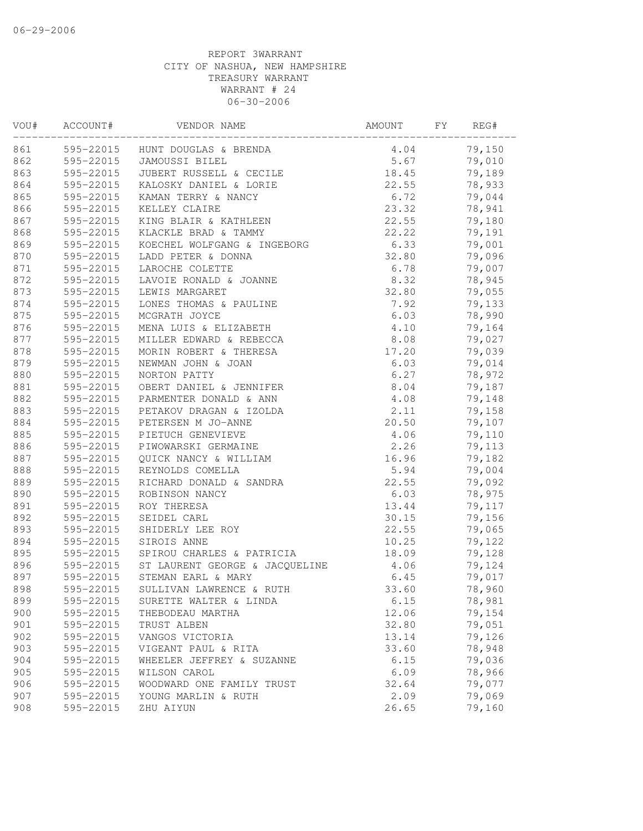| VOU# | ACCOUNT#  | VENDOR NAME                              | AMOUNT | FY | REG#   |
|------|-----------|------------------------------------------|--------|----|--------|
| 861  |           | 595-22015 HUNT DOUGLAS & BRENDA          | 4.04   |    | 79,150 |
| 862  |           | 595-22015 JAMOUSSI BILEL                 | 5.67   |    | 79,010 |
| 863  |           | 595-22015 JUBERT RUSSELL & CECILE        | 18.45  |    | 79,189 |
| 864  | 595-22015 | KALOSKY DANIEL & LORIE                   | 22.55  |    | 78,933 |
| 865  | 595-22015 | KAMAN TERRY & NANCY                      | 6.72   |    | 79,044 |
| 866  | 595-22015 | KELLEY CLAIRE                            | 23.32  |    | 78,941 |
| 867  | 595-22015 | KING BLAIR & KATHLEEN                    | 22.55  |    | 79,180 |
| 868  | 595-22015 | KLACKLE BRAD & TAMMY                     | 22.22  |    | 79,191 |
| 869  | 595-22015 | KOECHEL WOLFGANG & INGEBORG              | 6.33   |    | 79,001 |
| 870  | 595-22015 | LADD PETER & DONNA                       | 32.80  |    | 79,096 |
| 871  | 595-22015 | LAROCHE COLETTE                          | 6.78   |    | 79,007 |
| 872  | 595-22015 | LAVOIE RONALD & JOANNE                   | 8.32   |    | 78,945 |
| 873  | 595-22015 | LEWIS MARGARET                           | 32.80  |    | 79,055 |
| 874  | 595-22015 | LONES THOMAS & PAULINE                   | 7.92   |    | 79,133 |
| 875  | 595-22015 | MCGRATH JOYCE                            | 6.03   |    | 78,990 |
| 876  | 595-22015 | MENA LUIS & ELIZABETH                    | 4.10   |    | 79,164 |
| 877  | 595-22015 | MILLER EDWARD & REBECCA                  | 8.08   |    | 79,027 |
| 878  | 595-22015 | MORIN ROBERT & THERESA                   | 17.20  |    | 79,039 |
| 879  | 595-22015 | NEWMAN JOHN & JOAN                       | 6.03   |    | 79,014 |
| 880  | 595-22015 | NORTON PATTY                             | 6.27   |    | 78,972 |
| 881  | 595-22015 | OBERT DANIEL & JENNIFER                  | 8.04   |    | 79,187 |
| 882  | 595-22015 | PARMENTER DONALD & ANN                   | 4.08   |    | 79,148 |
| 883  | 595-22015 | PETAKOV DRAGAN & IZOLDA                  | 2.11   |    | 79,158 |
| 884  | 595-22015 | PETERSEN M JO-ANNE                       | 20.50  |    | 79,107 |
| 885  | 595-22015 | PIETUCH GENEVIEVE                        | 4.06   |    | 79,110 |
| 886  |           | 595-22015 PIWOWARSKI GERMAINE            | 2.26   |    | 79,113 |
| 887  |           | 595-22015 QUICK NANCY & WILLIAM          | 16.96  |    | 79,182 |
| 888  | 595-22015 | REYNOLDS COMELLA                         | 5.94   |    | 79,004 |
| 889  | 595-22015 | RICHARD DONALD & SANDRA                  | 22.55  |    | 79,092 |
| 890  | 595-22015 | ROBINSON NANCY                           | 6.03   |    | 78,975 |
| 891  | 595-22015 | ROY THERESA                              | 13.44  |    | 79,117 |
| 892  | 595-22015 | SEIDEL CARL                              | 30.15  |    | 79,156 |
| 893  | 595-22015 | SHIDERLY LEE ROY                         | 22.55  |    | 79,065 |
| 894  | 595-22015 | SIROIS ANNE                              | 10.25  |    | 79,122 |
| 895  |           | 595-22015 SPIROU CHARLES & PATRICIA      | 18.09  |    | 79,128 |
| 896  |           | 595-22015 ST LAURENT GEORGE & JACQUELINE | 4.06   |    | 79,124 |
| 897  |           | 595-22015 STEMAN EARL & MARY             | 6.45   |    | 79,017 |
| 898  | 595-22015 | SULLIVAN LAWRENCE & RUTH                 | 33.60  |    | 78,960 |
| 899  | 595-22015 | SURETTE WALTER & LINDA                   | 6.15   |    | 78,981 |
| 900  | 595-22015 | THEBODEAU MARTHA                         | 12.06  |    | 79,154 |
| 901  | 595-22015 | TRUST ALBEN                              | 32.80  |    | 79,051 |
| 902  | 595-22015 | VANGOS VICTORIA                          | 13.14  |    | 79,126 |
| 903  | 595-22015 | VIGEANT PAUL & RITA                      | 33.60  |    | 78,948 |
| 904  | 595-22015 | WHEELER JEFFREY & SUZANNE                | 6.15   |    | 79,036 |
| 905  | 595-22015 | WILSON CAROL                             | 6.09   |    | 78,966 |
| 906  | 595-22015 | WOODWARD ONE FAMILY TRUST                | 32.64  |    | 79,077 |
| 907  | 595-22015 | YOUNG MARLIN & RUTH                      | 2.09   |    | 79,069 |
| 908  | 595-22015 | ZHU AIYUN                                | 26.65  |    | 79,160 |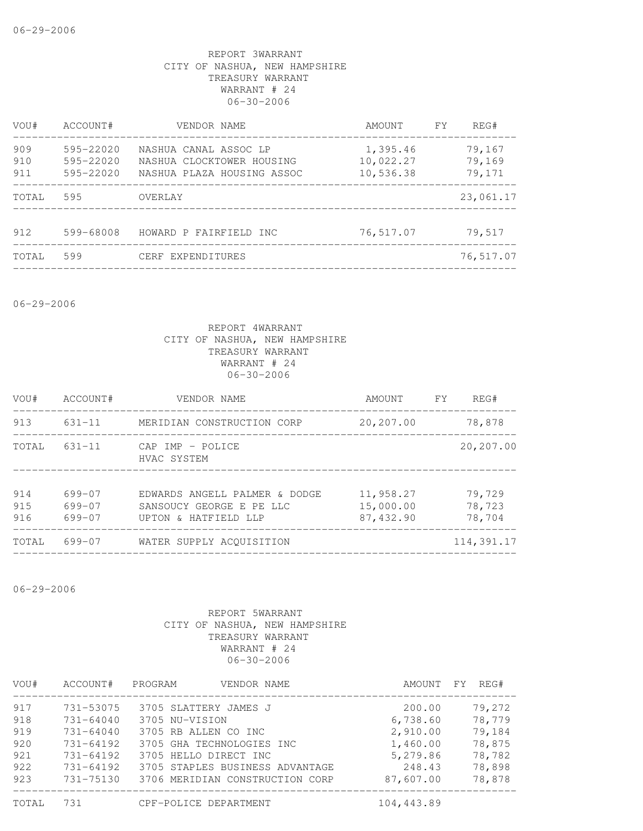| VOU#  | ACCOUNT#      | VENDOR NAME                | AMOUNT    | FY. | REG#      |
|-------|---------------|----------------------------|-----------|-----|-----------|
| 909   | $595 - 22020$ | NASHUA CANAL ASSOC LP      | 1,395.46  |     | 79,167    |
| 910   | 595-22020     | NASHUA CLOCKTOWER HOUSING  | 10,022.27 |     | 79,169    |
| 911   | $595 - 22020$ | NASHUA PLAZA HOUSING ASSOC | 10,536.38 |     | 79,171    |
| TOTAL | 595           | OVERLAY                    |           |     | 23,061.17 |
| 912   | 599-68008     | HOWARD P FAIRFIELD INC     | 76,517.07 |     | 79,517    |
| TOTAL | 599           | CERF EXPENDITURES          |           |     | 76,517.07 |
|       |               |                            |           |     |           |

06-29-2006

# REPORT 4WARRANT CITY OF NASHUA, NEW HAMPSHIRE TREASURY WARRANT WARRANT # 24 06-30-2006

| VOU#              | ACCOUNT#                   | VENDOR NAME                                                                       | AMOUNT                              | <b>FY</b> | REG#                       |
|-------------------|----------------------------|-----------------------------------------------------------------------------------|-------------------------------------|-----------|----------------------------|
| 913               | $631 - 11$                 | MERIDIAN CONSTRUCTION CORP                                                        | 20,207.00                           |           | 78,878                     |
| TOTAL             | $631 - 11$                 | CAP IMP - POLICE<br>HVAC SYSTEM                                                   |                                     |           | 20,207.00                  |
| 914<br>915<br>916 | 699-07<br>699-07<br>699-07 | EDWARDS ANGELL PALMER & DODGE<br>SANSOUCY GEORGE E PE LLC<br>UPTON & HATFIELD LLP | 11,958.27<br>15,000.00<br>87,432.90 |           | 79,729<br>78,723<br>78,704 |
| TOTAL             | 699-07                     | WATER SUPPLY ACOUISITION                                                          |                                     |           | 114,391.17                 |

06-29-2006

| VOU#  | ACCOUNT#      | PROGRAM<br>VENDOR NAME          | AMOUNT     | REG#<br>FY |
|-------|---------------|---------------------------------|------------|------------|
| 917   | 731-53075     | 3705 SLATTERY JAMES J           | 200.00     | 79,272     |
| 918   | $731 - 64040$ | 3705 NU-VISION                  | 6,738.60   | 78,779     |
| 919   | $731 - 64040$ | 3705 RB ALLEN CO INC            | 2,910.00   | 79,184     |
| 920   | $731 - 64192$ | 3705 GHA TECHNOLOGIES INC       | 1,460.00   | 78,875     |
| 921   | $731 - 64192$ | 3705 HELLO DIRECT INC           | 5,279.86   | 78,782     |
| 922   | 731-64192     | 3705 STAPLES BUSINESS ADVANTAGE | 248.43     | 78,898     |
| 923   | 731-75130     | 3706 MERIDIAN CONSTRUCTION CORP | 87,607.00  | 78,878     |
| TOTAL | 731           | CPF-POLICE DEPARTMENT           | 104,443.89 |            |

| )TAT. | CPF-POLICE DEE |  |
|-------|----------------|--|
|       |                |  |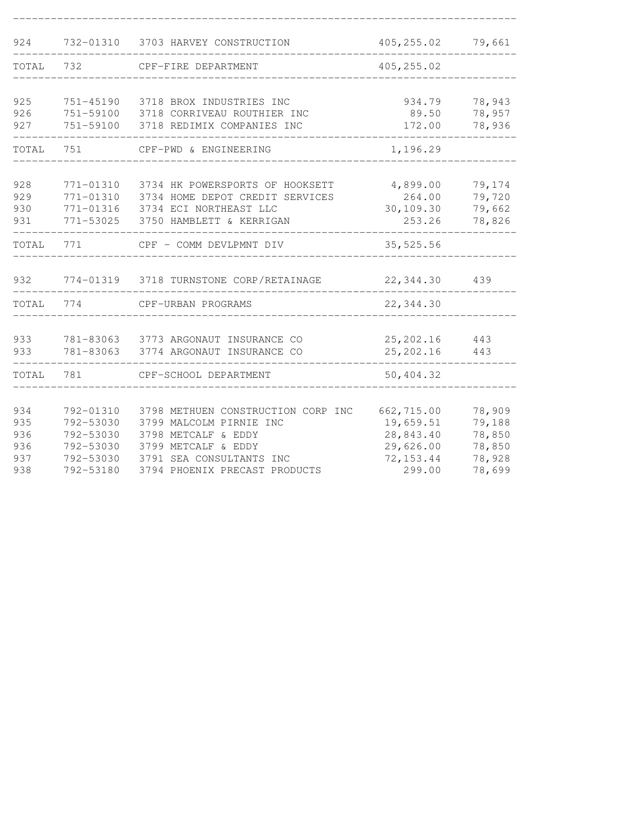| 924   | 732-01310 | 3703 HARVEY CONSTRUCTION           | 405, 255.02 | 79,661 |
|-------|-----------|------------------------------------|-------------|--------|
| TOTAL | 732       | CPF-FIRE DEPARTMENT                | 405, 255.02 |        |
|       |           |                                    |             |        |
| 925   | 751-45190 | 3718 BROX INDUSTRIES INC           | 934.79      | 78,943 |
| 926   | 751-59100 | 3718 CORRIVEAU ROUTHIER INC        | 89.50       | 78,957 |
| 927   | 751-59100 | 3718 REDIMIX COMPANIES INC         | 172.00      | 78,936 |
| TOTAL | 751       | CPF-PWD & ENGINEERING              | 1,196.29    |        |
|       |           |                                    |             |        |
| 928   | 771-01310 | 3734 HK POWERSPORTS OF HOOKSETT    | 4,899.00    | 79,174 |
| 929   | 771-01310 | 3734 HOME DEPOT CREDIT SERVICES    | 264.00      | 79,720 |
| 930   | 771-01316 | 3734 ECI NORTHEAST LLC             | 30,109.30   | 79,662 |
| 931   | 771-53025 | 3750 HAMBLETT & KERRIGAN           | 253.26      | 78,826 |
| TOTAL | 771       | CPF - COMM DEVLPMNT DIV            | 35,525.56   |        |
| 932   | 774-01319 | 3718 TURNSTONE CORP/RETAINAGE      | 22, 344.30  | 439    |
|       |           |                                    |             |        |
| TOTAL | 774       | CPF-URBAN PROGRAMS                 | 22,344.30   |        |
|       |           |                                    |             |        |
| 933   | 781-83063 | 3773 ARGONAUT INSURANCE CO         | 25, 202.16  | 443    |
| 933   | 781-83063 | 3774 ARGONAUT INSURANCE CO         | 25, 202.16  | 443    |
| TOTAL | 781       | CPF-SCHOOL DEPARTMENT              | 50,404.32   |        |
|       |           |                                    |             |        |
| 934   | 792-01310 | 3798 METHUEN CONSTRUCTION CORP INC | 662,715.00  | 78,909 |
| 935   | 792-53030 | 3799 MALCOLM PIRNIE INC            | 19,659.51   | 79,188 |
| 936   | 792-53030 | 3798 METCALF & EDDY                | 28,843.40   | 78,850 |
| 936   | 792-53030 | 3799 METCALF & EDDY                | 29,626.00   | 78,850 |
| 937   | 792-53030 | 3791 SEA CONSULTANTS INC           | 72, 153.44  | 78,928 |
| 938   | 792-53180 | 3794 PHOENIX PRECAST PRODUCTS      | 299.00      | 78,699 |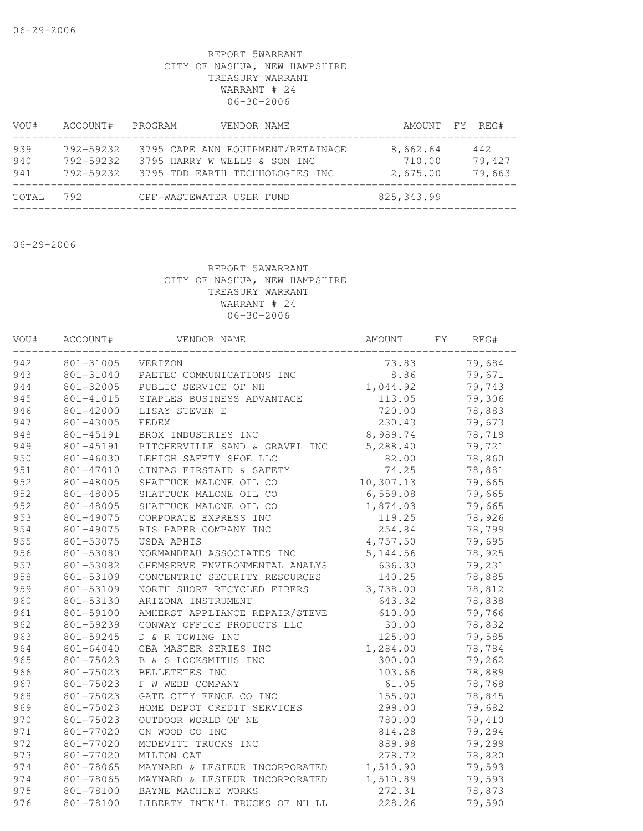| VOU#              | ACCOUNT#                            | PROGRAM<br>VENDOR NAME                                                                               |                                | AMOUNT FY REG#          |
|-------------------|-------------------------------------|------------------------------------------------------------------------------------------------------|--------------------------------|-------------------------|
| 939<br>940<br>941 | 792-59232<br>792-59232<br>792-59232 | 3795 CAPE ANN EQUIPMENT/RETAINAGE<br>3795 HARRY W WELLS & SON INC<br>3795 TDD EARTH TECHHOLOGIES INC | 8,662.64<br>710.00<br>2,675.00 | 442<br>79,427<br>79,663 |
| TOTAL             | 792                                 | CPF-WASTEWATER USER FUND                                                                             | 825, 343.99                    |                         |

06-29-2006

| VOU# | ACCOUNT#  | VENDOR NAME                    | AMOUNT    | FY. | REG#   |
|------|-----------|--------------------------------|-----------|-----|--------|
| 942  | 801-31005 | VERIZON                        | 73.83     |     | 79,684 |
| 943  | 801-31040 | PAETEC COMMUNICATIONS INC      | 8.86      |     | 79,671 |
| 944  | 801-32005 | PUBLIC SERVICE OF NH           | 1,044.92  |     | 79,743 |
| 945  | 801-41015 | STAPLES BUSINESS ADVANTAGE     | 113.05    |     | 79,306 |
| 946  | 801-42000 | LISAY STEVEN E                 | 720.00    |     | 78,883 |
| 947  | 801-43005 | FEDEX                          | 230.43    |     | 79,673 |
| 948  | 801-45191 | BROX INDUSTRIES INC            | 8,989.74  |     | 78,719 |
| 949  | 801-45191 | PITCHERVILLE SAND & GRAVEL INC | 5,288.40  |     | 79,721 |
| 950  | 801-46030 | LEHIGH SAFETY SHOE LLC         | 82.00     |     | 78,860 |
| 951  | 801-47010 | CINTAS FIRSTAID & SAFETY       | 74.25     |     | 78,881 |
| 952  | 801-48005 | SHATTUCK MALONE OIL CO         | 10,307.13 |     | 79,665 |
| 952  | 801-48005 | SHATTUCK MALONE OIL CO         | 6,559.08  |     | 79,665 |
| 952  | 801-48005 | SHATTUCK MALONE OIL CO         | 1,874.03  |     | 79,665 |
| 953  | 801-49075 | CORPORATE EXPRESS INC          | 119.25    |     | 78,926 |
| 954  | 801-49075 | RIS PAPER COMPANY INC          | 254.84    |     | 78,799 |
| 955  | 801-53075 | USDA APHIS                     | 4,757.50  |     | 79,695 |
| 956  | 801-53080 | NORMANDEAU ASSOCIATES INC      | 5, 144.56 |     | 78,925 |
| 957  | 801-53082 | CHEMSERVE ENVIRONMENTAL ANALYS | 636.30    |     | 79,231 |
| 958  | 801-53109 | CONCENTRIC SECURITY RESOURCES  | 140.25    |     | 78,885 |
| 959  | 801-53109 | NORTH SHORE RECYCLED FIBERS    | 3,738.00  |     | 78,812 |
| 960  | 801-53130 | ARIZONA INSTRUMENT             | 643.32    |     | 78,838 |
| 961  | 801-59100 | AMHERST APPLIANCE REPAIR/STEVE | 610.00    |     | 79,766 |
| 962  | 801-59239 | CONWAY OFFICE PRODUCTS LLC     | 30.00     |     | 78,832 |
| 963  | 801-59245 | D & R TOWING INC               | 125.00    |     | 79,585 |
| 964  | 801-64040 | GBA MASTER SERIES INC          | 1,284.00  |     | 78,784 |
| 965  | 801-75023 | B & S LOCKSMITHS INC           | 300.00    |     | 79,262 |
| 966  | 801-75023 | BELLETETES INC                 | 103.66    |     | 78,889 |
| 967  | 801-75023 | F W WEBB COMPANY               | 61.05     |     | 78,768 |
| 968  | 801-75023 | GATE CITY FENCE CO INC         | 155.00    |     | 78,845 |
| 969  | 801-75023 | HOME DEPOT CREDIT SERVICES     | 299.00    |     | 79,682 |
| 970  | 801-75023 | OUTDOOR WORLD OF NE            | 780.00    |     | 79,410 |
| 971  | 801-77020 | CN WOOD CO INC                 | 814.28    |     | 79,294 |
| 972  | 801-77020 | MCDEVITT TRUCKS INC            | 889.98    |     | 79,299 |
| 973  | 801-77020 | MILTON CAT                     | 278.72    |     | 78,820 |
| 974  | 801-78065 | MAYNARD & LESIEUR INCORPORATED | 1,510.90  |     | 79,593 |
| 974  | 801-78065 | MAYNARD & LESIEUR INCORPORATED | 1,510.89  |     | 79,593 |
| 975  | 801-78100 | BAYNE MACHINE WORKS            | 272.31    |     | 78,873 |
| 976  | 801-78100 | LIBERTY INTN'L TRUCKS OF NH LL | 228.26    |     | 79,590 |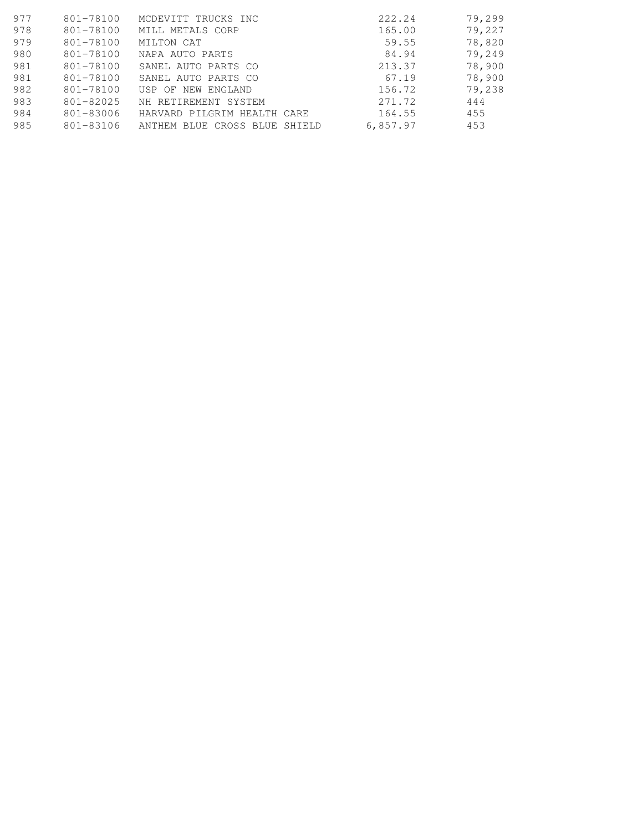| 977 | 801-78100     | MCDEVITT TRUCKS INC           | 222.24   | 79,299 |
|-----|---------------|-------------------------------|----------|--------|
| 978 | 801-78100     | MILL METALS CORP              | 165.00   | 79,227 |
| 979 | 801-78100     | MILTON CAT                    | 59.55    | 78,820 |
| 980 | 801-78100     | NAPA AUTO PARTS               | 84.94    | 79,249 |
| 981 | 801-78100     | SANEL AUTO PARTS CO           | 213.37   | 78,900 |
| 981 | 801-78100     | SANEL AUTO PARTS CO           | 67.19    | 78,900 |
| 982 | 801-78100     | USP OF NEW ENGLAND            | 156.72   | 79,238 |
| 983 | $801 - 82025$ | NH RETIREMENT SYSTEM          | 271.72   | 444    |
| 984 | 801-83006     | HARVARD PILGRIM HEALTH CARE   | 164.55   | 455    |
| 985 | 801-83106     | ANTHEM BLUE CROSS BLUE SHIELD | 6,857.97 | 453    |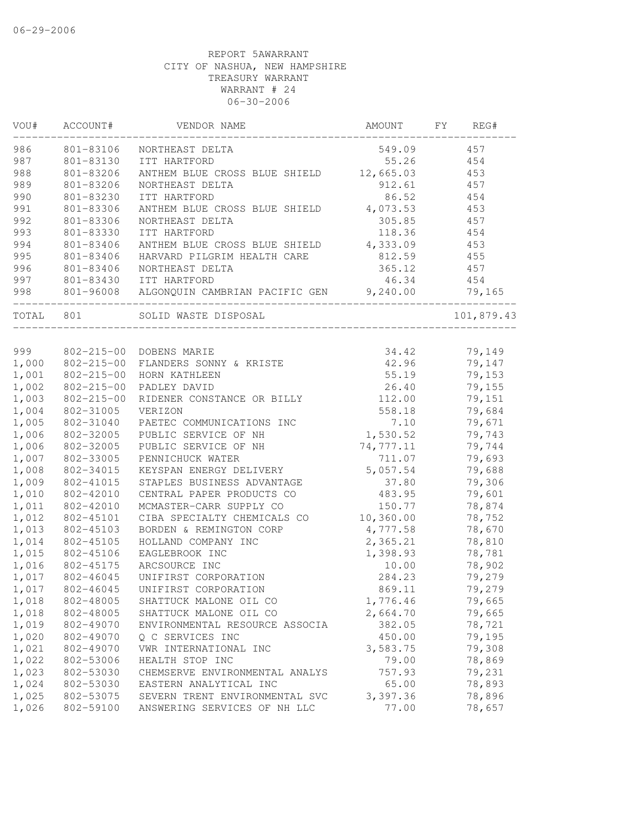| VOU#  | ACCOUNT#         | VENDOR NAME                             | AMOUNT     | FY | REG#       |
|-------|------------------|-----------------------------------------|------------|----|------------|
| 986   | 801-83106        | NORTHEAST DELTA                         | 549.09     |    | 457        |
| 987   | 801-83130        | ITT HARTFORD                            | 55.26      |    | 454        |
| 988   | 801-83206        | ANTHEM BLUE CROSS BLUE SHIELD           | 12,665.03  |    | 453        |
| 989   | 801-83206        | NORTHEAST DELTA                         | 912.61     |    | 457        |
| 990   | 801-83230        | ITT HARTFORD                            | 86.52      |    | 454        |
| 991   | 801-83306        | ANTHEM BLUE CROSS BLUE SHIELD           | 4,073.53   |    | 453        |
| 992   | 801-83306        | NORTHEAST DELTA                         | 305.85     |    | 457        |
| 993   | 801-83330        | ITT HARTFORD                            | 118.36     |    | 454        |
| 994   | 801-83406        | ANTHEM BLUE CROSS BLUE SHIELD           | 4,333.09   |    | 453        |
| 995   | 801-83406        | HARVARD PILGRIM HEALTH CARE             | 812.59     |    | 455        |
| 996   | 801-83406        | NORTHEAST DELTA                         | 365.12     |    | 457        |
| 997   | 801-83430        | ITT HARTFORD                            | 46.34      |    | 454        |
| 998   | 801-96008        | ALGONQUIN CAMBRIAN PACIFIC GEN 9,240.00 |            |    | 79,165     |
| TOTAL | 801              | SOLID WASTE DISPOSAL                    |            |    | 101,879.43 |
|       |                  |                                         |            |    |            |
| 999   |                  | 802-215-00 DOBENS MARIE                 | 34.42      |    | 79,149     |
| 1,000 |                  | 802-215-00 FLANDERS SONNY & KRISTE      | 42.96      |    | 79,147     |
| 1,001 | $802 - 215 - 00$ | HORN KATHLEEN                           | 55.19      |    | 79,153     |
| 1,002 | $802 - 215 - 00$ | PADLEY DAVID                            | 26.40      |    | 79,155     |
| 1,003 | $802 - 215 - 00$ | RIDENER CONSTANCE OR BILLY              | 112.00     |    | 79,151     |
| 1,004 | 802-31005        | VERIZON                                 | 558.18     |    | 79,684     |
| 1,005 | 802-31040        | PAETEC COMMUNICATIONS INC               | 7.10       |    | 79,671     |
| 1,006 | 802-32005        | PUBLIC SERVICE OF NH                    | 1,530.52   |    | 79,743     |
| 1,006 | 802-32005        | PUBLIC SERVICE OF NH                    | 74,777.11  |    | 79,744     |
| 1,007 | 802-33005        | PENNICHUCK WATER                        | 711.07     |    | 79,693     |
| 1,008 | 802-34015        | KEYSPAN ENERGY DELIVERY                 | 5,057.54   |    | 79,688     |
| 1,009 | 802-41015        | STAPLES BUSINESS ADVANTAGE              | 37.80      |    | 79,306     |
| 1,010 | 802-42010        | CENTRAL PAPER PRODUCTS CO               | 483.95     |    | 79,601     |
| 1,011 | 802-42010        | MCMASTER-CARR SUPPLY CO                 | 150.77     |    | 78,874     |
| 1,012 | 802-45101        | CIBA SPECIALTY CHEMICALS CO             | 10, 360.00 |    | 78,752     |
| 1,013 | 802-45103        | BORDEN & REMINGTON CORP                 | 4,777.58   |    | 78,670     |
| 1,014 | 802-45105        | HOLLAND COMPANY INC                     | 2,365.21   |    | 78,810     |
| 1,015 | 802-45106        | EAGLEBROOK INC                          | 1,398.93   |    | 78,781     |
| 1,016 | 802-45175        | ARCSOURCE INC                           | 10.00      |    | 78,902     |
| 1,017 | 802-46045        | UNIFIRST CORPORATION                    | 284.23     |    | 79,279     |
| 1,017 | 802-46045        | UNIFIRST CORPORATION                    | 869.11     |    | 79,279     |
| 1,018 | 802-48005        | SHATTUCK MALONE OIL CO                  | 1,776.46   |    | 79,665     |
| 1,018 | 802-48005        | SHATTUCK MALONE OIL CO                  | 2,664.70   |    | 79,665     |
| 1,019 | 802-49070        | ENVIRONMENTAL RESOURCE ASSOCIA          | 382.05     |    | 78,721     |
| 1,020 | 802-49070        | Q C SERVICES INC                        | 450.00     |    | 79,195     |
| 1,021 | 802-49070        | VWR INTERNATIONAL INC                   | 3,583.75   |    | 79,308     |
| 1,022 | 802-53006        | HEALTH STOP INC                         | 79.00      |    | 78,869     |
| 1,023 | 802-53030        | CHEMSERVE ENVIRONMENTAL ANALYS          | 757.93     |    | 79,231     |
| 1,024 | 802-53030        | EASTERN ANALYTICAL INC                  | 65.00      |    | 78,893     |
| 1,025 | 802-53075        | SEVERN TRENT ENVIRONMENTAL SVC          | 3,397.36   |    | 78,896     |
| 1,026 | 802-59100        | ANSWERING SERVICES OF NH LLC            | 77.00      |    | 78,657     |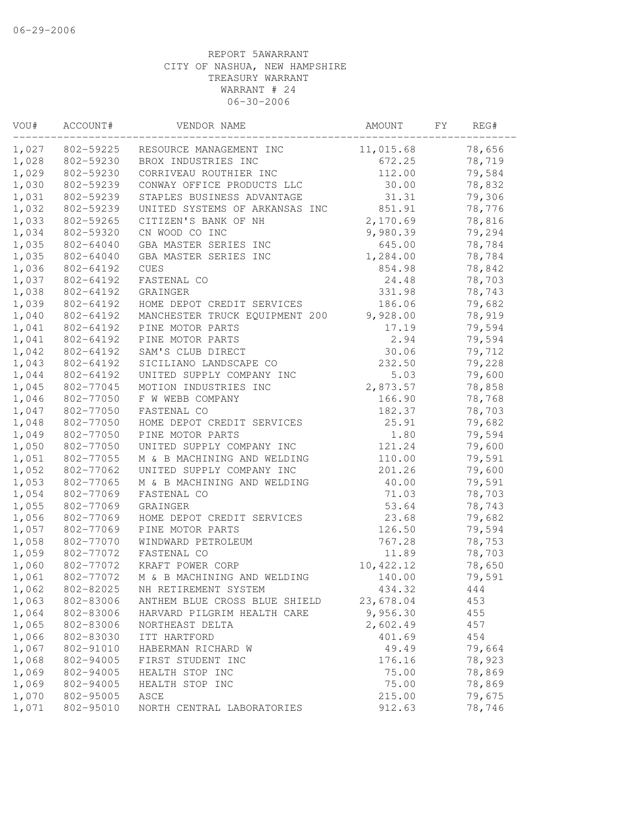| VOU#  | ACCOUNT#  | VENDOR NAME                    | AMOUNT    | FY | REG#   |
|-------|-----------|--------------------------------|-----------|----|--------|
| 1,027 | 802-59225 | RESOURCE MANAGEMENT INC        | 11,015.68 |    | 78,656 |
| 1,028 | 802-59230 | BROX INDUSTRIES INC            | 672.25    |    | 78,719 |
| 1,029 | 802-59230 | CORRIVEAU ROUTHIER INC         | 112.00    |    | 79,584 |
| 1,030 | 802-59239 | CONWAY OFFICE PRODUCTS LLC     | 30.00     |    | 78,832 |
| 1,031 | 802-59239 | STAPLES BUSINESS ADVANTAGE     | 31.31     |    | 79,306 |
| 1,032 | 802-59239 | UNITED SYSTEMS OF ARKANSAS INC | 851.91    |    | 78,776 |
| 1,033 | 802-59265 | CITIZEN'S BANK OF NH           | 2,170.69  |    | 78,816 |
| 1,034 | 802-59320 | CN WOOD CO INC                 | 9,980.39  |    | 79,294 |
| 1,035 | 802-64040 | GBA MASTER SERIES INC          | 645.00    |    | 78,784 |
| 1,035 | 802-64040 | GBA MASTER SERIES INC          | 1,284.00  |    | 78,784 |
| 1,036 | 802-64192 | <b>CUES</b>                    | 854.98    |    | 78,842 |
| 1,037 | 802-64192 | FASTENAL CO                    | 24.48     |    | 78,703 |
| 1,038 | 802-64192 | GRAINGER                       | 331.98    |    | 78,743 |
| 1,039 | 802-64192 | HOME DEPOT CREDIT SERVICES     | 186.06    |    | 79,682 |
| 1,040 | 802-64192 | MANCHESTER TRUCK EQUIPMENT 200 | 9,928.00  |    | 78,919 |
| 1,041 | 802-64192 | PINE MOTOR PARTS               | 17.19     |    | 79,594 |
| 1,041 | 802-64192 | PINE MOTOR PARTS               | 2.94      |    | 79,594 |
| 1,042 | 802-64192 | SAM'S CLUB DIRECT              | 30.06     |    | 79,712 |
| 1,043 | 802-64192 | SICILIANO LANDSCAPE CO         | 232.50    |    | 79,228 |
| 1,044 | 802-64192 | UNITED SUPPLY COMPANY INC      | 5.03      |    | 79,600 |
| 1,045 | 802-77045 | MOTION INDUSTRIES INC          | 2,873.57  |    | 78,858 |
| 1,046 | 802-77050 | F W WEBB COMPANY               | 166.90    |    | 78,768 |
| 1,047 | 802-77050 | FASTENAL CO                    | 182.37    |    | 78,703 |
| 1,048 | 802-77050 | HOME DEPOT CREDIT SERVICES     | 25.91     |    | 79,682 |
| 1,049 | 802-77050 | PINE MOTOR PARTS               | 1.80      |    | 79,594 |
| 1,050 | 802-77050 | UNITED SUPPLY COMPANY INC      | 121.24    |    | 79,600 |
| 1,051 | 802-77055 | M & B MACHINING AND WELDING    | 110.00    |    | 79,591 |
| 1,052 | 802-77062 | UNITED SUPPLY COMPANY INC      | 201.26    |    | 79,600 |
| 1,053 | 802-77065 | M & B MACHINING AND WELDING    | 40.00     |    | 79,591 |
| 1,054 | 802-77069 | FASTENAL CO                    | 71.03     |    | 78,703 |
| 1,055 | 802-77069 | GRAINGER                       | 53.64     |    | 78,743 |
| 1,056 | 802-77069 | HOME DEPOT CREDIT SERVICES     | 23.68     |    | 79,682 |
| 1,057 | 802-77069 | PINE MOTOR PARTS               | 126.50    |    | 79,594 |
| 1,058 | 802-77070 | WINDWARD PETROLEUM             | 767.28    |    | 78,753 |
| 1,059 | 802-77072 | FASTENAL CO                    | 11.89     |    | 78,703 |
| 1,060 | 802-77072 | KRAFT POWER CORP               | 10,422.12 |    | 78,650 |
| 1,061 | 802-77072 | M & B MACHINING AND WELDING    | 140.00    |    | 79,591 |
| 1,062 | 802-82025 | NH RETIREMENT SYSTEM           | 434.32    |    | 444    |
| 1,063 | 802-83006 | ANTHEM BLUE CROSS BLUE SHIELD  | 23,678.04 |    | 453    |
| 1,064 | 802-83006 | HARVARD PILGRIM HEALTH CARE    | 9,956.30  |    | 455    |
| 1,065 | 802-83006 | NORTHEAST DELTA                | 2,602.49  |    | 457    |
| 1,066 | 802-83030 | ITT HARTFORD                   | 401.69    |    | 454    |
| 1,067 | 802-91010 | HABERMAN RICHARD W             | 49.49     |    | 79,664 |
| 1,068 | 802-94005 | FIRST STUDENT INC              | 176.16    |    | 78,923 |
| 1,069 | 802-94005 | HEALTH STOP INC                | 75.00     |    | 78,869 |
| 1,069 | 802-94005 | HEALTH STOP INC                | 75.00     |    | 78,869 |
| 1,070 | 802-95005 | ASCE                           | 215.00    |    | 79,675 |
| 1,071 | 802-95010 | NORTH CENTRAL LABORATORIES     | 912.63    |    | 78,746 |
|       |           |                                |           |    |        |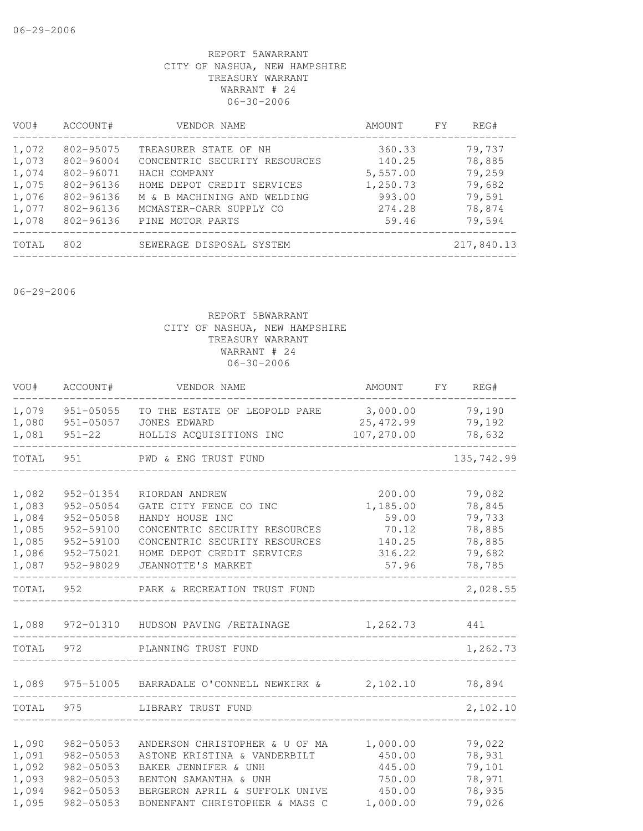| VOU#  | ACCOUNT#  | VENDOR NAME                   | AMOUNT   | FY | REG#       |
|-------|-----------|-------------------------------|----------|----|------------|
| 1,072 | 802-95075 | TREASURER STATE OF NH         | 360.33   |    | 79,737     |
| 1,073 | 802-96004 | CONCENTRIC SECURITY RESOURCES | 140.25   |    | 78,885     |
| 1,074 | 802-96071 | HACH COMPANY                  | 5,557.00 |    | 79,259     |
| 1,075 | 802-96136 | HOME DEPOT CREDIT SERVICES    | 1,250.73 |    | 79,682     |
| 1,076 | 802-96136 | M & B MACHINING AND WELDING   | 993.00   |    | 79,591     |
| 1,077 | 802-96136 | MCMASTER-CARR SUPPLY CO       | 274.28   |    | 78,874     |
| 1,078 | 802-96136 | PINE MOTOR PARTS              | 59.46    |    | 79,594     |
| TOTAL | 802       | SEWERAGE DISPOSAL SYSTEM      |          |    | 217,840.13 |
|       |           |                               |          |    |            |

06-29-2006

| VOU#           | ACCOUNT#               | VENDOR NAME                                          | AMOUNT           | FY | REG#             |
|----------------|------------------------|------------------------------------------------------|------------------|----|------------------|
| 1,079          | $951 - 05055$          | TO THE ESTATE OF LEOPOLD PARE                        | 3,000.00         |    | 79,190           |
| 1,080          | 951-05057              | JONES EDWARD                                         | 25, 472.99       |    | 79,192           |
| 1,081          | $951 - 22$             | HOLLIS ACQUISITIONS INC                              | 107,270.00       |    | 78,632           |
| TOTAL          | 951                    | PWD & ENG TRUST FUND                                 |                  |    | 135,742.99       |
|                |                        |                                                      |                  |    |                  |
| 1,082          | 952-01354              | RIORDAN ANDREW                                       | 200.00           |    | 79,082           |
| 1,083          | 952-05054              | GATE CITY FENCE CO INC                               | 1,185.00         |    | 78,845           |
| 1,084          | 952-05058              | HANDY HOUSE INC<br>CONCENTRIC SECURITY RESOURCES     | 59.00            |    | 79,733           |
| 1,085<br>1,085 | 952-59100<br>952-59100 | CONCENTRIC SECURITY RESOURCES                        | 70.12<br>140.25  |    | 78,885<br>78,885 |
| 1,086          | 952-75021              | HOME DEPOT CREDIT SERVICES                           | 316.22           |    | 79,682           |
| 1,087          | 952-98029              | JEANNOTTE'S MARKET                                   | 57.96            |    | 78,785           |
| TOTAL          | 952                    | PARK & RECREATION TRUST FUND                         |                  |    | 2,028.55         |
| 1,088          |                        | 972-01310 HUDSON PAVING / RETAINAGE                  | 1,262.73         |    | 441              |
| TOTAL          | 972                    | PLANNING TRUST FUND                                  |                  |    | 1,262.73         |
|                |                        |                                                      |                  |    |                  |
| 1,089          | 975-51005              | BARRADALE O'CONNELL NEWKIRK & 2,102.10               |                  |    | 78,894           |
| TOTAL          | 975                    | LIBRARY TRUST FUND                                   |                  |    | 2,102.10         |
|                |                        |                                                      |                  |    |                  |
| 1,090          | 982-05053              | ANDERSON CHRISTOPHER & U OF MA                       | 1,000.00         |    | 79,022           |
| 1,091<br>1,092 | 982-05053<br>982-05053 | ASTONE KRISTINA & VANDERBILT<br>BAKER JENNIFER & UNH | 450.00<br>445.00 |    | 78,931<br>79,101 |
| 1,093          | 982-05053              | BENTON SAMANTHA & UNH                                | 750.00           |    | 78,971           |
| 1,094          | 982-05053              | BERGERON APRIL & SUFFOLK UNIVE                       | 450.00           |    | 78,935           |
| 1,095          | 982-05053              | BONENFANT CHRISTOPHER & MASS C                       | 1,000.00         |    | 79,026           |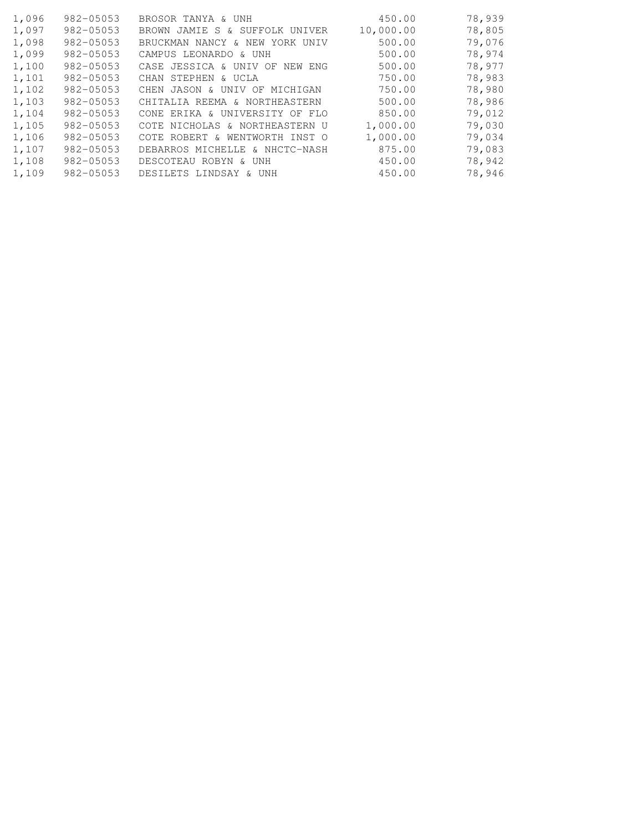| 1,096 | $982 - 05053$ | BROSOR TANYA & UNH                | 450.00    | 78,939 |
|-------|---------------|-----------------------------------|-----------|--------|
| 1,097 | $982 - 05053$ | JAMIE S & SUFFOLK UNIVER<br>BROWN | 10,000.00 | 78,805 |
| 1,098 | 982-05053     | BRUCKMAN NANCY & NEW YORK UNIV    | 500.00    | 79,076 |
| 1,099 | 982-05053     | CAMPUS LEONARDO & UNH             | 500.00    | 78,974 |
| 1,100 | $982 - 05053$ | CASE JESSICA & UNIV OF NEW ENG    | 500.00    | 78,977 |
| 1,101 | $982 - 05053$ | CHAN STEPHEN & UCLA               | 750.00    | 78,983 |
| 1,102 | $982 - 05053$ | CHEN JASON & UNIV OF MICHIGAN     | 750.00    | 78,980 |
| 1,103 | 982-05053     | CHITALIA REEMA & NORTHEASTERN     | 500.00    | 78,986 |
| 1,104 | $982 - 05053$ | CONE ERIKA & UNIVERSITY OF FLO    | 850.00    | 79,012 |
| 1,105 | $982 - 05053$ | COTE NICHOLAS & NORTHEASTERN U    | 1,000.00  | 79,030 |
| 1,106 | $982 - 05053$ | COTE ROBERT & WENTWORTH INST O    | 1,000.00  | 79,034 |
| 1,107 | $982 - 05053$ | DEBARROS MICHELLE & NHCTC-NASH    | 875.00    | 79,083 |
| 1,108 | $982 - 05053$ | DESCOTEAU ROBYN & UNH             | 450.00    | 78,942 |
| 1,109 | 982-05053     | DESILETS LINDSAY & UNH            | 450.00    | 78,946 |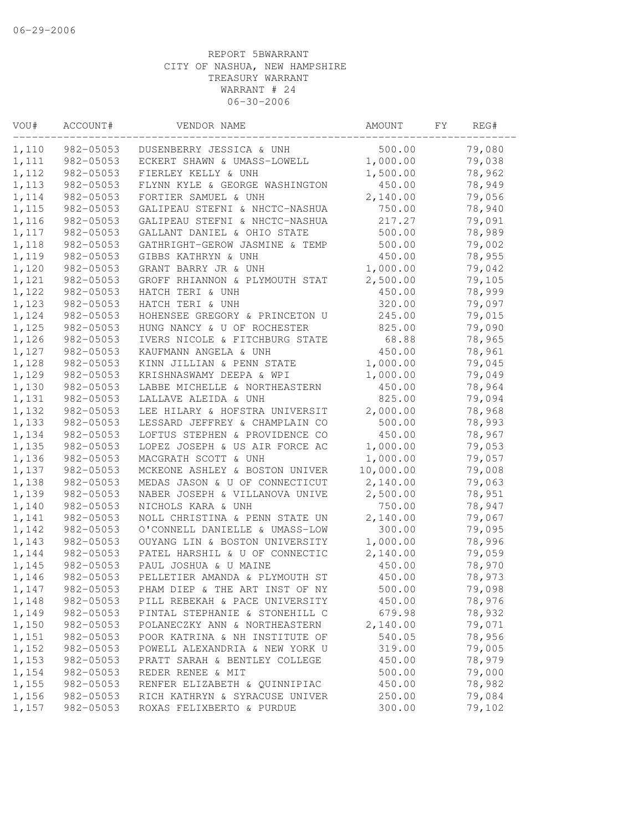| VOU#  | ACCOUNT#  | VENDOR NAME                    | AMOUNT    | FΥ | REG#   |
|-------|-----------|--------------------------------|-----------|----|--------|
| 1,110 | 982-05053 | DUSENBERRY JESSICA & UNH       | 500.00    |    | 79,080 |
| 1,111 | 982-05053 | ECKERT SHAWN & UMASS-LOWELL    | 1,000.00  |    | 79,038 |
| 1,112 | 982-05053 | FIERLEY KELLY & UNH            | 1,500.00  |    | 78,962 |
| 1,113 | 982-05053 | FLYNN KYLE & GEORGE WASHINGTON | 450.00    |    | 78,949 |
| 1,114 | 982-05053 | FORTIER SAMUEL & UNH           | 2,140.00  |    | 79,056 |
| 1,115 | 982-05053 | GALIPEAU STEFNI & NHCTC-NASHUA | 750.00    |    | 78,940 |
| 1,116 | 982-05053 | GALIPEAU STEFNI & NHCTC-NASHUA | 217.27    |    | 79,091 |
| 1,117 | 982-05053 | GALLANT DANIEL & OHIO STATE    | 500.00    |    | 78,989 |
| 1,118 | 982-05053 | GATHRIGHT-GEROW JASMINE & TEMP | 500.00    |    | 79,002 |
| 1,119 | 982-05053 | GIBBS KATHRYN & UNH            | 450.00    |    | 78,955 |
| 1,120 | 982-05053 | GRANT BARRY JR & UNH           | 1,000.00  |    | 79,042 |
| 1,121 | 982-05053 | GROFF RHIANNON & PLYMOUTH STAT | 2,500.00  |    | 79,105 |
| 1,122 | 982-05053 | HATCH TERI & UNH               | 450.00    |    | 78,999 |
| 1,123 | 982-05053 | HATCH TERI & UNH               | 320.00    |    | 79,097 |
| 1,124 | 982-05053 | HOHENSEE GREGORY & PRINCETON U | 245.00    |    | 79,015 |
| 1,125 | 982-05053 | HUNG NANCY & U OF ROCHESTER    | 825.00    |    | 79,090 |
| 1,126 | 982-05053 | IVERS NICOLE & FITCHBURG STATE | 68.88     |    | 78,965 |
| 1,127 | 982-05053 | KAUFMANN ANGELA & UNH          | 450.00    |    | 78,961 |
| 1,128 | 982-05053 | KINN JILLIAN & PENN STATE      | 1,000.00  |    | 79,045 |
| 1,129 | 982-05053 | KRISHNASWAMY DEEPA & WPI       | 1,000.00  |    | 79,049 |
| 1,130 | 982-05053 | LABBE MICHELLE & NORTHEASTERN  | 450.00    |    | 78,964 |
| 1,131 | 982-05053 | LALLAVE ALEIDA & UNH           | 825.00    |    | 79,094 |
| 1,132 | 982-05053 | LEE HILARY & HOFSTRA UNIVERSIT | 2,000.00  |    | 78,968 |
| 1,133 | 982-05053 | LESSARD JEFFREY & CHAMPLAIN CO | 500.00    |    | 78,993 |
| 1,134 | 982-05053 | LOFTUS STEPHEN & PROVIDENCE CO | 450.00    |    | 78,967 |
| 1,135 | 982-05053 | LOPEZ JOSEPH & US AIR FORCE AC | 1,000.00  |    | 79,053 |
| 1,136 | 982-05053 | MACGRATH SCOTT & UNH           | 1,000.00  |    | 79,057 |
| 1,137 | 982-05053 | MCKEONE ASHLEY & BOSTON UNIVER | 10,000.00 |    | 79,008 |
| 1,138 | 982-05053 | MEDAS JASON & U OF CONNECTICUT | 2,140.00  |    | 79,063 |
| 1,139 | 982-05053 | NABER JOSEPH & VILLANOVA UNIVE | 2,500.00  |    | 78,951 |
| 1,140 | 982-05053 | NICHOLS KARA & UNH             | 750.00    |    | 78,947 |
| 1,141 | 982-05053 | NOLL CHRISTINA & PENN STATE UN | 2,140.00  |    | 79,067 |
| 1,142 | 982-05053 | O'CONNELL DANIELLE & UMASS-LOW | 300.00    |    | 79,095 |
| 1,143 | 982-05053 | OUYANG LIN & BOSTON UNIVERSITY | 1,000.00  |    | 78,996 |
| 1,144 | 982-05053 | PATEL HARSHIL & U OF CONNECTIC | 2,140.00  |    | 79,059 |
| 1,145 | 982-05053 | PAUL JOSHUA & U MAINE          | 450.00    |    | 78,970 |
| 1,146 | 982-05053 | PELLETIER AMANDA & PLYMOUTH ST | 450.00    |    | 78,973 |
| 1,147 | 982-05053 | PHAM DIEP & THE ART INST OF NY | 500.00    |    | 79,098 |
| 1,148 | 982-05053 | PILL REBEKAH & PACE UNIVERSITY | 450.00    |    | 78,976 |
| 1,149 | 982-05053 | PINTAL STEPHANIE & STONEHILL C | 679.98    |    | 78,932 |
| 1,150 | 982-05053 | POLANECZKY ANN & NORTHEASTERN  | 2,140.00  |    | 79,071 |
| 1,151 | 982-05053 | POOR KATRINA & NH INSTITUTE OF | 540.05    |    | 78,956 |
| 1,152 | 982-05053 | POWELL ALEXANDRIA & NEW YORK U | 319.00    |    | 79,005 |
| 1,153 | 982-05053 | PRATT SARAH & BENTLEY COLLEGE  | 450.00    |    | 78,979 |
| 1,154 | 982-05053 | REDER RENEE & MIT              | 500.00    |    | 79,000 |
| 1,155 | 982-05053 | RENFER ELIZABETH & QUINNIPIAC  | 450.00    |    | 78,982 |
| 1,156 | 982-05053 | RICH KATHRYN & SYRACUSE UNIVER | 250.00    |    | 79,084 |
| 1,157 | 982-05053 | ROXAS FELIXBERTO & PURDUE      | 300.00    |    | 79,102 |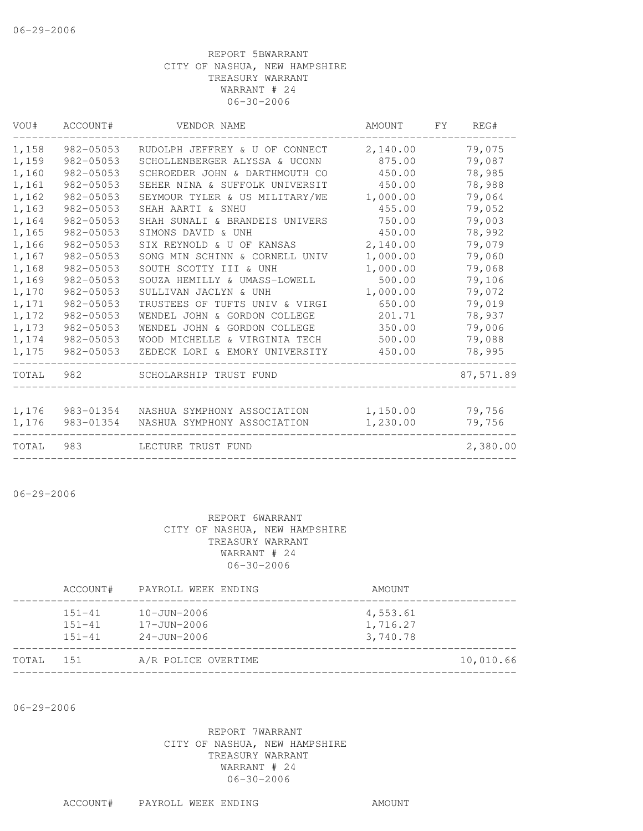| VOU#  | ACCOUNT#  | VENDOR NAME                    | AMOUNT   | FY. | REG#      |
|-------|-----------|--------------------------------|----------|-----|-----------|
| 1,158 | 982-05053 | RUDOLPH JEFFREY & U OF CONNECT | 2,140.00 |     | 79,075    |
| 1,159 | 982-05053 | SCHOLLENBERGER ALYSSA & UCONN  | 875.00   |     | 79,087    |
| 1,160 | 982-05053 | SCHROEDER JOHN & DARTHMOUTH CO | 450.00   |     | 78,985    |
| 1,161 | 982-05053 | SEHER NINA & SUFFOLK UNIVERSIT | 450.00   |     | 78,988    |
| 1,162 | 982-05053 | SEYMOUR TYLER & US MILITARY/WE | 1,000.00 |     | 79,064    |
| 1,163 | 982-05053 | SHAH AARTI & SNHU              | 455.00   |     | 79,052    |
| 1,164 | 982-05053 | SHAH SUNALI & BRANDEIS UNIVERS | 750.00   |     | 79,003    |
| 1,165 | 982-05053 | SIMONS DAVID & UNH             | 450.00   |     | 78,992    |
| 1,166 | 982-05053 | SIX REYNOLD & U OF KANSAS      | 2,140.00 |     | 79,079    |
| 1,167 | 982-05053 | SONG MIN SCHINN & CORNELL UNIV | 1,000.00 |     | 79,060    |
| 1,168 | 982-05053 | SOUTH SCOTTY III & UNH         | 1,000.00 |     | 79,068    |
| 1,169 | 982-05053 | SOUZA HEMILLY & UMASS-LOWELL   | 500.00   |     | 79,106    |
| 1,170 | 982-05053 | SULLIVAN JACLYN & UNH          | 1,000.00 |     | 79,072    |
| 1,171 | 982-05053 | TRUSTEES OF TUFTS UNIV & VIRGI | 650.00   |     | 79,019    |
| 1,172 | 982-05053 | WENDEL JOHN & GORDON COLLEGE   | 201.71   |     | 78,937    |
| 1,173 | 982-05053 | WENDEL JOHN & GORDON COLLEGE   | 350.00   |     | 79,006    |
| 1,174 | 982-05053 | WOOD MICHELLE & VIRGINIA TECH  | 500.00   |     | 79,088    |
| 1,175 | 982-05053 | ZEDECK LORI & EMORY UNIVERSITY | 450.00   |     | 78,995    |
| TOTAL | 982       | SCHOLARSHIP TRUST FUND         |          |     | 87,571.89 |
| 1,176 | 983-01354 | NASHUA SYMPHONY ASSOCIATION    | 1,150.00 |     | 79,756    |
| 1,176 | 983-01354 | NASHUA SYMPHONY ASSOCIATION    | 1,230.00 |     | 79,756    |
| TOTAL | 983       | LECTURE TRUST FUND             |          |     | 2,380.00  |

06-29-2006

REPORT 6WARRANT CITY OF NASHUA, NEW HAMPSHIRE TREASURY WARRANT WARRANT # 24 06-30-2006

|       | ACCOUNT#                               | PAYROLL WEEK ENDING                                         | AMOUNT                           |
|-------|----------------------------------------|-------------------------------------------------------------|----------------------------------|
|       | $151 - 41$<br>$151 - 41$<br>$151 - 41$ | $10 - JUN - 2006$<br>$17 - JUN - 2006$<br>$24 - JUN - 2006$ | 4,553.61<br>1,716.27<br>3,740.78 |
| TOTAL | 1.51                                   | A/R POLICE OVERTIME                                         | 10,010.66                        |

06-29-2006

#### REPORT 7WARRANT CITY OF NASHUA, NEW HAMPSHIRE TREASURY WARRANT WARRANT # 24 06-30-2006

ACCOUNT# PAYROLL WEEK ENDING AMOUNT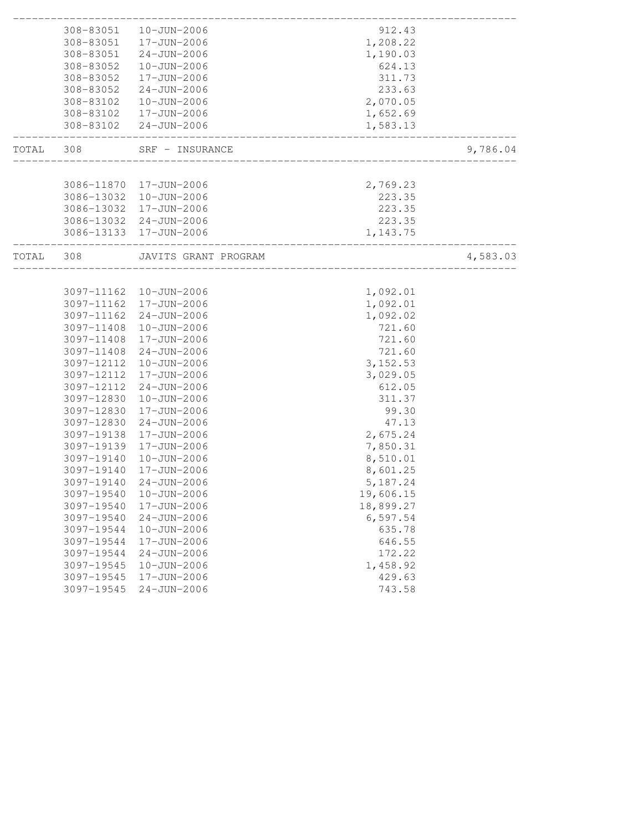|           |            | 308-83051  10-JUN-2006  | 912.43                         |          |
|-----------|------------|-------------------------|--------------------------------|----------|
|           |            | 308-83051  17-JUN-2006  | 1,208.22                       |          |
|           |            | 308-83051 24-JUN-2006   | 1,190.03                       |          |
|           | 308-83052  | 10-JUN-2006             | 624.13                         |          |
|           | 308-83052  | 17-JUN-2006             | 311.73                         |          |
|           | 308-83052  | 24-JUN-2006             | 233.63                         |          |
|           | 308-83102  | 10-JUN-2006             | 2,070.05                       |          |
|           |            | 308-83102  17-JUN-2006  | 1,652.69                       |          |
|           |            | 308-83102 24-JUN-2006   | 1,583.13                       |          |
| TOTAL 308 |            | SRF - INSURANCE         |                                | 9,786.04 |
|           |            |                         |                                |          |
|           |            | 3086-11870 17-JUN-2006  | 2,769.23                       |          |
|           |            | 3086-13032 10-JUN-2006  | 223.35                         |          |
|           |            | 3086-13032 17-JUN-2006  | 223.35                         |          |
|           |            | 3086-13032 24-JUN-2006  | 223.35                         |          |
|           |            | 3086-13133 17-JUN-2006  | 1,143.75                       |          |
| TOTAL     | 308        | JAVITS GRANT PROGRAM    | ______________________________ | 4,583.03 |
|           |            |                         |                                |          |
|           |            | 3097-11162  10-JUN-2006 | 1,092.01                       |          |
|           |            | 3097-11162 17-JUN-2006  | 1,092.01                       |          |
|           |            | 3097-11162 24-JUN-2006  | 1,092.02                       |          |
|           | 3097-11408 | $10 - JUN - 2006$       | 721.60                         |          |
|           | 3097-11408 | 17-JUN-2006             | 721.60                         |          |
|           | 3097-11408 | 24-JUN-2006             | 721.60                         |          |
|           | 3097-12112 | 10-JUN-2006             | 3, 152.53                      |          |
|           | 3097-12112 | 17-JUN-2006             | 3,029.05                       |          |
|           | 3097-12112 | 24-JUN-2006             | 612.05                         |          |
|           | 3097-12830 | 10-JUN-2006             | 311.37                         |          |
|           | 3097-12830 | 17-JUN-2006             | 99.30                          |          |
|           | 3097-12830 | 24-JUN-2006             | 47.13                          |          |
|           | 3097-19138 | 17-JUN-2006             | 2,675.24                       |          |
|           | 3097-19139 | 17-JUN-2006             | 7,850.31                       |          |
|           | 3097-19140 | 10-JUN-2006             | 8,510.01                       |          |
|           | 3097-19140 | 17-JUN-2006             | 8,601.25                       |          |
|           | 3097-19140 | 24-JUN-2006             | 5,187.24                       |          |
|           | 3097-19540 | $10 - JUN - 2006$       | 19,606.15                      |          |
|           | 3097-19540 | 17-JUN-2006             | 18,899.27                      |          |
|           | 3097-19540 | $24 - JUN - 2006$       | 6, 597.54                      |          |
|           | 3097-19544 | $10 - JUN - 2006$       | 635.78                         |          |
|           | 3097-19544 | 17-JUN-2006             | 646.55                         |          |
|           | 3097-19544 | $24 - JUN - 2006$       | 172.22                         |          |
|           | 3097-19545 | $10 - JUN - 2006$       | 1,458.92                       |          |
|           | 3097-19545 | 17-JUN-2006             | 429.63                         |          |
|           | 3097-19545 | $24 - JUN - 2006$       | 743.58                         |          |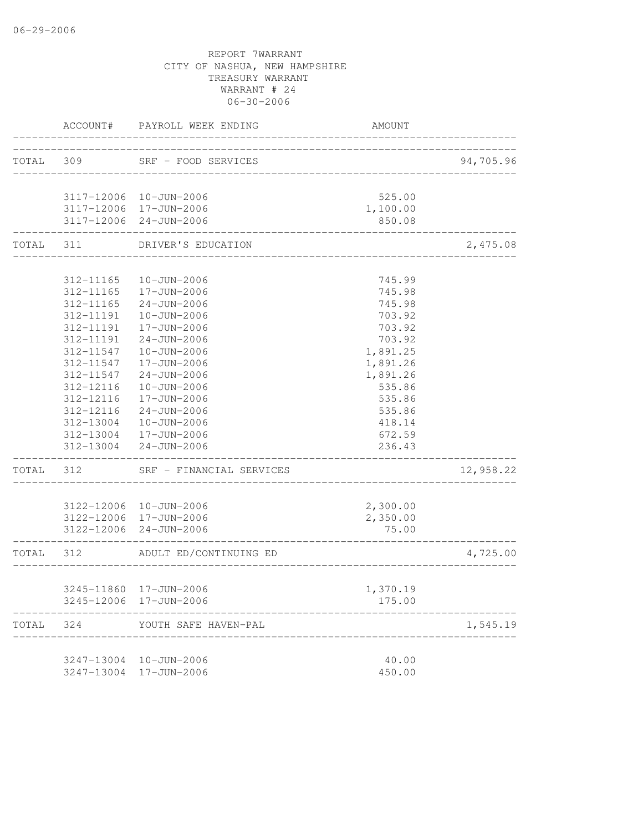|           | ACCOUNT#  | PAYROLL WEEK ENDING                              | <b>AMOUNT</b>                    |           |
|-----------|-----------|--------------------------------------------------|----------------------------------|-----------|
| TOTAL 309 |           | SRF - FOOD SERVICES                              | -------------------------------- | 94,705.96 |
|           |           |                                                  |                                  |           |
|           |           | 3117-12006 10-JUN-2006                           | 525.00                           |           |
|           |           | 3117-12006 17-JUN-2006<br>3117-12006 24-JUN-2006 | 1,100.00<br>850.08               |           |
| TOTAL 311 |           | DRIVER'S EDUCATION                               |                                  | 2,475.08  |
|           | 312-11165 | 10-JUN-2006                                      | 745.99                           |           |
|           | 312-11165 | 17-JUN-2006                                      | 745.98                           |           |
|           | 312-11165 | $24 - JUN - 2006$                                | 745.98                           |           |
|           | 312-11191 | 10-JUN-2006                                      | 703.92                           |           |
|           | 312-11191 | 17-JUN-2006                                      | 703.92                           |           |
|           | 312-11191 | $24 - JUN - 2006$                                | 703.92                           |           |
|           | 312-11547 | 10-JUN-2006                                      | 1,891.25                         |           |
|           | 312-11547 | 17-JUN-2006                                      | 1,891.26                         |           |
|           | 312-11547 | 24-JUN-2006                                      | 1,891.26                         |           |
|           | 312-12116 | 10-JUN-2006                                      | 535.86                           |           |
|           | 312-12116 | 17-JUN-2006                                      | 535.86                           |           |
|           | 312-12116 | 24-JUN-2006                                      | 535.86                           |           |
|           | 312-13004 | 10-JUN-2006                                      | 418.14                           |           |
|           |           | 312-13004  17-JUN-2006                           | 672.59                           |           |
|           | 312-13004 | $24 - JUN - 2006$                                | 236.43                           |           |
| TOTAL     | 312       | SRF - FINANCIAL SERVICES                         |                                  | 12,958.22 |
|           |           | 3122-12006 10-JUN-2006                           | 2,300.00                         |           |
|           |           | 3122-12006 17-JUN-2006                           | 2,350.00                         |           |
|           |           | 3122-12006 24-JUN-2006                           | 75.00                            |           |
| TOTAL 312 |           | ADULT ED/CONTINUING ED                           |                                  | 4,725.00  |
|           |           | 3245-11860 17-JUN-2006                           | 1,370.19                         |           |
|           |           | 3245-12006 17-JUN-2006                           | 175.00                           |           |
| TOTAL     | 324       | YOUTH SAFE HAVEN-PAL                             |                                  | 1,545.19  |
|           |           | 3247-13004 10-JUN-2006                           | 40.00                            |           |
|           |           | 3247-13004 17-JUN-2006                           | 450.00                           |           |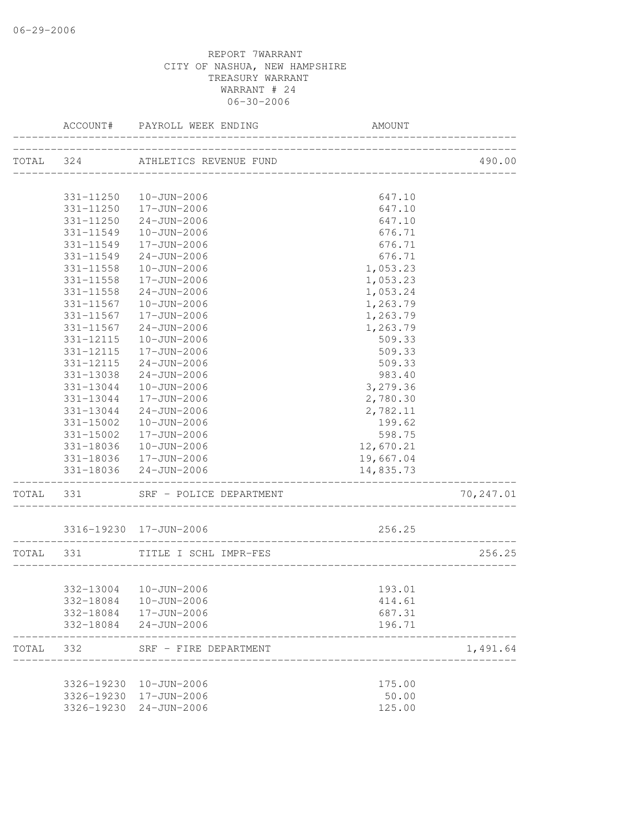|           |           | ACCOUNT# PAYROLL WEEK ENDING                     | AMOUNT                             |           |
|-----------|-----------|--------------------------------------------------|------------------------------------|-----------|
|           | TOTAL 324 | ATHLETICS REVENUE FUND                           |                                    | 490.00    |
|           |           |                                                  | ____________________________       |           |
|           |           | 331-11250  10-JUN-2006                           | 647.10                             |           |
|           |           | 331-11250   17-JUN-2006                          | 647.10                             |           |
|           | 331-11250 | 24-JUN-2006                                      | 647.10                             |           |
|           | 331-11549 | 10-JUN-2006                                      | 676.71                             |           |
|           | 331-11549 | 17-JUN-2006                                      | 676.71                             |           |
|           | 331-11549 | $24 - JUN - 2006$                                | 676.71                             |           |
|           | 331-11558 | $10 - JUN - 2006$                                | 1,053.23                           |           |
|           | 331-11558 | 17-JUN-2006                                      | 1,053.23                           |           |
|           | 331-11558 | $24 - JUN - 2006$                                | 1,053.24                           |           |
|           | 331-11567 | 10-JUN-2006                                      | 1,263.79                           |           |
|           | 331-11567 | 17-JUN-2006                                      | 1,263.79                           |           |
|           | 331-11567 | 24-JUN-2006                                      | 1,263.79                           |           |
|           | 331-12115 | $10 - JUN - 2006$                                | 509.33                             |           |
|           | 331-12115 | 17-JUN-2006                                      | 509.33                             |           |
|           | 331-12115 | $24 - JUN - 2006$                                | 509.33                             |           |
|           | 331-13038 | $24 - JUN - 2006$                                | 983.40                             |           |
|           | 331-13044 | 10-JUN-2006                                      | 3,279.36                           |           |
|           | 331-13044 | 17-JUN-2006                                      | 2,780.30                           |           |
|           | 331-13044 | $24 - JUN - 2006$                                | 2,782.11                           |           |
|           | 331-15002 | 10-JUN-2006                                      | 199.62                             |           |
|           | 331-15002 | 17-JUN-2006                                      | 598.75                             |           |
|           | 331-18036 | 10-JUN-2006                                      | 12,670.21                          |           |
|           |           | 331-18036  17-JUN-2006                           | 19,667.04                          |           |
|           |           | 331-18036 24-JUN-2006                            | 14,835.73                          |           |
| TOTAL 331 |           | SRF - POLICE DEPARTMENT                          |                                    | 70,247.01 |
|           |           | 3316-19230 17-JUN-2006                           | 256.25                             |           |
| TOTAL     | 331       | TITLE I SCHL IMPR-FES                            |                                    | 256.25    |
|           |           |                                                  | __________________________________ |           |
|           |           | 332-13004  10-JUN-2006                           | 193.01                             |           |
|           | 332-18084 | 10-JUN-2006                                      | 414.61                             |           |
|           |           | 332-18084  17-JUN-2006                           | 687.31                             |           |
|           | 332-18084 | $24 - JUN - 2006$                                | 196.71                             |           |
| TOTAL     | 332       | SRF - FIRE DEPARTMENT                            |                                    | 1,491.64  |
|           |           |                                                  |                                    |           |
|           |           | 3326-19230 10-JUN-2006                           | 175.00                             |           |
|           |           | 3326-19230 17-JUN-2006<br>3326-19230 24-JUN-2006 | 50.00<br>125.00                    |           |
|           |           |                                                  |                                    |           |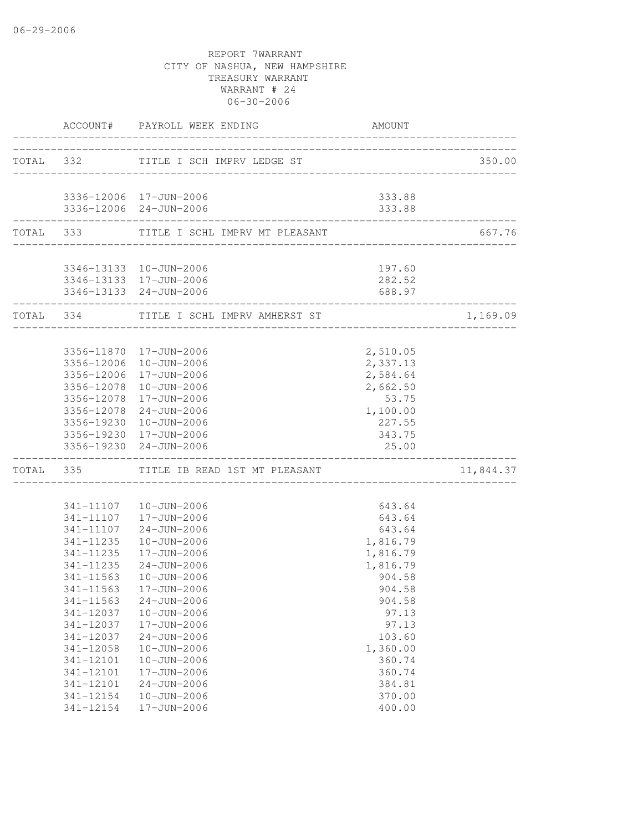| TOTAL 332 TITLE I SCH IMPRV LEDGE ST<br>3336-12006 17-JUN-2006<br>333.88<br>3336-12006 24-JUN-2006<br>333.88<br>_______________________<br>TOTAL 333 TITLE I SCHL IMPRV MT PLEASANT<br>3346-13133  10-JUN-2006<br>197.60<br>3346-13133 17-JUN-2006<br>282.52<br>3346-13133 24-JUN-2006<br>688.97<br>-------------------<br>TOTAL 334<br>TITLE I SCHL IMPRV AMHERST ST<br>2,510.05<br>3356-11870  17-JUN-2006<br>3356-12006<br>2,337.13<br>10-JUN-2006<br>2,584.64<br>3356-12006<br>17-JUN-2006<br>3356-12078<br>10-JUN-2006<br>2,662.50<br>3356-12078 17-JUN-2006<br>53.75<br>1,100.00<br>3356-12078 24-JUN-2006<br>3356-19230 10-JUN-2006<br>227.55<br>3356-19230 17-JUN-2006<br>343.75<br>25.00<br>3356-19230 24-JUN-2006<br>TOTAL 335 TITLE IB READ 1ST MT PLEASANT<br>341-11107  10-JUN-2006<br>643.64<br>341-11107  17-JUN-2006<br>643.64<br>341-11107 24-JUN-2006<br>643.64<br>341-11235<br>10-JUN-2006<br>1,816.79<br>341-11235<br>17-JUN-2006<br>1,816.79<br>341-11235<br>$24 - JUN - 2006$<br>1,816.79<br>10-JUN-2006<br>904.58<br>341-11563<br>904.58<br>341-11563  17-JUN-2006<br>341-11563<br>$24 - JUN - 2006$<br>904.58<br>341-12037<br>$10 - JUN - 2006$<br>97.13<br>341-12037<br>17-JUN-2006<br>97.13<br>341-12037<br>$24 - JUN - 2006$<br>103.60<br>341-12058<br>$10 - JUN - 2006$<br>1,360.00<br>341-12101<br>$10 - JUN - 2006$<br>360.74<br>341-12101<br>17-JUN-2006<br>360.74<br>$24 - JUN - 2006$<br>384.81<br>341-12101<br>341-12154<br>$10 - JUN - 2006$<br>370.00<br>341-12154<br>17-JUN-2006<br>400.00 |  | ACCOUNT# PAYROLL WEEK ENDING | <b>AMOUNT</b> |           |
|---------------------------------------------------------------------------------------------------------------------------------------------------------------------------------------------------------------------------------------------------------------------------------------------------------------------------------------------------------------------------------------------------------------------------------------------------------------------------------------------------------------------------------------------------------------------------------------------------------------------------------------------------------------------------------------------------------------------------------------------------------------------------------------------------------------------------------------------------------------------------------------------------------------------------------------------------------------------------------------------------------------------------------------------------------------------------------------------------------------------------------------------------------------------------------------------------------------------------------------------------------------------------------------------------------------------------------------------------------------------------------------------------------------------------------------------------------------------------------------------------------------------------------|--|------------------------------|---------------|-----------|
|                                                                                                                                                                                                                                                                                                                                                                                                                                                                                                                                                                                                                                                                                                                                                                                                                                                                                                                                                                                                                                                                                                                                                                                                                                                                                                                                                                                                                                                                                                                                 |  |                              |               | 350.00    |
|                                                                                                                                                                                                                                                                                                                                                                                                                                                                                                                                                                                                                                                                                                                                                                                                                                                                                                                                                                                                                                                                                                                                                                                                                                                                                                                                                                                                                                                                                                                                 |  |                              |               |           |
|                                                                                                                                                                                                                                                                                                                                                                                                                                                                                                                                                                                                                                                                                                                                                                                                                                                                                                                                                                                                                                                                                                                                                                                                                                                                                                                                                                                                                                                                                                                                 |  |                              |               |           |
|                                                                                                                                                                                                                                                                                                                                                                                                                                                                                                                                                                                                                                                                                                                                                                                                                                                                                                                                                                                                                                                                                                                                                                                                                                                                                                                                                                                                                                                                                                                                 |  |                              |               |           |
|                                                                                                                                                                                                                                                                                                                                                                                                                                                                                                                                                                                                                                                                                                                                                                                                                                                                                                                                                                                                                                                                                                                                                                                                                                                                                                                                                                                                                                                                                                                                 |  |                              |               | 667.76    |
|                                                                                                                                                                                                                                                                                                                                                                                                                                                                                                                                                                                                                                                                                                                                                                                                                                                                                                                                                                                                                                                                                                                                                                                                                                                                                                                                                                                                                                                                                                                                 |  |                              |               |           |
|                                                                                                                                                                                                                                                                                                                                                                                                                                                                                                                                                                                                                                                                                                                                                                                                                                                                                                                                                                                                                                                                                                                                                                                                                                                                                                                                                                                                                                                                                                                                 |  |                              |               |           |
|                                                                                                                                                                                                                                                                                                                                                                                                                                                                                                                                                                                                                                                                                                                                                                                                                                                                                                                                                                                                                                                                                                                                                                                                                                                                                                                                                                                                                                                                                                                                 |  |                              |               |           |
|                                                                                                                                                                                                                                                                                                                                                                                                                                                                                                                                                                                                                                                                                                                                                                                                                                                                                                                                                                                                                                                                                                                                                                                                                                                                                                                                                                                                                                                                                                                                 |  |                              |               | 1,169.09  |
|                                                                                                                                                                                                                                                                                                                                                                                                                                                                                                                                                                                                                                                                                                                                                                                                                                                                                                                                                                                                                                                                                                                                                                                                                                                                                                                                                                                                                                                                                                                                 |  |                              |               |           |
|                                                                                                                                                                                                                                                                                                                                                                                                                                                                                                                                                                                                                                                                                                                                                                                                                                                                                                                                                                                                                                                                                                                                                                                                                                                                                                                                                                                                                                                                                                                                 |  |                              |               |           |
|                                                                                                                                                                                                                                                                                                                                                                                                                                                                                                                                                                                                                                                                                                                                                                                                                                                                                                                                                                                                                                                                                                                                                                                                                                                                                                                                                                                                                                                                                                                                 |  |                              |               |           |
|                                                                                                                                                                                                                                                                                                                                                                                                                                                                                                                                                                                                                                                                                                                                                                                                                                                                                                                                                                                                                                                                                                                                                                                                                                                                                                                                                                                                                                                                                                                                 |  |                              |               |           |
|                                                                                                                                                                                                                                                                                                                                                                                                                                                                                                                                                                                                                                                                                                                                                                                                                                                                                                                                                                                                                                                                                                                                                                                                                                                                                                                                                                                                                                                                                                                                 |  |                              |               |           |
|                                                                                                                                                                                                                                                                                                                                                                                                                                                                                                                                                                                                                                                                                                                                                                                                                                                                                                                                                                                                                                                                                                                                                                                                                                                                                                                                                                                                                                                                                                                                 |  |                              |               |           |
|                                                                                                                                                                                                                                                                                                                                                                                                                                                                                                                                                                                                                                                                                                                                                                                                                                                                                                                                                                                                                                                                                                                                                                                                                                                                                                                                                                                                                                                                                                                                 |  |                              |               |           |
|                                                                                                                                                                                                                                                                                                                                                                                                                                                                                                                                                                                                                                                                                                                                                                                                                                                                                                                                                                                                                                                                                                                                                                                                                                                                                                                                                                                                                                                                                                                                 |  |                              |               |           |
|                                                                                                                                                                                                                                                                                                                                                                                                                                                                                                                                                                                                                                                                                                                                                                                                                                                                                                                                                                                                                                                                                                                                                                                                                                                                                                                                                                                                                                                                                                                                 |  |                              |               |           |
|                                                                                                                                                                                                                                                                                                                                                                                                                                                                                                                                                                                                                                                                                                                                                                                                                                                                                                                                                                                                                                                                                                                                                                                                                                                                                                                                                                                                                                                                                                                                 |  |                              |               | 11,844.37 |
|                                                                                                                                                                                                                                                                                                                                                                                                                                                                                                                                                                                                                                                                                                                                                                                                                                                                                                                                                                                                                                                                                                                                                                                                                                                                                                                                                                                                                                                                                                                                 |  |                              |               |           |
|                                                                                                                                                                                                                                                                                                                                                                                                                                                                                                                                                                                                                                                                                                                                                                                                                                                                                                                                                                                                                                                                                                                                                                                                                                                                                                                                                                                                                                                                                                                                 |  |                              |               |           |
|                                                                                                                                                                                                                                                                                                                                                                                                                                                                                                                                                                                                                                                                                                                                                                                                                                                                                                                                                                                                                                                                                                                                                                                                                                                                                                                                                                                                                                                                                                                                 |  |                              |               |           |
|                                                                                                                                                                                                                                                                                                                                                                                                                                                                                                                                                                                                                                                                                                                                                                                                                                                                                                                                                                                                                                                                                                                                                                                                                                                                                                                                                                                                                                                                                                                                 |  |                              |               |           |
|                                                                                                                                                                                                                                                                                                                                                                                                                                                                                                                                                                                                                                                                                                                                                                                                                                                                                                                                                                                                                                                                                                                                                                                                                                                                                                                                                                                                                                                                                                                                 |  |                              |               |           |
|                                                                                                                                                                                                                                                                                                                                                                                                                                                                                                                                                                                                                                                                                                                                                                                                                                                                                                                                                                                                                                                                                                                                                                                                                                                                                                                                                                                                                                                                                                                                 |  |                              |               |           |
|                                                                                                                                                                                                                                                                                                                                                                                                                                                                                                                                                                                                                                                                                                                                                                                                                                                                                                                                                                                                                                                                                                                                                                                                                                                                                                                                                                                                                                                                                                                                 |  |                              |               |           |
|                                                                                                                                                                                                                                                                                                                                                                                                                                                                                                                                                                                                                                                                                                                                                                                                                                                                                                                                                                                                                                                                                                                                                                                                                                                                                                                                                                                                                                                                                                                                 |  |                              |               |           |
|                                                                                                                                                                                                                                                                                                                                                                                                                                                                                                                                                                                                                                                                                                                                                                                                                                                                                                                                                                                                                                                                                                                                                                                                                                                                                                                                                                                                                                                                                                                                 |  |                              |               |           |
|                                                                                                                                                                                                                                                                                                                                                                                                                                                                                                                                                                                                                                                                                                                                                                                                                                                                                                                                                                                                                                                                                                                                                                                                                                                                                                                                                                                                                                                                                                                                 |  |                              |               |           |
|                                                                                                                                                                                                                                                                                                                                                                                                                                                                                                                                                                                                                                                                                                                                                                                                                                                                                                                                                                                                                                                                                                                                                                                                                                                                                                                                                                                                                                                                                                                                 |  |                              |               |           |
|                                                                                                                                                                                                                                                                                                                                                                                                                                                                                                                                                                                                                                                                                                                                                                                                                                                                                                                                                                                                                                                                                                                                                                                                                                                                                                                                                                                                                                                                                                                                 |  |                              |               |           |
|                                                                                                                                                                                                                                                                                                                                                                                                                                                                                                                                                                                                                                                                                                                                                                                                                                                                                                                                                                                                                                                                                                                                                                                                                                                                                                                                                                                                                                                                                                                                 |  |                              |               |           |
|                                                                                                                                                                                                                                                                                                                                                                                                                                                                                                                                                                                                                                                                                                                                                                                                                                                                                                                                                                                                                                                                                                                                                                                                                                                                                                                                                                                                                                                                                                                                 |  |                              |               |           |
|                                                                                                                                                                                                                                                                                                                                                                                                                                                                                                                                                                                                                                                                                                                                                                                                                                                                                                                                                                                                                                                                                                                                                                                                                                                                                                                                                                                                                                                                                                                                 |  |                              |               |           |
|                                                                                                                                                                                                                                                                                                                                                                                                                                                                                                                                                                                                                                                                                                                                                                                                                                                                                                                                                                                                                                                                                                                                                                                                                                                                                                                                                                                                                                                                                                                                 |  |                              |               |           |
|                                                                                                                                                                                                                                                                                                                                                                                                                                                                                                                                                                                                                                                                                                                                                                                                                                                                                                                                                                                                                                                                                                                                                                                                                                                                                                                                                                                                                                                                                                                                 |  |                              |               |           |
|                                                                                                                                                                                                                                                                                                                                                                                                                                                                                                                                                                                                                                                                                                                                                                                                                                                                                                                                                                                                                                                                                                                                                                                                                                                                                                                                                                                                                                                                                                                                 |  |                              |               |           |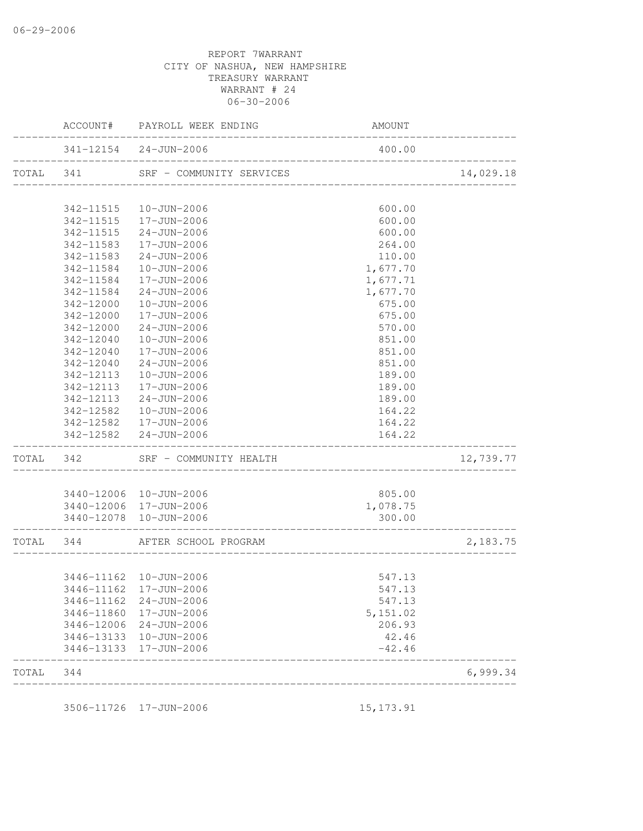|           |           | ACCOUNT# PAYROLL WEEK ENDING                                | AMOUNT   |           |
|-----------|-----------|-------------------------------------------------------------|----------|-----------|
|           |           | 341-12154 24-JUN-2006<br>__________________________________ | 400.00   |           |
| TOTAL 341 |           | SRF - COMMUNITY SERVICES                                    |          | 14,029.18 |
|           |           | 342-11515  10-JUN-2006                                      | 600.00   |           |
|           |           | 342-11515  17-JUN-2006                                      | 600.00   |           |
|           | 342-11515 | 24-JUN-2006                                                 | 600.00   |           |
|           | 342-11583 | 17-JUN-2006                                                 | 264.00   |           |
|           | 342-11583 | 24-JUN-2006                                                 | 110.00   |           |
|           | 342-11584 | 10-JUN-2006                                                 | 1,677.70 |           |
|           | 342-11584 | 17-JUN-2006                                                 | 1,677.71 |           |
|           | 342-11584 | 24-JUN-2006                                                 | 1,677.70 |           |
|           | 342-12000 | 10-JUN-2006                                                 | 675.00   |           |
|           | 342-12000 | 17-JUN-2006                                                 | 675.00   |           |
|           | 342-12000 | $24 - JUN - 2006$                                           | 570.00   |           |
|           | 342-12040 | 10-JUN-2006                                                 | 851.00   |           |
|           | 342-12040 | 17-JUN-2006                                                 | 851.00   |           |
|           | 342-12040 | $24 - JUN - 2006$                                           | 851.00   |           |
|           | 342-12113 | 10-JUN-2006                                                 | 189.00   |           |
|           | 342-12113 | 17-JUN-2006                                                 | 189.00   |           |
|           | 342-12113 | 24-JUN-2006                                                 | 189.00   |           |
|           | 342-12582 | 10-JUN-2006                                                 | 164.22   |           |
|           | 342-12582 | 17-JUN-2006                                                 | 164.22   |           |
|           |           | 342-12582 24-JUN-2006                                       | 164.22   |           |
| TOTAL 342 |           | SRF - COMMUNITY HEALTH                                      |          | 12,739.77 |
|           |           |                                                             |          |           |
|           |           | 3440-12006 10-JUN-2006                                      | 805.00   |           |
|           |           | 3440-12006 17-JUN-2006                                      | 1,078.75 |           |
|           |           | 3440-12078  10-JUN-2006                                     | 300.00   |           |
| TOTAL 344 |           | AFTER SCHOOL PROGRAM                                        |          | 2,183.75  |
|           |           | 3446-11162  10-JUN-2006                                     | 547.13   |           |
|           |           | 3446-11162 17-JUN-2006                                      | 547.13   |           |
|           |           | 3446-11162 24-JUN-2006                                      | 547.13   |           |
|           |           | 3446-11860 17-JUN-2006                                      | 5,151.02 |           |
|           |           | 3446-12006 24-JUN-2006                                      | 206.93   |           |
|           |           | 3446-13133  10-JUN-2006                                     | 42.46    |           |
|           |           | 3446-13133 17-JUN-2006                                      | $-42.46$ |           |
| TOTAL     | 344       |                                                             |          | 6,999.34  |

3506-11726 17-JUN-2006 15,173.91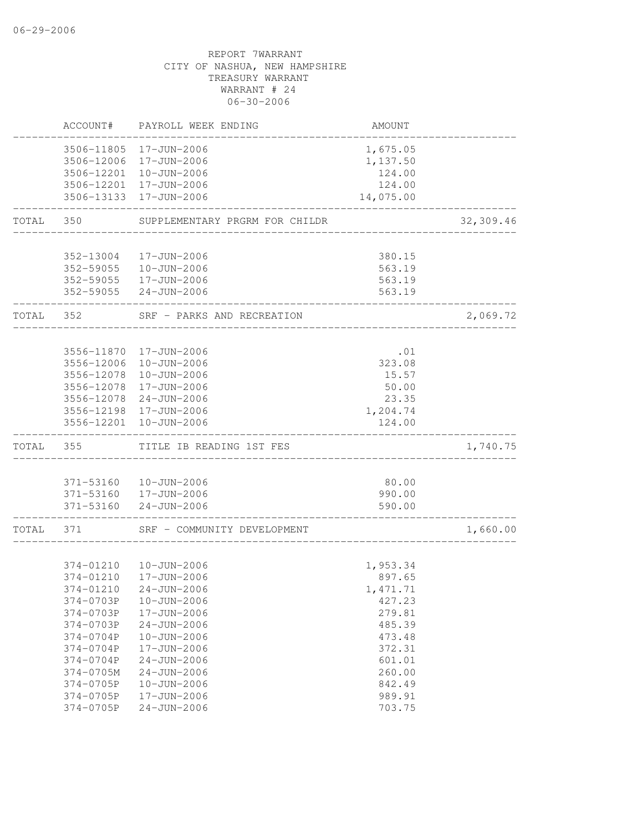|       | ACCOUNT#   | PAYROLL WEEK ENDING                              | AMOUNT             |           |
|-------|------------|--------------------------------------------------|--------------------|-----------|
|       |            | 3506-11805 17-JUN-2006                           | 1,675.05           |           |
|       |            | 3506-12006 17-JUN-2006<br>3506-12201 10-JUN-2006 | 1,137.50<br>124.00 |           |
|       |            | 3506-12201 17-JUN-2006                           | 124.00             |           |
|       |            | 3506-13133 17-JUN-2006                           | 14,075.00          |           |
| TOTAL | 350        | SUPPLEMENTARY PRGRM FOR CHILDR                   |                    | 32,309.46 |
|       | 352-13004  | 17-JUN-2006                                      | 380.15             |           |
|       |            | 352-59055  10-JUN-2006                           | 563.19             |           |
|       |            | 352-59055  17-JUN-2006                           | 563.19             |           |
|       |            | 352-59055 24-JUN-2006                            | 563.19             |           |
| TOTAL | 352        | SRF - PARKS AND RECREATION                       |                    | 2,069.72  |
|       |            | 3556-11870 17-JUN-2006                           | .01                |           |
|       | 3556-12006 | 10-JUN-2006                                      | 323.08             |           |
|       | 3556-12078 | 10-JUN-2006                                      | 15.57              |           |
|       | 3556-12078 | 17-JUN-2006                                      | 50.00              |           |
|       |            | 3556-12078 24-JUN-2006                           | 23.35              |           |
|       |            | 3556-12198 17-JUN-2006                           | 1,204.74           |           |
|       | 3556-12201 | 10-JUN-2006                                      | 124.00             |           |
| TOTAL | 355        | TITLE IB READING 1ST FES                         |                    | 1,740.75  |
|       |            |                                                  |                    |           |
|       |            | 371-53160  10-JUN-2006<br>371-53160  17-JUN-2006 | 80.00<br>990.00    |           |
|       |            | 371-53160 24-JUN-2006                            | 590.00             |           |
| TOTAL | 371        | SRF - COMMUNITY DEVELOPMENT                      |                    | 1,660.00  |
|       |            |                                                  |                    |           |
|       |            | 374-01210  10-JUN-2006                           | 1,953.34           |           |
|       | 374-01210  | 17-JUN-2006                                      | 897.65             |           |
|       | 374-01210  | $24 - JUN - 2006$                                | 1,471.71           |           |
|       | 374-0703P  | 10-JUN-2006                                      | 427.23             |           |
|       | 374-0703P  | 17-JUN-2006                                      | 279.81             |           |
|       | 374-0703P  | $24 - JUN - 2006$                                | 485.39             |           |
|       | 374-0704P  | $10 - JUN - 2006$                                | 473.48             |           |
|       | 374-0704P  | 17-JUN-2006                                      | 372.31             |           |
|       | 374-0704P  | $24 - JUN - 2006$                                | 601.01             |           |
|       | 374-0705M  | $24 - JUN - 2006$                                | 260.00             |           |
|       | 374-0705P  | 10-JUN-2006                                      | 842.49             |           |
|       | 374-0705P  | 17-JUN-2006                                      | 989.91             |           |
|       | 374-0705P  | $24 - JUN - 2006$                                | 703.75             |           |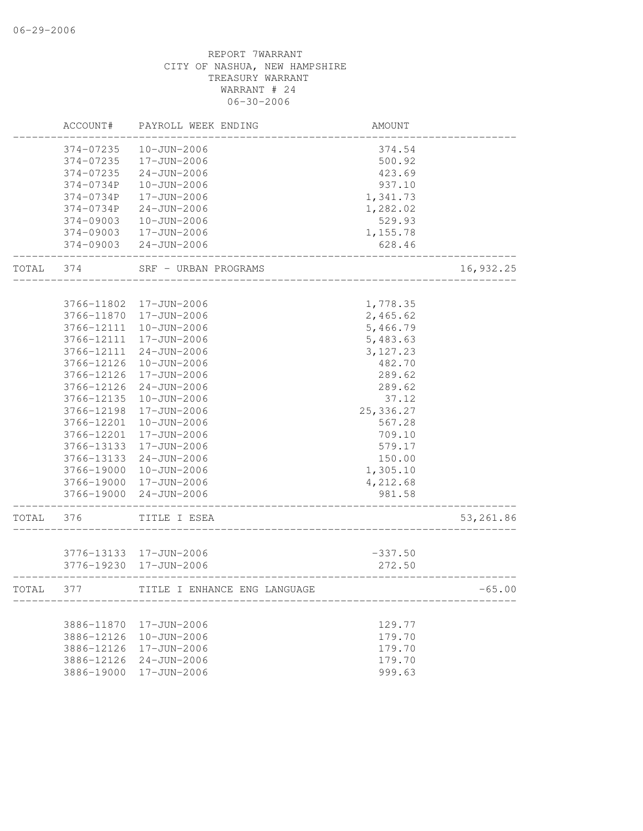|       | ACCOUNT#                 | PAYROLL WEEK ENDING          | <b>AMOUNT</b> |           |
|-------|--------------------------|------------------------------|---------------|-----------|
|       | 374-07235                | $10 - JUN - 2006$            | 374.54        |           |
|       | 374-07235                | 17-JUN-2006                  | 500.92        |           |
|       | 374-07235                | $24 - JUN - 2006$            | 423.69        |           |
|       | 374-0734P                | 10-JUN-2006                  | 937.10        |           |
|       | 374-0734P                | 17-JUN-2006                  | 1,341.73      |           |
|       | 374-0734P                | $24 - JUN - 2006$            | 1,282.02      |           |
|       | 374-09003                | 10-JUN-2006                  | 529.93        |           |
|       | 374-09003                | 17-JUN-2006                  | 1,155.78      |           |
|       | 374-09003                | $24 - JUN - 2006$            | 628.46        |           |
| TOTAL | 374                      | SRF - URBAN PROGRAMS         |               | 16,932.25 |
|       | 3766-11802               | 17-JUN-2006                  | 1,778.35      |           |
|       | 3766-11870               | 17-JUN-2006                  | 2,465.62      |           |
|       | 3766-12111               | 10-JUN-2006                  | 5,466.79      |           |
|       | 3766-12111               | 17-JUN-2006                  | 5,483.63      |           |
|       | 3766-12111               | $24 - JUN - 2006$            | 3, 127.23     |           |
|       | 3766-12126               | $10 - JUN - 2006$            | 482.70        |           |
|       | 3766-12126               | 17-JUN-2006                  | 289.62        |           |
|       | 3766-12126               | $24 - JUN - 2006$            | 289.62        |           |
|       | 3766-12135               | $10 - JUN - 2006$            | 37.12         |           |
|       | 3766-12198               | 17-JUN-2006                  | 25,336.27     |           |
|       | 3766-12201               | 10-JUN-2006                  | 567.28        |           |
|       | 3766-12201               | 17-JUN-2006                  | 709.10        |           |
|       | 3766-13133               | 17-JUN-2006                  | 579.17        |           |
|       | 3766-13133               | $24 - JUN - 2006$            | 150.00        |           |
|       | 3766-19000               | $10 - JUN - 2006$            | 1,305.10      |           |
|       | 3766-19000               | 17-JUN-2006                  | 4,212.68      |           |
|       | 3766-19000               | $24 - JUN - 2006$            | 981.58        |           |
| TOTAL | 376                      | TITLE I ESEA                 |               | 53,261.86 |
|       |                          |                              |               |           |
|       | 3776-13133<br>3776-19230 | 17-JUN-2006<br>17-JUN-2006   | $-337.50$     |           |
|       |                          |                              | 272.50        |           |
| TOTAL | 377                      | TITLE I ENHANCE ENG LANGUAGE |               | $-65.00$  |
|       | 3886-11870               | 17-JUN-2006                  | 129.77        |           |
|       | 3886-12126               | $10 - JUN - 2006$            | 179.70        |           |
|       | 3886-12126               | 17-JUN-2006                  | 179.70        |           |
|       | 3886-12126               | $24 - JUN - 2006$            | 179.70        |           |
|       | 3886-19000               | 17-JUN-2006                  | 999.63        |           |
|       |                          |                              |               |           |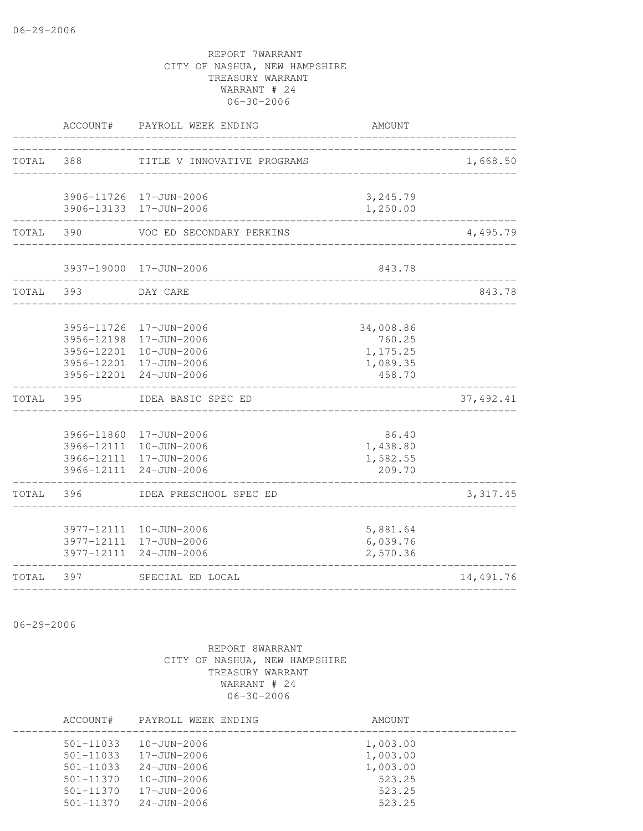|           | ACCOUNT#                 | PAYROLL WEEK ENDING              | AMOUNT               |            |
|-----------|--------------------------|----------------------------------|----------------------|------------|
| TOTAL 388 |                          | TITLE V INNOVATIVE PROGRAMS      |                      | 1,668.50   |
|           |                          |                                  |                      |            |
|           |                          | 3906-11726 17-JUN-2006           | 3,245.79             |            |
|           |                          | 3906-13133 17-JUN-2006           | 1,250.00             |            |
| TOTAL     | 390                      | VOC ED SECONDARY PERKINS         |                      | 4,495.79   |
|           |                          | 3937-19000 17-JUN-2006           | 843.78               |            |
| TOTAL     | 393                      | DAY CARE                         |                      | 843.78     |
|           | 3956-11726               | 17-JUN-2006                      |                      |            |
|           | 3956-12198               | 17-JUN-2006                      | 34,008.86<br>760.25  |            |
|           | 3956-12201               | $10 - JUN - 2006$                | 1,175.25             |            |
|           | 3956-12201               | 17-JUN-2006                      | 1,089.35             |            |
|           |                          | 3956-12201 24-JUN-2006           | 458.70               |            |
| TOTAL     | 395                      | IDEA BASIC SPEC ED               |                      | 37, 492.41 |
|           |                          | 3966-11860 17-JUN-2006           | 86.40                |            |
|           |                          | 3966-12111 10-JUN-2006           | 1,438.80             |            |
|           |                          | 3966-12111 17-JUN-2006           | 1,582.55             |            |
|           | 3966-12111               | $24 - JUN - 2006$                | 209.70               |            |
| TOTAL     | 396                      | IDEA PRESCHOOL SPEC ED           |                      | 3, 317.45  |
|           |                          |                                  |                      |            |
|           | 3977-12111               | 10-JUN-2006                      | 5,881.64             |            |
|           | 3977-12111<br>3977-12111 | 17-JUN-2006<br>$24 - JUN - 2006$ | 6,039.76<br>2,570.36 |            |
| TOTAL     | 397                      | SPECIAL ED LOCAL                 |                      | 14,491.76  |
|           |                          |                                  |                      |            |

06-29-2006

| ACCOUNT#                       | PAYROLL WEEK ENDING                    | AMOUNT               |
|--------------------------------|----------------------------------------|----------------------|
| $501 - 11033$                  | $10 - JUN - 2006$                      | 1,003.00             |
| $501 - 11033$<br>$501 - 11033$ | $17 - JUN - 2006$<br>$24 - JUN - 2006$ | 1,003.00<br>1,003.00 |
| $501 - 11370$<br>501-11370     | $10 - JUN - 2006$<br>$17 - JUN - 2006$ | 523.25<br>523.25     |
| $501 - 11370$                  | $24 - JUN - 2006$                      | 523.25               |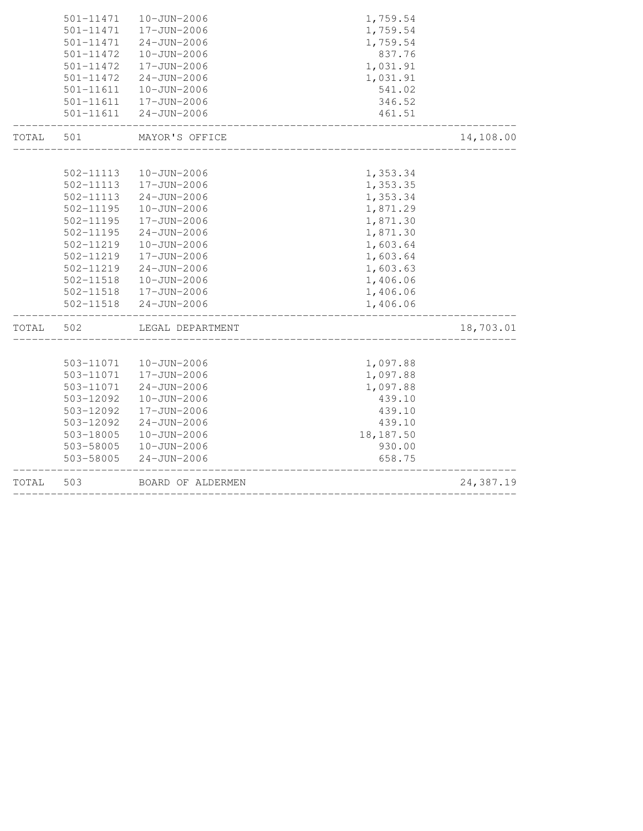| TOTAL | 503           | BOARD OF ALDERMEN      |                       | 24,387.19 |
|-------|---------------|------------------------|-----------------------|-----------|
|       | 503-58005     | $24 - JUN - 2006$      | 658.75                |           |
|       | 503-58005     | 10-JUN-2006            | 930.00                |           |
|       | 503-18005     | 10-JUN-2006            | 18,187.50             |           |
|       | 503-12092     | $24 - JUN - 2006$      | 439.10                |           |
|       | 503-12092     | 17-JUN-2006            | 439.10                |           |
|       | 503-12092     | 10-JUN-2006            | 439.10                |           |
|       | 503-11071     | 24-JUN-2006            | 1,097.88              |           |
|       | 503-11071     | 17-JUN-2006            | 1,097.88              |           |
|       |               | 503-11071  10-JUN-2006 | 1,097.88              |           |
| TOTAL | 502           | LEGAL DEPARTMENT       |                       | 18,703.01 |
|       | 502-11518     | 24-JUN-2006            | 1,406.06              |           |
|       | $502 - 11518$ | 17-JUN-2006            | 1,406.06              |           |
|       | 502-11518     | 10-JUN-2006            | 1,406.06              |           |
|       | 502-11219     | $24 - JUN - 2006$      | 1,603.63              |           |
|       | 502-11219     | 17-JUN-2006            | 1,603.64              |           |
|       | 502-11219     | $10 - JUN - 2006$      | 1,603.64              |           |
|       | 502-11195     | $24 - JUN - 2006$      | 1,871.30              |           |
|       | 502-11195     | 17-JUN-2006            | 1,871.30              |           |
|       | 502-11195     | 10-JUN-2006            | 1,871.29              |           |
|       | 502-11113     | $24 - JUN - 2006$      | 1,353.34              |           |
|       | 502-11113     | 17-JUN-2006            | 1,353.35              |           |
|       | 502-11113     | 10-JUN-2006            | 1,353.34              |           |
| TOTAL | 501           | MAYOR'S OFFICE         | _____________________ | 14,108.00 |
|       |               | 501-11611  24-JUN-2006 | 461.51                |           |
|       | 501-11611     | 17-JUN-2006            | 346.52                |           |
|       | 501-11611     | 10-JUN-2006            | 541.02                |           |
|       | 501-11472     | 24-JUN-2006            | 1,031.91              |           |
|       | 501-11472     | 17-JUN-2006            | 1,031.91              |           |
|       | 501-11472     | 10-JUN-2006            | 837.76                |           |
|       | 501-11471     | $24 - JUN - 2006$      | 1,759.54              |           |
|       | $501 - 11471$ | 17-JUN-2006            | 1,759.54              |           |
|       | 501-11471     | 10-JUN-2006            | 1,759.54              |           |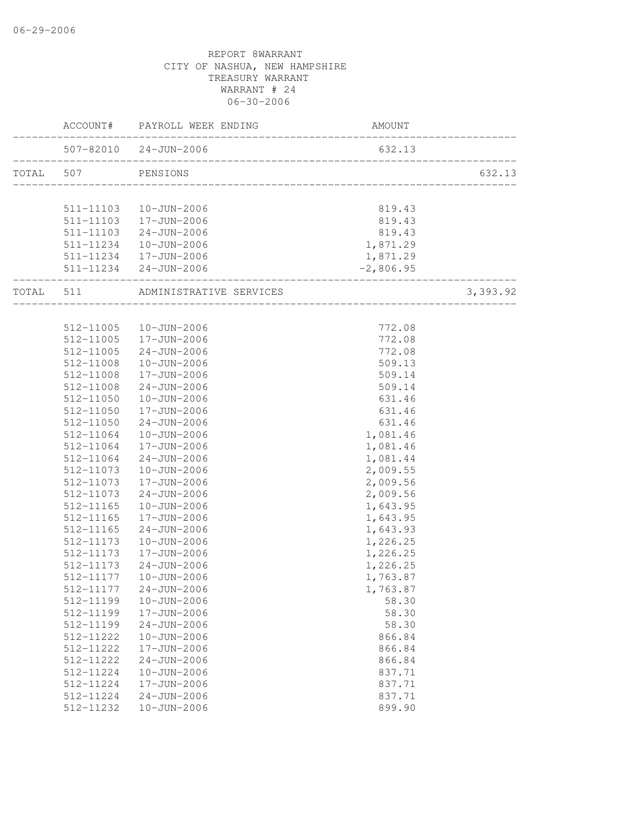| 507-82010 24-JUN-2006<br>632.13<br>TOTAL 507 PENSIONS<br>511-11103  10-JUN-2006<br>819.43<br>511-11103  17-JUN-2006<br>511-11103  24-JUN-2006<br>819.43<br>819.43<br>1,871.29<br>511-11234  10-JUN-2006<br>511-11234  17-JUN-2006<br>1,871.29<br>511-11234 24-JUN-2006<br>$-2,806.95$<br>3, 393.92<br>TOTAL 511 ADMINISTRATIVE SERVICES<br>512-11005  10-JUN-2006<br>772.08<br>$17 - JUN - 2006$<br>772.08<br>512-11005<br>$24 - JUN - 2006$<br>512-11005<br>772.08<br>509.13<br>512-11008<br>10-JUN-2006<br>512-11008<br>17-JUN-2006<br>509.14<br>$24 - JUN - 2006$<br>509.14<br>512-11008<br>631.46<br>512-11050<br>10-JUN-2006<br>17-JUN-2006<br>631.46<br>512-11050<br>512-11050<br>24-JUN-2006<br>631.46<br>10-JUN-2006<br>1,081.46<br>512-11064<br>512-11064<br>17-JUN-2006<br>1,081.46<br>24-JUN-2006<br>1,081.44<br>512-11064<br>2,009.55<br>$10 - JUN - 2006$<br>512-11073<br>2,009.56<br>512-11073<br>17-JUN-2006<br>2,009.56<br>512-11073<br>24-JUN-2006<br>10-JUN-2006<br>512-11165<br>1,643.95<br>1,643.95<br>512-11165<br>17-JUN-2006<br>24-JUN-2006<br>1,643.93<br>512-11165<br>1,226.25<br>512-11173<br>10-JUN-2006<br>1,226.25<br>512-11173<br>17-JUN-2006<br>$24 - JUN - 2006$<br>512-11173<br>1,226.25<br>$10 - JUN - 2006$<br>512-11177<br>1,763.87<br>512-11177 24-JUN-2006<br>1,763.87<br>512-11199<br>$10 - JUN - 2006$<br>58.30<br>17-JUN-2006<br>58.30<br>512-11199<br>58.30<br>512-11199<br>$24 - JUN - 2006$<br>512-11222<br>$10 - JUN - 2006$<br>866.84<br>512-11222<br>17-JUN-2006<br>866.84<br>512-11222<br>$24 - JUN - 2006$<br>866.84<br>512-11224<br>$10 - JUN - 2006$<br>837.71<br>17-JUN-2006<br>837.71<br>512-11224<br>512-11224<br>$24 - JUN - 2006$<br>837.71<br>899.90<br>512-11232<br>$10 - JUN - 2006$ |  | AMOUNT |        |
|-------------------------------------------------------------------------------------------------------------------------------------------------------------------------------------------------------------------------------------------------------------------------------------------------------------------------------------------------------------------------------------------------------------------------------------------------------------------------------------------------------------------------------------------------------------------------------------------------------------------------------------------------------------------------------------------------------------------------------------------------------------------------------------------------------------------------------------------------------------------------------------------------------------------------------------------------------------------------------------------------------------------------------------------------------------------------------------------------------------------------------------------------------------------------------------------------------------------------------------------------------------------------------------------------------------------------------------------------------------------------------------------------------------------------------------------------------------------------------------------------------------------------------------------------------------------------------------------------------------------------------------------------------------------------------------------------------------------------------------------------|--|--------|--------|
|                                                                                                                                                                                                                                                                                                                                                                                                                                                                                                                                                                                                                                                                                                                                                                                                                                                                                                                                                                                                                                                                                                                                                                                                                                                                                                                                                                                                                                                                                                                                                                                                                                                                                                                                                 |  |        |        |
|                                                                                                                                                                                                                                                                                                                                                                                                                                                                                                                                                                                                                                                                                                                                                                                                                                                                                                                                                                                                                                                                                                                                                                                                                                                                                                                                                                                                                                                                                                                                                                                                                                                                                                                                                 |  |        | 632.13 |
|                                                                                                                                                                                                                                                                                                                                                                                                                                                                                                                                                                                                                                                                                                                                                                                                                                                                                                                                                                                                                                                                                                                                                                                                                                                                                                                                                                                                                                                                                                                                                                                                                                                                                                                                                 |  |        |        |
|                                                                                                                                                                                                                                                                                                                                                                                                                                                                                                                                                                                                                                                                                                                                                                                                                                                                                                                                                                                                                                                                                                                                                                                                                                                                                                                                                                                                                                                                                                                                                                                                                                                                                                                                                 |  |        |        |
|                                                                                                                                                                                                                                                                                                                                                                                                                                                                                                                                                                                                                                                                                                                                                                                                                                                                                                                                                                                                                                                                                                                                                                                                                                                                                                                                                                                                                                                                                                                                                                                                                                                                                                                                                 |  |        |        |
|                                                                                                                                                                                                                                                                                                                                                                                                                                                                                                                                                                                                                                                                                                                                                                                                                                                                                                                                                                                                                                                                                                                                                                                                                                                                                                                                                                                                                                                                                                                                                                                                                                                                                                                                                 |  |        |        |
|                                                                                                                                                                                                                                                                                                                                                                                                                                                                                                                                                                                                                                                                                                                                                                                                                                                                                                                                                                                                                                                                                                                                                                                                                                                                                                                                                                                                                                                                                                                                                                                                                                                                                                                                                 |  |        |        |
|                                                                                                                                                                                                                                                                                                                                                                                                                                                                                                                                                                                                                                                                                                                                                                                                                                                                                                                                                                                                                                                                                                                                                                                                                                                                                                                                                                                                                                                                                                                                                                                                                                                                                                                                                 |  |        |        |
|                                                                                                                                                                                                                                                                                                                                                                                                                                                                                                                                                                                                                                                                                                                                                                                                                                                                                                                                                                                                                                                                                                                                                                                                                                                                                                                                                                                                                                                                                                                                                                                                                                                                                                                                                 |  |        |        |
|                                                                                                                                                                                                                                                                                                                                                                                                                                                                                                                                                                                                                                                                                                                                                                                                                                                                                                                                                                                                                                                                                                                                                                                                                                                                                                                                                                                                                                                                                                                                                                                                                                                                                                                                                 |  |        |        |
|                                                                                                                                                                                                                                                                                                                                                                                                                                                                                                                                                                                                                                                                                                                                                                                                                                                                                                                                                                                                                                                                                                                                                                                                                                                                                                                                                                                                                                                                                                                                                                                                                                                                                                                                                 |  |        |        |
|                                                                                                                                                                                                                                                                                                                                                                                                                                                                                                                                                                                                                                                                                                                                                                                                                                                                                                                                                                                                                                                                                                                                                                                                                                                                                                                                                                                                                                                                                                                                                                                                                                                                                                                                                 |  |        |        |
|                                                                                                                                                                                                                                                                                                                                                                                                                                                                                                                                                                                                                                                                                                                                                                                                                                                                                                                                                                                                                                                                                                                                                                                                                                                                                                                                                                                                                                                                                                                                                                                                                                                                                                                                                 |  |        |        |
|                                                                                                                                                                                                                                                                                                                                                                                                                                                                                                                                                                                                                                                                                                                                                                                                                                                                                                                                                                                                                                                                                                                                                                                                                                                                                                                                                                                                                                                                                                                                                                                                                                                                                                                                                 |  |        |        |
|                                                                                                                                                                                                                                                                                                                                                                                                                                                                                                                                                                                                                                                                                                                                                                                                                                                                                                                                                                                                                                                                                                                                                                                                                                                                                                                                                                                                                                                                                                                                                                                                                                                                                                                                                 |  |        |        |
|                                                                                                                                                                                                                                                                                                                                                                                                                                                                                                                                                                                                                                                                                                                                                                                                                                                                                                                                                                                                                                                                                                                                                                                                                                                                                                                                                                                                                                                                                                                                                                                                                                                                                                                                                 |  |        |        |
|                                                                                                                                                                                                                                                                                                                                                                                                                                                                                                                                                                                                                                                                                                                                                                                                                                                                                                                                                                                                                                                                                                                                                                                                                                                                                                                                                                                                                                                                                                                                                                                                                                                                                                                                                 |  |        |        |
|                                                                                                                                                                                                                                                                                                                                                                                                                                                                                                                                                                                                                                                                                                                                                                                                                                                                                                                                                                                                                                                                                                                                                                                                                                                                                                                                                                                                                                                                                                                                                                                                                                                                                                                                                 |  |        |        |
|                                                                                                                                                                                                                                                                                                                                                                                                                                                                                                                                                                                                                                                                                                                                                                                                                                                                                                                                                                                                                                                                                                                                                                                                                                                                                                                                                                                                                                                                                                                                                                                                                                                                                                                                                 |  |        |        |
|                                                                                                                                                                                                                                                                                                                                                                                                                                                                                                                                                                                                                                                                                                                                                                                                                                                                                                                                                                                                                                                                                                                                                                                                                                                                                                                                                                                                                                                                                                                                                                                                                                                                                                                                                 |  |        |        |
|                                                                                                                                                                                                                                                                                                                                                                                                                                                                                                                                                                                                                                                                                                                                                                                                                                                                                                                                                                                                                                                                                                                                                                                                                                                                                                                                                                                                                                                                                                                                                                                                                                                                                                                                                 |  |        |        |
|                                                                                                                                                                                                                                                                                                                                                                                                                                                                                                                                                                                                                                                                                                                                                                                                                                                                                                                                                                                                                                                                                                                                                                                                                                                                                                                                                                                                                                                                                                                                                                                                                                                                                                                                                 |  |        |        |
|                                                                                                                                                                                                                                                                                                                                                                                                                                                                                                                                                                                                                                                                                                                                                                                                                                                                                                                                                                                                                                                                                                                                                                                                                                                                                                                                                                                                                                                                                                                                                                                                                                                                                                                                                 |  |        |        |
|                                                                                                                                                                                                                                                                                                                                                                                                                                                                                                                                                                                                                                                                                                                                                                                                                                                                                                                                                                                                                                                                                                                                                                                                                                                                                                                                                                                                                                                                                                                                                                                                                                                                                                                                                 |  |        |        |
|                                                                                                                                                                                                                                                                                                                                                                                                                                                                                                                                                                                                                                                                                                                                                                                                                                                                                                                                                                                                                                                                                                                                                                                                                                                                                                                                                                                                                                                                                                                                                                                                                                                                                                                                                 |  |        |        |
|                                                                                                                                                                                                                                                                                                                                                                                                                                                                                                                                                                                                                                                                                                                                                                                                                                                                                                                                                                                                                                                                                                                                                                                                                                                                                                                                                                                                                                                                                                                                                                                                                                                                                                                                                 |  |        |        |
|                                                                                                                                                                                                                                                                                                                                                                                                                                                                                                                                                                                                                                                                                                                                                                                                                                                                                                                                                                                                                                                                                                                                                                                                                                                                                                                                                                                                                                                                                                                                                                                                                                                                                                                                                 |  |        |        |
|                                                                                                                                                                                                                                                                                                                                                                                                                                                                                                                                                                                                                                                                                                                                                                                                                                                                                                                                                                                                                                                                                                                                                                                                                                                                                                                                                                                                                                                                                                                                                                                                                                                                                                                                                 |  |        |        |
|                                                                                                                                                                                                                                                                                                                                                                                                                                                                                                                                                                                                                                                                                                                                                                                                                                                                                                                                                                                                                                                                                                                                                                                                                                                                                                                                                                                                                                                                                                                                                                                                                                                                                                                                                 |  |        |        |
|                                                                                                                                                                                                                                                                                                                                                                                                                                                                                                                                                                                                                                                                                                                                                                                                                                                                                                                                                                                                                                                                                                                                                                                                                                                                                                                                                                                                                                                                                                                                                                                                                                                                                                                                                 |  |        |        |
|                                                                                                                                                                                                                                                                                                                                                                                                                                                                                                                                                                                                                                                                                                                                                                                                                                                                                                                                                                                                                                                                                                                                                                                                                                                                                                                                                                                                                                                                                                                                                                                                                                                                                                                                                 |  |        |        |
|                                                                                                                                                                                                                                                                                                                                                                                                                                                                                                                                                                                                                                                                                                                                                                                                                                                                                                                                                                                                                                                                                                                                                                                                                                                                                                                                                                                                                                                                                                                                                                                                                                                                                                                                                 |  |        |        |
|                                                                                                                                                                                                                                                                                                                                                                                                                                                                                                                                                                                                                                                                                                                                                                                                                                                                                                                                                                                                                                                                                                                                                                                                                                                                                                                                                                                                                                                                                                                                                                                                                                                                                                                                                 |  |        |        |
|                                                                                                                                                                                                                                                                                                                                                                                                                                                                                                                                                                                                                                                                                                                                                                                                                                                                                                                                                                                                                                                                                                                                                                                                                                                                                                                                                                                                                                                                                                                                                                                                                                                                                                                                                 |  |        |        |
|                                                                                                                                                                                                                                                                                                                                                                                                                                                                                                                                                                                                                                                                                                                                                                                                                                                                                                                                                                                                                                                                                                                                                                                                                                                                                                                                                                                                                                                                                                                                                                                                                                                                                                                                                 |  |        |        |
|                                                                                                                                                                                                                                                                                                                                                                                                                                                                                                                                                                                                                                                                                                                                                                                                                                                                                                                                                                                                                                                                                                                                                                                                                                                                                                                                                                                                                                                                                                                                                                                                                                                                                                                                                 |  |        |        |
|                                                                                                                                                                                                                                                                                                                                                                                                                                                                                                                                                                                                                                                                                                                                                                                                                                                                                                                                                                                                                                                                                                                                                                                                                                                                                                                                                                                                                                                                                                                                                                                                                                                                                                                                                 |  |        |        |
|                                                                                                                                                                                                                                                                                                                                                                                                                                                                                                                                                                                                                                                                                                                                                                                                                                                                                                                                                                                                                                                                                                                                                                                                                                                                                                                                                                                                                                                                                                                                                                                                                                                                                                                                                 |  |        |        |
|                                                                                                                                                                                                                                                                                                                                                                                                                                                                                                                                                                                                                                                                                                                                                                                                                                                                                                                                                                                                                                                                                                                                                                                                                                                                                                                                                                                                                                                                                                                                                                                                                                                                                                                                                 |  |        |        |
|                                                                                                                                                                                                                                                                                                                                                                                                                                                                                                                                                                                                                                                                                                                                                                                                                                                                                                                                                                                                                                                                                                                                                                                                                                                                                                                                                                                                                                                                                                                                                                                                                                                                                                                                                 |  |        |        |
|                                                                                                                                                                                                                                                                                                                                                                                                                                                                                                                                                                                                                                                                                                                                                                                                                                                                                                                                                                                                                                                                                                                                                                                                                                                                                                                                                                                                                                                                                                                                                                                                                                                                                                                                                 |  |        |        |
|                                                                                                                                                                                                                                                                                                                                                                                                                                                                                                                                                                                                                                                                                                                                                                                                                                                                                                                                                                                                                                                                                                                                                                                                                                                                                                                                                                                                                                                                                                                                                                                                                                                                                                                                                 |  |        |        |
|                                                                                                                                                                                                                                                                                                                                                                                                                                                                                                                                                                                                                                                                                                                                                                                                                                                                                                                                                                                                                                                                                                                                                                                                                                                                                                                                                                                                                                                                                                                                                                                                                                                                                                                                                 |  |        |        |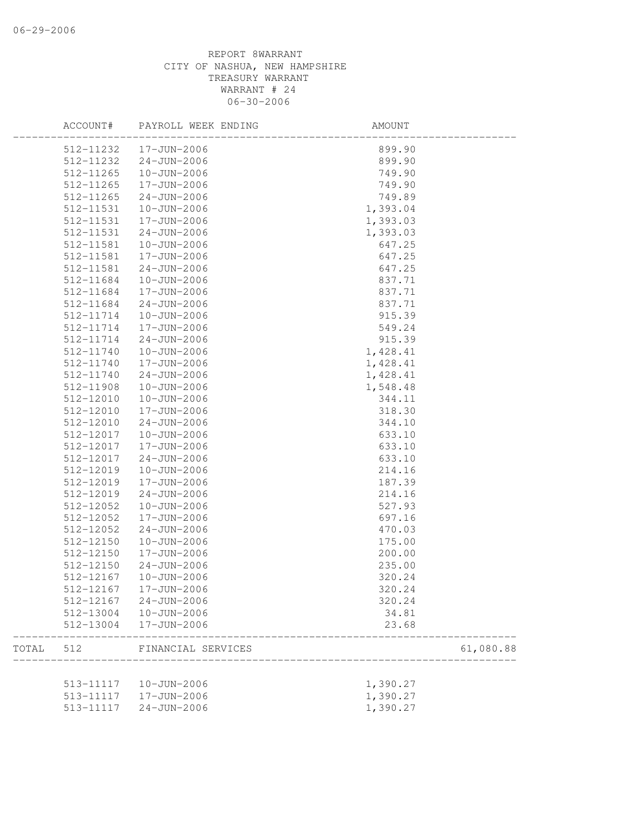|       | ACCOUNT#  | PAYROLL WEEK ENDING      | AMOUNT   |           |
|-------|-----------|--------------------------|----------|-----------|
|       | 512-11232 | 17-JUN-2006              | 899.90   |           |
|       | 512-11232 | $24 - JUN - 2006$        | 899.90   |           |
|       | 512-11265 | 10-JUN-2006              | 749.90   |           |
|       | 512-11265 | 17-JUN-2006              | 749.90   |           |
|       | 512-11265 | $24 - JUN - 2006$        | 749.89   |           |
|       | 512-11531 | 10-JUN-2006              | 1,393.04 |           |
|       | 512-11531 | 17-JUN-2006              | 1,393.03 |           |
|       | 512-11531 | $24 - JUN - 2006$        | 1,393.03 |           |
|       | 512-11581 | 10-JUN-2006              | 647.25   |           |
|       | 512-11581 | 17-JUN-2006              | 647.25   |           |
|       | 512-11581 | $24 - JUN - 2006$        | 647.25   |           |
|       | 512-11684 | 10-JUN-2006              | 837.71   |           |
|       | 512-11684 | 17-JUN-2006              | 837.71   |           |
|       | 512-11684 | $24 - JUN - 2006$        | 837.71   |           |
|       | 512-11714 | $10 - JUN - 2006$        | 915.39   |           |
|       | 512-11714 | 17-JUN-2006              | 549.24   |           |
|       | 512-11714 | $24 - JUN - 2006$        | 915.39   |           |
|       | 512-11740 | $10 - JUN - 2006$        | 1,428.41 |           |
|       | 512-11740 | 17-JUN-2006              | 1,428.41 |           |
|       | 512-11740 | $24 - JUN - 2006$        | 1,428.41 |           |
|       | 512-11908 | 10-JUN-2006              | 1,548.48 |           |
|       | 512-12010 | 10-JUN-2006              | 344.11   |           |
|       | 512-12010 | 17-JUN-2006              | 318.30   |           |
|       | 512-12010 | $24 - JUN - 2006$        | 344.10   |           |
|       | 512-12017 | 10-JUN-2006              | 633.10   |           |
|       | 512-12017 | 17-JUN-2006              | 633.10   |           |
|       | 512-12017 | $24 - JUN - 2006$        | 633.10   |           |
|       | 512-12019 | 10-JUN-2006              | 214.16   |           |
|       | 512-12019 | 17-JUN-2006              | 187.39   |           |
|       | 512-12019 | $24 - JUN - 2006$        | 214.16   |           |
|       | 512-12052 | 10-JUN-2006              | 527.93   |           |
|       | 512-12052 | 17-JUN-2006              | 697.16   |           |
|       | 512-12052 | $24 - JUN - 2006$        | 470.03   |           |
|       | 512-12150 | $10 - JUN - 2006$        | 175.00   |           |
|       | 512-12150 | 17-JUN-2006              | 200.00   |           |
|       | 512-12150 | $24 - JUN - 2006$        | 235.00   |           |
|       | 512-12167 | 10-JUN-2006              | 320.24   |           |
|       |           | 512-12167    17-JUN-2006 | 320.24   |           |
|       | 512-12167 | $24 - JUN - 2006$        | 320.24   |           |
|       | 512-13004 | 10-JUN-2006              | 34.81    |           |
|       | 512-13004 | 17-JUN-2006              | 23.68    |           |
| TOTAL | 512       | FINANCIAL SERVICES       |          | 61,080.88 |
|       |           |                          |          |           |
|       |           | 513-11117  10-JUN-2006   | 1,390.27 |           |
|       |           | 513-11117  17-JUN-2006   | 1,390.27 |           |
|       | 513-11117 | $24 - JUN - 2006$        | 1,390.27 |           |
|       |           |                          |          |           |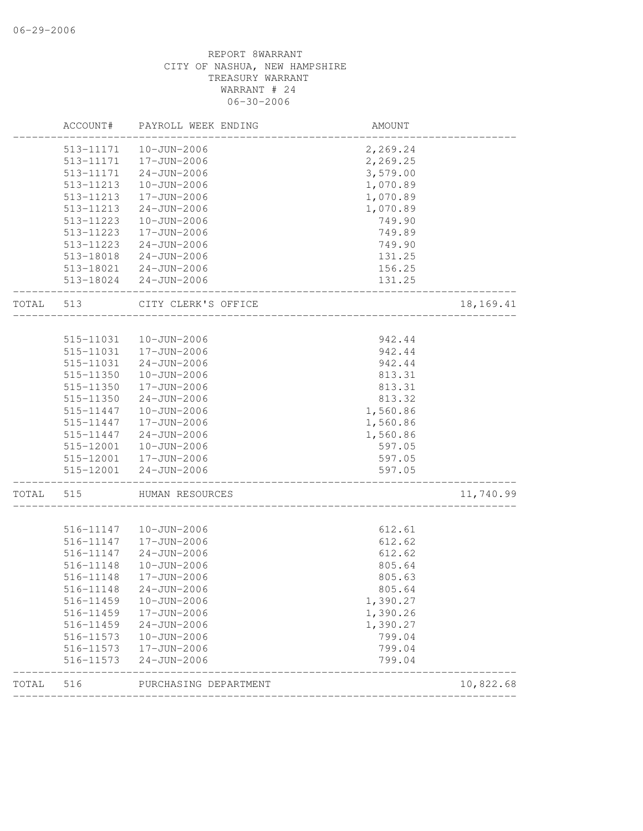|       | ACCOUNT#               | PAYROLL WEEK ENDING              | AMOUNT           |           |
|-------|------------------------|----------------------------------|------------------|-----------|
|       | 513-11171              | 10-JUN-2006                      | 2,269.24         |           |
|       | 513-11171              | 17-JUN-2006                      | 2,269.25         |           |
|       | 513-11171              | $24 - JUN - 2006$                | 3,579.00         |           |
|       | 513-11213              | 10-JUN-2006                      | 1,070.89         |           |
|       | 513-11213              | 17-JUN-2006                      | 1,070.89         |           |
|       | 513-11213              | $24 - JUN - 2006$                | 1,070.89         |           |
|       | 513-11223              | 10-JUN-2006                      | 749.90           |           |
|       | 513-11223              | 17-JUN-2006                      | 749.89           |           |
|       | 513-11223              | $24 - JUN - 2006$                | 749.90           |           |
|       | 513-18018              | 24-JUN-2006                      | 131.25           |           |
|       |                        | 513-18021  24-JUN-2006           | 156.25           |           |
|       |                        | 513-18024 24-JUN-2006            | 131.25           |           |
| TOTAL | 513                    | CITY CLERK'S OFFICE              |                  | 18,169.41 |
|       |                        |                                  |                  |           |
|       | 515-11031              | 10-JUN-2006                      | 942.44           |           |
|       | 515-11031              | 17-JUN-2006                      | 942.44           |           |
|       | 515-11031              | $24 - JUN - 2006$                | 942.44           |           |
|       | 515-11350              | $10 - JUN - 2006$                | 813.31           |           |
|       | 515-11350              | 17-JUN-2006                      | 813.31           |           |
|       | 515-11350              | $24 - JUN - 2006$                | 813.32           |           |
|       | 515-11447              | 10-JUN-2006                      | 1,560.86         |           |
|       | 515-11447              | 17-JUN-2006                      | 1,560.86         |           |
|       | 515-11447              | $24 - JUN - 2006$                | 1,560.86         |           |
|       | 515-12001              | 10-JUN-2006                      | 597.05           |           |
|       | 515-12001<br>515-12001 | 17-JUN-2006<br>$24 - JUN - 2006$ | 597.05<br>597.05 |           |
| TOTAL | 515                    | HUMAN RESOURCES                  |                  | 11,740.99 |
|       |                        |                                  |                  |           |
|       | 516-11147              | $10 - JUN - 2006$                | 612.61           |           |
|       | 516-11147              | 17-JUN-2006                      | 612.62           |           |
|       | 516-11147              | $24 - JUN - 2006$                | 612.62           |           |
|       | 516-11148              | $10 - JUN - 2006$                | 805.64           |           |
|       | 516-11148              | 17-JUN-2006                      | 805.63           |           |
|       | 516-11148              | $24 - JUN - 2006$                | 805.64           |           |
|       | 516-11459              | $10 - JUN - 2006$                | 1,390.27         |           |
|       | 516-11459              | 17-JUN-2006                      | 1,390.26         |           |
|       | 516-11459              | $24 - JUN - 2006$                | 1,390.27         |           |
|       | 516-11573              | $10 - JUN - 2006$                | 799.04           |           |
|       | 516-11573              | 17-JUN-2006                      | 799.04           |           |
|       | 516-11573              | $24 - JUN - 2006$                | 799.04           |           |
| TOTAL | 516                    | PURCHASING DEPARTMENT            |                  | 10,822.68 |
|       |                        |                                  |                  |           |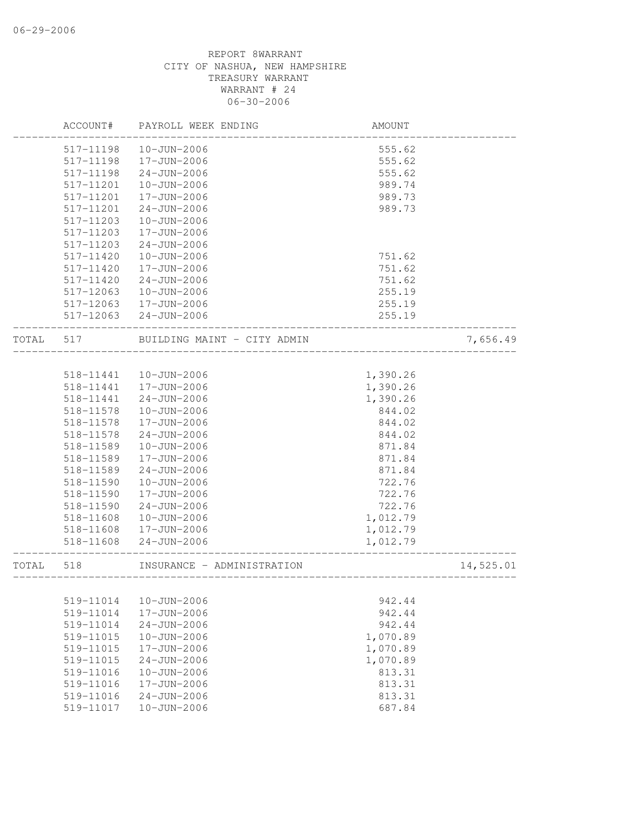|       | ACCOUNT#      | PAYROLL WEEK ENDING         | AMOUNT   |           |
|-------|---------------|-----------------------------|----------|-----------|
|       | 517-11198     | 10-JUN-2006                 | 555.62   |           |
|       | 517-11198     | 17-JUN-2006                 | 555.62   |           |
|       | 517-11198     | $24 - JUN - 2006$           | 555.62   |           |
|       | 517-11201     | $10 - JUN - 2006$           | 989.74   |           |
|       | 517-11201     | 17-JUN-2006                 | 989.73   |           |
|       | 517-11201     | $24 - JUN - 2006$           | 989.73   |           |
|       | 517-11203     | $10 - JUN - 2006$           |          |           |
|       | 517-11203     | 17-JUN-2006                 |          |           |
|       | 517-11203     | $24 - JUN - 2006$           |          |           |
|       | $517 - 11420$ | 10-JUN-2006                 | 751.62   |           |
|       | $517 - 11420$ | 17-JUN-2006                 | 751.62   |           |
|       | 517-11420     | $24 - JUN - 2006$           | 751.62   |           |
|       | 517-12063     | 10-JUN-2006                 | 255.19   |           |
|       | 517-12063     | 17-JUN-2006                 | 255.19   |           |
|       | 517-12063     | $24 - JUN - 2006$           | 255.19   |           |
| TOTAL | 517           | BUILDING MAINT - CITY ADMIN |          | 7,656.49  |
|       |               |                             |          |           |
|       | 518-11441     | 10-JUN-2006                 | 1,390.26 |           |
|       | 518-11441     | 17-JUN-2006                 | 1,390.26 |           |
|       | 518-11441     | $24 - JUN - 2006$           | 1,390.26 |           |
|       | 518-11578     | 10-JUN-2006                 | 844.02   |           |
|       | 518-11578     | 17-JUN-2006                 | 844.02   |           |
|       | 518-11578     | $24 - JUN - 2006$           | 844.02   |           |
|       | 518-11589     | 10-JUN-2006                 | 871.84   |           |
|       | 518-11589     | 17-JUN-2006                 | 871.84   |           |
|       | 518-11589     | $24 - JUN - 2006$           | 871.84   |           |
|       | 518-11590     | $10 - JUN - 2006$           | 722.76   |           |
|       | 518-11590     | 17-JUN-2006                 | 722.76   |           |
|       | 518-11590     | $24 - JUN - 2006$           | 722.76   |           |
|       | 518-11608     | 10-JUN-2006                 | 1,012.79 |           |
|       | 518-11608     | 17-JUN-2006                 | 1,012.79 |           |
|       | 518-11608     | $24 - JUN - 2006$           | 1,012.79 |           |
| TOTAL | 518           | INSURANCE - ADMINISTRATION  |          | 14,525.01 |
|       |               |                             |          |           |
|       | 519-11014     | $10 - JUN - 2006$           | 942.44   |           |
|       | 519-11014     | 17-JUN-2006                 | 942.44   |           |
|       | 519-11014     | $24 - JUN - 2006$           | 942.44   |           |
|       | 519-11015     | 10-JUN-2006                 | 1,070.89 |           |
|       | 519-11015     | 17-JUN-2006                 | 1,070.89 |           |
|       | 519-11015     | $24 - JUN - 2006$           | 1,070.89 |           |
|       | 519-11016     | $10 - JUN - 2006$           | 813.31   |           |
|       | 519-11016     | 17-JUN-2006                 | 813.31   |           |
|       | 519-11016     | $24 - JUN - 2006$           | 813.31   |           |
|       | 519-11017     | $10 - JUN - 2006$           | 687.84   |           |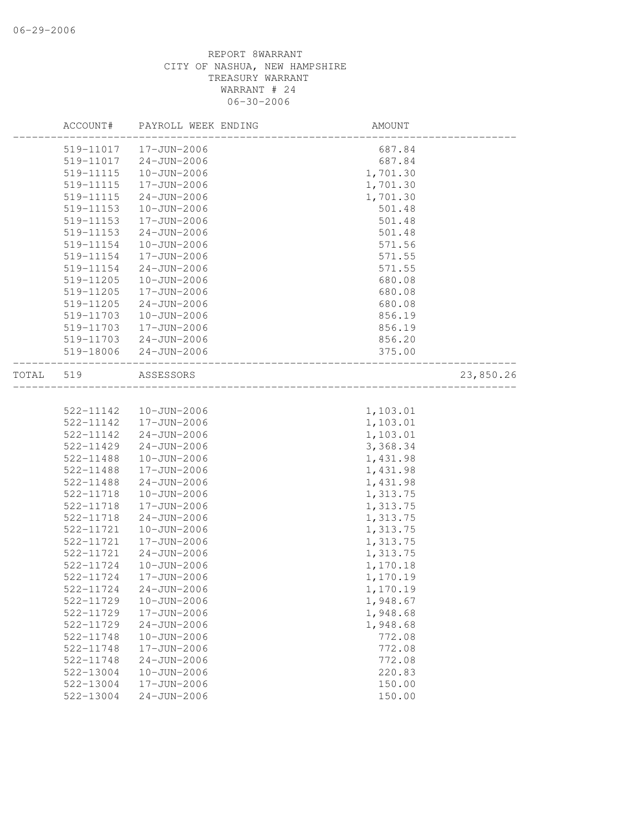|       | ACCOUNT#  | PAYROLL WEEK ENDING | AMOUNT   |           |
|-------|-----------|---------------------|----------|-----------|
|       | 519-11017 | 17-JUN-2006         | 687.84   |           |
|       | 519-11017 | $24 - JUN - 2006$   | 687.84   |           |
|       | 519-11115 | $10 - JUN - 2006$   | 1,701.30 |           |
|       | 519-11115 | 17-JUN-2006         | 1,701.30 |           |
|       | 519-11115 | $24 - JUN - 2006$   | 1,701.30 |           |
|       | 519-11153 | 10-JUN-2006         | 501.48   |           |
|       | 519-11153 | 17-JUN-2006         | 501.48   |           |
|       | 519-11153 | $24 - JUN - 2006$   | 501.48   |           |
|       | 519-11154 | 10-JUN-2006         | 571.56   |           |
|       | 519-11154 | 17-JUN-2006         | 571.55   |           |
|       | 519-11154 | $24 - JUN - 2006$   | 571.55   |           |
|       | 519-11205 | $10 - JUN - 2006$   | 680.08   |           |
|       | 519-11205 | 17-JUN-2006         | 680.08   |           |
|       | 519-11205 | $24 - JUN - 2006$   | 680.08   |           |
|       | 519-11703 | 10-JUN-2006         | 856.19   |           |
|       | 519-11703 | 17-JUN-2006         | 856.19   |           |
|       | 519-11703 | $24 - JUN - 2006$   | 856.20   |           |
|       | 519-18006 | $24 - JUN - 2006$   | 375.00   |           |
| TOTAL | 519       | ASSESSORS           |          | 23,850.26 |
|       |           |                     |          |           |
|       | 522-11142 | 10-JUN-2006         | 1,103.01 |           |
|       | 522-11142 | 17-JUN-2006         | 1,103.01 |           |
|       | 522-11142 | $24 - JUN - 2006$   | 1,103.01 |           |
|       | 522-11429 | $24 - JUN - 2006$   | 3,368.34 |           |
|       | 522-11488 | 10-JUN-2006         | 1,431.98 |           |
|       | 522-11488 | 17-JUN-2006         | 1,431.98 |           |
|       | 522-11488 | $24 - JUN - 2006$   | 1,431.98 |           |
|       | 522-11718 | $10 - JUN - 2006$   | 1,313.75 |           |
|       | 522-11718 | 17-JUN-2006         | 1,313.75 |           |
|       | 522-11718 | $24 - JUN - 2006$   | 1,313.75 |           |
|       | 522-11721 | 10-JUN-2006         | 1,313.75 |           |
|       | 522-11721 | 17-JUN-2006         | 1,313.75 |           |
|       | 522-11721 | $24 - JUN - 2006$   | 1,313.75 |           |
|       | 522-11724 | 10-JUN-2006         | 1,170.18 |           |
|       | 522-11724 | 17-JUN-2006         | 1,170.19 |           |
|       | 522-11724 | $24 - JUN - 2006$   | 1,170.19 |           |
|       | 522-11729 | $10 - JUN - 2006$   | 1,948.67 |           |
|       | 522-11729 | $17 - JUN - 2006$   | 1,948.68 |           |
|       | 522-11729 | $24 - JUN - 2006$   | 1,948.68 |           |
|       | 522-11748 | 10-JUN-2006         | 772.08   |           |
|       | 522-11748 | 17-JUN-2006         | 772.08   |           |
|       | 522-11748 | $24 - JUN - 2006$   | 772.08   |           |
|       | 522-13004 | 10-JUN-2006         | 220.83   |           |
|       | 522-13004 | $17 - JUN - 2006$   | 150.00   |           |
|       | 522-13004 | $24 - JUN - 2006$   | 150.00   |           |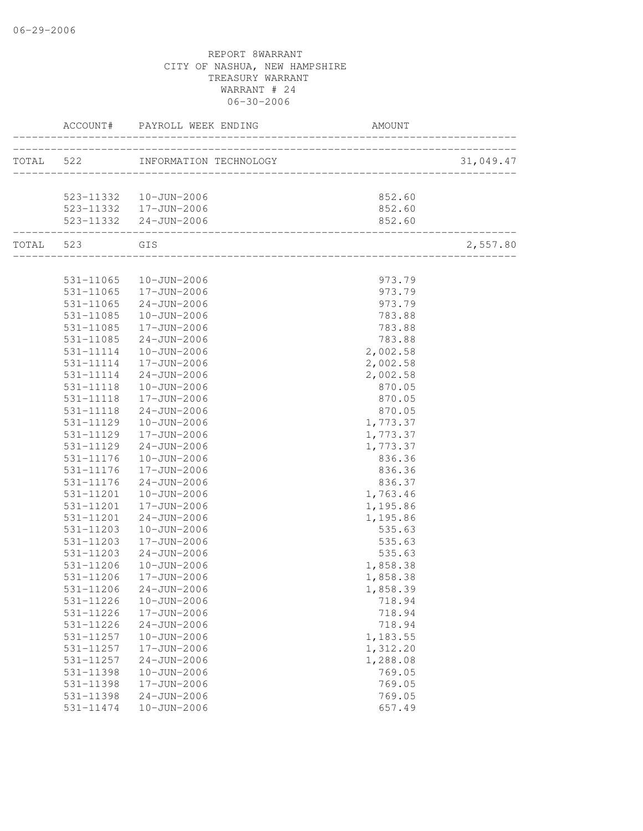| ACCOUNT#               | PAYROLL WEEK ENDING              | AMOUNT                     |           |
|------------------------|----------------------------------|----------------------------|-----------|
|                        | TOTAL 522 INFORMATION TECHNOLOGY | __________________________ | 31,049.47 |
|                        |                                  |                            |           |
|                        | 523-11332  10-JUN-2006           | 852.60                     |           |
|                        | 523-11332 17-JUN-2006            | 852.60                     |           |
|                        | 523-11332 24-JUN-2006            | 852.60                     |           |
| TOTAL 523 GIS          |                                  |                            | 2,557.80  |
|                        |                                  |                            |           |
|                        | 531-11065  10-JUN-2006           | 973.79                     |           |
|                        | 531-11065  17-JUN-2006           | 973.79                     |           |
| 531-11065<br>531-11085 | $24 - JUN - 2006$<br>10-JUN-2006 | 973.79<br>783.88           |           |
| 531-11085              | 17-JUN-2006                      | 783.88                     |           |
| 531-11085              | 24-JUN-2006                      | 783.88                     |           |
| 531-11114              | 10-JUN-2006                      | 2,002.58                   |           |
| 531-11114              | 17-JUN-2006                      | 2,002.58                   |           |
| 531-11114              | 24-JUN-2006                      | 2,002.58                   |           |
| 531-11118              | 10-JUN-2006                      | 870.05                     |           |
| 531-11118              | 17-JUN-2006                      | 870.05                     |           |
| 531-11118              | 24-JUN-2006                      | 870.05                     |           |
| 531-11129              | 10-JUN-2006                      | 1,773.37                   |           |
| 531-11129              | 17-JUN-2006                      | 1,773.37                   |           |
| 531-11129              | 24-JUN-2006                      | 1,773.37                   |           |
| 531-11176              | 10-JUN-2006                      | 836.36                     |           |
| 531-11176              | 17-JUN-2006                      | 836.36                     |           |
| 531-11176              | 24-JUN-2006                      | 836.37                     |           |
| 531-11201              | 10-JUN-2006                      | 1,763.46                   |           |
| 531-11201              | 17-JUN-2006                      | 1,195.86                   |           |
| 531-11201              | $24 - JUN - 2006$                | 1,195.86                   |           |
| 531-11203              | 10-JUN-2006                      | 535.63                     |           |
| 531-11203              | 17-JUN-2006                      | 535.63                     |           |
| 531-11203              | $24 - JUN - 2006$                | 535.63                     |           |
| 531-11206              | 10-JUN-2006                      | 1,858.38                   |           |
| 531-11206              | 17-JUN-2006                      | 1,858.38                   |           |
|                        | 531-11206 24-JUN-2006            | 1,858.39                   |           |
| 531-11226              | $10 - JUN - 2006$                | 718.94                     |           |
| 531-11226              | 17-JUN-2006                      | 718.94                     |           |
| 531-11226              | $24 - JUN - 2006$                | 718.94                     |           |
| 531-11257              | $10 - JUN - 2006$                | 1,183.55                   |           |
| 531-11257              | 17-JUN-2006                      | 1,312.20                   |           |
| 531-11257              | $24 - JUN - 2006$                | 1,288.08                   |           |
| 531-11398              | $10 - JUN - 2006$                | 769.05                     |           |
| 531-11398              | 17-JUN-2006                      | 769.05                     |           |
| 531-11398              | $24 - JUN - 2006$                | 769.05                     |           |
| 531-11474              | $10 - JUN - 2006$                | 657.49                     |           |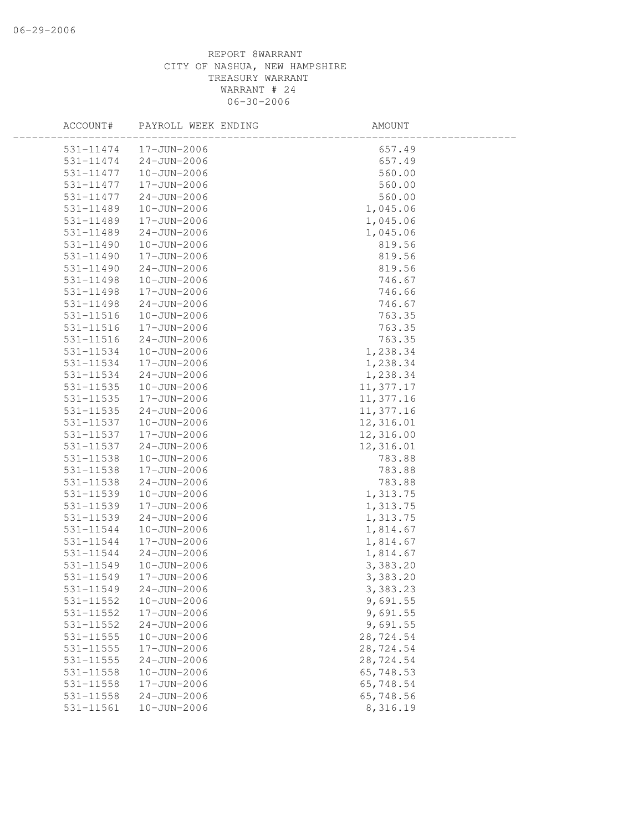| ACCOUNT#      | PAYROLL WEEK ENDING | AMOUNT    |  |
|---------------|---------------------|-----------|--|
| 531-11474     | 17-JUN-2006         | 657.49    |  |
| 531-11474     | 24-JUN-2006         | 657.49    |  |
| 531-11477     | 10-JUN-2006         | 560.00    |  |
| 531-11477     | 17-JUN-2006         | 560.00    |  |
| 531-11477     | $24 - JUN - 2006$   | 560.00    |  |
| 531-11489     | 10-JUN-2006         | 1,045.06  |  |
| 531-11489     | 17-JUN-2006         | 1,045.06  |  |
| 531-11489     | $24 - JUN - 2006$   | 1,045.06  |  |
| 531-11490     | 10-JUN-2006         | 819.56    |  |
| 531-11490     | 17-JUN-2006         | 819.56    |  |
| $531 - 11490$ | $24 - JUN - 2006$   | 819.56    |  |
| 531-11498     | 10-JUN-2006         | 746.67    |  |
| 531-11498     | 17-JUN-2006         | 746.66    |  |
| 531-11498     | $24 - JUN - 2006$   | 746.67    |  |
| 531-11516     | 10-JUN-2006         | 763.35    |  |
| 531-11516     | 17-JUN-2006         | 763.35    |  |
| 531-11516     | $24 - JUN - 2006$   | 763.35    |  |
| 531-11534     | 10-JUN-2006         | 1,238.34  |  |
| 531-11534     | 17-JUN-2006         | 1,238.34  |  |
| 531-11534     | 24-JUN-2006         | 1,238.34  |  |
| 531-11535     | 10-JUN-2006         | 11,377.17 |  |
| 531-11535     | 17-JUN-2006         | 11,377.16 |  |
| 531-11535     | $24 - JUN - 2006$   | 11,377.16 |  |
| 531-11537     | 10-JUN-2006         | 12,316.01 |  |
| 531-11537     | 17-JUN-2006         | 12,316.00 |  |
| 531-11537     | $24 - JUN - 2006$   | 12,316.01 |  |
| 531-11538     | 10-JUN-2006         | 783.88    |  |
| 531-11538     | 17-JUN-2006         | 783.88    |  |
| 531-11538     | $24 - JUN - 2006$   | 783.88    |  |
| 531-11539     | 10-JUN-2006         | 1,313.75  |  |
| 531-11539     | 17-JUN-2006         | 1,313.75  |  |
| 531-11539     | $24 - JUN - 2006$   | 1,313.75  |  |
| 531-11544     | 10-JUN-2006         | 1,814.67  |  |
| 531-11544     | 17-JUN-2006         | 1,814.67  |  |
| 531-11544     | $24 - JUN - 2006$   | 1,814.67  |  |
| 531-11549     | 10-JUN-2006         | 3,383.20  |  |
| 531-11549     | 17-JUN-2006         | 3,383.20  |  |
| 531-11549     | $24 - JUN - 2006$   | 3,383.23  |  |
| 531-11552     | $10 - JUN - 2006$   | 9,691.55  |  |
| 531-11552     | 17-JUN-2006         | 9,691.55  |  |
| 531-11552     | $24 - JUN - 2006$   | 9,691.55  |  |
| 531-11555     | $10 - JUN - 2006$   | 28,724.54 |  |
| 531-11555     | 17-JUN-2006         | 28,724.54 |  |
| 531-11555     | $24 - JUN - 2006$   | 28,724.54 |  |
| 531-11558     | $10 - JUN - 2006$   | 65,748.53 |  |
| 531-11558     | 17-JUN-2006         | 65,748.54 |  |
| 531-11558     | $24 - JUN - 2006$   | 65,748.56 |  |
| 531-11561     | $10 - JUN - 2006$   | 8,316.19  |  |
|               |                     |           |  |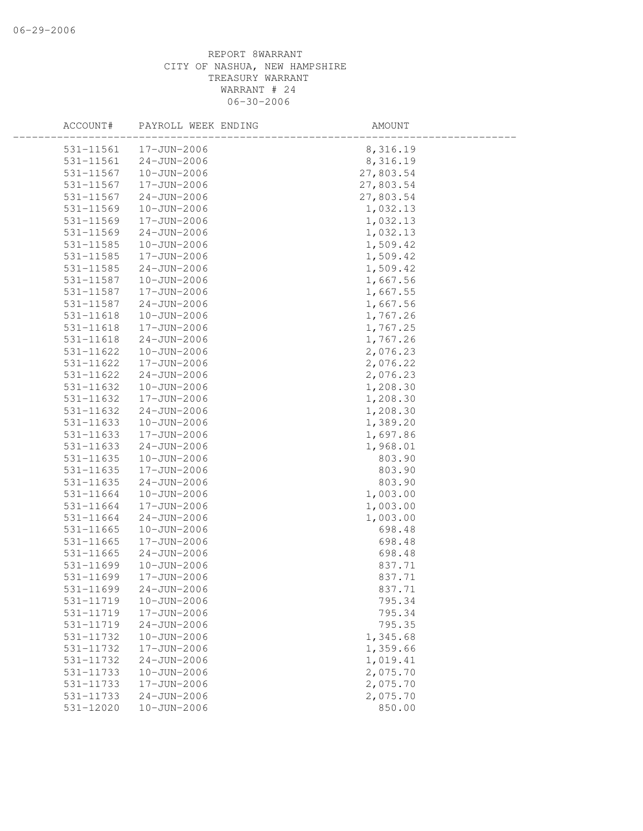| ACCOUNT#      | PAYROLL WEEK ENDING | AMOUNT    |  |
|---------------|---------------------|-----------|--|
| 531-11561     | 17-JUN-2006         | 8,316.19  |  |
| 531-11561     | $24 - JUN - 2006$   | 8,316.19  |  |
| 531-11567     | 10-JUN-2006         | 27,803.54 |  |
| 531-11567     | 17-JUN-2006         | 27,803.54 |  |
| 531-11567     | $24 - JUN - 2006$   | 27,803.54 |  |
| 531-11569     | 10-JUN-2006         | 1,032.13  |  |
| 531-11569     | 17-JUN-2006         | 1,032.13  |  |
| 531-11569     | $24 - JUN - 2006$   | 1,032.13  |  |
| 531-11585     | 10-JUN-2006         | 1,509.42  |  |
| 531-11585     | 17-JUN-2006         | 1,509.42  |  |
| $531 - 11585$ | $24 - JUN - 2006$   | 1,509.42  |  |
| 531-11587     | 10-JUN-2006         | 1,667.56  |  |
| 531-11587     | 17-JUN-2006         | 1,667.55  |  |
| 531-11587     | $24 - JUN - 2006$   | 1,667.56  |  |
| 531-11618     | 10-JUN-2006         | 1,767.26  |  |
| 531-11618     | 17-JUN-2006         | 1,767.25  |  |
| 531-11618     | $24 - JUN - 2006$   | 1,767.26  |  |
| 531-11622     | $10 - JUN - 2006$   | 2,076.23  |  |
| 531-11622     | 17-JUN-2006         | 2,076.22  |  |
| 531-11622     | $24 - JUN - 2006$   | 2,076.23  |  |
| 531-11632     | 10-JUN-2006         | 1,208.30  |  |
| 531-11632     | 17-JUN-2006         | 1,208.30  |  |
| 531-11632     | $24 - JUN - 2006$   | 1,208.30  |  |
| 531-11633     | 10-JUN-2006         | 1,389.20  |  |
| 531-11633     | 17-JUN-2006         | 1,697.86  |  |
| 531-11633     | $24 - JUN - 2006$   | 1,968.01  |  |
| 531-11635     | $10 - JUN - 2006$   | 803.90    |  |
| 531-11635     | 17-JUN-2006         | 803.90    |  |
| 531-11635     | $24 - JUN - 2006$   | 803.90    |  |
| 531-11664     | 10-JUN-2006         | 1,003.00  |  |
| 531-11664     | 17-JUN-2006         | 1,003.00  |  |
| 531-11664     | $24 - JUN - 2006$   | 1,003.00  |  |
| 531-11665     | $10 - JUN - 2006$   | 698.48    |  |
| 531-11665     | 17-JUN-2006         | 698.48    |  |
| 531-11665     | $24 - JUN - 2006$   | 698.48    |  |
| 531-11699     | 10-JUN-2006         | 837.71    |  |
| 531-11699     | 17-JUN-2006         | 837.71    |  |
| 531-11699     | $24 - JUN - 2006$   | 837.71    |  |
| 531-11719     | $10 - JUN - 2006$   | 795.34    |  |
| 531-11719     | 17-JUN-2006         | 795.34    |  |
| 531-11719     | $24 - JUN - 2006$   | 795.35    |  |
| 531-11732     | $10 - JUN - 2006$   | 1,345.68  |  |
| 531-11732     | 17-JUN-2006         | 1,359.66  |  |
| 531-11732     | $24 - JUN - 2006$   | 1,019.41  |  |
| 531-11733     | 10-JUN-2006         | 2,075.70  |  |
| 531-11733     | 17-JUN-2006         | 2,075.70  |  |
| 531-11733     | $24 - JUN - 2006$   | 2,075.70  |  |
| 531-12020     | $10 - JUN - 2006$   | 850.00    |  |
|               |                     |           |  |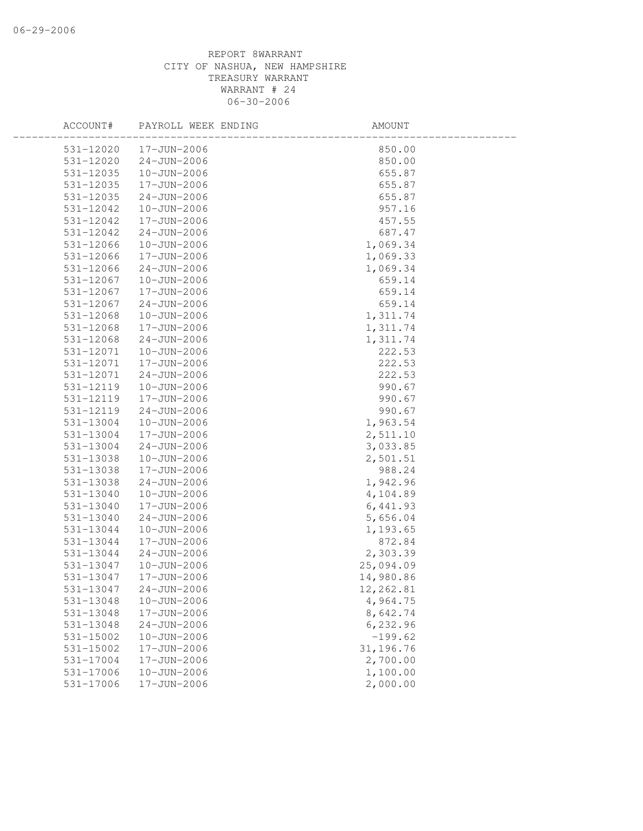| ACCOUNT#               | PAYROLL WEEK ENDING        | AMOUNT             |  |
|------------------------|----------------------------|--------------------|--|
| 531-12020              | 17-JUN-2006                | 850.00             |  |
| 531-12020              | $24 - JUN - 2006$          | 850.00             |  |
| 531-12035              | 10-JUN-2006                | 655.87             |  |
| 531-12035              | 17-JUN-2006                | 655.87             |  |
| 531-12035              | $24 - JUN - 2006$          | 655.87             |  |
| 531-12042              | 10-JUN-2006                | 957.16             |  |
| 531-12042              | 17-JUN-2006                | 457.55             |  |
| 531-12042              | $24 - JUN - 2006$          | 687.47             |  |
| 531-12066              | $10 - JUN - 2006$          | 1,069.34           |  |
| 531-12066              | 17-JUN-2006                | 1,069.33           |  |
| 531-12066              | $24 - JUN - 2006$          | 1,069.34           |  |
| 531-12067              | 10-JUN-2006                | 659.14             |  |
| 531-12067              | 17-JUN-2006                | 659.14             |  |
| 531-12067              | $24 - JUN - 2006$          | 659.14             |  |
| 531-12068              | 10-JUN-2006                | 1,311.74           |  |
| 531-12068              | 17-JUN-2006                | 1,311.74           |  |
| 531-12068              | $24 - JUN - 2006$          | 1,311.74           |  |
| 531-12071              | $10 - JUN - 2006$          | 222.53             |  |
| 531-12071              | 17-JUN-2006                | 222.53             |  |
| 531-12071              | $24 - JUN - 2006$          | 222.53             |  |
| 531-12119              | 10-JUN-2006                | 990.67             |  |
| 531-12119              | 17-JUN-2006                | 990.67             |  |
| 531-12119              | $24 - JUN - 2006$          | 990.67             |  |
| 531-13004              | 10-JUN-2006                | 1,963.54           |  |
| 531-13004              | 17-JUN-2006                | 2,511.10           |  |
| 531-13004              | $24 - JUN - 2006$          | 3,033.85           |  |
| 531-13038              | $10 - JUN - 2006$          | 2,501.51           |  |
| 531-13038              | 17-JUN-2006                | 988.24             |  |
| 531-13038              | $24 - JUN - 2006$          | 1,942.96           |  |
| 531-13040              | 10-JUN-2006                | 4,104.89           |  |
| 531-13040              | 17-JUN-2006                | 6,441.93           |  |
| 531-13040              | $24 - JUN - 2006$          | 5,656.04           |  |
| 531-13044<br>531-13044 | 10-JUN-2006<br>17-JUN-2006 | 1,193.65<br>872.84 |  |
| 531-13044              | $24 - JUN - 2006$          | 2,303.39           |  |
| 531-13047              | $10 - JUN - 2006$          | 25,094.09          |  |
| 531-13047              | 17-JUN-2006                | 14,980.86          |  |
| 531-13047              | $24 - JUN - 2006$          | 12,262.81          |  |
| 531-13048              | $10 - JUN - 2006$          | 4,964.75           |  |
| 531-13048              | 17-JUN-2006                | 8,642.74           |  |
| 531-13048              | $24 - JUN - 2006$          | 6,232.96           |  |
| 531-15002              | $10 - JUN - 2006$          | $-199.62$          |  |
| $531 - 15002$          | 17-JUN-2006                | 31,196.76          |  |
| 531-17004              | 17-JUN-2006                | 2,700.00           |  |
| 531-17006              | $10 - JUN - 2006$          | 1,100.00           |  |
| 531-17006              | 17-JUN-2006                | 2,000.00           |  |
|                        |                            |                    |  |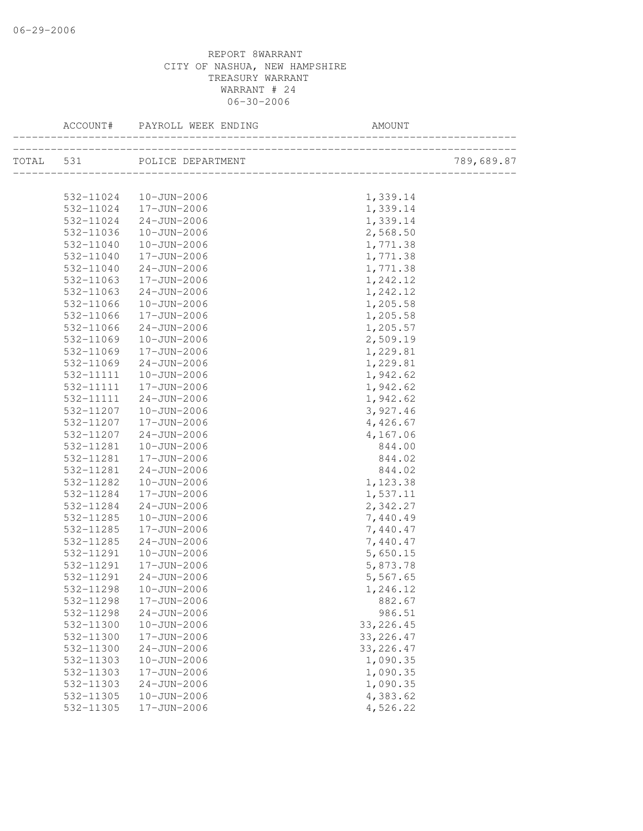|                        | ACCOUNT# PAYROLL WEEK ENDING     | AMOUNT               |            |
|------------------------|----------------------------------|----------------------|------------|
|                        | TOTAL 531 POLICE DEPARTMENT      |                      | 789,689.87 |
|                        |                                  |                      |            |
|                        | 532-11024   10-JUN-2006          | 1,339.14             |            |
|                        | 532-11024 17-JUN-2006            | 1,339.14             |            |
| 532-11024              | 24-JUN-2006                      | 1,339.14             |            |
| 532-11036              | 10-JUN-2006                      | 2,568.50             |            |
| 532-11040              | $10 - JUN - 2006$                | 1,771.38             |            |
| 532-11040              | 17-JUN-2006                      | 1,771.38             |            |
| 532-11040              | 24-JUN-2006                      | 1,771.38             |            |
| 532-11063              | 17-JUN-2006                      | 1,242.12             |            |
| 532-11063              | 24-JUN-2006                      | 1,242.12             |            |
| 532-11066              | 10-JUN-2006                      | 1,205.58             |            |
| 532-11066              | 17-JUN-2006                      | 1,205.58             |            |
| 532-11066              | $24 - JUN - 2006$                | 1,205.57             |            |
| 532-11069              | 10-JUN-2006                      | 2,509.19             |            |
| 532-11069              | 17-JUN-2006                      | 1,229.81             |            |
| 532-11069              | 24-JUN-2006                      | 1,229.81             |            |
| 532-11111              | 10-JUN-2006                      | 1,942.62             |            |
| 532-11111              | 17-JUN-2006                      | 1,942.62             |            |
| 532-11111              | 24-JUN-2006                      | 1,942.62             |            |
| 532-11207              | $10 - JUN - 2006$                | 3,927.46             |            |
| 532-11207              | 17-JUN-2006                      | 4,426.67             |            |
| 532-11207              | 24-JUN-2006                      | 4,167.06             |            |
| 532-11281              | 10-JUN-2006                      | 844.00               |            |
| 532-11281              | 17-JUN-2006                      | 844.02               |            |
| 532-11281              | 24-JUN-2006                      | 844.02               |            |
| 532-11282              | 10-JUN-2006                      | 1,123.38             |            |
| 532-11284              | 17-JUN-2006                      | 1,537.11             |            |
| 532-11284              | 24-JUN-2006                      | 2,342.27             |            |
| 532-11285              | 10-JUN-2006                      | 7,440.49             |            |
| 532-11285              | 17-JUN-2006                      | 7,440.47             |            |
| 532-11285              | 24-JUN-2006                      | 7,440.47             |            |
| 532-11291              | 10-JUN-2006<br>17-JUN-2006       | 5,650.15             |            |
| 532-11291<br>532-11291 | 24-JUN-2006                      | 5,873.78<br>5,567.65 |            |
|                        |                                  |                      |            |
| 532-11298              | 10-JUN-2006                      | 1,246.12             |            |
| 532-11298<br>532-11298 | 17-JUN-2006<br>$24 - JUN - 2006$ | 882.67<br>986.51     |            |
| 532-11300              | $10 - JUN - 2006$                | 33, 226.45           |            |
| 532-11300              | 17-JUN-2006                      | 33, 226.47           |            |
| 532-11300              | $24 - JUN - 2006$                | 33, 226.47           |            |
| 532-11303              | $10 - JUN - 2006$                | 1,090.35             |            |
| 532-11303              | 17-JUN-2006                      | 1,090.35             |            |
| 532-11303              | $24 - JUN - 2006$                | 1,090.35             |            |
| 532-11305              | $10 - JUN - 2006$                | 4,383.62             |            |
| 532-11305              | 17-JUN-2006                      | 4,526.22             |            |
|                        |                                  |                      |            |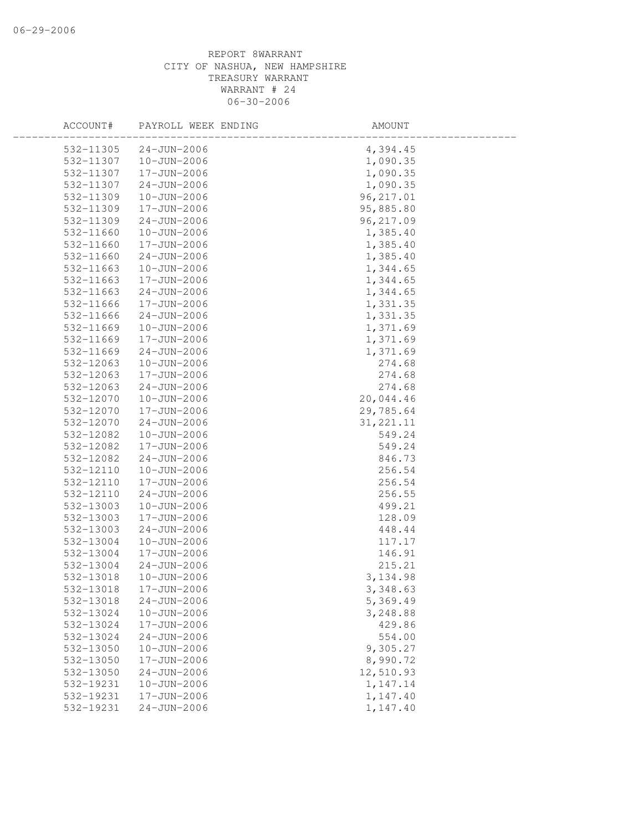| ACCOUNT#  | PAYROLL WEEK ENDING | AMOUNT     |  |
|-----------|---------------------|------------|--|
| 532-11305 | $24 - JUN - 2006$   | 4,394.45   |  |
| 532-11307 | 10-JUN-2006         | 1,090.35   |  |
| 532-11307 | 17-JUN-2006         | 1,090.35   |  |
| 532-11307 | $24 - JUN - 2006$   | 1,090.35   |  |
| 532-11309 | $10 - JUN - 2006$   | 96, 217.01 |  |
| 532-11309 | 17-JUN-2006         | 95,885.80  |  |
| 532-11309 | $24 - JUN - 2006$   | 96, 217.09 |  |
| 532-11660 | $10 - JUN - 2006$   | 1,385.40   |  |
| 532-11660 | 17-JUN-2006         | 1,385.40   |  |
| 532-11660 | 24-JUN-2006         | 1,385.40   |  |
| 532-11663 | 10-JUN-2006         | 1,344.65   |  |
| 532-11663 | 17-JUN-2006         | 1,344.65   |  |
| 532-11663 | 24-JUN-2006         | 1,344.65   |  |
| 532-11666 | 17-JUN-2006         | 1,331.35   |  |
| 532-11666 | $24 - JUN - 2006$   | 1,331.35   |  |
| 532-11669 | 10-JUN-2006         | 1,371.69   |  |
| 532-11669 | 17-JUN-2006         | 1,371.69   |  |
| 532-11669 | $24 - JUN - 2006$   | 1,371.69   |  |
| 532-12063 | 10-JUN-2006         | 274.68     |  |
| 532-12063 | 17-JUN-2006         | 274.68     |  |
| 532-12063 | $24 - JUN - 2006$   | 274.68     |  |
| 532-12070 | $10 - JUN - 2006$   | 20,044.46  |  |
| 532-12070 | 17-JUN-2006         | 29,785.64  |  |
| 532-12070 | $24 - JUN - 2006$   | 31, 221.11 |  |
| 532-12082 | $10 - JUN - 2006$   | 549.24     |  |
| 532-12082 | 17-JUN-2006         | 549.24     |  |
| 532-12082 | $24 - JUN - 2006$   | 846.73     |  |
| 532-12110 | $10 - JUN - 2006$   | 256.54     |  |
| 532-12110 | 17-JUN-2006         | 256.54     |  |
| 532-12110 | $24 - JUN - 2006$   | 256.55     |  |
| 532-13003 | 10-JUN-2006         | 499.21     |  |
| 532-13003 | 17-JUN-2006         | 128.09     |  |
| 532-13003 | $24 - JUN - 2006$   | 448.44     |  |
| 532-13004 | 10-JUN-2006         | 117.17     |  |
| 532-13004 | 17-JUN-2006         | 146.91     |  |
| 532-13004 | $24 - JUN - 2006$   | 215.21     |  |
| 532-13018 | 10-JUN-2006         | 3, 134.98  |  |
| 532-13018 | 17-JUN-2006         | 3,348.63   |  |
| 532-13018 | $24 - JUN - 2006$   | 5,369.49   |  |
| 532-13024 | $10 - JUN - 2006$   | 3,248.88   |  |
| 532-13024 | 17-JUN-2006         | 429.86     |  |
| 532-13024 | $24 - JUN - 2006$   | 554.00     |  |
| 532-13050 | $10 - JUN - 2006$   | 9,305.27   |  |
| 532-13050 | $17 - JUN - 2006$   | 8,990.72   |  |
| 532-13050 | $24 - JUN - 2006$   | 12,510.93  |  |
| 532-19231 | $10 - JUN - 2006$   | 1,147.14   |  |
| 532-19231 | 17-JUN-2006         | 1,147.40   |  |
| 532-19231 | $24 - JUN - 2006$   | 1,147.40   |  |
|           |                     |            |  |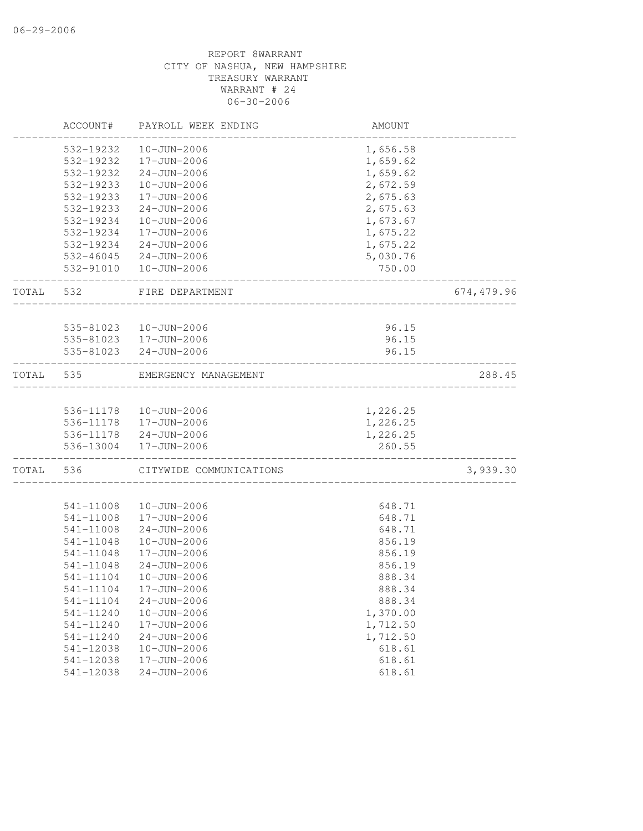|       | ACCOUNT#               | PAYROLL WEEK ENDING                   | AMOUNT           |             |
|-------|------------------------|---------------------------------------|------------------|-------------|
|       | 532-19232              | $10 - JUN - 2006$                     | 1,656.58         |             |
|       | 532-19232              | 17-JUN-2006                           | 1,659.62         |             |
|       | 532-19232              | $24 - JUN - 2006$                     | 1,659.62         |             |
|       | 532-19233              | 10-JUN-2006                           | 2,672.59         |             |
|       | 532-19233              | 17-JUN-2006                           | 2,675.63         |             |
|       | 532-19233              | $24 - JUN - 2006$                     | 2,675.63         |             |
|       | 532-19234              | 10-JUN-2006                           | 1,673.67         |             |
|       | 532-19234              | 17-JUN-2006                           | 1,675.22         |             |
|       | 532-19234              | 24-JUN-2006                           | 1,675.22         |             |
|       |                        | 532-46045 24-JUN-2006                 | 5,030.76         |             |
|       |                        | 532-91010  10-JUN-2006                | 750.00           |             |
| TOTAL | 532                    | FIRE DEPARTMENT<br>__________________ |                  | 674, 479.96 |
|       |                        |                                       |                  |             |
|       | 535-81023              | 10-JUN-2006<br>535-81023  17-JUN-2006 | 96.15<br>96.15   |             |
|       |                        | 535-81023 24-JUN-2006                 | 96.15            |             |
|       |                        |                                       |                  |             |
| TOTAL | 535                    | EMERGENCY MANAGEMENT                  |                  | 288.45      |
|       |                        |                                       |                  |             |
|       |                        | 536-11178  10-JUN-2006                | 1,226.25         |             |
|       |                        | 536-11178  17-JUN-2006                | 1,226.25         |             |
|       |                        | 536-11178 24-JUN-2006                 | 1,226.25         |             |
|       |                        | 536-13004 17-JUN-2006                 | 260.55           |             |
| TOTAL | 536                    | CITYWIDE COMMUNICATIONS               |                  | 3,939.30    |
|       |                        |                                       |                  |             |
|       | 541-11008<br>541-11008 | 10-JUN-2006<br>17-JUN-2006            | 648.71<br>648.71 |             |
|       | 541-11008              | $24 - JUN - 2006$                     | 648.71           |             |
|       | 541-11048              | 10-JUN-2006                           | 856.19           |             |
|       | 541-11048              | 17-JUN-2006                           | 856.19           |             |
|       | 541-11048              | $24 - JUN - 2006$                     | 856.19           |             |
|       | 541-11104              | 10-JUN-2006                           | 888.34           |             |
|       | 541-11104              | 17-JUN-2006                           | 888.34           |             |
|       | 541-11104              | $24 - JUN - 2006$                     | 888.34           |             |
|       | 541-11240              | $10 - JUN - 2006$                     | 1,370.00         |             |
|       | 541-11240              | 17-JUN-2006                           | 1,712.50         |             |
|       | 541-11240              | $24 - JUN - 2006$                     | 1,712.50         |             |
|       | 541-12038              | $10 - JUN - 2006$                     | 618.61           |             |
|       | 541-12038              | 17-JUN-2006                           | 618.61           |             |
|       | 541-12038              | $24 - JUN - 2006$                     | 618.61           |             |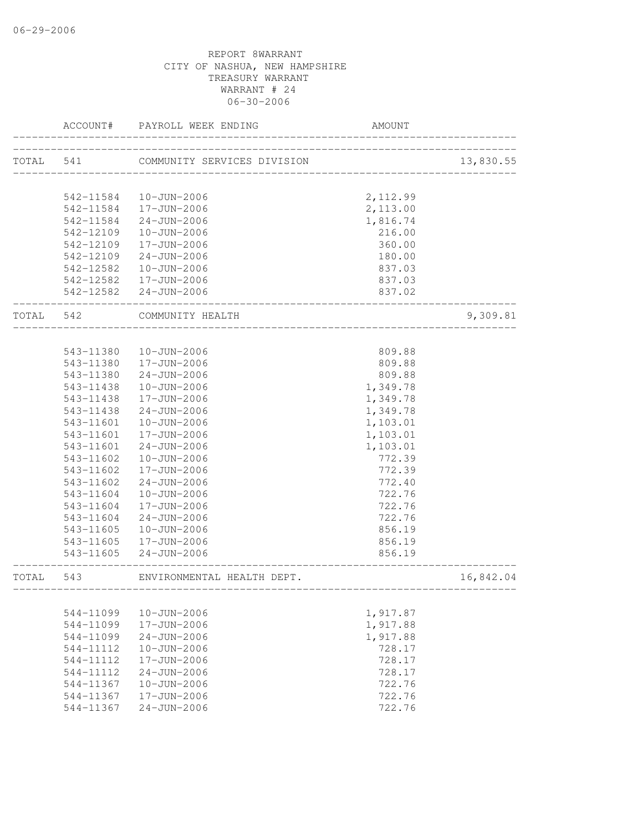|           | ACCOUNT#      | PAYROLL WEEK ENDING                                 | <b>AMOUNT</b>            |           |
|-----------|---------------|-----------------------------------------------------|--------------------------|-----------|
| TOTAL 541 |               | -------------                                       |                          | 13,830.55 |
|           |               |                                                     |                          |           |
|           |               | 542-11584  10-JUN-2006                              | 2,112.99                 |           |
|           |               | 542-11584  17-JUN-2006                              | 2,113.00                 |           |
|           | 542-11584     | 24-JUN-2006                                         | 1,816.74                 |           |
|           | 542-12109     | 10-JUN-2006                                         | 216.00                   |           |
|           | 542-12109     | 17-JUN-2006                                         | 360.00                   |           |
|           | 542-12109     | 24-JUN-2006                                         | 180.00                   |           |
|           | 542-12582     | 10-JUN-2006                                         | 837.03                   |           |
|           |               | 542-12582  17-JUN-2006                              | 837.03                   |           |
|           |               | 542-12582 24-JUN-2006<br>__________________________ | 837.02                   |           |
| TOTAL 542 |               | COMMUNITY HEALTH<br>_______________________         |                          | 9,309.81  |
|           |               |                                                     |                          |           |
|           |               | 543-11380  10-JUN-2006                              | 809.88                   |           |
|           |               | 543-11380  17-JUN-2006                              | 809.88                   |           |
|           |               | 543-11380 24-JUN-2006                               | 809.88                   |           |
|           |               | 543-11438  10-JUN-2006                              | 1,349.78                 |           |
|           | 543-11438     | 17-JUN-2006                                         | 1,349.78                 |           |
|           | 543-11438     | 24-JUN-2006                                         | 1,349.78                 |           |
|           | 543-11601     | 10-JUN-2006                                         | 1,103.01                 |           |
|           | 543-11601     | 17-JUN-2006                                         | 1,103.01                 |           |
|           | 543-11601     | 24-JUN-2006                                         | 1,103.01                 |           |
|           | 543-11602     | 10-JUN-2006                                         | 772.39                   |           |
|           | 543-11602     | 17-JUN-2006                                         | 772.39                   |           |
|           | 543-11602     | $24 - JUN - 2006$                                   | 772.40                   |           |
|           | 543-11604     | 10-JUN-2006                                         | 722.76                   |           |
|           | 543-11604     | 17-JUN-2006                                         | 722.76                   |           |
|           | 543-11604     | 24-JUN-2006                                         | 722.76                   |           |
|           | 543-11605     | 10-JUN-2006                                         | 856.19                   |           |
|           | 543-11605     | 17-JUN-2006                                         | 856.19                   |           |
|           | 543-11605     | 24-JUN-2006                                         | 856.19<br>______________ |           |
| TOTAL     | 543           | ENVIRONMENTAL HEALTH DEPT.                          |                          | 16,842.04 |
|           |               |                                                     |                          |           |
|           | 544-11099     | $10 - JUN - 2006$                                   | 1,917.87                 |           |
|           | 544-11099     | 17-JUN-2006                                         | 1,917.88                 |           |
|           | 544-11099     | $24 - JUN - 2006$                                   | 1,917.88                 |           |
|           | 544-11112     | $10 - JUN - 2006$                                   | 728.17                   |           |
|           | $544 - 11112$ | 17-JUN-2006                                         | 728.17                   |           |
|           | 544-11112     | $24 - JUN - 2006$                                   | 728.17                   |           |
|           | 544-11367     | $10 - JUN - 2006$                                   | 722.76                   |           |
|           | 544-11367     | 17-JUN-2006                                         | 722.76                   |           |
|           | 544-11367     | $24 - JUN - 2006$                                   | 722.76                   |           |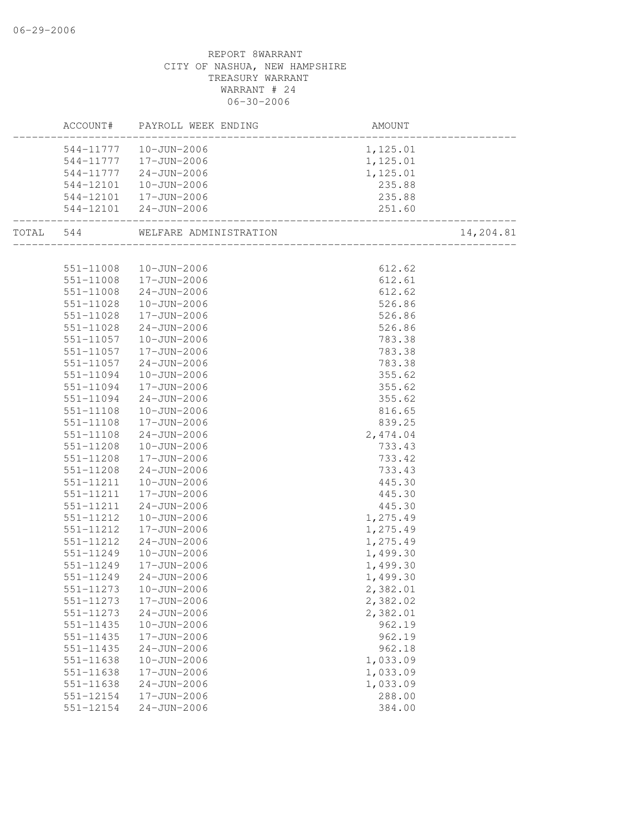# REPORT 8WARRANT CITY OF NASHUA, NEW HAMPSHIRE TREASURY WARRANT WARRANT # 24 06-30-2006 ACCOUNT# PAYROLL WEEK ENDING AMOUNT -------------------------------------------------------------------------------- 544-11777 10-JUN-2006 1,125.01 544-11777 17-JUN-2006 1,125.01 544-11777 24-JUN-2006 1,125.01 544-12101 10-JUN-2006 235.88 544-12101 17-JUN-2006 235.88 544-12101 24-JUN-2006 251.60 -------------------------------------------------------------------------------- TOTAL 544 WELFARE ADMINISTRATION 14,204.81 -------------------------------------------------------------------------------- 551-11008 10-JUN-2006 612.62 551-11008 17-JUN-2006 612.61 551-11008 24-JUN-2006 612.62 551-11028 10-JUN-2006 526.86 551-11028 17-JUN-2006 526.86 551-11028 24-JUN-2006 526.86 551-11057 10-JUN-2006 783.38 551-11057 17-JUN-2006 783.38 551-11057 24-JUN-2006 783.38 551-11094 10-JUN-2006 355.62 551-11094 17-JUN-2006 355.62 551-11094 24-JUN-2006 355.62 551-11108 10-JUN-2006 816.65 551-11108 17-JUN-2006 839.25 551-11108 24-JUN-2006 2,474.04 551-11208 10-JUN-2006 733.43 551-11208 17-JUN-2006 733.42 551-11208 24-JUN-2006 733.43 551-11211 10-JUN-2006 445.30 551-11211 17-JUN-2006 445.30 551-11211 24-JUN-2006 445.30 551-11212 10-JUN-2006 1,275.49 551-11212 17-JUN-2006 1,275.49 551-11212 24-JUN-2006 1,275.49 551-11249 10-JUN-2006 1,499.30 551-11249 17-JUN-2006 1,499.30 551-11249 24-JUN-2006 1,499.30 551-11273 10-JUN-2006 2,382.01 551-11273 17-JUN-2006 2,382.02 551-11273 24-JUN-2006 2,382.01 551-11435 10-JUN-2006 962.19 551-11435 17-JUN-2006 962.19 551-11435 24-JUN-2006 962.18 551-11638 10-JUN-2006 1,033.09 551-11638 17-JUN-2006 1,033.09 551-11638 24-JUN-2006 1,033.09 551-12154 17-JUN-2006 288.00 551-12154 24-JUN-2006 384.00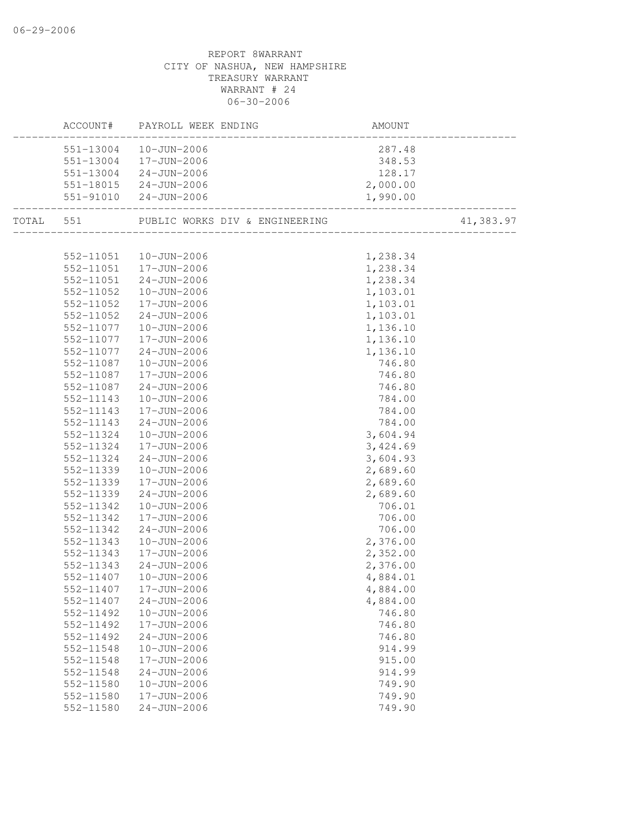|           | AM<br>----------------------<br>ACCOUNT# PAYROLL WEEK ENDING | AMOUNT   |           |
|-----------|--------------------------------------------------------------|----------|-----------|
|           | 551-13004  10-JUN-2006                                       | 287.48   |           |
|           | 551-13004 17-JUN-2006                                        | 348.53   |           |
|           | $551-13004$ $24-JUN-2006$                                    | 128.17   |           |
|           | 551-18015 24-JUN-2006                                        | 2,000.00 |           |
|           | 551-91010 24-JUN-2006                                        | 1,990.00 |           |
|           | TOTAL 551 PUBLIC WORKS DIV & ENGINEERING                     |          | 41,383.97 |
|           |                                                              |          |           |
|           | 552-11051  10-JUN-2006<br>552-11051  17-JUN-2006             | 1,238.34 |           |
|           |                                                              | 1,238.34 |           |
|           | 552-11051 24-JUN-2006                                        | 1,238.34 |           |
| 552-11052 | $10 - JUN - 2006$                                            | 1,103.01 |           |
|           | 552-11052  17-JUN-2006                                       | 1,103.01 |           |
|           | 552-11052 24-JUN-2006                                        | 1,103.01 |           |
| 552-11077 | $10 - JUN - 2006$                                            | 1,136.10 |           |
| 552-11077 | $17 - JUN - 2006$                                            | 1,136.10 |           |
| 552-11077 | $24 - JUN - 2006$                                            | 1,136.10 |           |
| 552-11087 | 10-JUN-2006                                                  | 746.80   |           |
| 552-11087 | 17-JUN-2006                                                  | 746.80   |           |
| 552-11087 | 24-JUN-2006                                                  | 746.80   |           |
| 552-11143 | 10-JUN-2006                                                  | 784.00   |           |
| 552-11143 | 17-JUN-2006                                                  | 784.00   |           |
| 552-11143 | 24-JUN-2006                                                  | 784.00   |           |
| 552-11324 | 10-JUN-2006                                                  | 3,604.94 |           |
| 552-11324 | 17-JUN-2006                                                  | 3,424.69 |           |
| 552-11324 | 24-JUN-2006                                                  | 3,604.93 |           |
| 552-11339 | 10-JUN-2006                                                  | 2,689.60 |           |
| 552-11339 | 17-JUN-2006                                                  | 2,689.60 |           |
| 552-11339 | 24-JUN-2006                                                  | 2,689.60 |           |
| 552-11342 | 10-JUN-2006                                                  | 706.01   |           |
| 552-11342 | 17-JUN-2006                                                  | 706.00   |           |
| 552-11342 | 24-JUN-2006                                                  | 706.00   |           |
| 552-11343 | 10-JUN-2006                                                  | 2,376.00 |           |
| 552-11343 | $17 - JUN - 2006$                                            | 2,352.00 |           |
| 552-11343 | $24 - JUN - 2006$                                            | 2,376.00 |           |
| 552-11407 | 10-JUN-2006                                                  | 4,884.01 |           |
|           | 552-11407  17-JUN-2006                                       | 4,884.00 |           |
| 552-11407 | $24 - JUN - 2006$                                            | 4,884.00 |           |
| 552-11492 | $10 - JUN - 2006$                                            | 746.80   |           |
| 552-11492 | 17-JUN-2006                                                  | 746.80   |           |
| 552-11492 | $24 - JUN - 2006$                                            | 746.80   |           |
| 552-11548 | $10 - JUN - 2006$                                            | 914.99   |           |
| 552-11548 | 17-JUN-2006                                                  | 915.00   |           |
| 552-11548 | $24 - JUN - 2006$                                            | 914.99   |           |
| 552-11580 | $10 - JUN - 2006$                                            | 749.90   |           |
| 552-11580 | 17-JUN-2006                                                  | 749.90   |           |
| 552-11580 | $24 - JUN - 2006$                                            | 749.90   |           |
|           |                                                              |          |           |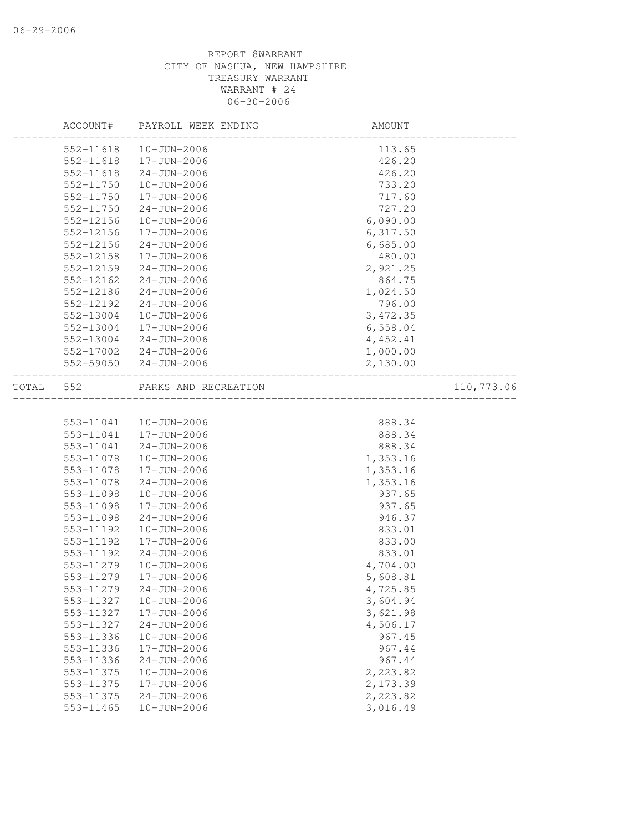|       | ACCOUNT#      | PAYROLL WEEK ENDING  | AMOUNT    |            |
|-------|---------------|----------------------|-----------|------------|
|       | 552-11618     | $10 - JUN - 2006$    | 113.65    |            |
|       | 552-11618     | 17-JUN-2006          | 426.20    |            |
|       | 552-11618     | $24 - JUN - 2006$    | 426.20    |            |
|       | 552-11750     | 10-JUN-2006          | 733.20    |            |
|       | 552-11750     | 17-JUN-2006          | 717.60    |            |
|       | 552-11750     | $24 - JUN - 2006$    | 727.20    |            |
|       | 552-12156     | 10-JUN-2006          | 6,090.00  |            |
|       | 552-12156     | 17-JUN-2006          | 6,317.50  |            |
|       | 552-12156     | $24 - JUN - 2006$    | 6,685.00  |            |
|       | 552-12158     | 17-JUN-2006          | 480.00    |            |
|       | $552 - 12159$ | $24 - JUN - 2006$    | 2,921.25  |            |
|       | 552-12162     | $24 - JUN - 2006$    | 864.75    |            |
|       | 552-12186     | $24 - JUN - 2006$    | 1,024.50  |            |
|       | 552-12192     | $24 - JUN - 2006$    | 796.00    |            |
|       | 552-13004     | 10-JUN-2006          | 3,472.35  |            |
|       | 552-13004     | 17-JUN-2006          | 6,558.04  |            |
|       | 552-13004     | $24 - JUN - 2006$    | 4, 452.41 |            |
|       | 552-17002     | $24 - JUN - 2006$    | 1,000.00  |            |
|       | 552-59050     | $24 - JUN - 2006$    | 2,130.00  |            |
| TOTAL | 552           | PARKS AND RECREATION |           | 110,773.06 |
|       |               |                      |           |            |
|       | 553-11041     | 10-JUN-2006          | 888.34    |            |
|       | 553-11041     | 17-JUN-2006          | 888.34    |            |
|       | 553-11041     | $24 - JUN - 2006$    | 888.34    |            |
|       | 553-11078     | 10-JUN-2006          | 1,353.16  |            |
|       | 553-11078     | 17-JUN-2006          | 1,353.16  |            |
|       | 553-11078     | $24 - JUN - 2006$    | 1,353.16  |            |
|       | 553-11098     | $10 - JUN - 2006$    | 937.65    |            |
|       | 553-11098     | 17-JUN-2006          | 937.65    |            |
|       | 553-11098     | $24 - JUN - 2006$    | 946.37    |            |
|       | 553-11192     | 10-JUN-2006          | 833.01    |            |
|       | 553-11192     | 17-JUN-2006          | 833.00    |            |
|       | 553-11192     | $24 - JUN - 2006$    | 833.01    |            |
|       | 553-11279     | 10-JUN-2006          | 4,704.00  |            |
|       | 553-11279     | 17-JUN-2006          | 5,608.81  |            |
|       | 553-11279     | $24 - JUN - 2006$    | 4,725.85  |            |
|       | 553-11327     | $10 - JUN - 2006$    | 3,604.94  |            |
|       | 553-11327     | 17-JUN-2006          | 3,621.98  |            |
|       | 553-11327     | $24 - JUN - 2006$    | 4,506.17  |            |
|       | 553-11336     | $10 - JUN - 2006$    | 967.45    |            |
|       | 553-11336     | 17-JUN-2006          | 967.44    |            |
|       | 553-11336     | $24 - JUN - 2006$    | 967.44    |            |
|       | 553-11375     | $10 - JUN - 2006$    | 2,223.82  |            |
|       | 553-11375     | 17-JUN-2006          | 2,173.39  |            |
|       | 553-11375     | $24 - JUN - 2006$    | 2,223.82  |            |
|       | 553-11465     | $10 - JUN - 2006$    | 3,016.49  |            |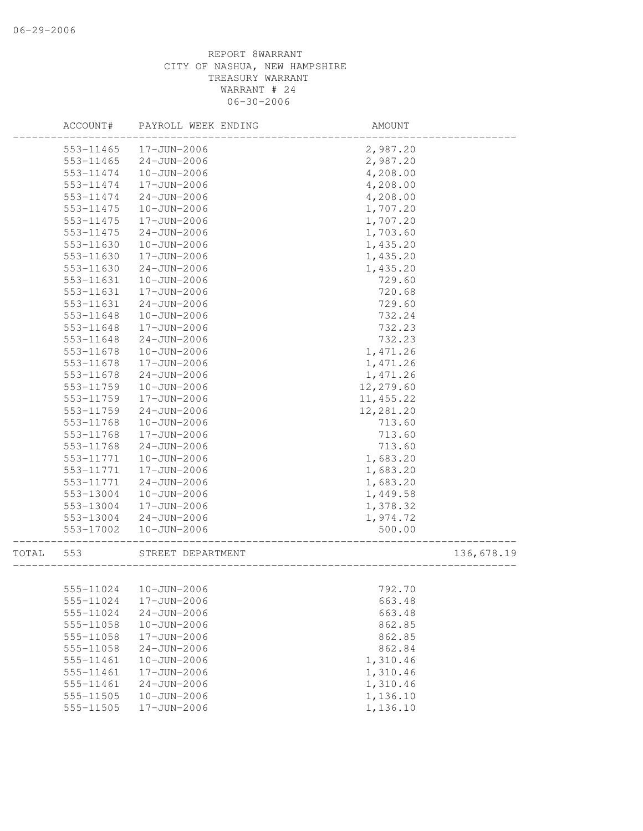|       | ACCOUNT#  | PAYROLL WEEK ENDING    | AMOUNT     |            |
|-------|-----------|------------------------|------------|------------|
|       | 553-11465 | 17-JUN-2006            | 2,987.20   |            |
|       | 553-11465 | $24 - JUN - 2006$      | 2,987.20   |            |
|       | 553-11474 | 10-JUN-2006            | 4,208.00   |            |
|       | 553-11474 | 17-JUN-2006            | 4,208.00   |            |
|       | 553-11474 | $24 - JUN - 2006$      | 4,208.00   |            |
|       | 553-11475 | 10-JUN-2006            | 1,707.20   |            |
|       | 553-11475 | 17-JUN-2006            | 1,707.20   |            |
|       | 553-11475 | $24 - JUN - 2006$      | 1,703.60   |            |
|       | 553-11630 | $10 - JUN - 2006$      | 1,435.20   |            |
|       | 553-11630 | 17-JUN-2006            | 1,435.20   |            |
|       | 553-11630 | $24 - JUN - 2006$      | 1,435.20   |            |
|       | 553-11631 | 10-JUN-2006            | 729.60     |            |
|       | 553-11631 | 17-JUN-2006            | 720.68     |            |
|       | 553-11631 | $24 - JUN - 2006$      | 729.60     |            |
|       | 553-11648 | 10-JUN-2006            | 732.24     |            |
|       | 553-11648 | 17-JUN-2006            | 732.23     |            |
|       | 553-11648 | $24 - JUN - 2006$      | 732.23     |            |
|       | 553-11678 | $10 - JUN - 2006$      | 1,471.26   |            |
|       | 553-11678 | 17-JUN-2006            | 1,471.26   |            |
|       | 553-11678 | $24 - JUN - 2006$      | 1,471.26   |            |
|       | 553-11759 | 10-JUN-2006            | 12,279.60  |            |
|       | 553-11759 | 17-JUN-2006            | 11, 455.22 |            |
|       | 553-11759 | $24 - JUN - 2006$      | 12,281.20  |            |
|       | 553-11768 | 10-JUN-2006            | 713.60     |            |
|       | 553-11768 | 17-JUN-2006            | 713.60     |            |
|       | 553-11768 | $24 - JUN - 2006$      | 713.60     |            |
|       | 553-11771 | $10 - JUN - 2006$      | 1,683.20   |            |
|       | 553-11771 | 17-JUN-2006            | 1,683.20   |            |
|       | 553-11771 | $24 - JUN - 2006$      | 1,683.20   |            |
|       | 553-13004 | 10-JUN-2006            | 1,449.58   |            |
|       | 553-13004 | 17-JUN-2006            | 1,378.32   |            |
|       | 553-13004 | $24 - JUN - 2006$      | 1,974.72   |            |
|       | 553-17002 | 10-JUN-2006            | 500.00     |            |
| TOTAL | 553       | STREET DEPARTMENT      |            | 136,678.19 |
|       |           |                        |            |            |
|       |           | 555-11024  10-JUN-2006 | 792.70     |            |
|       | 555-11024 | 17-JUN-2006            | 663.48     |            |
|       | 555-11024 | $24 - JUN - 2006$      | 663.48     |            |
|       | 555-11058 | $10 - JUN - 2006$      | 862.85     |            |
|       | 555-11058 | 17-JUN-2006            | 862.85     |            |
|       | 555-11058 | $24 - JUN - 2006$      | 862.84     |            |
|       | 555-11461 | 10-JUN-2006            | 1,310.46   |            |
|       | 555-11461 | 17-JUN-2006            | 1,310.46   |            |
|       | 555-11461 | $24 - JUN - 2006$      | 1,310.46   |            |
|       | 555-11505 | $10 - JUN - 2006$      | 1,136.10   |            |
|       | 555-11505 | 17-JUN-2006            | 1,136.10   |            |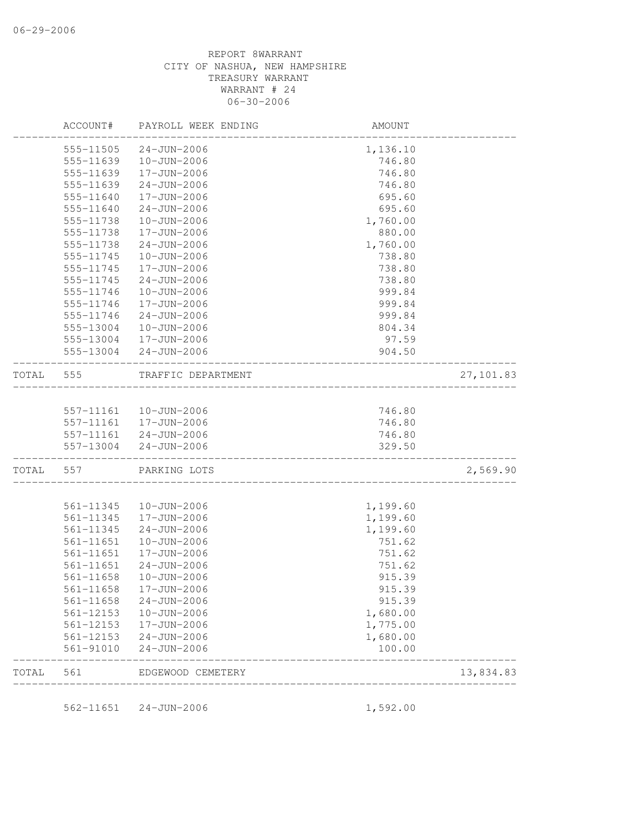|       | ACCOUNT#  | PAYROLL WEEK ENDING   | AMOUNT   |            |
|-------|-----------|-----------------------|----------|------------|
|       | 555-11505 | $24 - JUN - 2006$     | 1,136.10 |            |
|       | 555-11639 | 10-JUN-2006           | 746.80   |            |
|       | 555-11639 | 17-JUN-2006           | 746.80   |            |
|       | 555-11639 | $24 - JUN - 2006$     | 746.80   |            |
|       | 555-11640 | 17-JUN-2006           | 695.60   |            |
|       | 555-11640 | $24 - JUN - 2006$     | 695.60   |            |
|       | 555-11738 | 10-JUN-2006           | 1,760.00 |            |
|       | 555-11738 | 17-JUN-2006           | 880.00   |            |
|       | 555-11738 | $24 - JUN - 2006$     | 1,760.00 |            |
|       | 555-11745 | 10-JUN-2006           | 738.80   |            |
|       | 555-11745 | 17-JUN-2006           | 738.80   |            |
|       | 555-11745 | $24 - JUN - 2006$     | 738.80   |            |
|       | 555-11746 | 10-JUN-2006           | 999.84   |            |
|       | 555-11746 | 17-JUN-2006           | 999.84   |            |
|       | 555-11746 | $24 - JUN - 2006$     | 999.84   |            |
|       | 555-13004 | 10-JUN-2006           | 804.34   |            |
|       | 555-13004 | 17-JUN-2006           | 97.59    |            |
|       | 555-13004 | $24 - JUN - 2006$     | 904.50   |            |
| TOTAL | 555       | TRAFFIC DEPARTMENT    |          | 27, 101.83 |
|       |           |                       |          |            |
|       | 557-11161 | 10-JUN-2006           | 746.80   |            |
|       | 557-11161 | 17-JUN-2006           | 746.80   |            |
|       |           | 557-11161 24-JUN-2006 | 746.80   |            |
|       | 557-13004 | $24 - JUN - 2006$     | 329.50   |            |
| TOTAL | 557       | PARKING LOTS          |          | 2,569.90   |
|       | 561-11345 | 10-JUN-2006           | 1,199.60 |            |
|       | 561-11345 | 17-JUN-2006           | 1,199.60 |            |
|       | 561-11345 | $24 - JUN - 2006$     | 1,199.60 |            |
|       | 561-11651 | $10 - JUN - 2006$     | 751.62   |            |
|       | 561-11651 | 17-JUN-2006           | 751.62   |            |
|       | 561-11651 | $24 - JUN - 2006$     | 751.62   |            |
|       | 561-11658 | 10-JUN-2006           | 915.39   |            |
|       | 561-11658 | 17-JUN-2006           | 915.39   |            |
|       | 561-11658 | $24 - JUN - 2006$     | 915.39   |            |
|       | 561-12153 | $10 - JUN - 2006$     | 1,680.00 |            |
|       | 561-12153 | 17-JUN-2006           | 1,775.00 |            |
|       | 561-12153 | $24 - JUN - 2006$     | 1,680.00 |            |
|       | 561-91010 | $24 - JUN - 2006$     | 100.00   |            |
| TOTAL | 561       | EDGEWOOD CEMETERY     |          | 13,834.83  |

562-11651 24-JUN-2006 1,592.00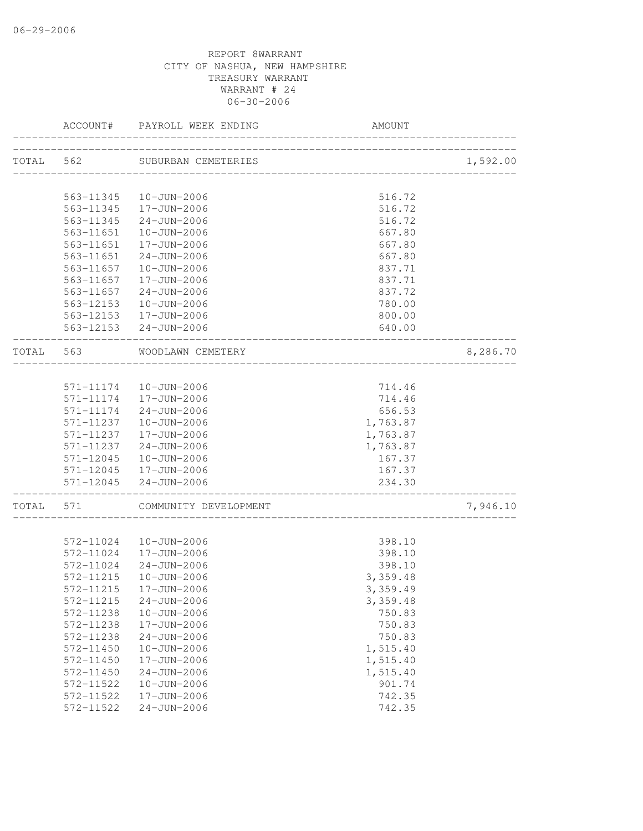|           | ACCOUNT#      | PAYROLL WEEK ENDING     | AMOUNT   |          |
|-----------|---------------|-------------------------|----------|----------|
| TOTAL 562 |               | SUBURBAN CEMETERIES     |          | 1,592.00 |
|           |               |                         |          |          |
|           |               | 563-11345  10-JUN-2006  | 516.72   |          |
|           |               | 563-11345  17-JUN-2006  | 516.72   |          |
|           | 563-11345     | 24-JUN-2006             | 516.72   |          |
|           | 563-11651     | 10-JUN-2006             | 667.80   |          |
|           | 563-11651     | 17-JUN-2006             | 667.80   |          |
|           | 563-11651     | $24 - JUN - 2006$       | 667.80   |          |
|           | 563-11657     | 10-JUN-2006             | 837.71   |          |
|           | 563-11657     | 17-JUN-2006             | 837.71   |          |
|           | 563-11657     | $24 - JUN - 2006$       | 837.72   |          |
|           | 563-12153     | 10-JUN-2006             | 780.00   |          |
|           |               | 563-12153   17-JUN-2006 | 800.00   |          |
|           |               | 563-12153 24-JUN-2006   | 640.00   |          |
|           |               |                         |          |          |
| TOTAL     | 563           | WOODLAWN CEMETERY       |          | 8,286.70 |
|           |               |                         |          |          |
|           | 571-11174     | 10-JUN-2006             | 714.46   |          |
|           |               | 571-11174   17-JUN-2006 | 714.46   |          |
|           | 571-11174     | 24-JUN-2006             | 656.53   |          |
|           | 571-11237     | 10-JUN-2006             | 1,763.87 |          |
|           | 571-11237     | 17-JUN-2006             | 1,763.87 |          |
|           | 571-11237     | $24 - JUN - 2006$       | 1,763.87 |          |
|           | $571 - 12045$ | 10-JUN-2006             | 167.37   |          |
|           |               | 571-12045  17-JUN-2006  | 167.37   |          |
|           | 571-12045     | $24 - JUN - 2006$       | 234.30   |          |
| TOTAL     | 571           | COMMUNITY DEVELOPMENT   |          | 7,946.10 |
|           |               |                         |          |          |
|           |               | 572-11024  10-JUN-2006  | 398.10   |          |
|           |               | 572-11024  17-JUN-2006  | 398.10   |          |
|           |               | 572-11024 24-JUN-2006   | 398.10   |          |
|           | 572-11215     | $10 - JUN - 2006$       | 3,359.48 |          |
|           |               | 572-11215  17-JUN-2006  | 3,359.49 |          |
|           | 572-11215     | $24 - JUN - 2006$       | 3,359.48 |          |
|           | 572-11238     | $10 - JUN - 2006$       | 750.83   |          |
|           | 572-11238     | 17-JUN-2006             | 750.83   |          |
|           | 572-11238     | $24 - JUN - 2006$       | 750.83   |          |
|           | 572-11450     | $10 - JUN - 2006$       | 1,515.40 |          |
|           | 572-11450     | 17-JUN-2006             | 1,515.40 |          |
|           | 572-11450     | $24 - JUN - 2006$       | 1,515.40 |          |
|           | 572-11522     | $10 - JUN - 2006$       | 901.74   |          |
|           | 572-11522     | 17-JUN-2006             | 742.35   |          |
|           | 572-11522     | $24 - JUN - 2006$       | 742.35   |          |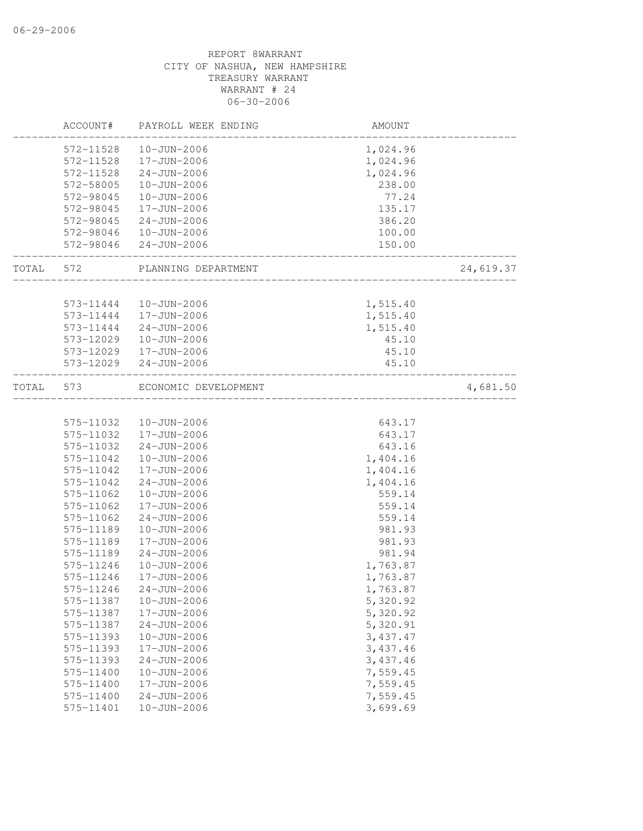|           | ACCOUNT#  | PAYROLL WEEK ENDING    | AMOUNT              |           |
|-----------|-----------|------------------------|---------------------|-----------|
|           | 572-11528 | 10-JUN-2006            | 1,024.96            |           |
|           | 572-11528 | 17-JUN-2006            | 1,024.96            |           |
|           | 572-11528 | 24-JUN-2006            | 1,024.96            |           |
|           | 572-58005 | 10-JUN-2006            | 238.00              |           |
|           | 572-98045 | 10-JUN-2006            | 77.24               |           |
|           | 572-98045 | 17-JUN-2006            | 135.17              |           |
|           | 572-98045 | 24-JUN-2006            | 386.20              |           |
|           | 572-98046 | 10-JUN-2006            | 100.00              |           |
|           |           | 572-98046 24-JUN-2006  | 150.00              |           |
| TOTAL 572 |           | PLANNING DEPARTMENT    | ___________________ | 24,619.37 |
|           |           |                        |                     |           |
|           | 573-11444 | 10-JUN-2006            | 1,515.40            |           |
|           | 573-11444 | 17-JUN-2006            | 1,515.40            |           |
|           | 573-11444 | 24-JUN-2006            | 1,515.40            |           |
|           | 573-12029 | 10-JUN-2006            | 45.10               |           |
|           |           | 573-12029  17-JUN-2006 | 45.10               |           |
|           | 573-12029 | 24-JUN-2006            | 45.10               |           |
| TOTAL     | 573       | ECONOMIC DEVELOPMENT   |                     | 4,681.50  |
|           |           |                        |                     |           |
|           |           | 575-11032  10-JUN-2006 | 643.17              |           |
|           | 575-11032 | 17-JUN-2006            | 643.17              |           |
|           | 575-11032 | 24-JUN-2006            | 643.16              |           |
|           | 575-11042 | $10 - JUN - 2006$      | 1,404.16            |           |
|           | 575-11042 | 17-JUN-2006            | 1,404.16            |           |
|           | 575-11042 | 24-JUN-2006            | 1,404.16            |           |
|           | 575-11062 | 10-JUN-2006            | 559.14              |           |
|           | 575-11062 | 17-JUN-2006            | 559.14              |           |
|           | 575-11062 | $24 - JUN - 2006$      | 559.14              |           |
|           | 575-11189 | 10-JUN-2006            | 981.93              |           |
|           | 575-11189 | 17-JUN-2006            | 981.93              |           |
|           | 575-11189 | $24 - JUN - 2006$      | 981.94              |           |
|           | 575-11246 | $10 - JUN - 2006$      | 1,763.87            |           |
|           | 575-11246 | 17-JUN-2006            | 1,763.87            |           |
|           | 575-11246 | $24 - JUN - 2006$      | 1,763.87            |           |
|           | 575-11387 | $10 - JUN - 2006$      | 5,320.92            |           |
|           | 575-11387 | 17-JUN-2006            | 5,320.92            |           |
|           | 575-11387 | $24 - JUN - 2006$      | 5,320.91            |           |
|           | 575-11393 | $10 - JUN - 2006$      | 3,437.47            |           |
|           | 575-11393 | 17-JUN-2006            | 3,437.46            |           |
|           | 575-11393 | $24 - JUN - 2006$      | 3,437.46            |           |
|           | 575-11400 | $10 - JUN - 2006$      | 7,559.45            |           |
|           | 575-11400 | $17 - JUN - 2006$      | 7,559.45            |           |
|           | 575-11400 | $24 - JUN - 2006$      | 7,559.45            |           |
|           | 575-11401 | $10 - JUN - 2006$      | 3,699.69            |           |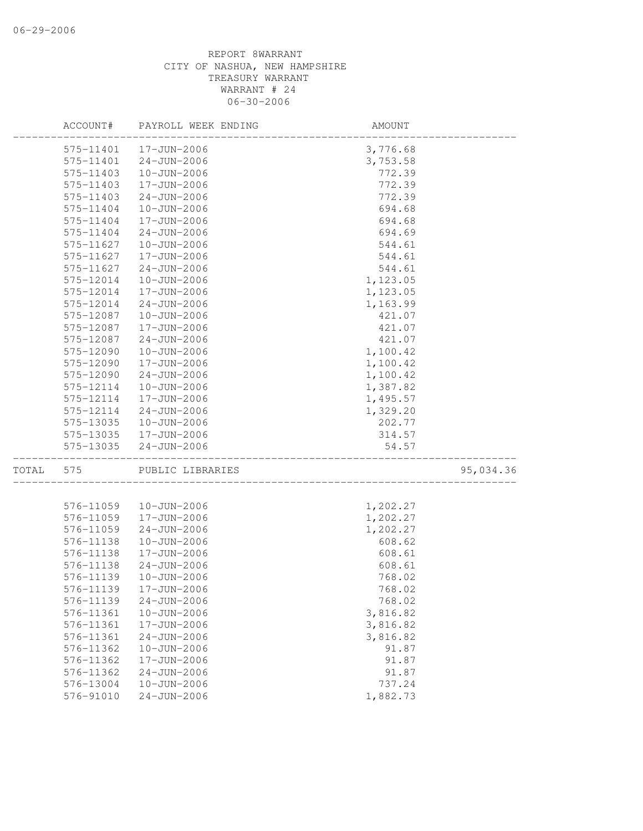|       | ACCOUNT#               | PAYROLL WEEK ENDING                    | AMOUNT           |           |
|-------|------------------------|----------------------------------------|------------------|-----------|
|       | 575-11401              | 17-JUN-2006                            | 3,776.68         |           |
|       | 575-11401              | $24 - JUN - 2006$                      | 3,753.58         |           |
|       | 575-11403              | 10-JUN-2006                            | 772.39           |           |
|       | 575-11403              | 17-JUN-2006                            | 772.39           |           |
|       | 575-11403              | $24 - JUN - 2006$                      | 772.39           |           |
|       | 575-11404              | 10-JUN-2006                            | 694.68           |           |
|       | 575-11404              | 17-JUN-2006                            | 694.68           |           |
|       | 575-11404              | $24 - JUN - 2006$                      | 694.69           |           |
|       | 575-11627              | $10 - JUN - 2006$                      | 544.61           |           |
|       | 575-11627              | 17-JUN-2006                            | 544.61           |           |
|       | 575-11627              | $24 - JUN - 2006$                      | 544.61           |           |
|       | 575-12014              | 10-JUN-2006                            | 1,123.05         |           |
|       | 575-12014              | 17-JUN-2006                            | 1,123.05         |           |
|       | 575-12014              | $24 - JUN - 2006$                      | 1,163.99         |           |
|       | 575-12087              | 10-JUN-2006                            | 421.07           |           |
|       | 575-12087              | 17-JUN-2006                            | 421.07           |           |
|       | 575-12087              | $24 - JUN - 2006$                      | 421.07           |           |
|       | 575-12090              | 10-JUN-2006                            | 1,100.42         |           |
|       | 575-12090              | 17-JUN-2006                            | 1,100.42         |           |
|       | 575-12090              | $24 - JUN - 2006$                      | 1,100.42         |           |
|       | 575-12114              | 10-JUN-2006                            | 1,387.82         |           |
|       | 575-12114              | 17-JUN-2006                            | 1,495.57         |           |
|       | 575-12114              | $24 - JUN - 2006$                      | 1,329.20         |           |
|       | 575-13035              | 10-JUN-2006                            | 202.77           |           |
|       | 575-13035              | 17-JUN-2006                            | 314.57           |           |
|       | 575-13035              | $24 - JUN - 2006$                      | 54.57            |           |
| TOTAL | 575                    | PUBLIC LIBRARIES                       |                  | 95,034.36 |
|       |                        |                                        |                  |           |
|       | 576-11059              | $10 - JUN - 2006$                      | 1,202.27         |           |
|       | 576-11059              | 17-JUN-2006                            | 1,202.27         |           |
|       | 576-11059              | $24 - JUN - 2006$<br>$10 - JUN - 2006$ | 1,202.27         |           |
|       | 576-11138<br>576-11138 | 17-JUN-2006                            | 608.62           |           |
|       | 576-11138              |                                        | 608.61           |           |
|       | 576-11139              | $24 - JUN - 2006$<br>10-JUN-2006       | 608.61<br>768.02 |           |
|       | 576-11139              | 17-JUN-2006                            | 768.02           |           |
|       | 576-11139              | $24 - JUN - 2006$                      | 768.02           |           |
|       | 576-11361              | $10 - JUN - 2006$                      | 3,816.82         |           |
|       | 576-11361              | 17-JUN-2006                            | 3,816.82         |           |
|       | 576-11361              | $24 - JUN - 2006$                      | 3,816.82         |           |
|       | 576-11362              | $10 - JUN - 2006$                      | 91.87            |           |
|       | 576-11362              | 17-JUN-2006                            | 91.87            |           |
|       | 576-11362              | $24 - JUN - 2006$                      | 91.87            |           |
|       | 576-13004              | $10 - JUN - 2006$                      | 737.24           |           |
|       | 576-91010              | $24 - JUN - 2006$                      | 1,882.73         |           |
|       |                        |                                        |                  |           |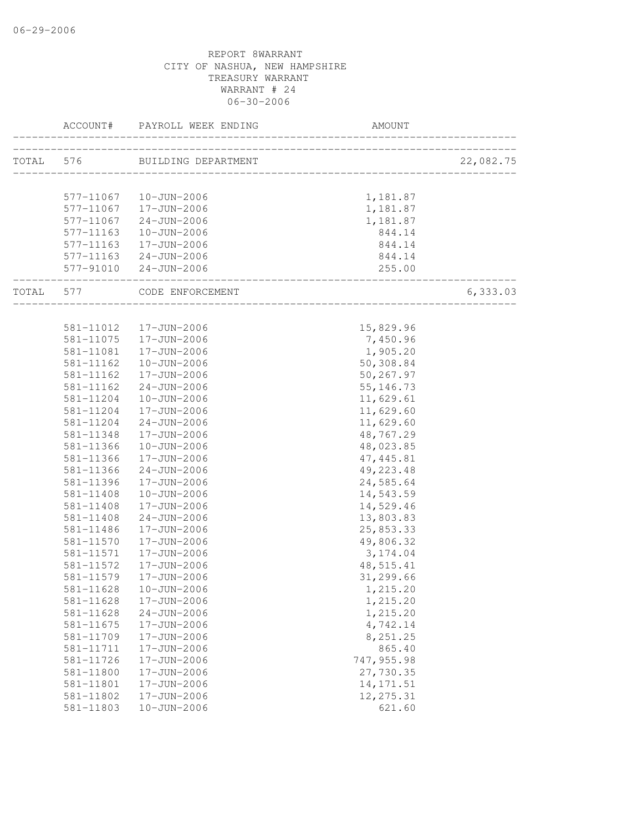|                            | ACCOUNT# PAYROLL WEEK ENDING  |            |           |
|----------------------------|-------------------------------|------------|-----------|
|                            | TOTAL 576 BUILDING DEPARTMENT |            | 22,082.75 |
|                            |                               |            |           |
|                            | 577-11067  10-JUN-2006        | 1,181.87   |           |
|                            | 577-11067  17-JUN-2006        | 1,181.87   |           |
|                            | 577-11067 24-JUN-2006         | 1,181.87   |           |
| 577-11163                  | 10-JUN-2006                   | 844.14     |           |
| 577-11163                  | 17-JUN-2006                   | 844.14     |           |
|                            | 577-11163 24-JUN-2006         | 844.14     |           |
| __________________________ | 577-91010 24-JUN-2006         | 255.00     |           |
|                            | TOTAL 577 CODE ENFORCEMENT    |            | 6,333.03  |
|                            |                               |            |           |
|                            | 581-11012  17-JUN-2006        | 15,829.96  |           |
| 581-11075                  | 17-JUN-2006                   | 7,450.96   |           |
| 581-11081                  | 17-JUN-2006                   | 1,905.20   |           |
| 581-11162                  | 10-JUN-2006                   | 50,308.84  |           |
| 581-11162                  | 17-JUN-2006                   | 50,267.97  |           |
| 581-11162                  | 24-JUN-2006                   | 55, 146.73 |           |
| 581-11204                  | $10 - JUN - 2006$             | 11,629.61  |           |
| 581-11204                  | 17-JUN-2006                   | 11,629.60  |           |
| 581-11204                  | 24-JUN-2006                   | 11,629.60  |           |
| 581-11348                  | 17-JUN-2006                   | 48,767.29  |           |
| 581-11366                  | 10-JUN-2006                   | 48,023.85  |           |
| 581-11366                  | 17-JUN-2006                   | 47, 445.81 |           |
| 581-11366                  | $24 - JUN - 2006$             | 49, 223.48 |           |
| 581-11396                  | 17-JUN-2006                   | 24,585.64  |           |
| 581-11408                  | 10-JUN-2006                   | 14,543.59  |           |
| 581-11408                  | 17-JUN-2006                   | 14,529.46  |           |
| 581-11408                  | $24 - JUN - 2006$             | 13,803.83  |           |
| 581-11486                  | 17-JUN-2006                   | 25,853.33  |           |
| 581-11570                  | 17-JUN-2006                   | 49,806.32  |           |
| 581-11571                  | 17-JUN-2006                   | 3, 174.04  |           |
| 581-11572                  | 17-JUN-2006                   | 48,515.41  |           |
| 581-11579                  | 17-JUN-2006                   | 31,299.66  |           |
|                            | 581-11628  10-JUN-2006        | 1,215.20   |           |
| 581-11628                  | 17-JUN-2006                   | 1,215.20   |           |
| 581-11628                  | $24 - JUN - 2006$             | 1,215.20   |           |
| 581-11675                  | 17-JUN-2006                   | 4,742.14   |           |
| 581-11709                  | 17-JUN-2006                   | 8,251.25   |           |
| 581-11711                  | 17-JUN-2006                   | 865.40     |           |
| 581-11726                  | 17-JUN-2006                   | 747,955.98 |           |
| 581-11800                  | 17-JUN-2006                   | 27,730.35  |           |
| 581-11801                  | 17-JUN-2006                   | 14, 171.51 |           |
| 581-11802                  | 17-JUN-2006                   | 12, 275.31 |           |
| 581-11803                  | $10 - JUN - 2006$             | 621.60     |           |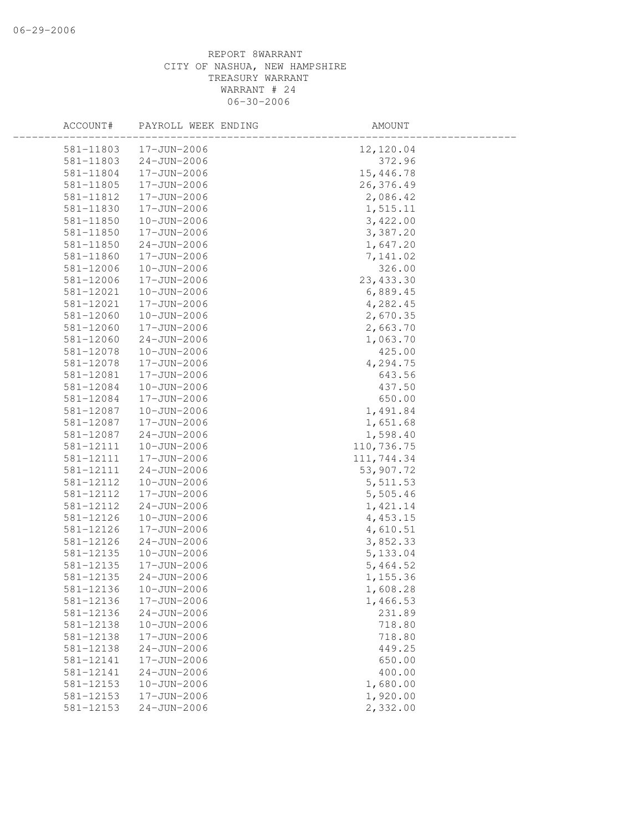| ACCOUNT#  | PAYROLL WEEK ENDING | AMOUNT     |  |
|-----------|---------------------|------------|--|
| 581-11803 | 17-JUN-2006         | 12,120.04  |  |
| 581-11803 | $24 - JUN - 2006$   | 372.96     |  |
| 581-11804 | 17-JUN-2006         | 15,446.78  |  |
| 581-11805 | 17-JUN-2006         | 26,376.49  |  |
| 581-11812 | 17-JUN-2006         | 2,086.42   |  |
| 581-11830 | 17-JUN-2006         | 1,515.11   |  |
| 581-11850 | $10 - JUN - 2006$   | 3,422.00   |  |
| 581-11850 | 17-JUN-2006         | 3,387.20   |  |
| 581-11850 | $24 - JUN - 2006$   | 1,647.20   |  |
| 581-11860 | 17-JUN-2006         | 7,141.02   |  |
| 581-12006 | $10 - JUN - 2006$   | 326.00     |  |
| 581-12006 | 17-JUN-2006         | 23, 433.30 |  |
| 581-12021 | $10 - JUN - 2006$   | 6,889.45   |  |
| 581-12021 | 17-JUN-2006         | 4,282.45   |  |
| 581-12060 | 10-JUN-2006         | 2,670.35   |  |
| 581-12060 | 17-JUN-2006         | 2,663.70   |  |
| 581-12060 | $24 - JUN - 2006$   | 1,063.70   |  |
| 581-12078 | $10 - JUN - 2006$   | 425.00     |  |
| 581-12078 | 17-JUN-2006         | 4,294.75   |  |
| 581-12081 | 17-JUN-2006         | 643.56     |  |
| 581-12084 | 10-JUN-2006         | 437.50     |  |
| 581-12084 | 17-JUN-2006         | 650.00     |  |
| 581-12087 | $10 - JUN - 2006$   | 1,491.84   |  |
| 581-12087 | 17-JUN-2006         | 1,651.68   |  |
| 581-12087 | $24 - JUN - 2006$   | 1,598.40   |  |
| 581-12111 | 10-JUN-2006         | 110,736.75 |  |
| 581-12111 | 17-JUN-2006         | 111,744.34 |  |
| 581-12111 | $24 - JUN - 2006$   | 53,907.72  |  |
| 581-12112 | 10-JUN-2006         | 5,511.53   |  |
| 581-12112 | 17-JUN-2006         | 5,505.46   |  |
| 581-12112 | $24 - JUN - 2006$   | 1,421.14   |  |
| 581-12126 | $10 - JUN - 2006$   | 4,453.15   |  |
| 581-12126 | 17-JUN-2006         | 4,610.51   |  |
| 581-12126 | $24 - JUN - 2006$   | 3,852.33   |  |
| 581-12135 | $10 - JUN - 2006$   | 5,133.04   |  |
| 581-12135 | 17-JUN-2006         | 5,464.52   |  |
| 581-12135 | $24 - JUN - 2006$   | 1,155.36   |  |
| 581-12136 | 10-JUN-2006         | 1,608.28   |  |
| 581-12136 | 17-JUN-2006         | 1,466.53   |  |
| 581-12136 | $24 - JUN - 2006$   | 231.89     |  |
| 581-12138 | $10 - JUN - 2006$   | 718.80     |  |
| 581-12138 | 17-JUN-2006         | 718.80     |  |
| 581-12138 | $24 - JUN - 2006$   | 449.25     |  |
| 581-12141 | 17-JUN-2006         | 650.00     |  |
| 581-12141 | $24 - JUN - 2006$   | 400.00     |  |
| 581-12153 | $10 - JUN - 2006$   | 1,680.00   |  |
| 581-12153 | 17-JUN-2006         | 1,920.00   |  |
| 581-12153 | $24 - JUN - 2006$   | 2,332.00   |  |
|           |                     |            |  |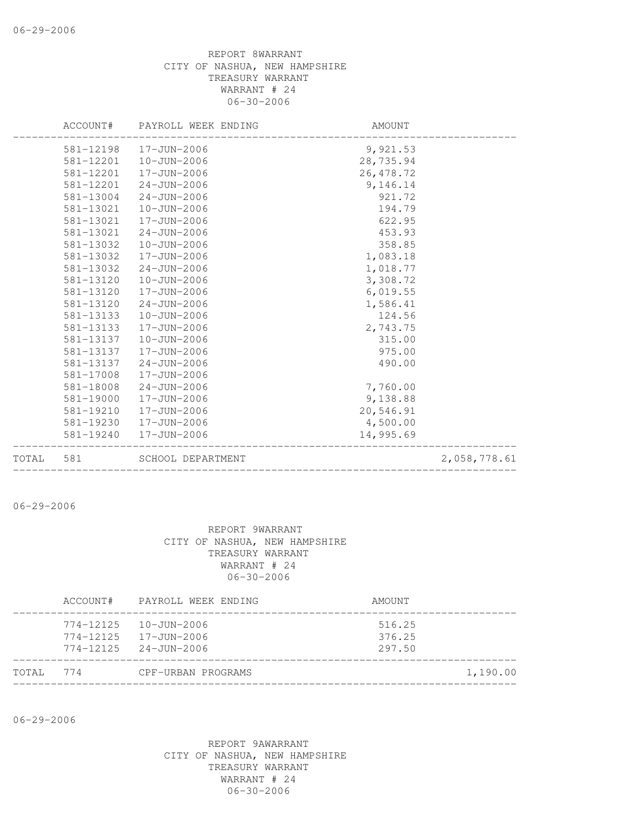|       |           | ACCOUNT# PAYROLL WEEK ENDING | AMOUNT     |              |
|-------|-----------|------------------------------|------------|--------------|
|       |           | 581-12198  17-JUN-2006       | 9,921.53   |              |
|       | 581-12201 | 10-JUN-2006                  | 28,735.94  |              |
|       | 581-12201 | 17-JUN-2006                  | 26, 478.72 |              |
|       | 581-12201 | 24-JUN-2006                  | 9,146.14   |              |
|       | 581-13004 | 24-JUN-2006                  | 921.72     |              |
|       | 581-13021 | 10-JUN-2006                  | 194.79     |              |
|       | 581-13021 | 17-JUN-2006                  | 622.95     |              |
|       | 581-13021 | 24-JUN-2006                  | 453.93     |              |
|       | 581-13032 | $10 - JUN - 2006$            | 358.85     |              |
|       | 581-13032 | 17-JUN-2006                  | 1,083.18   |              |
|       | 581-13032 | 24-JUN-2006                  | 1,018.77   |              |
|       | 581-13120 | 10-JUN-2006                  | 3,308.72   |              |
|       | 581-13120 | 17-JUN-2006                  | 6,019.55   |              |
|       | 581-13120 | $24 - JUN - 2006$            | 1,586.41   |              |
|       | 581-13133 | 10-JUN-2006                  | 124.56     |              |
|       | 581-13133 | 17-JUN-2006                  | 2,743.75   |              |
|       | 581-13137 | 10-JUN-2006                  | 315.00     |              |
|       | 581-13137 | 17-JUN-2006                  | 975.00     |              |
|       | 581-13137 | 24-JUN-2006                  | 490.00     |              |
|       | 581-17008 | 17-JUN-2006                  |            |              |
|       | 581-18008 | 24-JUN-2006                  | 7,760.00   |              |
|       | 581-19000 | 17-JUN-2006                  | 9,138.88   |              |
|       | 581-19210 | 17-JUN-2006                  | 20,546.91  |              |
|       | 581-19230 | 17-JUN-2006                  | 4,500.00   |              |
|       | 581-19240 | 17-JUN-2006                  | 14,995.69  |              |
| TOTAL | 581       | SCHOOL DEPARTMENT            |            | 2,058,778.61 |
|       |           |                              |            |              |

06-29-2006

#### REPORT 9WARRANT CITY OF NASHUA, NEW HAMPSHIRE TREASURY WARRANT WARRANT # 24 06-30-2006

|       | ACCOUNT#  | PAYROLL WEEK ENDING                                                     | AMOUNT                     |
|-------|-----------|-------------------------------------------------------------------------|----------------------------|
|       | 774-12125 | 10-JUN-2006<br>774-12125 17-JUN-2006<br>$774 - 12125$ $24 - JUN - 2006$ | 516.25<br>376.25<br>297.50 |
| TOTAL | 774       | CPF-URBAN PROGRAMS                                                      | 1,190.00                   |

06-29-2006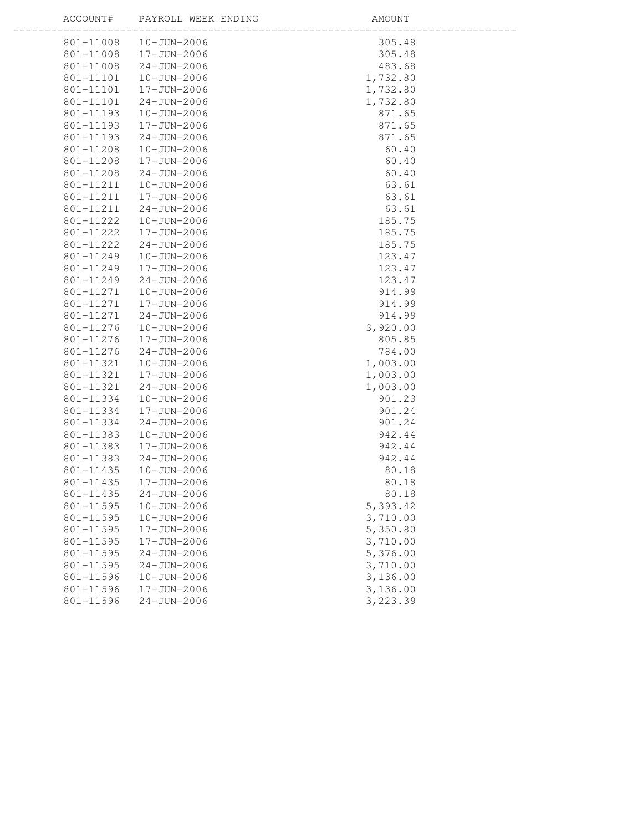ACCOUNT# PAYROLL WEEK ENDING

- - -

|           | 801-11008  10-JUN-2006 | 305.48   |
|-----------|------------------------|----------|
| 801-11008 | 17-JUN-2006            | 305.48   |
| 801-11008 | $24 - JUN - 2006$      | 483.68   |
| 801-11101 | 10-JUN-2006            | 1,732.80 |
| 801-11101 | 17-JUN-2006            | 1,732.80 |
| 801-11101 | $24 - JUN - 2006$      | 1,732.80 |
| 801-11193 | 10-JUN-2006            | 871.65   |
| 801-11193 | 17-JUN-2006            | 871.65   |
| 801-11193 | $24 - JUN - 2006$      | 871.65   |
| 801-11208 | $10 - JUN - 2006$      | 60.40    |
| 801-11208 | 17-JUN-2006            | 60.40    |
| 801-11208 | $24 - JUN - 2006$      | 60.40    |
| 801-11211 | 10-JUN-2006            | 63.61    |
| 801-11211 | 17-JUN-2006            | 63.61    |
| 801-11211 | $24 - JUN - 2006$      | 63.61    |
| 801-11222 | 10-JUN-2006            | 185.75   |
| 801-11222 | 17-JUN-2006            | 185.75   |
| 801-11222 | $24 - JUN - 2006$      | 185.75   |
| 801-11249 | 10-JUN-2006            | 123.47   |
| 801-11249 | 17-JUN-2006            | 123.47   |
| 801-11249 | $24 - JUN - 2006$      | 123.47   |
| 801-11271 | 10-JUN-2006            | 914.99   |
| 801-11271 | 17-JUN-2006            | 914.99   |
| 801-11271 | $24 - JUN - 2006$      | 914.99   |
| 801-11276 | 10-JUN-2006            | 3,920.00 |
| 801-11276 | 17-JUN-2006            | 805.85   |
| 801-11276 | $24 - JUN - 2006$      | 784.00   |
| 801-11321 | 10-JUN-2006            | 1,003.00 |
| 801-11321 | 17-JUN-2006            | 1,003.00 |
| 801-11321 | $24 - JUN - 2006$      | 1,003.00 |
| 801-11334 | $10 - JUN - 2006$      | 901.23   |
| 801-11334 | 17-JUN-2006            | 901.24   |
| 801-11334 | $24 - JUN - 2006$      | 901.24   |
| 801-11383 | 10-JUN-2006            | 942.44   |
| 801-11383 | 17-JUN-2006            | 942.44   |
| 801-11383 | $24 - JUN - 2006$      | 942.44   |
| 801-11435 | 10-JUN-2006            | 80.18    |
| 801-11435 | 17-JUN-2006            | 80.18    |
| 801-11435 | $24 - JUN - 2006$      | 80.18    |
| 801-11595 | $10 - JUN - 2006$      | 5,393.42 |
| 801-11595 | $10 - JUN - 2006$      | 3,710.00 |
| 801-11595 | 17-JUN-2006            | 5,350.80 |
| 801-11595 | 17-JUN-2006            | 3,710.00 |
| 801-11595 | $24 - JUN - 2006$      | 5,376.00 |
| 801-11595 | $24 - JUN - 2006$      | 3,710.00 |
| 801-11596 | $10 - JUN - 2006$      | 3,136.00 |
| 801-11596 | 17-JUN-2006            | 3,136.00 |
| 801-11596 | $24 - JUN - 2006$      | 3,223.39 |
|           |                        |          |
|           |                        |          |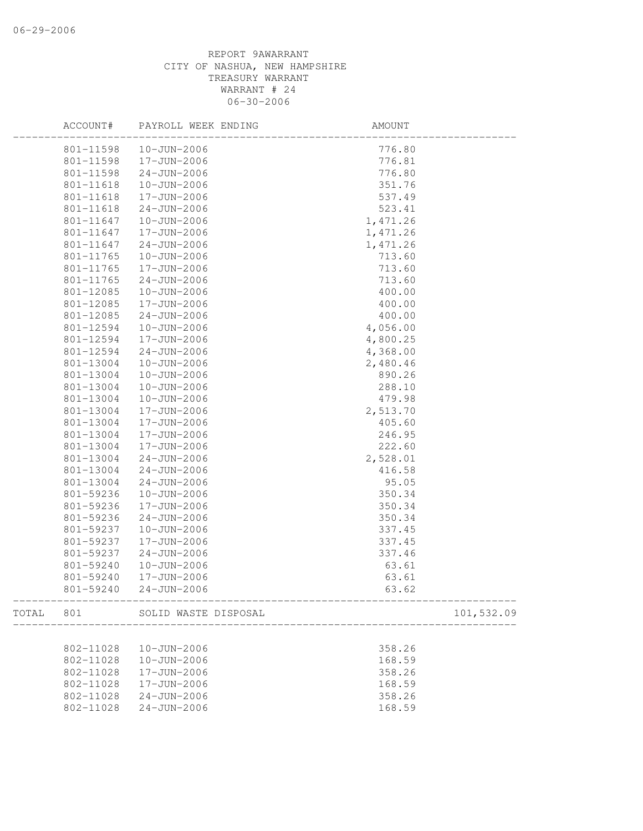|       | ACCOUNT#  | PAYROLL WEEK ENDING  | AMOUNT   |            |
|-------|-----------|----------------------|----------|------------|
|       | 801-11598 | 10-JUN-2006          | 776.80   |            |
|       | 801-11598 | 17-JUN-2006          | 776.81   |            |
|       | 801-11598 | $24 - JUN - 2006$    | 776.80   |            |
|       | 801-11618 | 10-JUN-2006          | 351.76   |            |
|       | 801-11618 | 17-JUN-2006          | 537.49   |            |
|       | 801-11618 | $24 - JUN - 2006$    | 523.41   |            |
|       | 801-11647 | 10-JUN-2006          | 1,471.26 |            |
|       | 801-11647 | 17-JUN-2006          | 1,471.26 |            |
|       | 801-11647 | $24 - JUN - 2006$    | 1,471.26 |            |
|       | 801-11765 | 10-JUN-2006          | 713.60   |            |
|       | 801-11765 | 17-JUN-2006          | 713.60   |            |
|       | 801-11765 | $24 - JUN - 2006$    | 713.60   |            |
|       | 801-12085 | $10 - JUN - 2006$    | 400.00   |            |
|       | 801-12085 | 17-JUN-2006          | 400.00   |            |
|       | 801-12085 | $24 - JUN - 2006$    | 400.00   |            |
|       | 801-12594 | 10-JUN-2006          | 4,056.00 |            |
|       | 801-12594 | 17-JUN-2006          | 4,800.25 |            |
|       | 801-12594 | $24 - JUN - 2006$    | 4,368.00 |            |
|       | 801-13004 | $10 - JUN - 2006$    | 2,480.46 |            |
|       | 801-13004 | 10-JUN-2006          | 890.26   |            |
|       | 801-13004 | 10-JUN-2006          | 288.10   |            |
|       | 801-13004 | 10-JUN-2006          | 479.98   |            |
|       | 801-13004 | 17-JUN-2006          | 2,513.70 |            |
|       | 801-13004 | 17-JUN-2006          | 405.60   |            |
|       | 801-13004 | 17-JUN-2006          | 246.95   |            |
|       | 801-13004 | 17-JUN-2006          | 222.60   |            |
|       | 801-13004 | $24 - JUN - 2006$    | 2,528.01 |            |
|       | 801-13004 | $24 - JUN - 2006$    | 416.58   |            |
|       | 801-13004 | $24 - JUN - 2006$    | 95.05    |            |
|       | 801-59236 | 10-JUN-2006          | 350.34   |            |
|       | 801-59236 | $17 - JUN - 2006$    | 350.34   |            |
|       | 801-59236 | $24 - JUN - 2006$    | 350.34   |            |
|       | 801-59237 | $10 - JUN - 2006$    | 337.45   |            |
|       | 801-59237 | 17-JUN-2006          | 337.45   |            |
|       | 801-59237 | $24 - JUN - 2006$    | 337.46   |            |
|       | 801-59240 | $10 - JUN - 2006$    | 63.61    |            |
|       | 801-59240 | 17-JUN-2006          | 63.61    |            |
|       |           |                      |          |            |
|       | 801-59240 | $24 - JUN - 2006$    | 63.62    |            |
| TOTAL | 801       | SOLID WASTE DISPOSAL |          | 101,532.09 |
|       |           |                      |          |            |
|       | 802-11028 | 10-JUN-2006          | 358.26   |            |
|       | 802-11028 | $10 - JUN - 2006$    | 168.59   |            |
|       | 802-11028 | 17-JUN-2006          | 358.26   |            |
|       | 802-11028 | 17-JUN-2006          | 168.59   |            |
|       | 802-11028 | $24 - JUN - 2006$    | 358.26   |            |
|       | 802-11028 | $24 - JUN - 2006$    | 168.59   |            |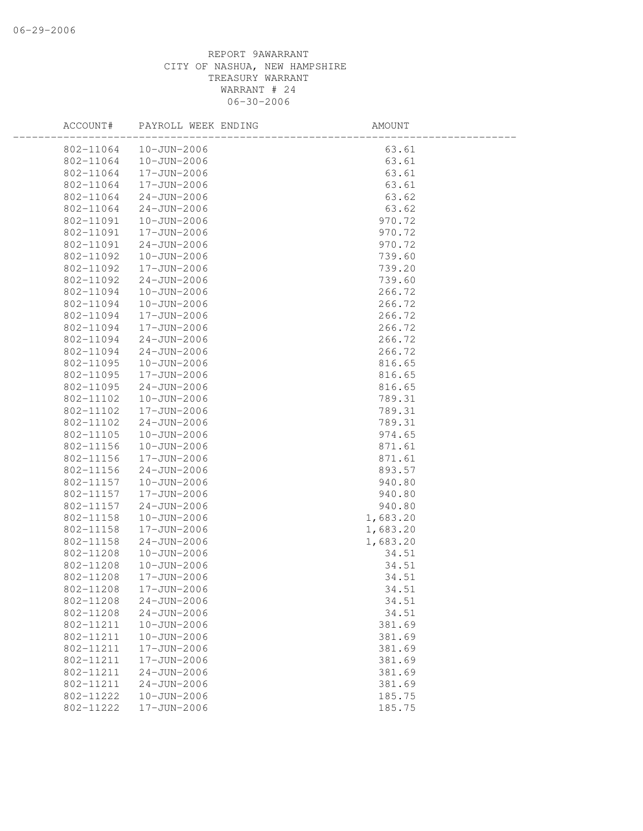| ACCOUNT#  | PAYROLL WEEK ENDING | AMOUNT   |  |
|-----------|---------------------|----------|--|
| 802-11064 | 10-JUN-2006         | 63.61    |  |
| 802-11064 | 10-JUN-2006         | 63.61    |  |
| 802-11064 | 17-JUN-2006         | 63.61    |  |
| 802-11064 | 17-JUN-2006         | 63.61    |  |
| 802-11064 | $24 - JUN - 2006$   | 63.62    |  |
| 802-11064 | $24 - JUN - 2006$   | 63.62    |  |
| 802-11091 | 10-JUN-2006         | 970.72   |  |
| 802-11091 | 17-JUN-2006         | 970.72   |  |
| 802-11091 | $24 - JUN - 2006$   | 970.72   |  |
| 802-11092 | 10-JUN-2006         | 739.60   |  |
| 802-11092 | 17-JUN-2006         | 739.20   |  |
| 802-11092 | $24 - JUN - 2006$   | 739.60   |  |
| 802-11094 | $10 - JUN - 2006$   | 266.72   |  |
| 802-11094 | 10-JUN-2006         | 266.72   |  |
| 802-11094 | 17-JUN-2006         | 266.72   |  |
| 802-11094 | 17-JUN-2006         | 266.72   |  |
| 802-11094 | $24 - JUN - 2006$   | 266.72   |  |
| 802-11094 | $24 - JUN - 2006$   | 266.72   |  |
| 802-11095 | $10 - JUN - 2006$   | 816.65   |  |
| 802-11095 | 17-JUN-2006         | 816.65   |  |
| 802-11095 | $24 - JUN - 2006$   | 816.65   |  |
| 802-11102 | $10 - JUN - 2006$   | 789.31   |  |
| 802-11102 | 17-JUN-2006         | 789.31   |  |
| 802-11102 | $24 - JUN - 2006$   | 789.31   |  |
| 802-11105 | $10 - JUN - 2006$   | 974.65   |  |
| 802-11156 | 10-JUN-2006         | 871.61   |  |
| 802-11156 | 17-JUN-2006         | 871.61   |  |
| 802-11156 | $24 - JUN - 2006$   | 893.57   |  |
| 802-11157 | 10-JUN-2006         | 940.80   |  |
| 802-11157 | 17-JUN-2006         | 940.80   |  |
| 802-11157 | $24 - JUN - 2006$   | 940.80   |  |
| 802-11158 | 10-JUN-2006         | 1,683.20 |  |
| 802-11158 | 17-JUN-2006         | 1,683.20 |  |
| 802-11158 | $24 - JUN - 2006$   | 1,683.20 |  |
| 802-11208 | 10-JUN-2006         | 34.51    |  |
| 802-11208 | 10-JUN-2006         | 34.51    |  |
| 802-11208 | 17-JUN-2006         | 34.51    |  |
| 802-11208 | 17-JUN-2006         | 34.51    |  |
| 802-11208 | $24 - JUN - 2006$   | 34.51    |  |
| 802-11208 | $24 - JUN - 2006$   | 34.51    |  |
| 802-11211 | $10 - JUN - 2006$   | 381.69   |  |
| 802-11211 | 10-JUN-2006         | 381.69   |  |
| 802-11211 | 17-JUN-2006         | 381.69   |  |
| 802-11211 | $17 - JUN - 2006$   | 381.69   |  |
| 802-11211 | $24 - JUN - 2006$   | 381.69   |  |
| 802-11211 | $24 - JUN - 2006$   | 381.69   |  |
| 802-11222 | $10 - JUN - 2006$   | 185.75   |  |
| 802-11222 | 17-JUN-2006         | 185.75   |  |
|           |                     |          |  |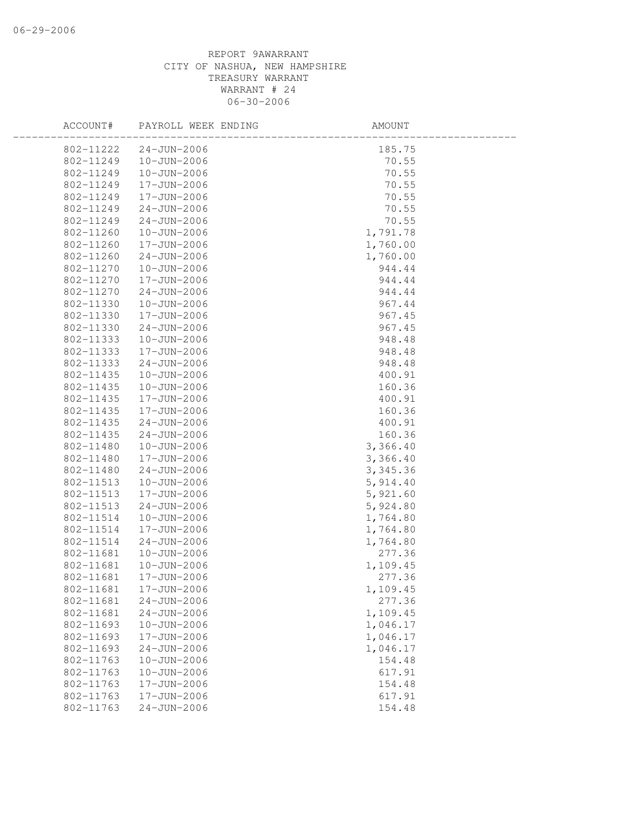| ACCOUNT#  | PAYROLL WEEK ENDING | AMOUNT    |  |
|-----------|---------------------|-----------|--|
| 802-11222 | $24 - JUN - 2006$   | 185.75    |  |
| 802-11249 | 10-JUN-2006         | 70.55     |  |
| 802-11249 | 10-JUN-2006         | 70.55     |  |
| 802-11249 | 17-JUN-2006         | 70.55     |  |
| 802-11249 | 17-JUN-2006         | 70.55     |  |
| 802-11249 | $24 - JUN - 2006$   | 70.55     |  |
| 802-11249 | $24 - JUN - 2006$   | 70.55     |  |
| 802-11260 | 10-JUN-2006         | 1,791.78  |  |
| 802-11260 | 17-JUN-2006         | 1,760.00  |  |
| 802-11260 | $24 - JUN - 2006$   | 1,760.00  |  |
| 802-11270 | 10-JUN-2006         | 944.44    |  |
| 802-11270 | 17-JUN-2006         | 944.44    |  |
| 802-11270 | $24 - JUN - 2006$   | 944.44    |  |
| 802-11330 | $10 - JUN - 2006$   | 967.44    |  |
| 802-11330 | 17-JUN-2006         | 967.45    |  |
| 802-11330 | $24 - JUN - 2006$   | 967.45    |  |
| 802-11333 | $10 - JUN - 2006$   | 948.48    |  |
| 802-11333 | 17-JUN-2006         | 948.48    |  |
| 802-11333 | $24 - JUN - 2006$   | 948.48    |  |
| 802-11435 | 10-JUN-2006         | 400.91    |  |
| 802-11435 | 10-JUN-2006         | 160.36    |  |
| 802-11435 | 17-JUN-2006         | 400.91    |  |
| 802-11435 | 17-JUN-2006         | 160.36    |  |
| 802-11435 | $24 - JUN - 2006$   | 400.91    |  |
| 802-11435 | $24 - JUN - 2006$   | 160.36    |  |
| 802-11480 | 10-JUN-2006         | 3,366.40  |  |
| 802-11480 | 17-JUN-2006         | 3,366.40  |  |
| 802-11480 | $24 - JUN - 2006$   | 3, 345.36 |  |
| 802-11513 | 10-JUN-2006         | 5,914.40  |  |
| 802-11513 | 17-JUN-2006         | 5,921.60  |  |
| 802-11513 | $24 - JUN - 2006$   | 5,924.80  |  |
| 802-11514 | $10 - JUN - 2006$   | 1,764.80  |  |
| 802-11514 | 17-JUN-2006         | 1,764.80  |  |
| 802-11514 | $24 - JUN - 2006$   | 1,764.80  |  |
| 802-11681 | 10-JUN-2006         | 277.36    |  |
| 802-11681 | $10 - JUN - 2006$   | 1,109.45  |  |
| 802-11681 | 17-JUN-2006         | 277.36    |  |
| 802-11681 | 17-JUN-2006         | 1,109.45  |  |
| 802-11681 | $24 - JUN - 2006$   | 277.36    |  |
| 802-11681 | $24 - JUN - 2006$   | 1,109.45  |  |
| 802-11693 | 10-JUN-2006         | 1,046.17  |  |
| 802-11693 | 17-JUN-2006         | 1,046.17  |  |
| 802-11693 | $24 - JUN - 2006$   | 1,046.17  |  |
| 802-11763 | $10 - JUN - 2006$   | 154.48    |  |
| 802-11763 | $10 - JUN - 2006$   | 617.91    |  |
| 802-11763 | 17-JUN-2006         | 154.48    |  |
| 802-11763 | 17-JUN-2006         | 617.91    |  |
| 802-11763 | $24 - JUN - 2006$   | 154.48    |  |
|           |                     |           |  |